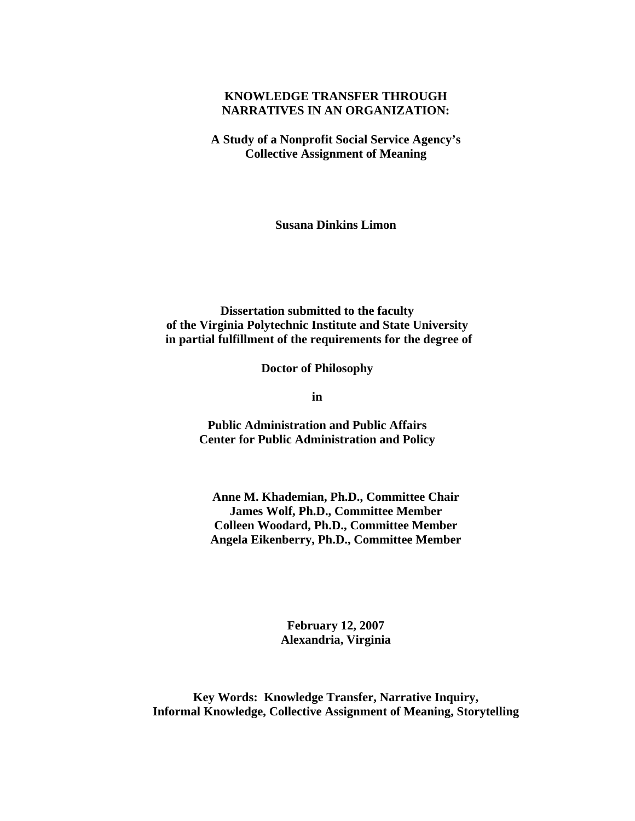## **KNOWLEDGE TRANSFER THROUGH NARRATIVES IN AN ORGANIZATION:**

**A Study of a Nonprofit Social Service Agency's Collective Assignment of Meaning** 

**Susana Dinkins Limon** 

**Dissertation submitted to the faculty of the Virginia Polytechnic Institute and State University in partial fulfillment of the requirements for the degree of**

**Doctor of Philosophy** 

**in** 

**Public Administration and Public Affairs Center for Public Administration and Policy**

**Anne M. Khademian, Ph.D., Committee Chair James Wolf, Ph.D., Committee Member Colleen Woodard, Ph.D., Committee Member Angela Eikenberry, Ph.D., Committee Member** 

> **February 12, 2007 Alexandria, Virginia**

**Key Words: Knowledge Transfer, Narrative Inquiry, Informal Knowledge, Collective Assignment of Meaning, Storytelling**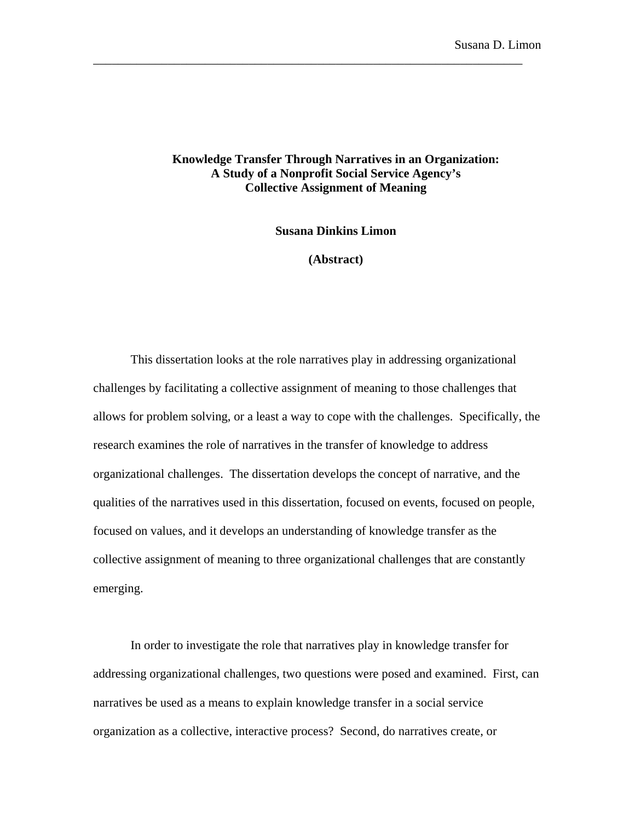## **Knowledge Transfer Through Narratives in an Organization: A Study of a Nonprofit Social Service Agency's Collective Assignment of Meaning**

\_\_\_\_\_\_\_\_\_\_\_\_\_\_\_\_\_\_\_\_\_\_\_\_\_\_\_\_\_\_\_\_\_\_\_\_\_\_\_\_\_\_\_\_\_\_\_\_\_\_\_\_\_\_\_\_\_\_\_\_\_\_\_\_\_\_\_\_\_

**Susana Dinkins Limon** 

**(Abstract)** 

This dissertation looks at the role narratives play in addressing organizational challenges by facilitating a collective assignment of meaning to those challenges that allows for problem solving, or a least a way to cope with the challenges. Specifically, the research examines the role of narratives in the transfer of knowledge to address organizational challenges. The dissertation develops the concept of narrative, and the qualities of the narratives used in this dissertation, focused on events, focused on people, focused on values, and it develops an understanding of knowledge transfer as the collective assignment of meaning to three organizational challenges that are constantly emerging.

In order to investigate the role that narratives play in knowledge transfer for addressing organizational challenges, two questions were posed and examined. First, can narratives be used as a means to explain knowledge transfer in a social service organization as a collective, interactive process? Second, do narratives create, or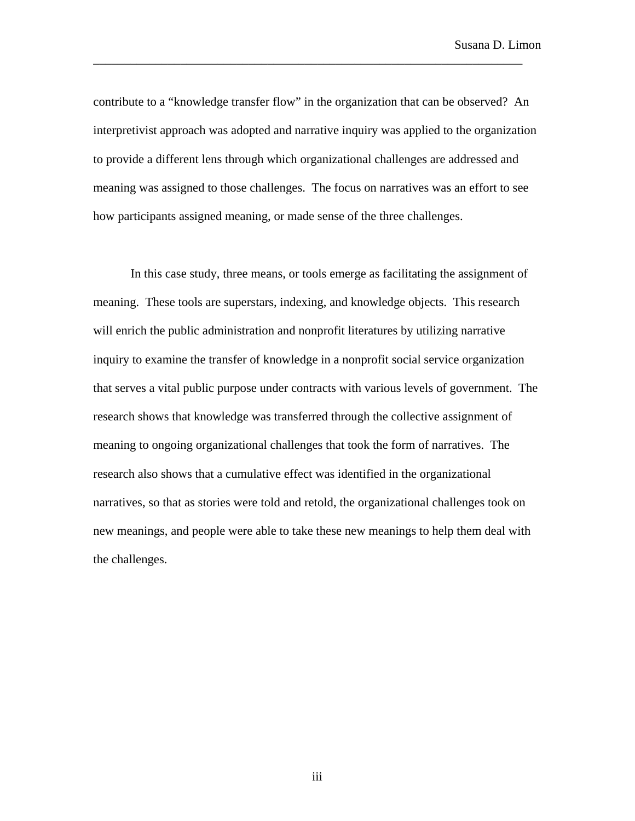contribute to a "knowledge transfer flow" in the organization that can be observed? An interpretivist approach was adopted and narrative inquiry was applied to the organization to provide a different lens through which organizational challenges are addressed and meaning was assigned to those challenges. The focus on narratives was an effort to see how participants assigned meaning, or made sense of the three challenges.

\_\_\_\_\_\_\_\_\_\_\_\_\_\_\_\_\_\_\_\_\_\_\_\_\_\_\_\_\_\_\_\_\_\_\_\_\_\_\_\_\_\_\_\_\_\_\_\_\_\_\_\_\_\_\_\_\_\_\_\_\_\_\_\_\_\_\_\_\_

In this case study, three means, or tools emerge as facilitating the assignment of meaning. These tools are superstars, indexing, and knowledge objects. This research will enrich the public administration and nonprofit literatures by utilizing narrative inquiry to examine the transfer of knowledge in a nonprofit social service organization that serves a vital public purpose under contracts with various levels of government. The research shows that knowledge was transferred through the collective assignment of meaning to ongoing organizational challenges that took the form of narratives. The research also shows that a cumulative effect was identified in the organizational narratives, so that as stories were told and retold, the organizational challenges took on new meanings, and people were able to take these new meanings to help them deal with the challenges.

iii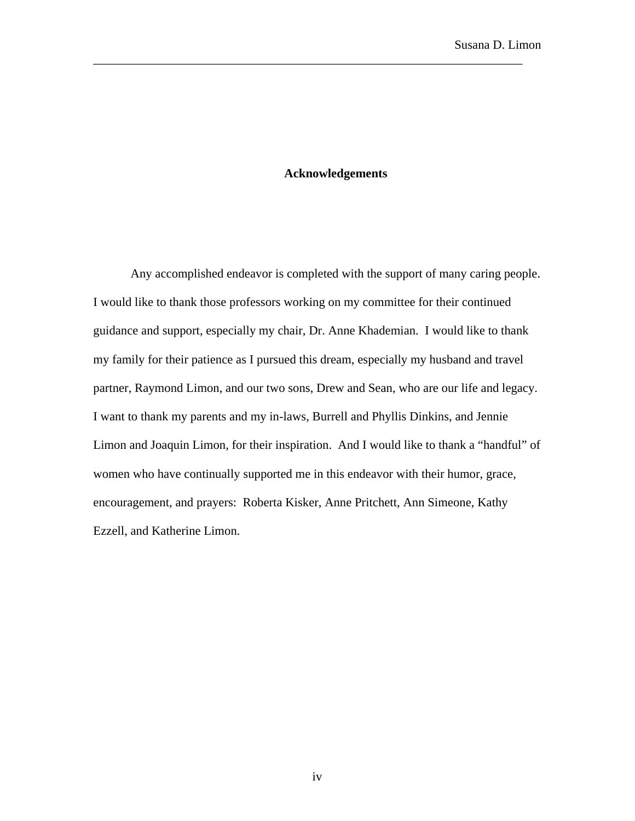## **Acknowledgements**

\_\_\_\_\_\_\_\_\_\_\_\_\_\_\_\_\_\_\_\_\_\_\_\_\_\_\_\_\_\_\_\_\_\_\_\_\_\_\_\_\_\_\_\_\_\_\_\_\_\_\_\_\_\_\_\_\_\_\_\_\_\_\_\_\_\_\_\_\_

Any accomplished endeavor is completed with the support of many caring people. I would like to thank those professors working on my committee for their continued guidance and support, especially my chair, Dr. Anne Khademian. I would like to thank my family for their patience as I pursued this dream, especially my husband and travel partner, Raymond Limon, and our two sons, Drew and Sean, who are our life and legacy. I want to thank my parents and my in-laws, Burrell and Phyllis Dinkins, and Jennie Limon and Joaquin Limon, for their inspiration. And I would like to thank a "handful" of women who have continually supported me in this endeavor with their humor, grace, encouragement, and prayers: Roberta Kisker, Anne Pritchett, Ann Simeone, Kathy Ezzell, and Katherine Limon.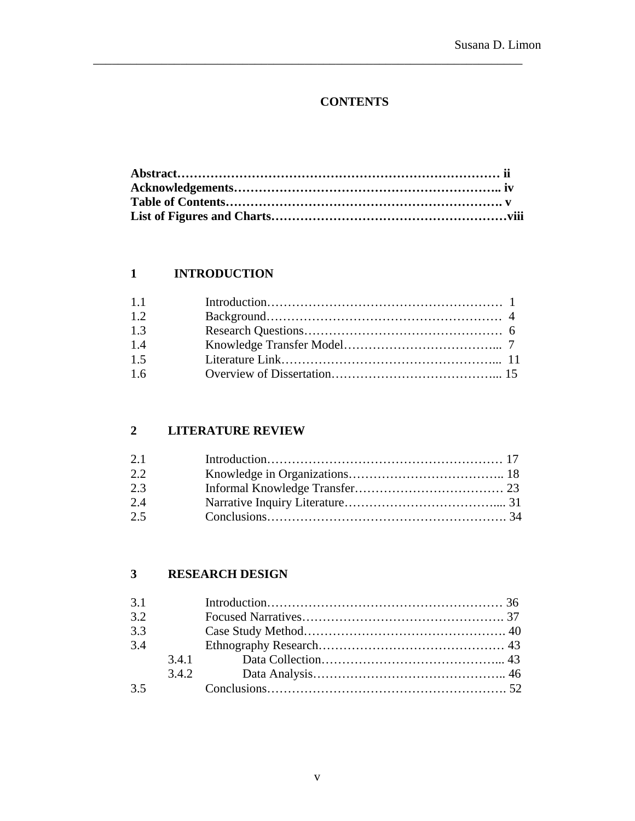# **CONTENTS**

\_\_\_\_\_\_\_\_\_\_\_\_\_\_\_\_\_\_\_\_\_\_\_\_\_\_\_\_\_\_\_\_\_\_\_\_\_\_\_\_\_\_\_\_\_\_\_\_\_\_\_\_\_\_\_\_\_\_\_\_\_\_\_\_\_\_\_\_\_

# **1 INTRODUCTION**

| 1.1 |  |
|-----|--|
| 1.2 |  |
| 1.3 |  |
| 1.4 |  |
| 1.5 |  |
| 1.6 |  |

## **2 LITERATURE REVIEW**

| 2.1 |  |
|-----|--|
| 2.2 |  |
| 2.3 |  |
| 2.4 |  |
| 2.5 |  |

## **3 RESEARCH DESIGN**

| 3.1 |  |  |
|-----|--|--|
| 3.2 |  |  |
| 3.3 |  |  |
| 3.4 |  |  |
|     |  |  |
|     |  |  |
| 3.5 |  |  |
|     |  |  |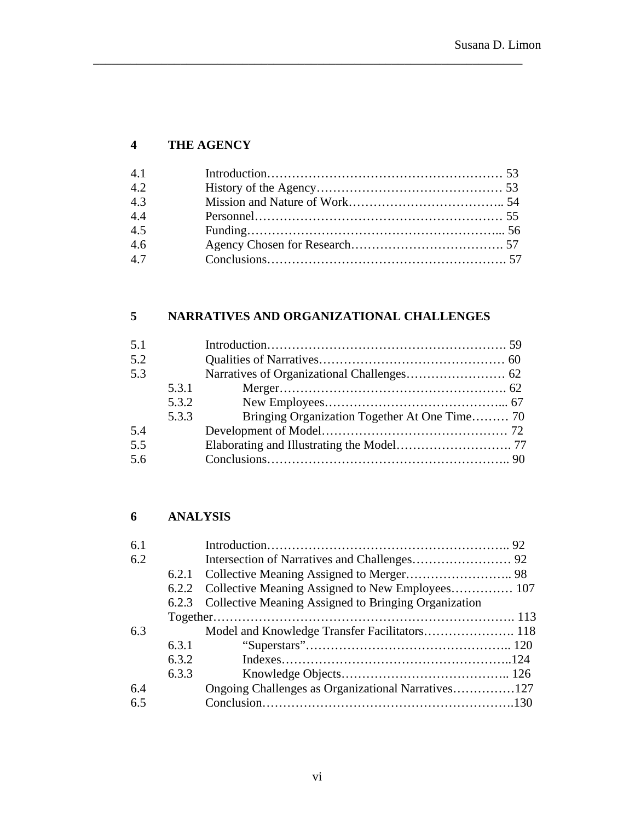# **4 THE AGENCY**

| 4.1 |  |
|-----|--|
| 4.2 |  |
| 4.3 |  |
| 4.4 |  |
| 4.5 |  |
| 4.6 |  |
| 4.7 |  |

\_\_\_\_\_\_\_\_\_\_\_\_\_\_\_\_\_\_\_\_\_\_\_\_\_\_\_\_\_\_\_\_\_\_\_\_\_\_\_\_\_\_\_\_\_\_\_\_\_\_\_\_\_\_\_\_\_\_\_\_\_\_\_\_\_\_\_\_\_

# **5 NARRATIVES AND ORGANIZATIONAL CHALLENGES**

## **6 ANALYSIS**

| 6.1 |       |                                                            |  |
|-----|-------|------------------------------------------------------------|--|
| 6.2 |       |                                                            |  |
|     |       |                                                            |  |
|     | 6.2.2 |                                                            |  |
|     |       | 6.2.3 Collective Meaning Assigned to Bringing Organization |  |
|     |       |                                                            |  |
| 6.3 |       |                                                            |  |
|     | 6.3.1 |                                                            |  |
|     | 6.3.2 |                                                            |  |
|     | 6.3.3 |                                                            |  |
| 6.4 |       | Ongoing Challenges as Organizational Narratives127         |  |
| 6.5 |       |                                                            |  |
|     |       |                                                            |  |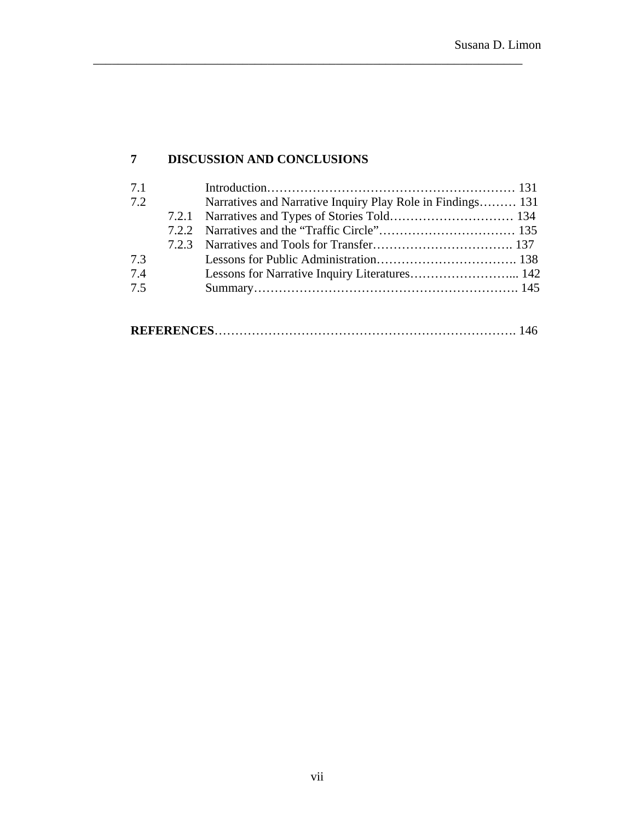# **7 DISCUSSION AND CONCLUSIONS**

| 7.1 |                                                            |  |
|-----|------------------------------------------------------------|--|
| 7.2 | Narratives and Narrative Inquiry Play Role in Findings 131 |  |
|     |                                                            |  |
|     |                                                            |  |
|     |                                                            |  |
| 7.3 |                                                            |  |
| 7.4 |                                                            |  |
| 7.5 |                                                            |  |
|     |                                                            |  |
|     |                                                            |  |

\_\_\_\_\_\_\_\_\_\_\_\_\_\_\_\_\_\_\_\_\_\_\_\_\_\_\_\_\_\_\_\_\_\_\_\_\_\_\_\_\_\_\_\_\_\_\_\_\_\_\_\_\_\_\_\_\_\_\_\_\_\_\_\_\_\_\_\_\_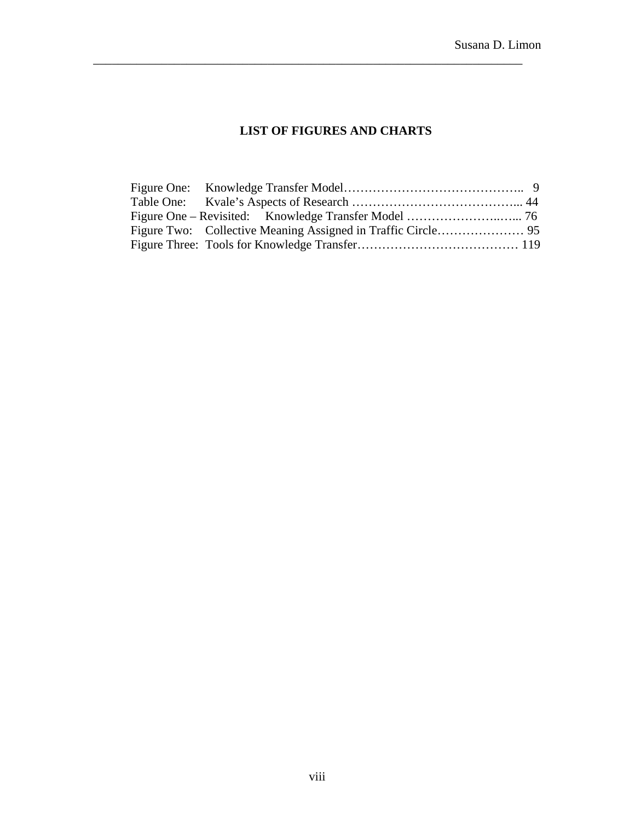## **LIST OF FIGURES AND CHARTS**

\_\_\_\_\_\_\_\_\_\_\_\_\_\_\_\_\_\_\_\_\_\_\_\_\_\_\_\_\_\_\_\_\_\_\_\_\_\_\_\_\_\_\_\_\_\_\_\_\_\_\_\_\_\_\_\_\_\_\_\_\_\_\_\_\_\_\_\_\_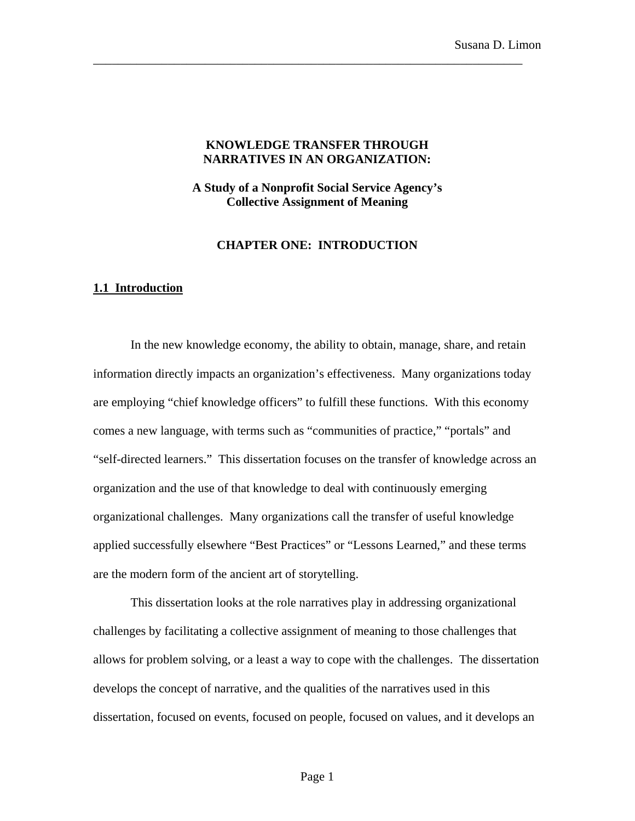### **KNOWLEDGE TRANSFER THROUGH NARRATIVES IN AN ORGANIZATION:**

\_\_\_\_\_\_\_\_\_\_\_\_\_\_\_\_\_\_\_\_\_\_\_\_\_\_\_\_\_\_\_\_\_\_\_\_\_\_\_\_\_\_\_\_\_\_\_\_\_\_\_\_\_\_\_\_\_\_\_\_\_\_\_\_\_\_\_\_\_

**A Study of a Nonprofit Social Service Agency's Collective Assignment of Meaning** 

## **CHAPTER ONE: INTRODUCTION**

#### **1.1 Introduction**

In the new knowledge economy, the ability to obtain, manage, share, and retain information directly impacts an organization's effectiveness. Many organizations today are employing "chief knowledge officers" to fulfill these functions. With this economy comes a new language, with terms such as "communities of practice," "portals" and "self-directed learners." This dissertation focuses on the transfer of knowledge across an organization and the use of that knowledge to deal with continuously emerging organizational challenges. Many organizations call the transfer of useful knowledge applied successfully elsewhere "Best Practices" or "Lessons Learned," and these terms are the modern form of the ancient art of storytelling.

This dissertation looks at the role narratives play in addressing organizational challenges by facilitating a collective assignment of meaning to those challenges that allows for problem solving, or a least a way to cope with the challenges. The dissertation develops the concept of narrative, and the qualities of the narratives used in this dissertation, focused on events, focused on people, focused on values, and it develops an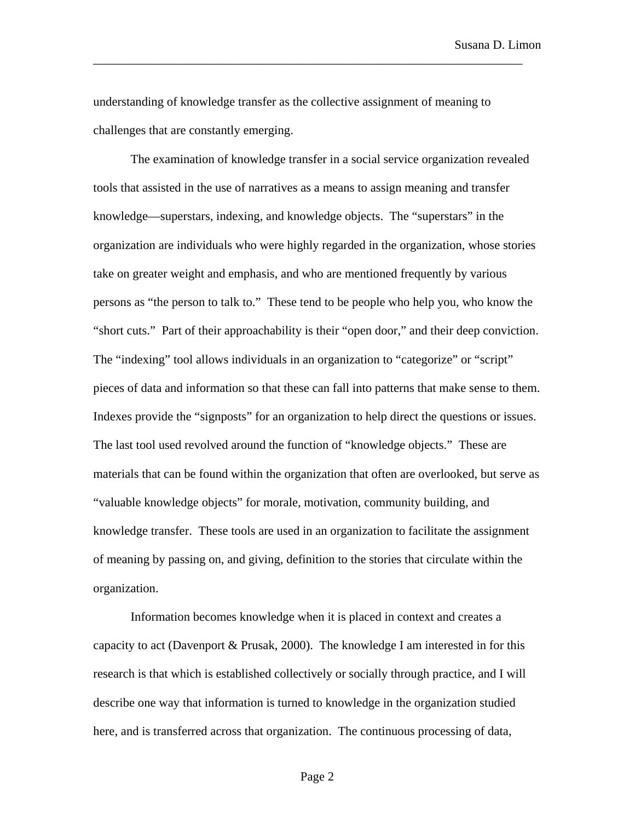Susana D. Limon

understanding of knowledge transfer as the collective assignment of meaning to challenges that are constantly emerging.

\_\_\_\_\_\_\_\_\_\_\_\_\_\_\_\_\_\_\_\_\_\_\_\_\_\_\_\_\_\_\_\_\_\_\_\_\_\_\_\_\_\_\_\_\_\_\_\_\_\_\_\_\_\_\_\_\_\_\_\_\_\_\_\_\_\_\_\_\_

The examination of knowledge transfer in a social service organization revealed tools that assisted in the use of narratives as a means to assign meaning and transfer knowledge—superstars, indexing, and knowledge objects. The "superstars" in the organization are individuals who were highly regarded in the organization, whose stories take on greater weight and emphasis, and who are mentioned frequently by various persons as "the person to talk to." These tend to be people who help you, who know the "short cuts." Part of their approachability is their "open door," and their deep conviction. The "indexing" tool allows individuals in an organization to "categorize" or "script" pieces of data and information so that these can fall into patterns that make sense to them. Indexes provide the "signposts" for an organization to help direct the questions or issues. The last tool used revolved around the function of "knowledge objects." These are materials that can be found within the organization that often are overlooked, but serve as "valuable knowledge objects" for morale, motivation, community building, and knowledge transfer. These tools are used in an organization to facilitate the assignment of meaning by passing on, and giving, definition to the stories that circulate within the organization.

Information becomes knowledge when it is placed in context and creates a capacity to act (Davenport & Prusak, 2000). The knowledge I am interested in for this research is that which is established collectively or socially through practice, and I will describe one way that information is turned to knowledge in the organization studied here, and is transferred across that organization. The continuous processing of data,

Page 2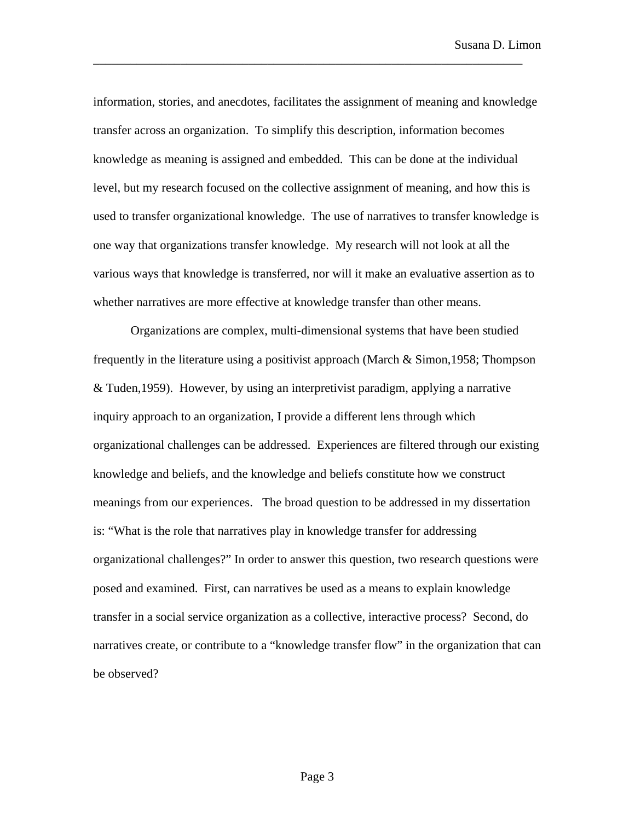information, stories, and anecdotes, facilitates the assignment of meaning and knowledge transfer across an organization. To simplify this description, information becomes knowledge as meaning is assigned and embedded. This can be done at the individual level, but my research focused on the collective assignment of meaning, and how this is used to transfer organizational knowledge. The use of narratives to transfer knowledge is one way that organizations transfer knowledge. My research will not look at all the various ways that knowledge is transferred, nor will it make an evaluative assertion as to whether narratives are more effective at knowledge transfer than other means.

\_\_\_\_\_\_\_\_\_\_\_\_\_\_\_\_\_\_\_\_\_\_\_\_\_\_\_\_\_\_\_\_\_\_\_\_\_\_\_\_\_\_\_\_\_\_\_\_\_\_\_\_\_\_\_\_\_\_\_\_\_\_\_\_\_\_\_\_\_

Organizations are complex, multi-dimensional systems that have been studied frequently in the literature using a positivist approach (March & Simon,1958; Thompson & Tuden,1959). However, by using an interpretivist paradigm, applying a narrative inquiry approach to an organization, I provide a different lens through which organizational challenges can be addressed. Experiences are filtered through our existing knowledge and beliefs, and the knowledge and beliefs constitute how we construct meanings from our experiences. The broad question to be addressed in my dissertation is: "What is the role that narratives play in knowledge transfer for addressing organizational challenges?" In order to answer this question, two research questions were posed and examined. First, can narratives be used as a means to explain knowledge transfer in a social service organization as a collective, interactive process? Second, do narratives create, or contribute to a "knowledge transfer flow" in the organization that can be observed?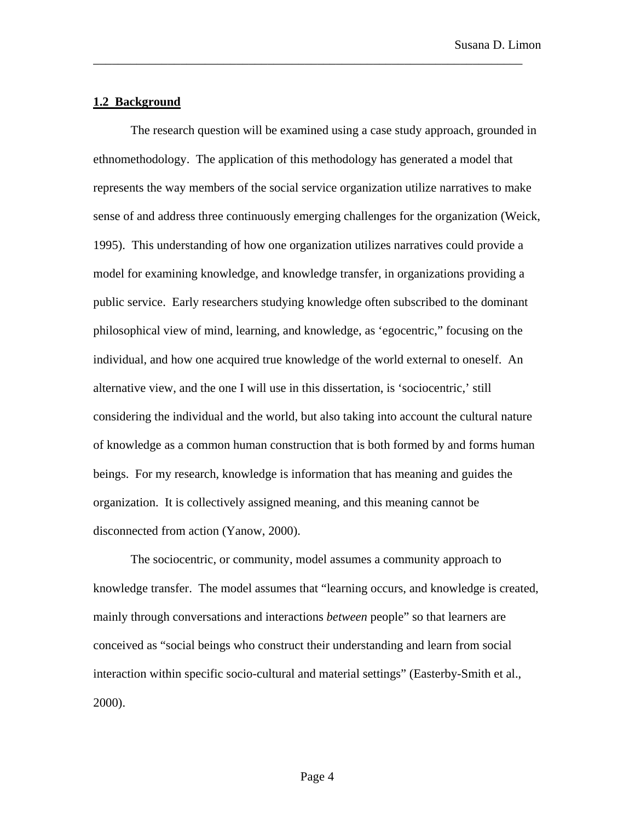### **1.2 Background**

The research question will be examined using a case study approach, grounded in ethnomethodology. The application of this methodology has generated a model that represents the way members of the social service organization utilize narratives to make sense of and address three continuously emerging challenges for the organization (Weick, 1995). This understanding of how one organization utilizes narratives could provide a model for examining knowledge, and knowledge transfer, in organizations providing a public service. Early researchers studying knowledge often subscribed to the dominant philosophical view of mind, learning, and knowledge, as 'egocentric," focusing on the individual, and how one acquired true knowledge of the world external to oneself. An alternative view, and the one I will use in this dissertation, is 'sociocentric,' still considering the individual and the world, but also taking into account the cultural nature of knowledge as a common human construction that is both formed by and forms human beings. For my research, knowledge is information that has meaning and guides the organization. It is collectively assigned meaning, and this meaning cannot be disconnected from action (Yanow, 2000).

\_\_\_\_\_\_\_\_\_\_\_\_\_\_\_\_\_\_\_\_\_\_\_\_\_\_\_\_\_\_\_\_\_\_\_\_\_\_\_\_\_\_\_\_\_\_\_\_\_\_\_\_\_\_\_\_\_\_\_\_\_\_\_\_\_\_\_\_\_

The sociocentric, or community, model assumes a community approach to knowledge transfer. The model assumes that "learning occurs, and knowledge is created, mainly through conversations and interactions *between* people" so that learners are conceived as "social beings who construct their understanding and learn from social interaction within specific socio-cultural and material settings" (Easterby-Smith et al., 2000).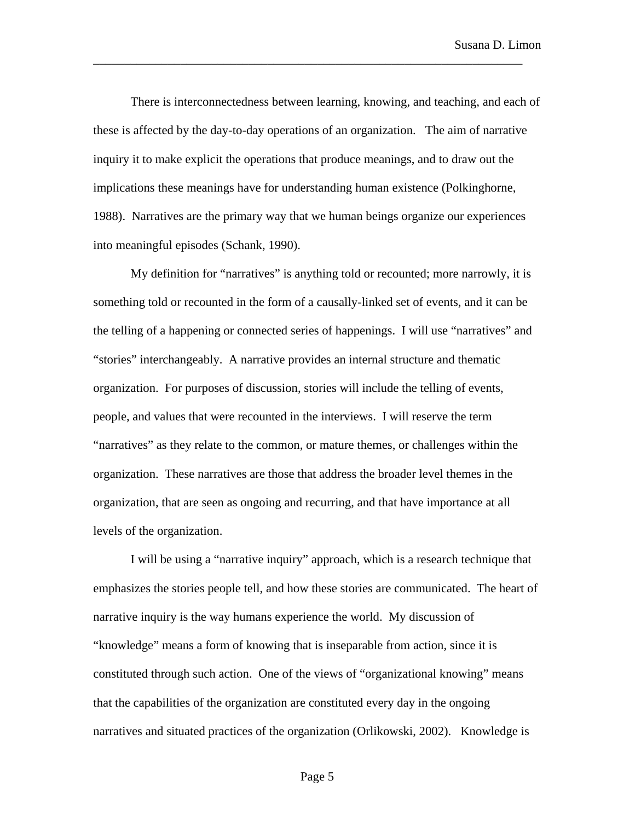There is interconnectedness between learning, knowing, and teaching, and each of these is affected by the day-to-day operations of an organization. The aim of narrative inquiry it to make explicit the operations that produce meanings, and to draw out the implications these meanings have for understanding human existence (Polkinghorne, 1988). Narratives are the primary way that we human beings organize our experiences into meaningful episodes (Schank, 1990).

\_\_\_\_\_\_\_\_\_\_\_\_\_\_\_\_\_\_\_\_\_\_\_\_\_\_\_\_\_\_\_\_\_\_\_\_\_\_\_\_\_\_\_\_\_\_\_\_\_\_\_\_\_\_\_\_\_\_\_\_\_\_\_\_\_\_\_\_\_

My definition for "narratives" is anything told or recounted; more narrowly, it is something told or recounted in the form of a causally-linked set of events, and it can be the telling of a happening or connected series of happenings. I will use "narratives" and "stories" interchangeably. A narrative provides an internal structure and thematic organization. For purposes of discussion, stories will include the telling of events, people, and values that were recounted in the interviews. I will reserve the term "narratives" as they relate to the common, or mature themes, or challenges within the organization. These narratives are those that address the broader level themes in the organization, that are seen as ongoing and recurring, and that have importance at all levels of the organization.

I will be using a "narrative inquiry" approach, which is a research technique that emphasizes the stories people tell, and how these stories are communicated. The heart of narrative inquiry is the way humans experience the world. My discussion of "knowledge" means a form of knowing that is inseparable from action, since it is constituted through such action. One of the views of "organizational knowing" means that the capabilities of the organization are constituted every day in the ongoing narratives and situated practices of the organization (Orlikowski, 2002). Knowledge is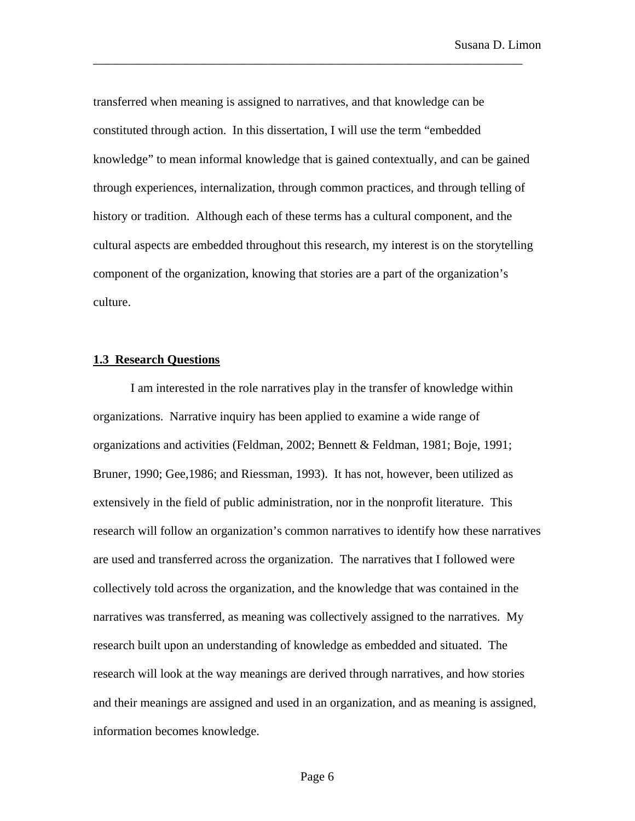transferred when meaning is assigned to narratives, and that knowledge can be constituted through action. In this dissertation, I will use the term "embedded knowledge" to mean informal knowledge that is gained contextually, and can be gained through experiences, internalization, through common practices, and through telling of history or tradition. Although each of these terms has a cultural component, and the cultural aspects are embedded throughout this research, my interest is on the storytelling component of the organization, knowing that stories are a part of the organization's culture.

\_\_\_\_\_\_\_\_\_\_\_\_\_\_\_\_\_\_\_\_\_\_\_\_\_\_\_\_\_\_\_\_\_\_\_\_\_\_\_\_\_\_\_\_\_\_\_\_\_\_\_\_\_\_\_\_\_\_\_\_\_\_\_\_\_\_\_\_\_

## **1.3 Research Questions**

I am interested in the role narratives play in the transfer of knowledge within organizations. Narrative inquiry has been applied to examine a wide range of organizations and activities (Feldman, 2002; Bennett & Feldman, 1981; Boje, 1991; Bruner, 1990; Gee,1986; and Riessman, 1993). It has not, however, been utilized as extensively in the field of public administration, nor in the nonprofit literature. This research will follow an organization's common narratives to identify how these narratives are used and transferred across the organization. The narratives that I followed were collectively told across the organization, and the knowledge that was contained in the narratives was transferred, as meaning was collectively assigned to the narratives. My research built upon an understanding of knowledge as embedded and situated. The research will look at the way meanings are derived through narratives, and how stories and their meanings are assigned and used in an organization, and as meaning is assigned, information becomes knowledge.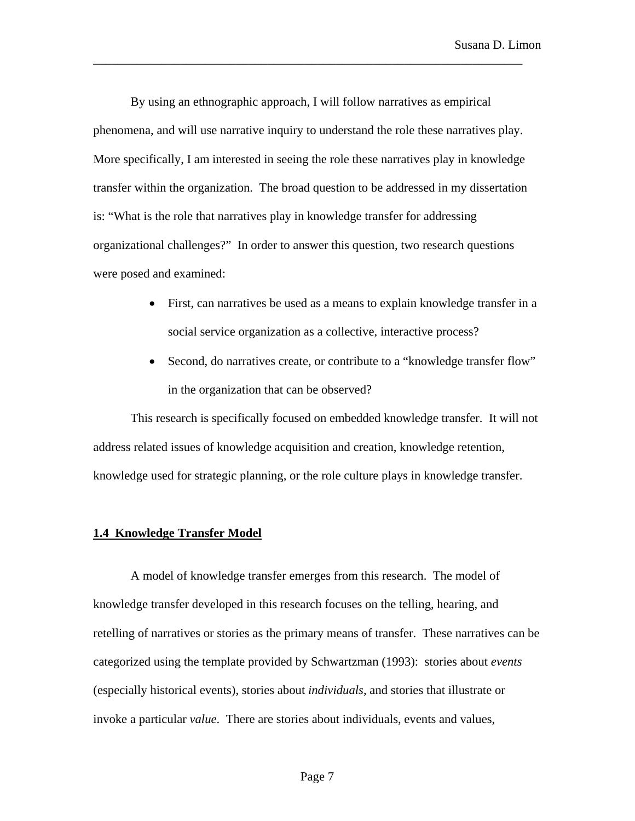By using an ethnographic approach, I will follow narratives as empirical phenomena, and will use narrative inquiry to understand the role these narratives play. More specifically, I am interested in seeing the role these narratives play in knowledge transfer within the organization. The broad question to be addressed in my dissertation is: "What is the role that narratives play in knowledge transfer for addressing organizational challenges?" In order to answer this question, two research questions were posed and examined:

\_\_\_\_\_\_\_\_\_\_\_\_\_\_\_\_\_\_\_\_\_\_\_\_\_\_\_\_\_\_\_\_\_\_\_\_\_\_\_\_\_\_\_\_\_\_\_\_\_\_\_\_\_\_\_\_\_\_\_\_\_\_\_\_\_\_\_\_\_

- First, can narratives be used as a means to explain knowledge transfer in a social service organization as a collective, interactive process?
- Second, do narratives create, or contribute to a "knowledge transfer flow" in the organization that can be observed?

This research is specifically focused on embedded knowledge transfer. It will not address related issues of knowledge acquisition and creation, knowledge retention, knowledge used for strategic planning, or the role culture plays in knowledge transfer.

#### **1.4 Knowledge Transfer Model**

A model of knowledge transfer emerges from this research. The model of knowledge transfer developed in this research focuses on the telling, hearing, and retelling of narratives or stories as the primary means of transfer. These narratives can be categorized using the template provided by Schwartzman (1993): stories about *events* (especially historical events), stories about *individuals*, and stories that illustrate or invoke a particular *value*. There are stories about individuals, events and values,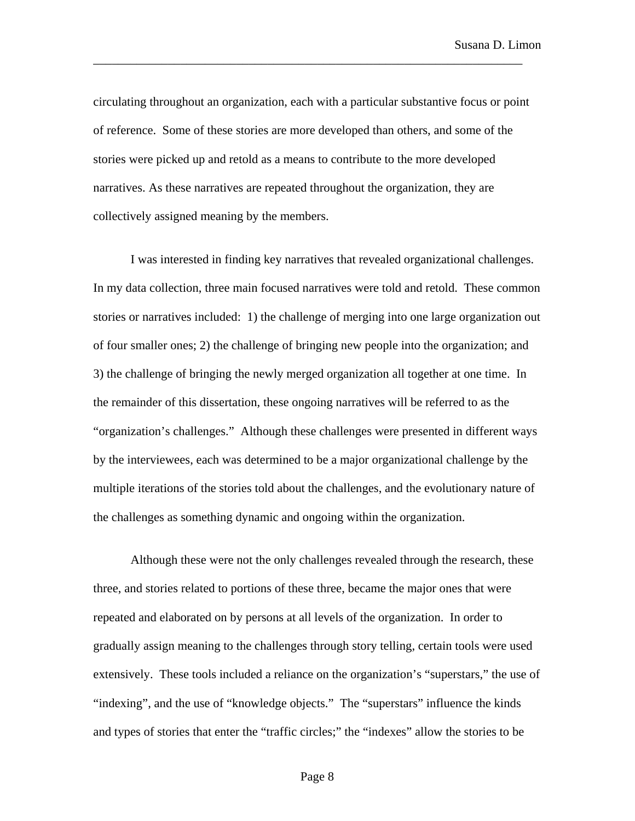circulating throughout an organization, each with a particular substantive focus or point of reference. Some of these stories are more developed than others, and some of the stories were picked up and retold as a means to contribute to the more developed narratives. As these narratives are repeated throughout the organization, they are collectively assigned meaning by the members.

\_\_\_\_\_\_\_\_\_\_\_\_\_\_\_\_\_\_\_\_\_\_\_\_\_\_\_\_\_\_\_\_\_\_\_\_\_\_\_\_\_\_\_\_\_\_\_\_\_\_\_\_\_\_\_\_\_\_\_\_\_\_\_\_\_\_\_\_\_

I was interested in finding key narratives that revealed organizational challenges. In my data collection, three main focused narratives were told and retold. These common stories or narratives included: 1) the challenge of merging into one large organization out of four smaller ones; 2) the challenge of bringing new people into the organization; and 3) the challenge of bringing the newly merged organization all together at one time. In the remainder of this dissertation, these ongoing narratives will be referred to as the "organization's challenges." Although these challenges were presented in different ways by the interviewees, each was determined to be a major organizational challenge by the multiple iterations of the stories told about the challenges, and the evolutionary nature of the challenges as something dynamic and ongoing within the organization.

Although these were not the only challenges revealed through the research, these three, and stories related to portions of these three, became the major ones that were repeated and elaborated on by persons at all levels of the organization. In order to gradually assign meaning to the challenges through story telling, certain tools were used extensively. These tools included a reliance on the organization's "superstars," the use of "indexing", and the use of "knowledge objects." The "superstars" influence the kinds and types of stories that enter the "traffic circles;" the "indexes" allow the stories to be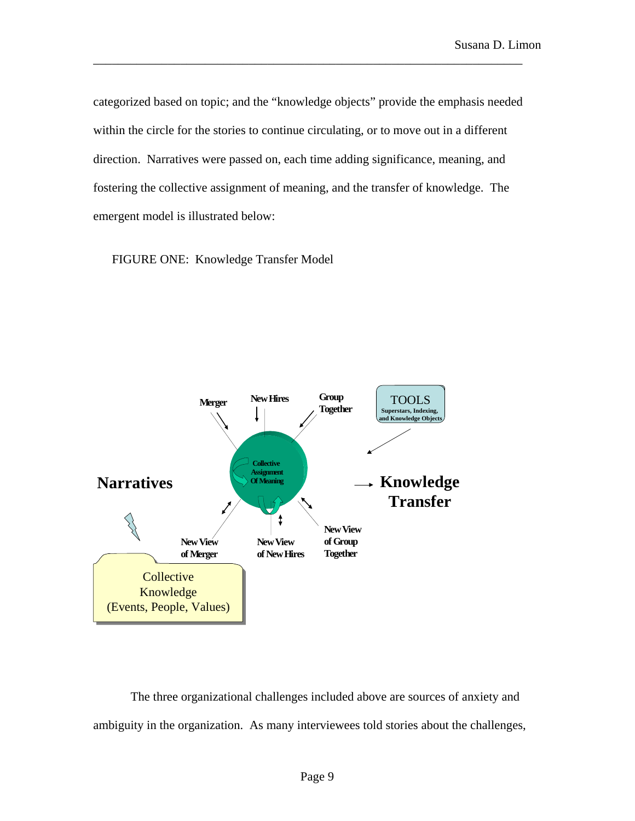categorized based on topic; and the "knowledge objects" provide the emphasis needed within the circle for the stories to continue circulating, or to move out in a different direction. Narratives were passed on, each time adding significance, meaning, and fostering the collective assignment of meaning, and the transfer of knowledge. The emergent model is illustrated below:

\_\_\_\_\_\_\_\_\_\_\_\_\_\_\_\_\_\_\_\_\_\_\_\_\_\_\_\_\_\_\_\_\_\_\_\_\_\_\_\_\_\_\_\_\_\_\_\_\_\_\_\_\_\_\_\_\_\_\_\_\_\_\_\_\_\_\_\_\_

FIGURE ONE: Knowledge Transfer Model



The three organizational challenges included above are sources of anxiety and ambiguity in the organization. As many interviewees told stories about the challenges,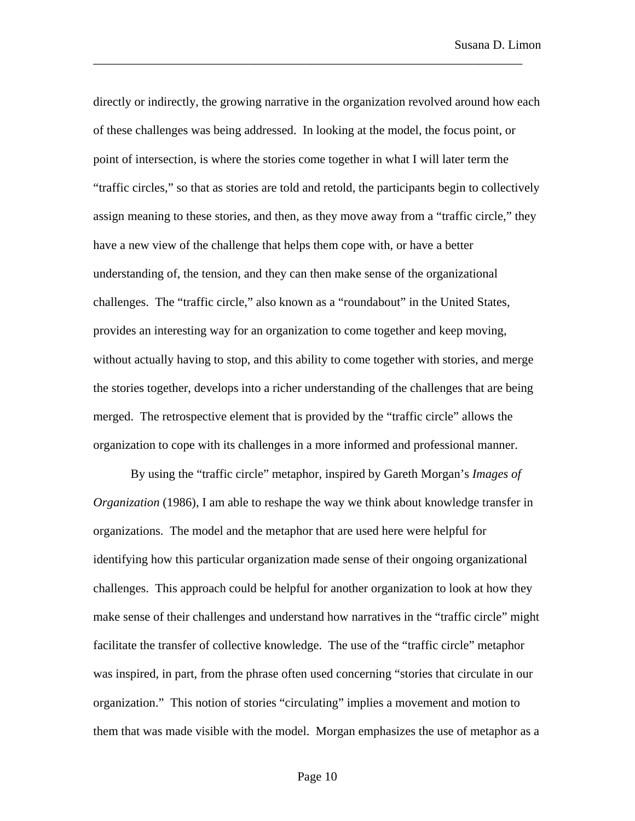directly or indirectly, the growing narrative in the organization revolved around how each of these challenges was being addressed. In looking at the model, the focus point, or point of intersection, is where the stories come together in what I will later term the "traffic circles," so that as stories are told and retold, the participants begin to collectively assign meaning to these stories, and then, as they move away from a "traffic circle," they have a new view of the challenge that helps them cope with, or have a better understanding of, the tension, and they can then make sense of the organizational challenges. The "traffic circle," also known as a "roundabout" in the United States, provides an interesting way for an organization to come together and keep moving, without actually having to stop, and this ability to come together with stories, and merge the stories together, develops into a richer understanding of the challenges that are being merged. The retrospective element that is provided by the "traffic circle" allows the organization to cope with its challenges in a more informed and professional manner.

\_\_\_\_\_\_\_\_\_\_\_\_\_\_\_\_\_\_\_\_\_\_\_\_\_\_\_\_\_\_\_\_\_\_\_\_\_\_\_\_\_\_\_\_\_\_\_\_\_\_\_\_\_\_\_\_\_\_\_\_\_\_\_\_\_\_\_\_\_

By using the "traffic circle" metaphor, inspired by Gareth Morgan's *Images of Organization* (1986), I am able to reshape the way we think about knowledge transfer in organizations. The model and the metaphor that are used here were helpful for identifying how this particular organization made sense of their ongoing organizational challenges. This approach could be helpful for another organization to look at how they make sense of their challenges and understand how narratives in the "traffic circle" might facilitate the transfer of collective knowledge. The use of the "traffic circle" metaphor was inspired, in part, from the phrase often used concerning "stories that circulate in our organization." This notion of stories "circulating" implies a movement and motion to them that was made visible with the model. Morgan emphasizes the use of metaphor as a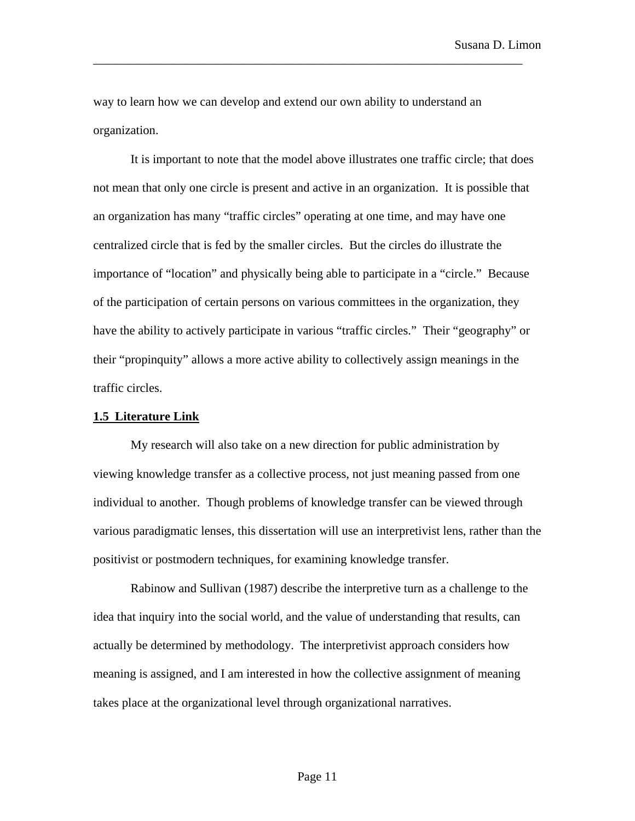way to learn how we can develop and extend our own ability to understand an organization.

\_\_\_\_\_\_\_\_\_\_\_\_\_\_\_\_\_\_\_\_\_\_\_\_\_\_\_\_\_\_\_\_\_\_\_\_\_\_\_\_\_\_\_\_\_\_\_\_\_\_\_\_\_\_\_\_\_\_\_\_\_\_\_\_\_\_\_\_\_

It is important to note that the model above illustrates one traffic circle; that does not mean that only one circle is present and active in an organization. It is possible that an organization has many "traffic circles" operating at one time, and may have one centralized circle that is fed by the smaller circles. But the circles do illustrate the importance of "location" and physically being able to participate in a "circle." Because of the participation of certain persons on various committees in the organization, they have the ability to actively participate in various "traffic circles." Their "geography" or their "propinquity" allows a more active ability to collectively assign meanings in the traffic circles.

#### **1.5 Literature Link**

My research will also take on a new direction for public administration by viewing knowledge transfer as a collective process, not just meaning passed from one individual to another. Though problems of knowledge transfer can be viewed through various paradigmatic lenses, this dissertation will use an interpretivist lens, rather than the positivist or postmodern techniques, for examining knowledge transfer.

Rabinow and Sullivan (1987) describe the interpretive turn as a challenge to the idea that inquiry into the social world, and the value of understanding that results, can actually be determined by methodology. The interpretivist approach considers how meaning is assigned, and I am interested in how the collective assignment of meaning takes place at the organizational level through organizational narratives.

#### Page 11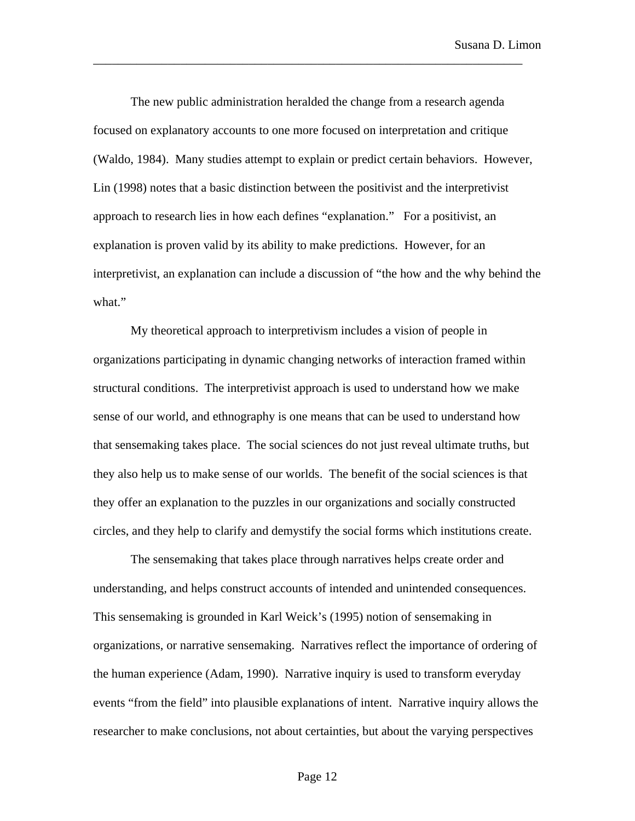The new public administration heralded the change from a research agenda focused on explanatory accounts to one more focused on interpretation and critique (Waldo, 1984). Many studies attempt to explain or predict certain behaviors. However, Lin (1998) notes that a basic distinction between the positivist and the interpretivist approach to research lies in how each defines "explanation." For a positivist, an explanation is proven valid by its ability to make predictions. However, for an interpretivist, an explanation can include a discussion of "the how and the why behind the what."

\_\_\_\_\_\_\_\_\_\_\_\_\_\_\_\_\_\_\_\_\_\_\_\_\_\_\_\_\_\_\_\_\_\_\_\_\_\_\_\_\_\_\_\_\_\_\_\_\_\_\_\_\_\_\_\_\_\_\_\_\_\_\_\_\_\_\_\_\_

My theoretical approach to interpretivism includes a vision of people in organizations participating in dynamic changing networks of interaction framed within structural conditions. The interpretivist approach is used to understand how we make sense of our world, and ethnography is one means that can be used to understand how that sensemaking takes place. The social sciences do not just reveal ultimate truths, but they also help us to make sense of our worlds. The benefit of the social sciences is that they offer an explanation to the puzzles in our organizations and socially constructed circles, and they help to clarify and demystify the social forms which institutions create.

The sensemaking that takes place through narratives helps create order and understanding, and helps construct accounts of intended and unintended consequences. This sensemaking is grounded in Karl Weick's (1995) notion of sensemaking in organizations, or narrative sensemaking. Narratives reflect the importance of ordering of the human experience (Adam, 1990). Narrative inquiry is used to transform everyday events "from the field" into plausible explanations of intent. Narrative inquiry allows the researcher to make conclusions, not about certainties, but about the varying perspectives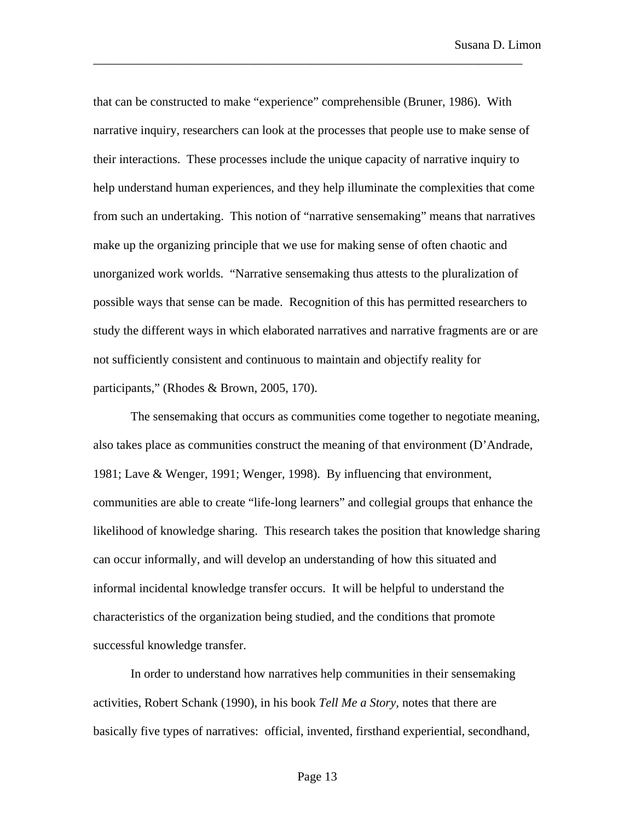that can be constructed to make "experience" comprehensible (Bruner, 1986). With narrative inquiry, researchers can look at the processes that people use to make sense of their interactions. These processes include the unique capacity of narrative inquiry to help understand human experiences, and they help illuminate the complexities that come from such an undertaking. This notion of "narrative sensemaking" means that narratives make up the organizing principle that we use for making sense of often chaotic and unorganized work worlds. "Narrative sensemaking thus attests to the pluralization of possible ways that sense can be made. Recognition of this has permitted researchers to study the different ways in which elaborated narratives and narrative fragments are or are not sufficiently consistent and continuous to maintain and objectify reality for participants," (Rhodes & Brown, 2005, 170).

\_\_\_\_\_\_\_\_\_\_\_\_\_\_\_\_\_\_\_\_\_\_\_\_\_\_\_\_\_\_\_\_\_\_\_\_\_\_\_\_\_\_\_\_\_\_\_\_\_\_\_\_\_\_\_\_\_\_\_\_\_\_\_\_\_\_\_\_\_

The sensemaking that occurs as communities come together to negotiate meaning, also takes place as communities construct the meaning of that environment (D'Andrade, 1981; Lave & Wenger, 1991; Wenger, 1998). By influencing that environment, communities are able to create "life-long learners" and collegial groups that enhance the likelihood of knowledge sharing. This research takes the position that knowledge sharing can occur informally, and will develop an understanding of how this situated and informal incidental knowledge transfer occurs. It will be helpful to understand the characteristics of the organization being studied, and the conditions that promote successful knowledge transfer.

In order to understand how narratives help communities in their sensemaking activities, Robert Schank (1990), in his book *Tell Me a Story,* notes that there are basically five types of narratives: official, invented, firsthand experiential, secondhand,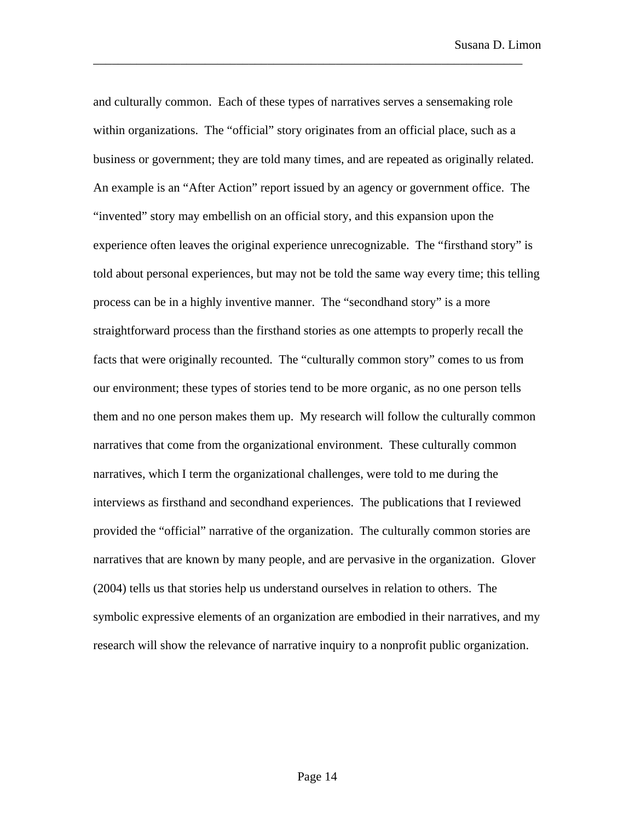and culturally common. Each of these types of narratives serves a sensemaking role within organizations. The "official" story originates from an official place, such as a business or government; they are told many times, and are repeated as originally related. An example is an "After Action" report issued by an agency or government office. The "invented" story may embellish on an official story, and this expansion upon the experience often leaves the original experience unrecognizable. The "firsthand story" is told about personal experiences, but may not be told the same way every time; this telling process can be in a highly inventive manner. The "secondhand story" is a more straightforward process than the firsthand stories as one attempts to properly recall the facts that were originally recounted. The "culturally common story" comes to us from our environment; these types of stories tend to be more organic, as no one person tells them and no one person makes them up. My research will follow the culturally common narratives that come from the organizational environment. These culturally common narratives, which I term the organizational challenges, were told to me during the interviews as firsthand and secondhand experiences. The publications that I reviewed provided the "official" narrative of the organization. The culturally common stories are narratives that are known by many people, and are pervasive in the organization. Glover (2004) tells us that stories help us understand ourselves in relation to others. The symbolic expressive elements of an organization are embodied in their narratives, and my research will show the relevance of narrative inquiry to a nonprofit public organization.

\_\_\_\_\_\_\_\_\_\_\_\_\_\_\_\_\_\_\_\_\_\_\_\_\_\_\_\_\_\_\_\_\_\_\_\_\_\_\_\_\_\_\_\_\_\_\_\_\_\_\_\_\_\_\_\_\_\_\_\_\_\_\_\_\_\_\_\_\_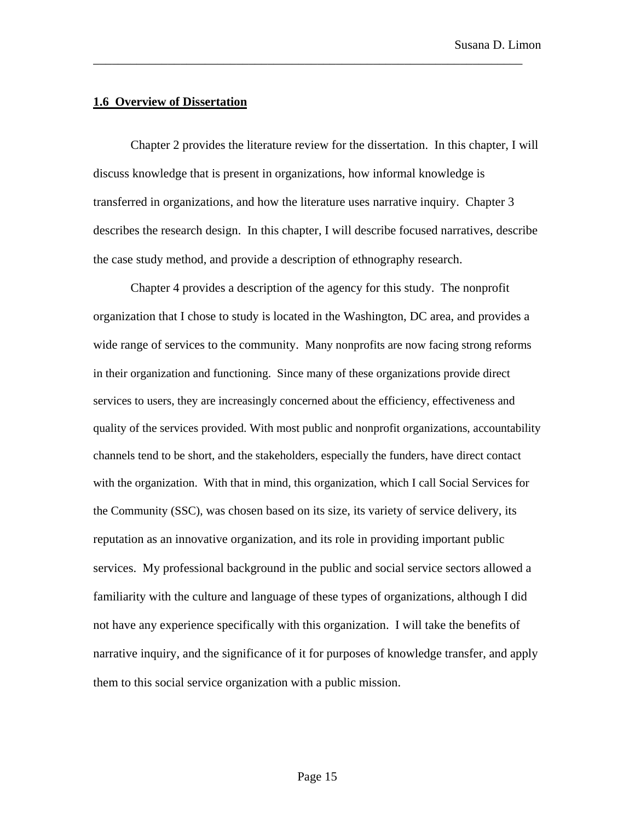#### **1.6 Overview of Dissertation**

Chapter 2 provides the literature review for the dissertation. In this chapter, I will discuss knowledge that is present in organizations, how informal knowledge is transferred in organizations, and how the literature uses narrative inquiry. Chapter 3 describes the research design. In this chapter, I will describe focused narratives, describe the case study method, and provide a description of ethnography research.

\_\_\_\_\_\_\_\_\_\_\_\_\_\_\_\_\_\_\_\_\_\_\_\_\_\_\_\_\_\_\_\_\_\_\_\_\_\_\_\_\_\_\_\_\_\_\_\_\_\_\_\_\_\_\_\_\_\_\_\_\_\_\_\_\_\_\_\_\_

Chapter 4 provides a description of the agency for this study. The nonprofit organization that I chose to study is located in the Washington, DC area, and provides a wide range of services to the community. Many nonprofits are now facing strong reforms in their organization and functioning. Since many of these organizations provide direct services to users, they are increasingly concerned about the efficiency, effectiveness and quality of the services provided. With most public and nonprofit organizations, accountability channels tend to be short, and the stakeholders, especially the funders, have direct contact with the organization. With that in mind, this organization, which I call Social Services for the Community (SSC), was chosen based on its size, its variety of service delivery, its reputation as an innovative organization, and its role in providing important public services. My professional background in the public and social service sectors allowed a familiarity with the culture and language of these types of organizations, although I did not have any experience specifically with this organization. I will take the benefits of narrative inquiry, and the significance of it for purposes of knowledge transfer, and apply them to this social service organization with a public mission.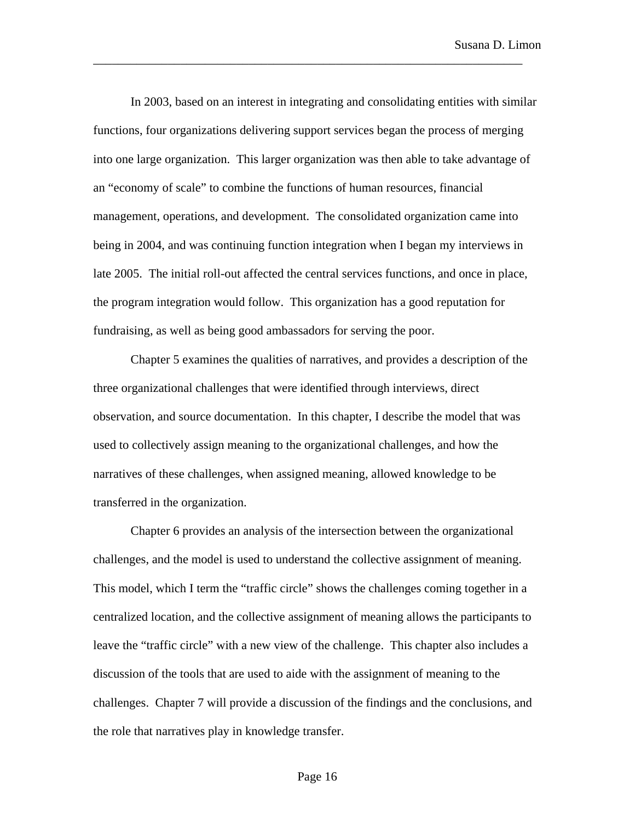In 2003, based on an interest in integrating and consolidating entities with similar functions, four organizations delivering support services began the process of merging into one large organization. This larger organization was then able to take advantage of an "economy of scale" to combine the functions of human resources, financial management, operations, and development. The consolidated organization came into being in 2004, and was continuing function integration when I began my interviews in late 2005. The initial roll-out affected the central services functions, and once in place, the program integration would follow. This organization has a good reputation for fundraising, as well as being good ambassadors for serving the poor.

\_\_\_\_\_\_\_\_\_\_\_\_\_\_\_\_\_\_\_\_\_\_\_\_\_\_\_\_\_\_\_\_\_\_\_\_\_\_\_\_\_\_\_\_\_\_\_\_\_\_\_\_\_\_\_\_\_\_\_\_\_\_\_\_\_\_\_\_\_

Chapter 5 examines the qualities of narratives, and provides a description of the three organizational challenges that were identified through interviews, direct observation, and source documentation. In this chapter, I describe the model that was used to collectively assign meaning to the organizational challenges, and how the narratives of these challenges, when assigned meaning, allowed knowledge to be transferred in the organization.

Chapter 6 provides an analysis of the intersection between the organizational challenges, and the model is used to understand the collective assignment of meaning. This model, which I term the "traffic circle" shows the challenges coming together in a centralized location, and the collective assignment of meaning allows the participants to leave the "traffic circle" with a new view of the challenge. This chapter also includes a discussion of the tools that are used to aide with the assignment of meaning to the challenges. Chapter 7 will provide a discussion of the findings and the conclusions, and the role that narratives play in knowledge transfer.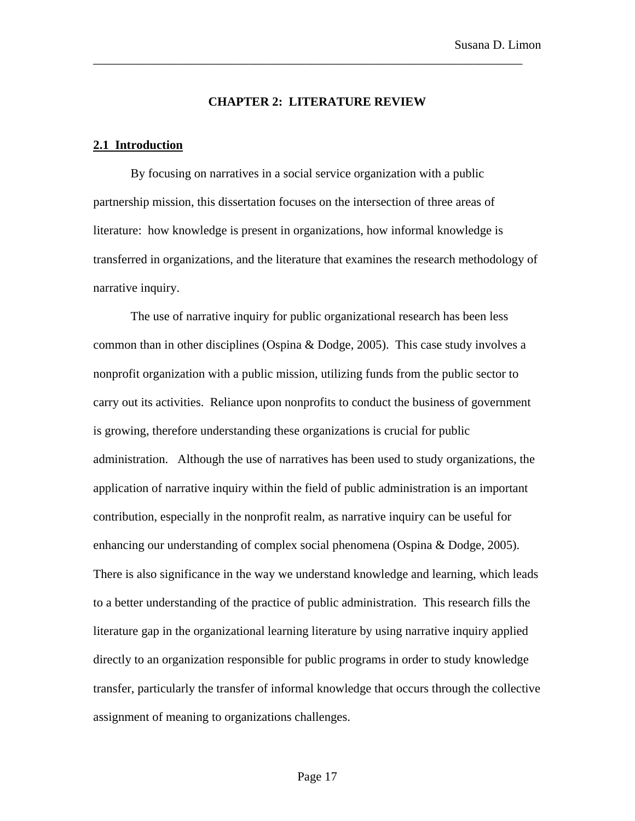#### **CHAPTER 2: LITERATURE REVIEW**

\_\_\_\_\_\_\_\_\_\_\_\_\_\_\_\_\_\_\_\_\_\_\_\_\_\_\_\_\_\_\_\_\_\_\_\_\_\_\_\_\_\_\_\_\_\_\_\_\_\_\_\_\_\_\_\_\_\_\_\_\_\_\_\_\_\_\_\_\_

#### **2.1 Introduction**

By focusing on narratives in a social service organization with a public partnership mission, this dissertation focuses on the intersection of three areas of literature: how knowledge is present in organizations, how informal knowledge is transferred in organizations, and the literature that examines the research methodology of narrative inquiry.

The use of narrative inquiry for public organizational research has been less common than in other disciplines (Ospina & Dodge, 2005). This case study involves a nonprofit organization with a public mission, utilizing funds from the public sector to carry out its activities. Reliance upon nonprofits to conduct the business of government is growing, therefore understanding these organizations is crucial for public administration. Although the use of narratives has been used to study organizations, the application of narrative inquiry within the field of public administration is an important contribution, especially in the nonprofit realm, as narrative inquiry can be useful for enhancing our understanding of complex social phenomena (Ospina & Dodge, 2005). There is also significance in the way we understand knowledge and learning, which leads to a better understanding of the practice of public administration. This research fills the literature gap in the organizational learning literature by using narrative inquiry applied directly to an organization responsible for public programs in order to study knowledge transfer, particularly the transfer of informal knowledge that occurs through the collective assignment of meaning to organizations challenges.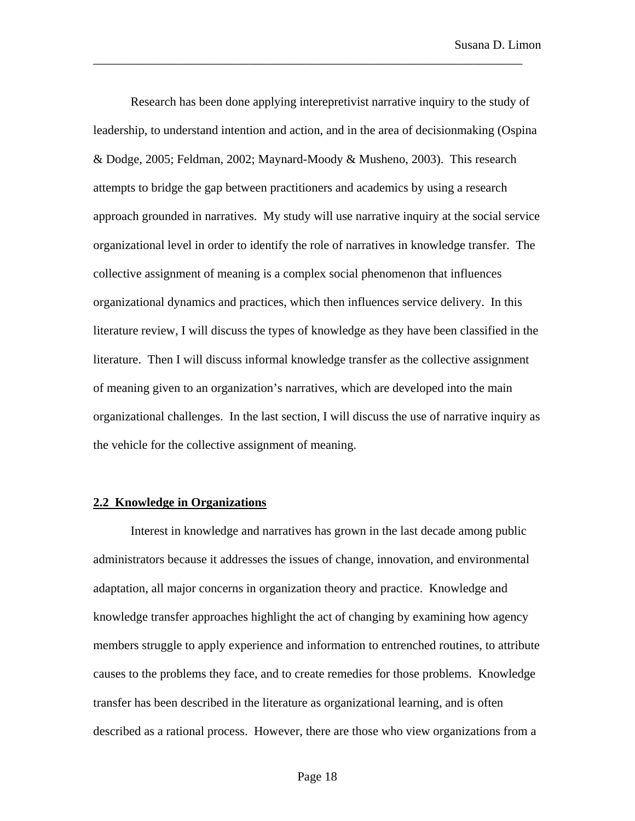Research has been done applying interepretivist narrative inquiry to the study of leadership, to understand intention and action, and in the area of decisionmaking (Ospina & Dodge, 2005; Feldman, 2002; Maynard-Moody & Musheno, 2003). This research attempts to bridge the gap between practitioners and academics by using a research approach grounded in narratives. My study will use narrative inquiry at the social service organizational level in order to identify the role of narratives in knowledge transfer. The collective assignment of meaning is a complex social phenomenon that influences organizational dynamics and practices, which then influences service delivery. In this literature review, I will discuss the types of knowledge as they have been classified in the literature. Then I will discuss informal knowledge transfer as the collective assignment of meaning given to an organization's narratives, which are developed into the main organizational challenges. In the last section, I will discuss the use of narrative inquiry as the vehicle for the collective assignment of meaning.

\_\_\_\_\_\_\_\_\_\_\_\_\_\_\_\_\_\_\_\_\_\_\_\_\_\_\_\_\_\_\_\_\_\_\_\_\_\_\_\_\_\_\_\_\_\_\_\_\_\_\_\_\_\_\_\_\_\_\_\_\_\_\_\_\_\_\_\_\_

#### **2.2 Knowledge in Organizations**

Interest in knowledge and narratives has grown in the last decade among public administrators because it addresses the issues of change, innovation, and environmental adaptation, all major concerns in organization theory and practice. Knowledge and knowledge transfer approaches highlight the act of changing by examining how agency members struggle to apply experience and information to entrenched routines, to attribute causes to the problems they face, and to create remedies for those problems. Knowledge transfer has been described in the literature as organizational learning, and is often described as a rational process. However, there are those who view organizations from a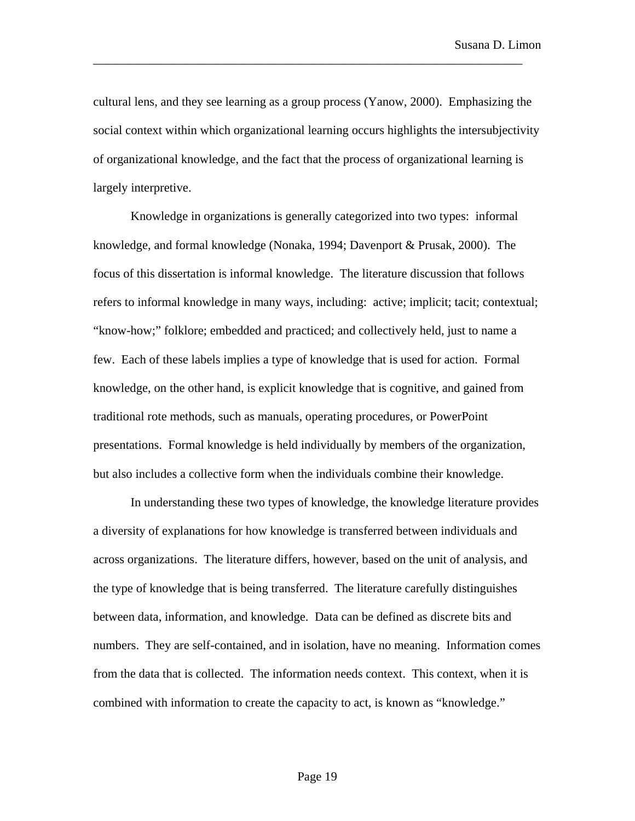cultural lens, and they see learning as a group process (Yanow, 2000). Emphasizing the social context within which organizational learning occurs highlights the intersubjectivity of organizational knowledge, and the fact that the process of organizational learning is largely interpretive.

\_\_\_\_\_\_\_\_\_\_\_\_\_\_\_\_\_\_\_\_\_\_\_\_\_\_\_\_\_\_\_\_\_\_\_\_\_\_\_\_\_\_\_\_\_\_\_\_\_\_\_\_\_\_\_\_\_\_\_\_\_\_\_\_\_\_\_\_\_

Knowledge in organizations is generally categorized into two types: informal knowledge, and formal knowledge (Nonaka, 1994; Davenport & Prusak, 2000). The focus of this dissertation is informal knowledge. The literature discussion that follows refers to informal knowledge in many ways, including: active; implicit; tacit; contextual; "know-how;" folklore; embedded and practiced; and collectively held, just to name a few. Each of these labels implies a type of knowledge that is used for action. Formal knowledge, on the other hand, is explicit knowledge that is cognitive, and gained from traditional rote methods, such as manuals, operating procedures, or PowerPoint presentations. Formal knowledge is held individually by members of the organization, but also includes a collective form when the individuals combine their knowledge.

In understanding these two types of knowledge, the knowledge literature provides a diversity of explanations for how knowledge is transferred between individuals and across organizations. The literature differs, however, based on the unit of analysis, and the type of knowledge that is being transferred. The literature carefully distinguishes between data, information, and knowledge. Data can be defined as discrete bits and numbers. They are self-contained, and in isolation, have no meaning. Information comes from the data that is collected. The information needs context. This context, when it is combined with information to create the capacity to act, is known as "knowledge."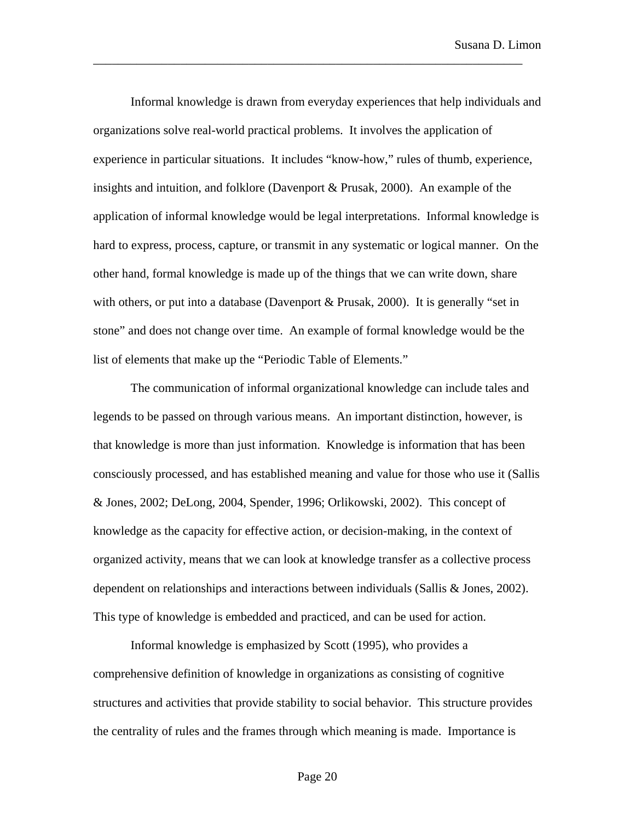Informal knowledge is drawn from everyday experiences that help individuals and organizations solve real-world practical problems. It involves the application of experience in particular situations. It includes "know-how," rules of thumb, experience, insights and intuition, and folklore (Davenport & Prusak, 2000). An example of the application of informal knowledge would be legal interpretations. Informal knowledge is hard to express, process, capture, or transmit in any systematic or logical manner. On the other hand, formal knowledge is made up of the things that we can write down, share with others, or put into a database (Davenport & Prusak, 2000). It is generally "set in stone" and does not change over time. An example of formal knowledge would be the list of elements that make up the "Periodic Table of Elements."

\_\_\_\_\_\_\_\_\_\_\_\_\_\_\_\_\_\_\_\_\_\_\_\_\_\_\_\_\_\_\_\_\_\_\_\_\_\_\_\_\_\_\_\_\_\_\_\_\_\_\_\_\_\_\_\_\_\_\_\_\_\_\_\_\_\_\_\_\_

The communication of informal organizational knowledge can include tales and legends to be passed on through various means. An important distinction, however, is that knowledge is more than just information. Knowledge is information that has been consciously processed, and has established meaning and value for those who use it (Sallis & Jones, 2002; DeLong, 2004, Spender, 1996; Orlikowski, 2002). This concept of knowledge as the capacity for effective action, or decision-making, in the context of organized activity, means that we can look at knowledge transfer as a collective process dependent on relationships and interactions between individuals (Sallis & Jones, 2002). This type of knowledge is embedded and practiced, and can be used for action.

Informal knowledge is emphasized by Scott (1995), who provides a comprehensive definition of knowledge in organizations as consisting of cognitive structures and activities that provide stability to social behavior. This structure provides the centrality of rules and the frames through which meaning is made. Importance is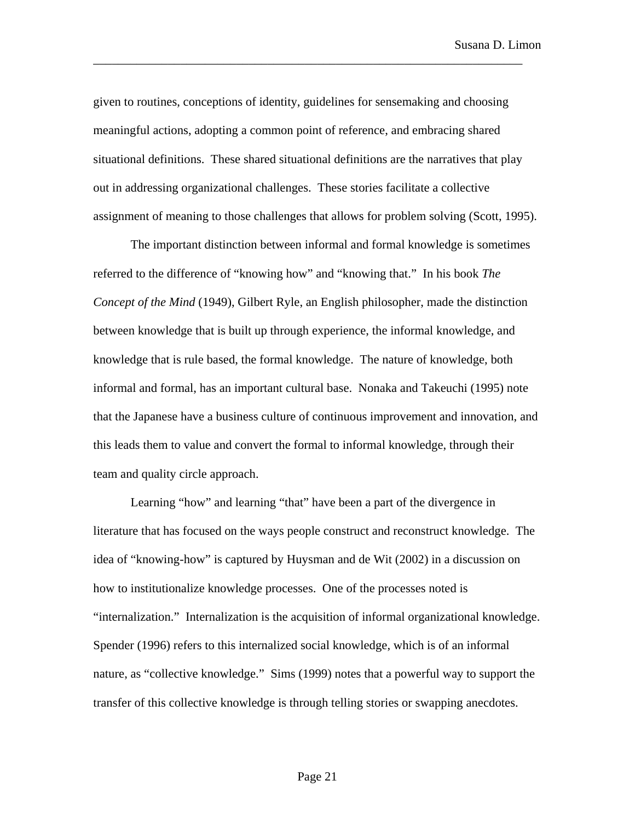given to routines, conceptions of identity, guidelines for sensemaking and choosing meaningful actions, adopting a common point of reference, and embracing shared situational definitions. These shared situational definitions are the narratives that play out in addressing organizational challenges. These stories facilitate a collective assignment of meaning to those challenges that allows for problem solving (Scott, 1995).

\_\_\_\_\_\_\_\_\_\_\_\_\_\_\_\_\_\_\_\_\_\_\_\_\_\_\_\_\_\_\_\_\_\_\_\_\_\_\_\_\_\_\_\_\_\_\_\_\_\_\_\_\_\_\_\_\_\_\_\_\_\_\_\_\_\_\_\_\_

The important distinction between informal and formal knowledge is sometimes referred to the difference of "knowing how" and "knowing that." In his book *The Concept of the Mind* (1949), Gilbert Ryle, an English philosopher, made the distinction between knowledge that is built up through experience, the informal knowledge, and knowledge that is rule based, the formal knowledge. The nature of knowledge, both informal and formal, has an important cultural base. Nonaka and Takeuchi (1995) note that the Japanese have a business culture of continuous improvement and innovation, and this leads them to value and convert the formal to informal knowledge, through their team and quality circle approach.

Learning "how" and learning "that" have been a part of the divergence in literature that has focused on the ways people construct and reconstruct knowledge. The idea of "knowing-how" is captured by Huysman and de Wit (2002) in a discussion on how to institutionalize knowledge processes. One of the processes noted is "internalization." Internalization is the acquisition of informal organizational knowledge. Spender (1996) refers to this internalized social knowledge, which is of an informal nature, as "collective knowledge." Sims (1999) notes that a powerful way to support the transfer of this collective knowledge is through telling stories or swapping anecdotes.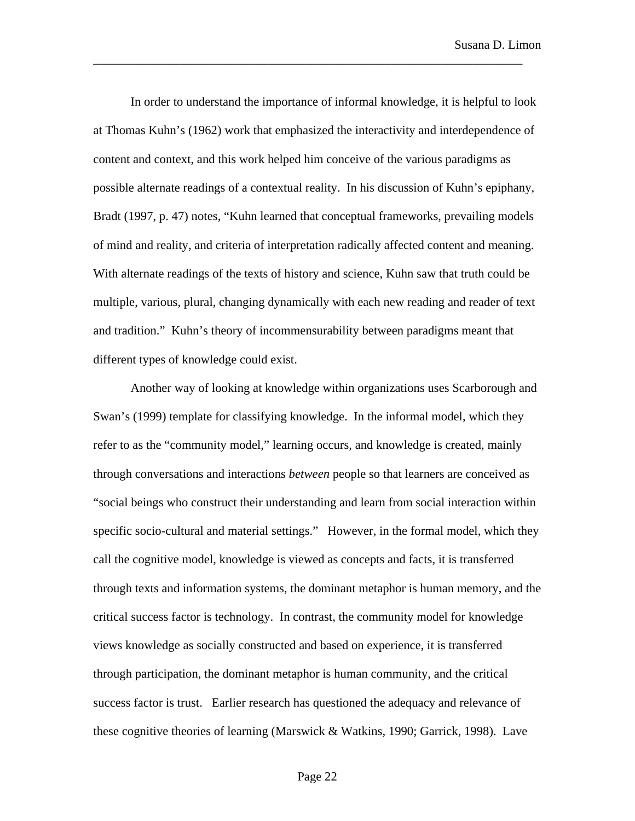In order to understand the importance of informal knowledge, it is helpful to look at Thomas Kuhn's (1962) work that emphasized the interactivity and interdependence of content and context, and this work helped him conceive of the various paradigms as possible alternate readings of a contextual reality. In his discussion of Kuhn's epiphany, Bradt (1997, p. 47) notes, "Kuhn learned that conceptual frameworks, prevailing models of mind and reality, and criteria of interpretation radically affected content and meaning. With alternate readings of the texts of history and science, Kuhn saw that truth could be multiple, various, plural, changing dynamically with each new reading and reader of text and tradition." Kuhn's theory of incommensurability between paradigms meant that different types of knowledge could exist.

\_\_\_\_\_\_\_\_\_\_\_\_\_\_\_\_\_\_\_\_\_\_\_\_\_\_\_\_\_\_\_\_\_\_\_\_\_\_\_\_\_\_\_\_\_\_\_\_\_\_\_\_\_\_\_\_\_\_\_\_\_\_\_\_\_\_\_\_\_

Another way of looking at knowledge within organizations uses Scarborough and Swan's (1999) template for classifying knowledge. In the informal model, which they refer to as the "community model," learning occurs, and knowledge is created, mainly through conversations and interactions *between* people so that learners are conceived as "social beings who construct their understanding and learn from social interaction within specific socio-cultural and material settings." However, in the formal model, which they call the cognitive model, knowledge is viewed as concepts and facts, it is transferred through texts and information systems, the dominant metaphor is human memory, and the critical success factor is technology. In contrast, the community model for knowledge views knowledge as socially constructed and based on experience, it is transferred through participation, the dominant metaphor is human community, and the critical success factor is trust. Earlier research has questioned the adequacy and relevance of these cognitive theories of learning (Marswick & Watkins, 1990; Garrick, 1998). Lave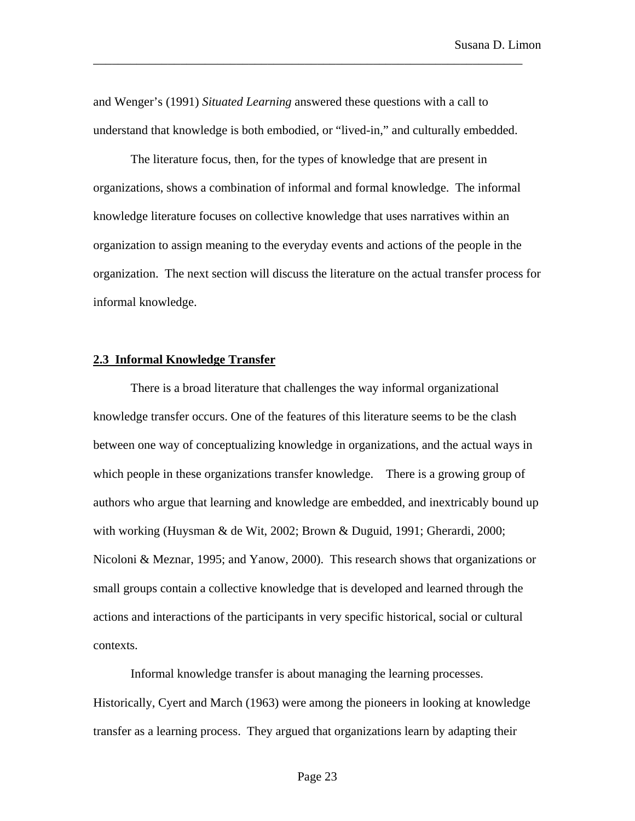and Wenger's (1991) *Situated Learning* answered these questions with a call to understand that knowledge is both embodied, or "lived-in," and culturally embedded.

\_\_\_\_\_\_\_\_\_\_\_\_\_\_\_\_\_\_\_\_\_\_\_\_\_\_\_\_\_\_\_\_\_\_\_\_\_\_\_\_\_\_\_\_\_\_\_\_\_\_\_\_\_\_\_\_\_\_\_\_\_\_\_\_\_\_\_\_\_

The literature focus, then, for the types of knowledge that are present in organizations, shows a combination of informal and formal knowledge. The informal knowledge literature focuses on collective knowledge that uses narratives within an organization to assign meaning to the everyday events and actions of the people in the organization. The next section will discuss the literature on the actual transfer process for informal knowledge.

### **2.3 Informal Knowledge Transfer**

There is a broad literature that challenges the way informal organizational knowledge transfer occurs. One of the features of this literature seems to be the clash between one way of conceptualizing knowledge in organizations, and the actual ways in which people in these organizations transfer knowledge. There is a growing group of authors who argue that learning and knowledge are embedded, and inextricably bound up with working (Huysman & de Wit, 2002; Brown & Duguid, 1991; Gherardi, 2000; Nicoloni & Meznar, 1995; and Yanow, 2000). This research shows that organizations or small groups contain a collective knowledge that is developed and learned through the actions and interactions of the participants in very specific historical, social or cultural contexts.

Informal knowledge transfer is about managing the learning processes. Historically, Cyert and March (1963) were among the pioneers in looking at knowledge transfer as a learning process. They argued that organizations learn by adapting their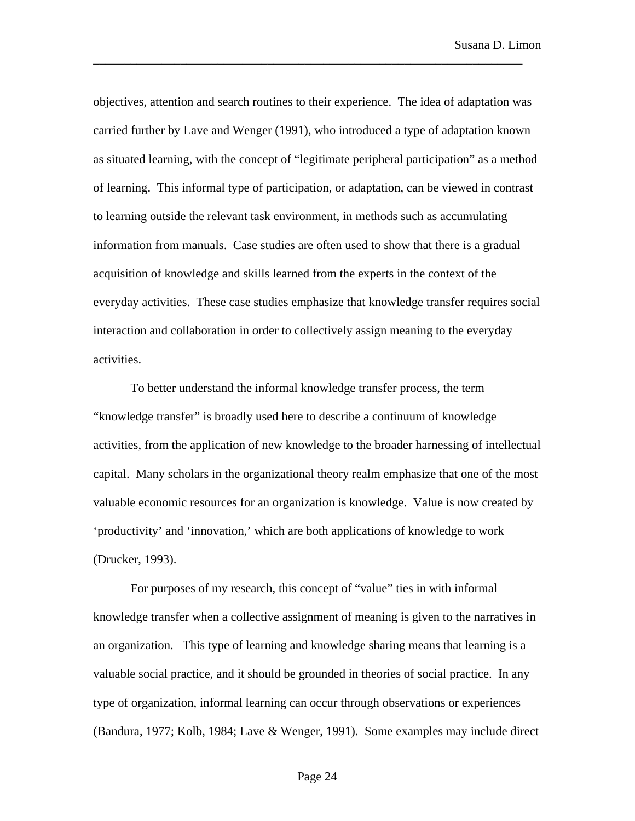objectives, attention and search routines to their experience. The idea of adaptation was carried further by Lave and Wenger (1991), who introduced a type of adaptation known as situated learning, with the concept of "legitimate peripheral participation" as a method of learning. This informal type of participation, or adaptation, can be viewed in contrast to learning outside the relevant task environment, in methods such as accumulating information from manuals. Case studies are often used to show that there is a gradual acquisition of knowledge and skills learned from the experts in the context of the everyday activities. These case studies emphasize that knowledge transfer requires social interaction and collaboration in order to collectively assign meaning to the everyday activities.

\_\_\_\_\_\_\_\_\_\_\_\_\_\_\_\_\_\_\_\_\_\_\_\_\_\_\_\_\_\_\_\_\_\_\_\_\_\_\_\_\_\_\_\_\_\_\_\_\_\_\_\_\_\_\_\_\_\_\_\_\_\_\_\_\_\_\_\_\_

To better understand the informal knowledge transfer process, the term "knowledge transfer" is broadly used here to describe a continuum of knowledge activities, from the application of new knowledge to the broader harnessing of intellectual capital. Many scholars in the organizational theory realm emphasize that one of the most valuable economic resources for an organization is knowledge. Value is now created by 'productivity' and 'innovation,' which are both applications of knowledge to work (Drucker, 1993).

For purposes of my research, this concept of "value" ties in with informal knowledge transfer when a collective assignment of meaning is given to the narratives in an organization. This type of learning and knowledge sharing means that learning is a valuable social practice, and it should be grounded in theories of social practice. In any type of organization, informal learning can occur through observations or experiences (Bandura, 1977; Kolb, 1984; Lave & Wenger, 1991). Some examples may include direct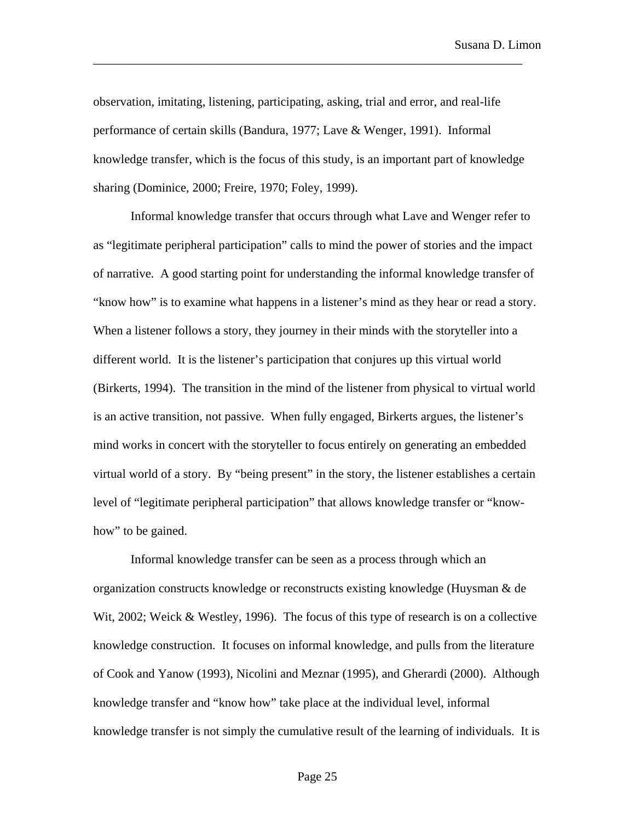observation, imitating, listening, participating, asking, trial and error, and real-life performance of certain skills (Bandura, 1977; Lave & Wenger, 1991). Informal knowledge transfer, which is the focus of this study, is an important part of knowledge sharing (Dominice, 2000; Freire, 1970; Foley, 1999).

\_\_\_\_\_\_\_\_\_\_\_\_\_\_\_\_\_\_\_\_\_\_\_\_\_\_\_\_\_\_\_\_\_\_\_\_\_\_\_\_\_\_\_\_\_\_\_\_\_\_\_\_\_\_\_\_\_\_\_\_\_\_\_\_\_\_\_\_\_

Informal knowledge transfer that occurs through what Lave and Wenger refer to as "legitimate peripheral participation" calls to mind the power of stories and the impact of narrative. A good starting point for understanding the informal knowledge transfer of "know how" is to examine what happens in a listener's mind as they hear or read a story. When a listener follows a story, they journey in their minds with the storyteller into a different world. It is the listener's participation that conjures up this virtual world (Birkerts, 1994). The transition in the mind of the listener from physical to virtual world is an active transition, not passive. When fully engaged, Birkerts argues, the listener's mind works in concert with the storyteller to focus entirely on generating an embedded virtual world of a story. By "being present" in the story, the listener establishes a certain level of "legitimate peripheral participation" that allows knowledge transfer or "knowhow" to be gained.

Informal knowledge transfer can be seen as a process through which an organization constructs knowledge or reconstructs existing knowledge (Huysman & de Wit, 2002; Weick & Westley, 1996). The focus of this type of research is on a collective knowledge construction. It focuses on informal knowledge, and pulls from the literature of Cook and Yanow (1993), Nicolini and Meznar (1995), and Gherardi (2000). Although knowledge transfer and "know how" take place at the individual level, informal knowledge transfer is not simply the cumulative result of the learning of individuals. It is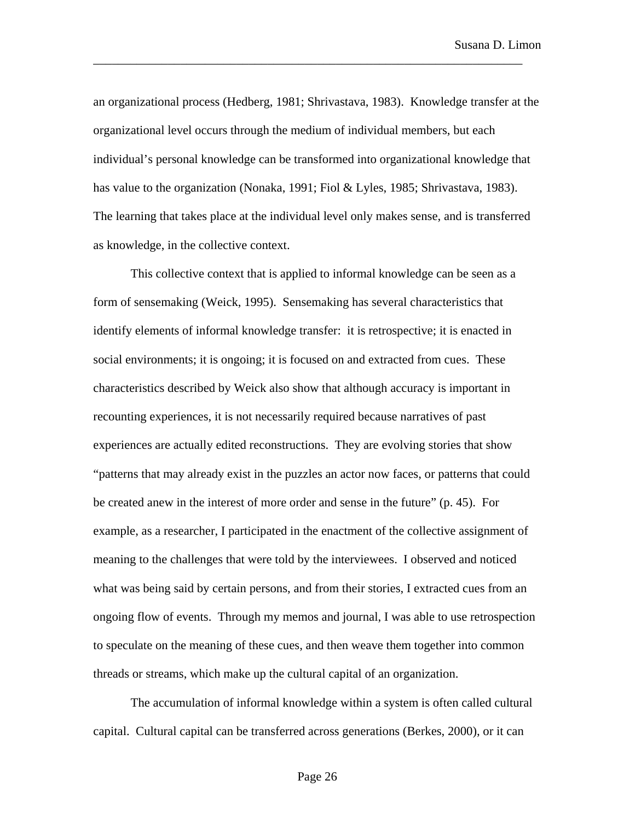an organizational process (Hedberg, 1981; Shrivastava, 1983). Knowledge transfer at the organizational level occurs through the medium of individual members, but each individual's personal knowledge can be transformed into organizational knowledge that has value to the organization (Nonaka, 1991; Fiol & Lyles, 1985; Shrivastava, 1983). The learning that takes place at the individual level only makes sense, and is transferred as knowledge, in the collective context.

\_\_\_\_\_\_\_\_\_\_\_\_\_\_\_\_\_\_\_\_\_\_\_\_\_\_\_\_\_\_\_\_\_\_\_\_\_\_\_\_\_\_\_\_\_\_\_\_\_\_\_\_\_\_\_\_\_\_\_\_\_\_\_\_\_\_\_\_\_

This collective context that is applied to informal knowledge can be seen as a form of sensemaking (Weick, 1995). Sensemaking has several characteristics that identify elements of informal knowledge transfer: it is retrospective; it is enacted in social environments; it is ongoing; it is focused on and extracted from cues. These characteristics described by Weick also show that although accuracy is important in recounting experiences, it is not necessarily required because narratives of past experiences are actually edited reconstructions. They are evolving stories that show "patterns that may already exist in the puzzles an actor now faces, or patterns that could be created anew in the interest of more order and sense in the future" (p. 45). For example, as a researcher, I participated in the enactment of the collective assignment of meaning to the challenges that were told by the interviewees. I observed and noticed what was being said by certain persons, and from their stories, I extracted cues from an ongoing flow of events. Through my memos and journal, I was able to use retrospection to speculate on the meaning of these cues, and then weave them together into common threads or streams, which make up the cultural capital of an organization.

The accumulation of informal knowledge within a system is often called cultural capital. Cultural capital can be transferred across generations (Berkes, 2000), or it can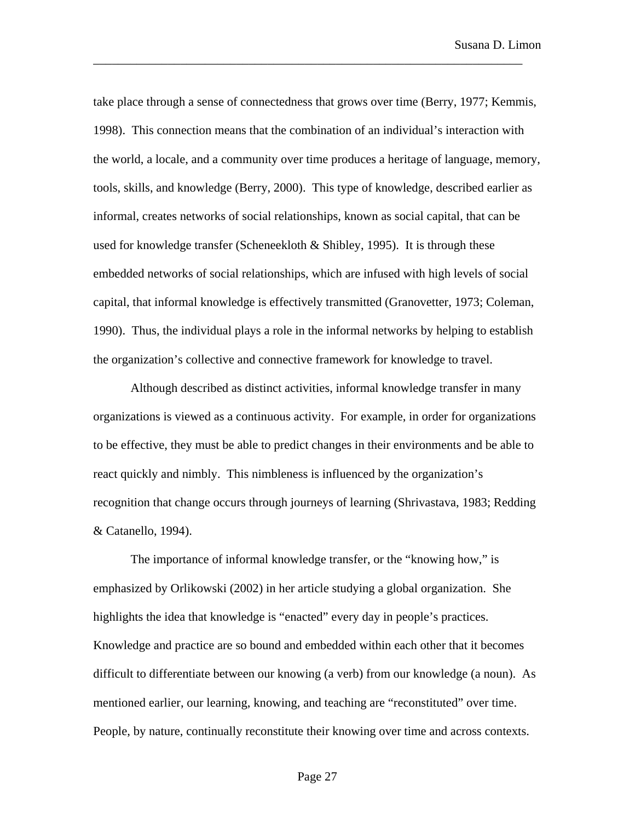take place through a sense of connectedness that grows over time (Berry, 1977; Kemmis, 1998). This connection means that the combination of an individual's interaction with the world, a locale, and a community over time produces a heritage of language, memory, tools, skills, and knowledge (Berry, 2000). This type of knowledge, described earlier as informal, creates networks of social relationships, known as social capital, that can be used for knowledge transfer (Scheneekloth  $&$  Shibley, 1995). It is through these embedded networks of social relationships, which are infused with high levels of social capital, that informal knowledge is effectively transmitted (Granovetter, 1973; Coleman, 1990). Thus, the individual plays a role in the informal networks by helping to establish the organization's collective and connective framework for knowledge to travel.

\_\_\_\_\_\_\_\_\_\_\_\_\_\_\_\_\_\_\_\_\_\_\_\_\_\_\_\_\_\_\_\_\_\_\_\_\_\_\_\_\_\_\_\_\_\_\_\_\_\_\_\_\_\_\_\_\_\_\_\_\_\_\_\_\_\_\_\_\_

Although described as distinct activities, informal knowledge transfer in many organizations is viewed as a continuous activity. For example, in order for organizations to be effective, they must be able to predict changes in their environments and be able to react quickly and nimbly. This nimbleness is influenced by the organization's recognition that change occurs through journeys of learning (Shrivastava, 1983; Redding & Catanello, 1994).

The importance of informal knowledge transfer, or the "knowing how," is emphasized by Orlikowski (2002) in her article studying a global organization. She highlights the idea that knowledge is "enacted" every day in people's practices. Knowledge and practice are so bound and embedded within each other that it becomes difficult to differentiate between our knowing (a verb) from our knowledge (a noun). As mentioned earlier, our learning, knowing, and teaching are "reconstituted" over time. People, by nature, continually reconstitute their knowing over time and across contexts.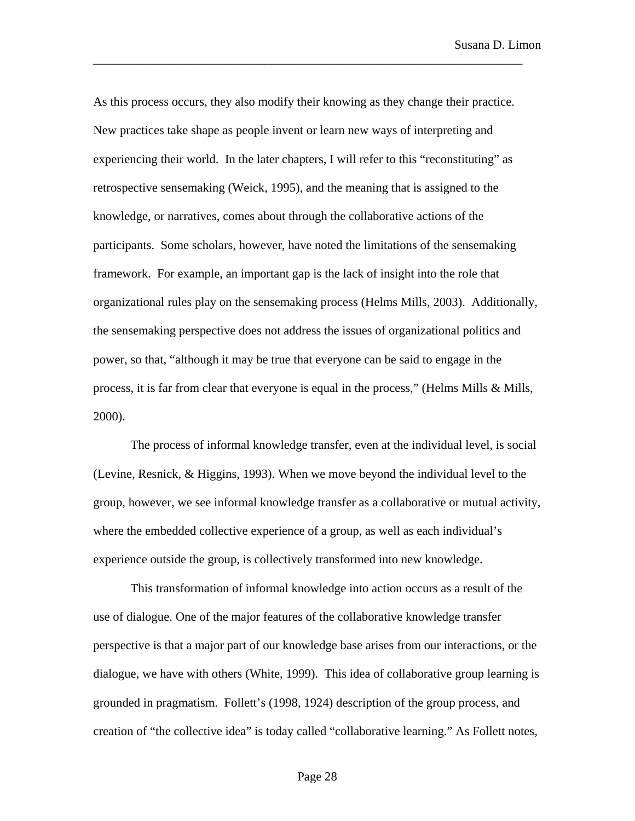As this process occurs, they also modify their knowing as they change their practice. New practices take shape as people invent or learn new ways of interpreting and experiencing their world. In the later chapters, I will refer to this "reconstituting" as retrospective sensemaking (Weick, 1995), and the meaning that is assigned to the knowledge, or narratives, comes about through the collaborative actions of the participants. Some scholars, however, have noted the limitations of the sensemaking framework. For example, an important gap is the lack of insight into the role that organizational rules play on the sensemaking process (Helms Mills, 2003). Additionally, the sensemaking perspective does not address the issues of organizational politics and power, so that, "although it may be true that everyone can be said to engage in the process, it is far from clear that everyone is equal in the process," (Helms Mills & Mills, 2000).

\_\_\_\_\_\_\_\_\_\_\_\_\_\_\_\_\_\_\_\_\_\_\_\_\_\_\_\_\_\_\_\_\_\_\_\_\_\_\_\_\_\_\_\_\_\_\_\_\_\_\_\_\_\_\_\_\_\_\_\_\_\_\_\_\_\_\_\_\_

The process of informal knowledge transfer, even at the individual level, is social (Levine, Resnick, & Higgins, 1993). When we move beyond the individual level to the group, however, we see informal knowledge transfer as a collaborative or mutual activity, where the embedded collective experience of a group, as well as each individual's experience outside the group, is collectively transformed into new knowledge.

This transformation of informal knowledge into action occurs as a result of the use of dialogue. One of the major features of the collaborative knowledge transfer perspective is that a major part of our knowledge base arises from our interactions, or the dialogue, we have with others (White, 1999). This idea of collaborative group learning is grounded in pragmatism. Follett's (1998, 1924) description of the group process, and creation of "the collective idea" is today called "collaborative learning." As Follett notes,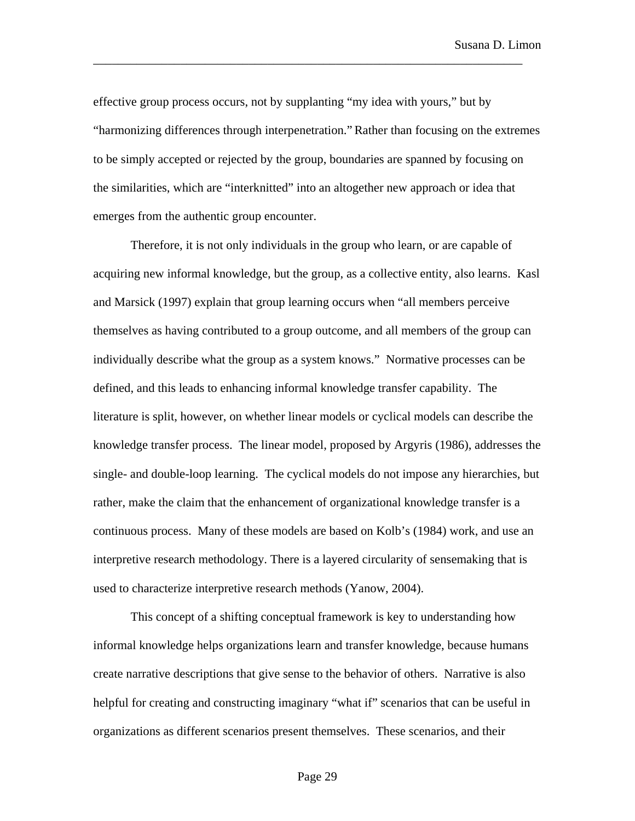effective group process occurs, not by supplanting "my idea with yours," but by "harmonizing differences through interpenetration."Rather than focusing on the extremes to be simply accepted or rejected by the group, boundaries are spanned by focusing on the similarities, which are "interknitted" into an altogether new approach or idea that emerges from the authentic group encounter.

\_\_\_\_\_\_\_\_\_\_\_\_\_\_\_\_\_\_\_\_\_\_\_\_\_\_\_\_\_\_\_\_\_\_\_\_\_\_\_\_\_\_\_\_\_\_\_\_\_\_\_\_\_\_\_\_\_\_\_\_\_\_\_\_\_\_\_\_\_

Therefore, it is not only individuals in the group who learn, or are capable of acquiring new informal knowledge, but the group, as a collective entity, also learns. Kasl and Marsick (1997) explain that group learning occurs when "all members perceive themselves as having contributed to a group outcome, and all members of the group can individually describe what the group as a system knows." Normative processes can be defined, and this leads to enhancing informal knowledge transfer capability. The literature is split, however, on whether linear models or cyclical models can describe the knowledge transfer process. The linear model, proposed by Argyris (1986), addresses the single- and double-loop learning. The cyclical models do not impose any hierarchies, but rather, make the claim that the enhancement of organizational knowledge transfer is a continuous process. Many of these models are based on Kolb's (1984) work, and use an interpretive research methodology. There is a layered circularity of sensemaking that is used to characterize interpretive research methods (Yanow, 2004).

This concept of a shifting conceptual framework is key to understanding how informal knowledge helps organizations learn and transfer knowledge, because humans create narrative descriptions that give sense to the behavior of others. Narrative is also helpful for creating and constructing imaginary "what if" scenarios that can be useful in organizations as different scenarios present themselves. These scenarios, and their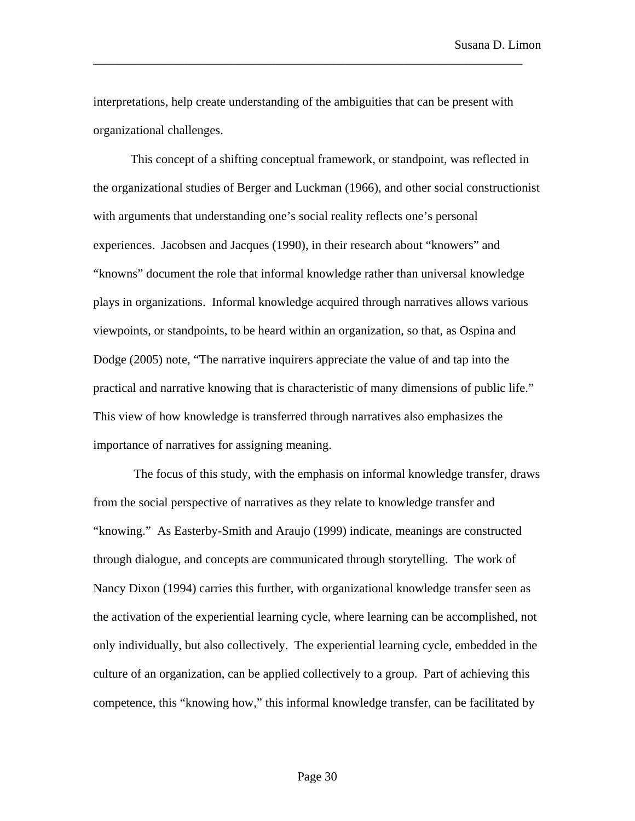interpretations, help create understanding of the ambiguities that can be present with organizational challenges.

\_\_\_\_\_\_\_\_\_\_\_\_\_\_\_\_\_\_\_\_\_\_\_\_\_\_\_\_\_\_\_\_\_\_\_\_\_\_\_\_\_\_\_\_\_\_\_\_\_\_\_\_\_\_\_\_\_\_\_\_\_\_\_\_\_\_\_\_\_

This concept of a shifting conceptual framework, or standpoint, was reflected in the organizational studies of Berger and Luckman (1966), and other social constructionist with arguments that understanding one's social reality reflects one's personal experiences. Jacobsen and Jacques (1990), in their research about "knowers" and "knowns" document the role that informal knowledge rather than universal knowledge plays in organizations. Informal knowledge acquired through narratives allows various viewpoints, or standpoints, to be heard within an organization, so that, as Ospina and Dodge (2005) note, "The narrative inquirers appreciate the value of and tap into the practical and narrative knowing that is characteristic of many dimensions of public life." This view of how knowledge is transferred through narratives also emphasizes the importance of narratives for assigning meaning.

 The focus of this study, with the emphasis on informal knowledge transfer, draws from the social perspective of narratives as they relate to knowledge transfer and "knowing." As Easterby-Smith and Araujo (1999) indicate, meanings are constructed through dialogue, and concepts are communicated through storytelling. The work of Nancy Dixon (1994) carries this further, with organizational knowledge transfer seen as the activation of the experiential learning cycle, where learning can be accomplished, not only individually, but also collectively. The experiential learning cycle, embedded in the culture of an organization, can be applied collectively to a group. Part of achieving this competence, this "knowing how," this informal knowledge transfer, can be facilitated by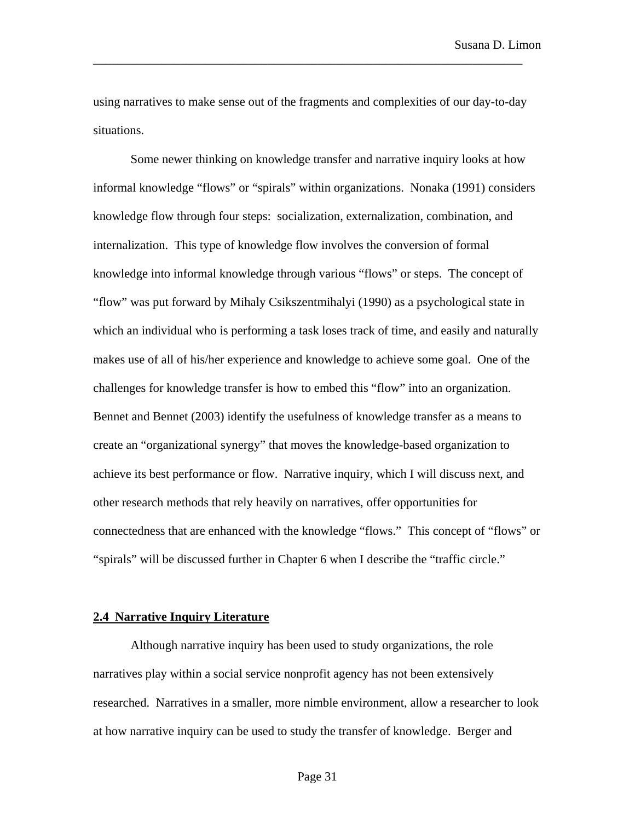using narratives to make sense out of the fragments and complexities of our day-to-day situations.

\_\_\_\_\_\_\_\_\_\_\_\_\_\_\_\_\_\_\_\_\_\_\_\_\_\_\_\_\_\_\_\_\_\_\_\_\_\_\_\_\_\_\_\_\_\_\_\_\_\_\_\_\_\_\_\_\_\_\_\_\_\_\_\_\_\_\_\_\_

Some newer thinking on knowledge transfer and narrative inquiry looks at how informal knowledge "flows" or "spirals" within organizations. Nonaka (1991) considers knowledge flow through four steps: socialization, externalization, combination, and internalization. This type of knowledge flow involves the conversion of formal knowledge into informal knowledge through various "flows" or steps. The concept of "flow" was put forward by Mihaly Csikszentmihalyi (1990) as a psychological state in which an individual who is performing a task loses track of time, and easily and naturally makes use of all of his/her experience and knowledge to achieve some goal. One of the challenges for knowledge transfer is how to embed this "flow" into an organization. Bennet and Bennet (2003) identify the usefulness of knowledge transfer as a means to create an "organizational synergy" that moves the knowledge-based organization to achieve its best performance or flow. Narrative inquiry, which I will discuss next, and other research methods that rely heavily on narratives, offer opportunities for connectedness that are enhanced with the knowledge "flows." This concept of "flows" or "spirals" will be discussed further in Chapter 6 when I describe the "traffic circle."

## **2.4 Narrative Inquiry Literature**

Although narrative inquiry has been used to study organizations, the role narratives play within a social service nonprofit agency has not been extensively researched. Narratives in a smaller, more nimble environment, allow a researcher to look at how narrative inquiry can be used to study the transfer of knowledge. Berger and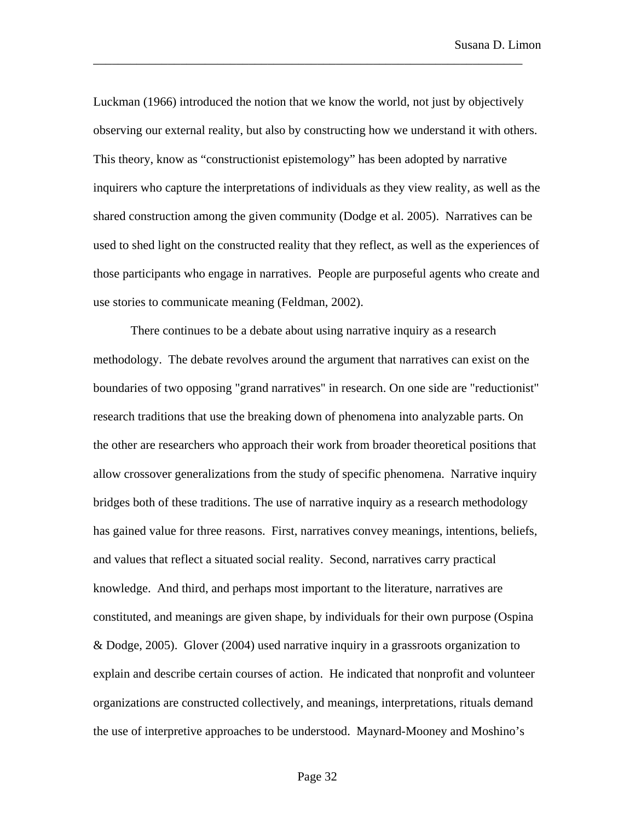Luckman (1966) introduced the notion that we know the world, not just by objectively observing our external reality, but also by constructing how we understand it with others. This theory, know as "constructionist epistemology" has been adopted by narrative inquirers who capture the interpretations of individuals as they view reality, as well as the shared construction among the given community (Dodge et al. 2005). Narratives can be used to shed light on the constructed reality that they reflect, as well as the experiences of those participants who engage in narratives. People are purposeful agents who create and use stories to communicate meaning (Feldman, 2002).

\_\_\_\_\_\_\_\_\_\_\_\_\_\_\_\_\_\_\_\_\_\_\_\_\_\_\_\_\_\_\_\_\_\_\_\_\_\_\_\_\_\_\_\_\_\_\_\_\_\_\_\_\_\_\_\_\_\_\_\_\_\_\_\_\_\_\_\_\_

There continues to be a debate about using narrative inquiry as a research methodology. The debate revolves around the argument that narratives can exist on the boundaries of two opposing "grand narratives" in research. On one side are "reductionist" research traditions that use the breaking down of phenomena into analyzable parts. On the other are researchers who approach their work from broader theoretical positions that allow crossover generalizations from the study of specific phenomena. Narrative inquiry bridges both of these traditions. The use of narrative inquiry as a research methodology has gained value for three reasons. First, narratives convey meanings, intentions, beliefs, and values that reflect a situated social reality. Second, narratives carry practical knowledge. And third, and perhaps most important to the literature, narratives are constituted, and meanings are given shape, by individuals for their own purpose (Ospina & Dodge, 2005). Glover (2004) used narrative inquiry in a grassroots organization to explain and describe certain courses of action. He indicated that nonprofit and volunteer organizations are constructed collectively, and meanings, interpretations, rituals demand the use of interpretive approaches to be understood. Maynard-Mooney and Moshino's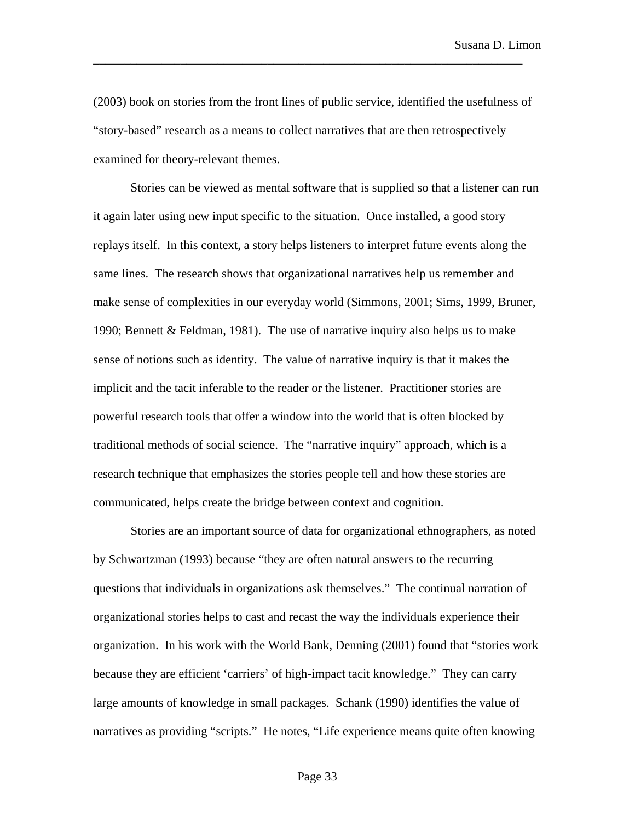(2003) book on stories from the front lines of public service, identified the usefulness of "story-based" research as a means to collect narratives that are then retrospectively examined for theory-relevant themes.

\_\_\_\_\_\_\_\_\_\_\_\_\_\_\_\_\_\_\_\_\_\_\_\_\_\_\_\_\_\_\_\_\_\_\_\_\_\_\_\_\_\_\_\_\_\_\_\_\_\_\_\_\_\_\_\_\_\_\_\_\_\_\_\_\_\_\_\_\_

Stories can be viewed as mental software that is supplied so that a listener can run it again later using new input specific to the situation. Once installed, a good story replays itself. In this context, a story helps listeners to interpret future events along the same lines. The research shows that organizational narratives help us remember and make sense of complexities in our everyday world (Simmons, 2001; Sims, 1999, Bruner, 1990; Bennett & Feldman, 1981). The use of narrative inquiry also helps us to make sense of notions such as identity. The value of narrative inquiry is that it makes the implicit and the tacit inferable to the reader or the listener. Practitioner stories are powerful research tools that offer a window into the world that is often blocked by traditional methods of social science. The "narrative inquiry" approach, which is a research technique that emphasizes the stories people tell and how these stories are communicated, helps create the bridge between context and cognition.

Stories are an important source of data for organizational ethnographers, as noted by Schwartzman (1993) because "they are often natural answers to the recurring questions that individuals in organizations ask themselves." The continual narration of organizational stories helps to cast and recast the way the individuals experience their organization. In his work with the World Bank, Denning (2001) found that "stories work because they are efficient 'carriers' of high-impact tacit knowledge." They can carry large amounts of knowledge in small packages. Schank (1990) identifies the value of narratives as providing "scripts." He notes, "Life experience means quite often knowing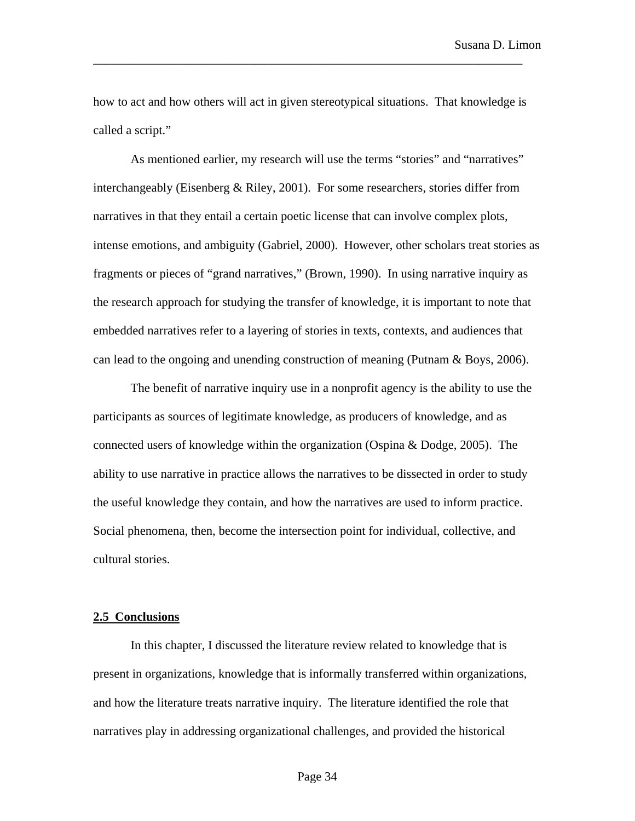how to act and how others will act in given stereotypical situations. That knowledge is called a script."

\_\_\_\_\_\_\_\_\_\_\_\_\_\_\_\_\_\_\_\_\_\_\_\_\_\_\_\_\_\_\_\_\_\_\_\_\_\_\_\_\_\_\_\_\_\_\_\_\_\_\_\_\_\_\_\_\_\_\_\_\_\_\_\_\_\_\_\_\_

As mentioned earlier, my research will use the terms "stories" and "narratives" interchangeably (Eisenberg & Riley, 2001). For some researchers, stories differ from narratives in that they entail a certain poetic license that can involve complex plots, intense emotions, and ambiguity (Gabriel, 2000). However, other scholars treat stories as fragments or pieces of "grand narratives," (Brown, 1990). In using narrative inquiry as the research approach for studying the transfer of knowledge, it is important to note that embedded narratives refer to a layering of stories in texts, contexts, and audiences that can lead to the ongoing and unending construction of meaning (Putnam & Boys, 2006).

The benefit of narrative inquiry use in a nonprofit agency is the ability to use the participants as sources of legitimate knowledge, as producers of knowledge, and as connected users of knowledge within the organization (Ospina & Dodge, 2005). The ability to use narrative in practice allows the narratives to be dissected in order to study the useful knowledge they contain, and how the narratives are used to inform practice. Social phenomena, then, become the intersection point for individual, collective, and cultural stories.

## **2.5 Conclusions**

In this chapter, I discussed the literature review related to knowledge that is present in organizations, knowledge that is informally transferred within organizations, and how the literature treats narrative inquiry. The literature identified the role that narratives play in addressing organizational challenges, and provided the historical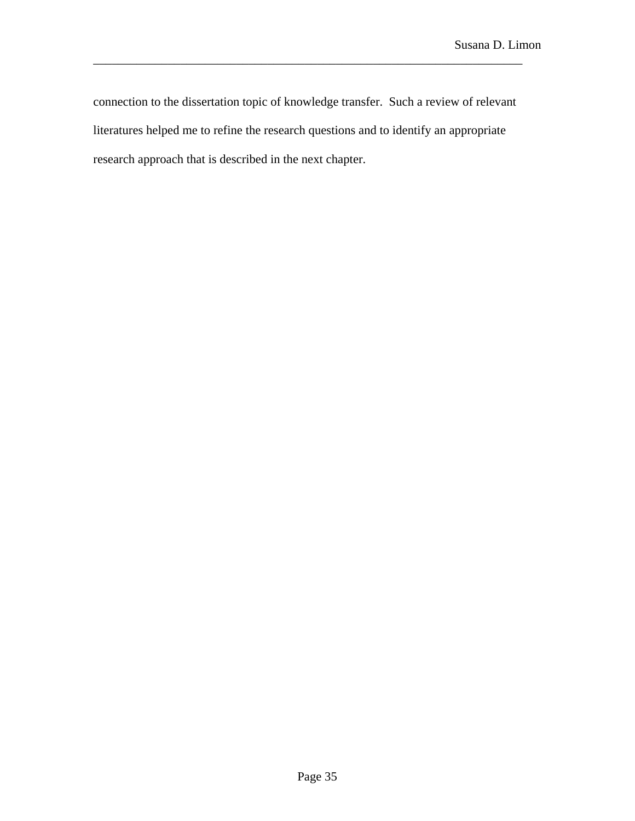connection to the dissertation topic of knowledge transfer. Such a review of relevant literatures helped me to refine the research questions and to identify an appropriate research approach that is described in the next chapter.

\_\_\_\_\_\_\_\_\_\_\_\_\_\_\_\_\_\_\_\_\_\_\_\_\_\_\_\_\_\_\_\_\_\_\_\_\_\_\_\_\_\_\_\_\_\_\_\_\_\_\_\_\_\_\_\_\_\_\_\_\_\_\_\_\_\_\_\_\_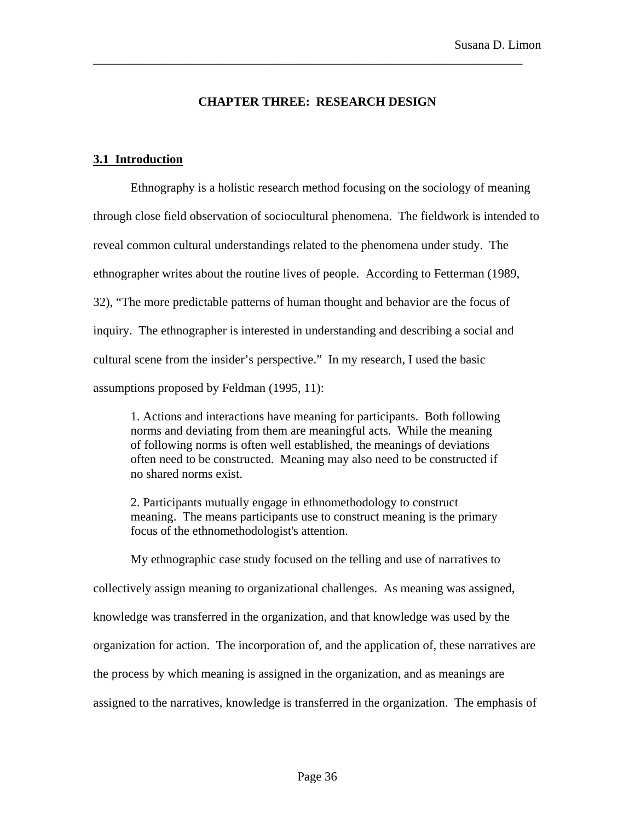# **CHAPTER THREE: RESEARCH DESIGN**

\_\_\_\_\_\_\_\_\_\_\_\_\_\_\_\_\_\_\_\_\_\_\_\_\_\_\_\_\_\_\_\_\_\_\_\_\_\_\_\_\_\_\_\_\_\_\_\_\_\_\_\_\_\_\_\_\_\_\_\_\_\_\_\_\_\_\_\_\_

# **3.1 Introduction**

Ethnography is a holistic research method focusing on the sociology of meaning through close field observation of sociocultural phenomena. The fieldwork is intended to reveal common cultural understandings related to the phenomena under study. The ethnographer writes about the routine lives of people. According to Fetterman (1989, 32), "The more predictable patterns of human thought and behavior are the focus of inquiry. The ethnographer is interested in understanding and describing a social and cultural scene from the insider's perspective." In my research, I used the basic assumptions proposed by Feldman (1995, 11):

1. Actions and interactions have meaning for participants. Both following norms and deviating from them are meaningful acts. While the meaning of following norms is often well established, the meanings of deviations often need to be constructed. Meaning may also need to be constructed if no shared norms exist.

2. Participants mutually engage in ethnomethodology to construct meaning. The means participants use to construct meaning is the primary focus of the ethnomethodologist's attention.

My ethnographic case study focused on the telling and use of narratives to collectively assign meaning to organizational challenges. As meaning was assigned, knowledge was transferred in the organization, and that knowledge was used by the organization for action. The incorporation of, and the application of, these narratives are the process by which meaning is assigned in the organization, and as meanings are assigned to the narratives, knowledge is transferred in the organization. The emphasis of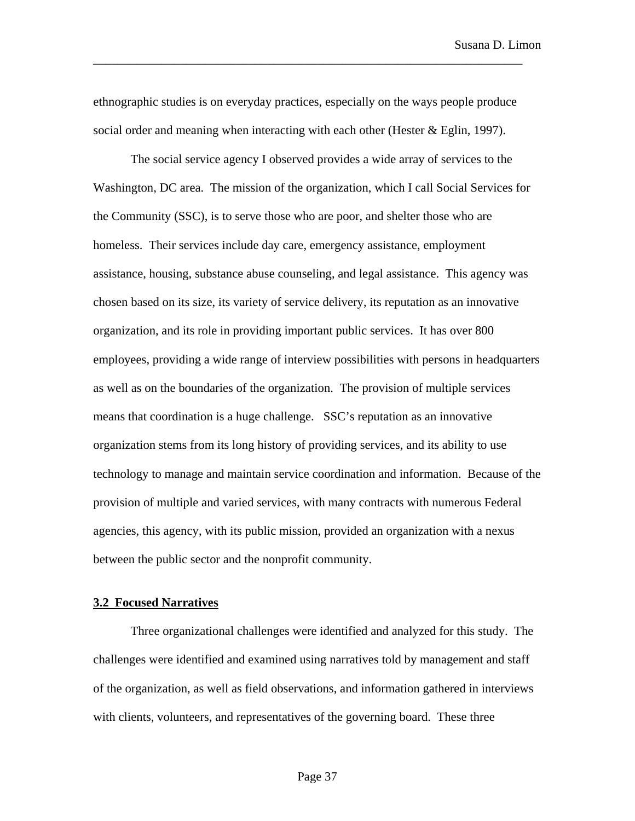ethnographic studies is on everyday practices, especially on the ways people produce social order and meaning when interacting with each other (Hester & Eglin, 1997).

\_\_\_\_\_\_\_\_\_\_\_\_\_\_\_\_\_\_\_\_\_\_\_\_\_\_\_\_\_\_\_\_\_\_\_\_\_\_\_\_\_\_\_\_\_\_\_\_\_\_\_\_\_\_\_\_\_\_\_\_\_\_\_\_\_\_\_\_\_

The social service agency I observed provides a wide array of services to the Washington, DC area. The mission of the organization, which I call Social Services for the Community (SSC), is to serve those who are poor, and shelter those who are homeless. Their services include day care, emergency assistance, employment assistance, housing, substance abuse counseling, and legal assistance. This agency was chosen based on its size, its variety of service delivery, its reputation as an innovative organization, and its role in providing important public services. It has over 800 employees, providing a wide range of interview possibilities with persons in headquarters as well as on the boundaries of the organization. The provision of multiple services means that coordination is a huge challenge. SSC's reputation as an innovative organization stems from its long history of providing services, and its ability to use technology to manage and maintain service coordination and information. Because of the provision of multiple and varied services, with many contracts with numerous Federal agencies, this agency, with its public mission, provided an organization with a nexus between the public sector and the nonprofit community.

#### **3.2 Focused Narratives**

Three organizational challenges were identified and analyzed for this study. The challenges were identified and examined using narratives told by management and staff of the organization, as well as field observations, and information gathered in interviews with clients, volunteers, and representatives of the governing board. These three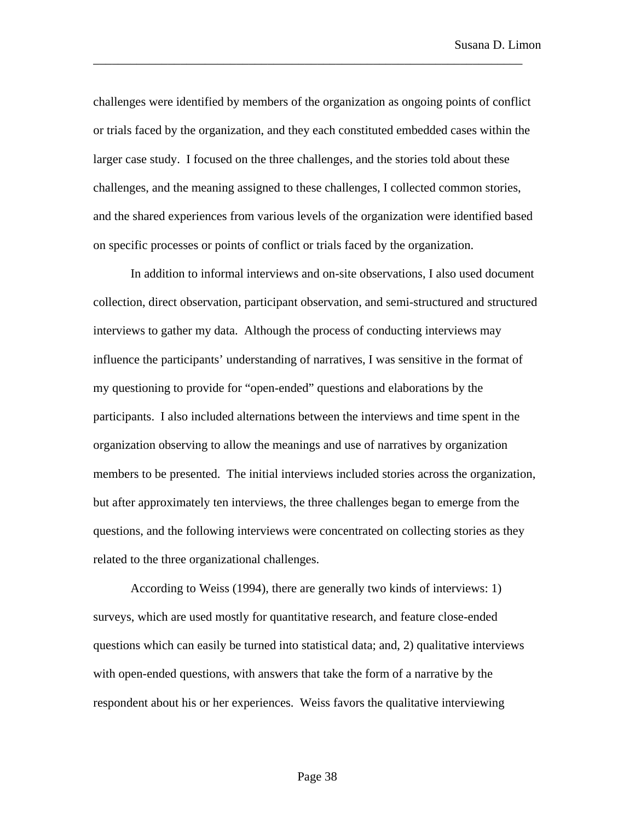challenges were identified by members of the organization as ongoing points of conflict or trials faced by the organization, and they each constituted embedded cases within the larger case study. I focused on the three challenges, and the stories told about these challenges, and the meaning assigned to these challenges, I collected common stories, and the shared experiences from various levels of the organization were identified based on specific processes or points of conflict or trials faced by the organization.

\_\_\_\_\_\_\_\_\_\_\_\_\_\_\_\_\_\_\_\_\_\_\_\_\_\_\_\_\_\_\_\_\_\_\_\_\_\_\_\_\_\_\_\_\_\_\_\_\_\_\_\_\_\_\_\_\_\_\_\_\_\_\_\_\_\_\_\_\_

In addition to informal interviews and on-site observations, I also used document collection, direct observation, participant observation, and semi-structured and structured interviews to gather my data. Although the process of conducting interviews may influence the participants' understanding of narratives, I was sensitive in the format of my questioning to provide for "open-ended" questions and elaborations by the participants. I also included alternations between the interviews and time spent in the organization observing to allow the meanings and use of narratives by organization members to be presented. The initial interviews included stories across the organization, but after approximately ten interviews, the three challenges began to emerge from the questions, and the following interviews were concentrated on collecting stories as they related to the three organizational challenges.

According to Weiss (1994), there are generally two kinds of interviews: 1) surveys, which are used mostly for quantitative research, and feature close-ended questions which can easily be turned into statistical data; and, 2) qualitative interviews with open-ended questions, with answers that take the form of a narrative by the respondent about his or her experiences. Weiss favors the qualitative interviewing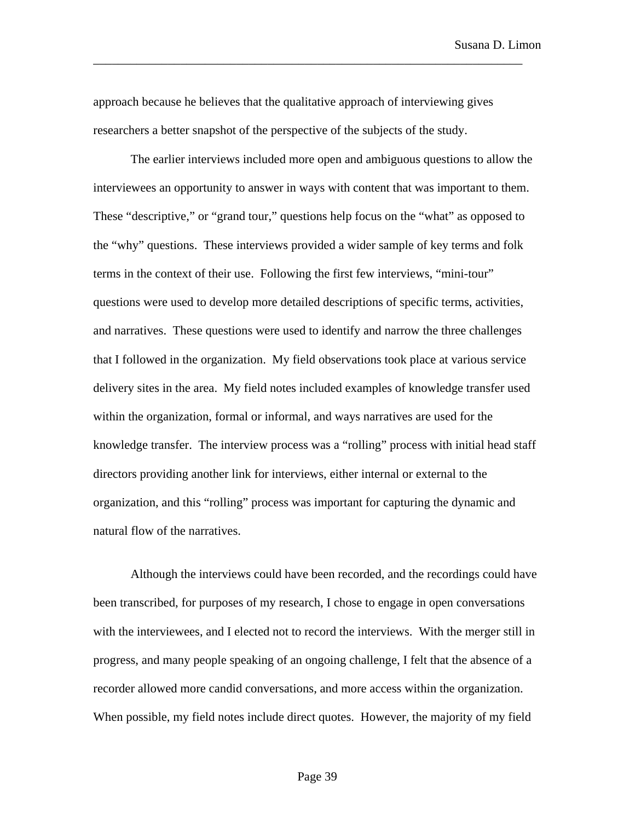approach because he believes that the qualitative approach of interviewing gives researchers a better snapshot of the perspective of the subjects of the study.

\_\_\_\_\_\_\_\_\_\_\_\_\_\_\_\_\_\_\_\_\_\_\_\_\_\_\_\_\_\_\_\_\_\_\_\_\_\_\_\_\_\_\_\_\_\_\_\_\_\_\_\_\_\_\_\_\_\_\_\_\_\_\_\_\_\_\_\_\_

The earlier interviews included more open and ambiguous questions to allow the interviewees an opportunity to answer in ways with content that was important to them. These "descriptive," or "grand tour," questions help focus on the "what" as opposed to the "why" questions. These interviews provided a wider sample of key terms and folk terms in the context of their use. Following the first few interviews, "mini-tour" questions were used to develop more detailed descriptions of specific terms, activities, and narratives. These questions were used to identify and narrow the three challenges that I followed in the organization. My field observations took place at various service delivery sites in the area. My field notes included examples of knowledge transfer used within the organization, formal or informal, and ways narratives are used for the knowledge transfer. The interview process was a "rolling" process with initial head staff directors providing another link for interviews, either internal or external to the organization, and this "rolling" process was important for capturing the dynamic and natural flow of the narratives.

Although the interviews could have been recorded, and the recordings could have been transcribed, for purposes of my research, I chose to engage in open conversations with the interviewees, and I elected not to record the interviews. With the merger still in progress, and many people speaking of an ongoing challenge, I felt that the absence of a recorder allowed more candid conversations, and more access within the organization. When possible, my field notes include direct quotes. However, the majority of my field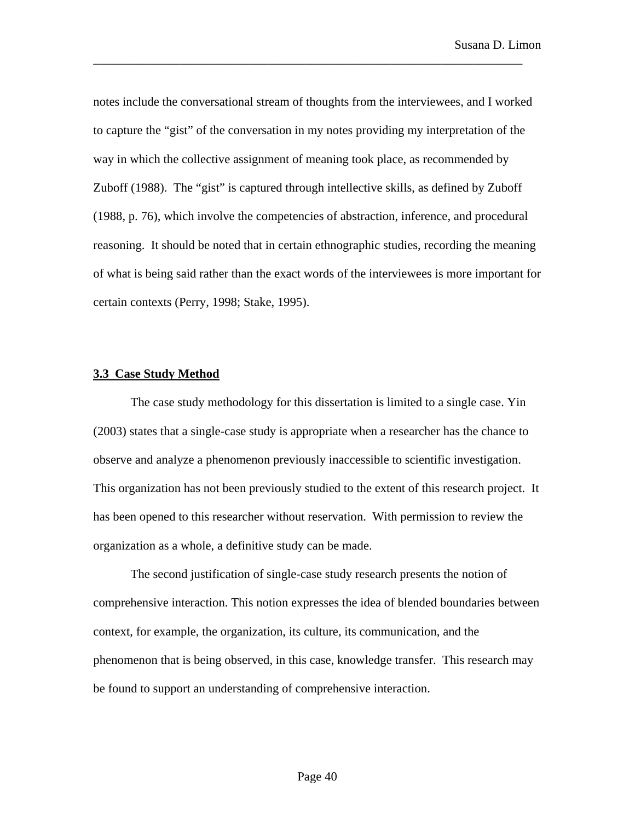notes include the conversational stream of thoughts from the interviewees, and I worked to capture the "gist" of the conversation in my notes providing my interpretation of the way in which the collective assignment of meaning took place, as recommended by Zuboff (1988). The "gist" is captured through intellective skills, as defined by Zuboff (1988, p. 76), which involve the competencies of abstraction, inference, and procedural reasoning. It should be noted that in certain ethnographic studies, recording the meaning of what is being said rather than the exact words of the interviewees is more important for certain contexts (Perry, 1998; Stake, 1995).

\_\_\_\_\_\_\_\_\_\_\_\_\_\_\_\_\_\_\_\_\_\_\_\_\_\_\_\_\_\_\_\_\_\_\_\_\_\_\_\_\_\_\_\_\_\_\_\_\_\_\_\_\_\_\_\_\_\_\_\_\_\_\_\_\_\_\_\_\_

#### **3.3 Case Study Method**

The case study methodology for this dissertation is limited to a single case. Yin (2003) states that a single-case study is appropriate when a researcher has the chance to observe and analyze a phenomenon previously inaccessible to scientific investigation. This organization has not been previously studied to the extent of this research project. It has been opened to this researcher without reservation. With permission to review the organization as a whole, a definitive study can be made.

The second justification of single-case study research presents the notion of comprehensive interaction. This notion expresses the idea of blended boundaries between context, for example, the organization, its culture, its communication, and the phenomenon that is being observed, in this case, knowledge transfer. This research may be found to support an understanding of comprehensive interaction.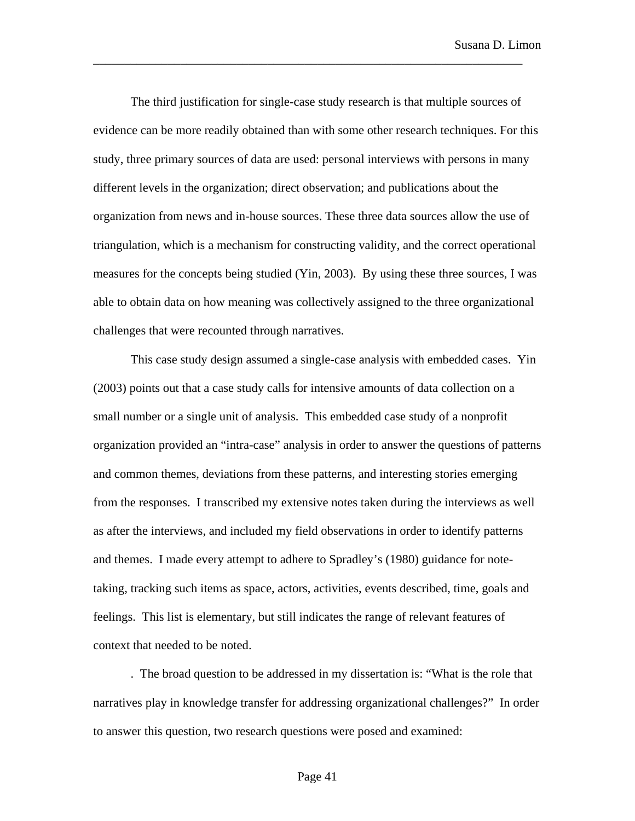The third justification for single-case study research is that multiple sources of evidence can be more readily obtained than with some other research techniques. For this study, three primary sources of data are used: personal interviews with persons in many different levels in the organization; direct observation; and publications about the organization from news and in-house sources. These three data sources allow the use of triangulation, which is a mechanism for constructing validity, and the correct operational measures for the concepts being studied (Yin, 2003). By using these three sources, I was able to obtain data on how meaning was collectively assigned to the three organizational challenges that were recounted through narratives.

\_\_\_\_\_\_\_\_\_\_\_\_\_\_\_\_\_\_\_\_\_\_\_\_\_\_\_\_\_\_\_\_\_\_\_\_\_\_\_\_\_\_\_\_\_\_\_\_\_\_\_\_\_\_\_\_\_\_\_\_\_\_\_\_\_\_\_\_\_

This case study design assumed a single-case analysis with embedded cases. Yin (2003) points out that a case study calls for intensive amounts of data collection on a small number or a single unit of analysis. This embedded case study of a nonprofit organization provided an "intra-case" analysis in order to answer the questions of patterns and common themes, deviations from these patterns, and interesting stories emerging from the responses. I transcribed my extensive notes taken during the interviews as well as after the interviews, and included my field observations in order to identify patterns and themes. I made every attempt to adhere to Spradley's (1980) guidance for notetaking, tracking such items as space, actors, activities, events described, time, goals and feelings. This list is elementary, but still indicates the range of relevant features of context that needed to be noted.

. The broad question to be addressed in my dissertation is: "What is the role that narratives play in knowledge transfer for addressing organizational challenges?" In order to answer this question, two research questions were posed and examined: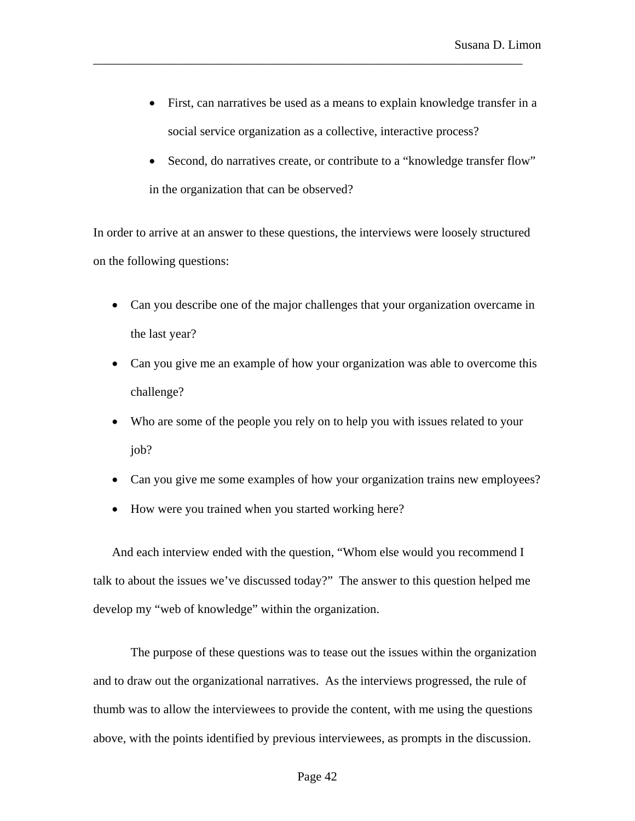- First, can narratives be used as a means to explain knowledge transfer in a social service organization as a collective, interactive process?
- Second, do narratives create, or contribute to a "knowledge transfer flow" in the organization that can be observed?

In order to arrive at an answer to these questions, the interviews were loosely structured on the following questions:

\_\_\_\_\_\_\_\_\_\_\_\_\_\_\_\_\_\_\_\_\_\_\_\_\_\_\_\_\_\_\_\_\_\_\_\_\_\_\_\_\_\_\_\_\_\_\_\_\_\_\_\_\_\_\_\_\_\_\_\_\_\_\_\_\_\_\_\_\_

- Can you describe one of the major challenges that your organization overcame in the last year?
- Can you give me an example of how your organization was able to overcome this challenge?
- Who are some of the people you rely on to help you with issues related to your job?
- Can you give me some examples of how your organization trains new employees?
- How were you trained when you started working here?

And each interview ended with the question, "Whom else would you recommend I talk to about the issues we've discussed today?" The answer to this question helped me develop my "web of knowledge" within the organization.

The purpose of these questions was to tease out the issues within the organization and to draw out the organizational narratives. As the interviews progressed, the rule of thumb was to allow the interviewees to provide the content, with me using the questions above, with the points identified by previous interviewees, as prompts in the discussion.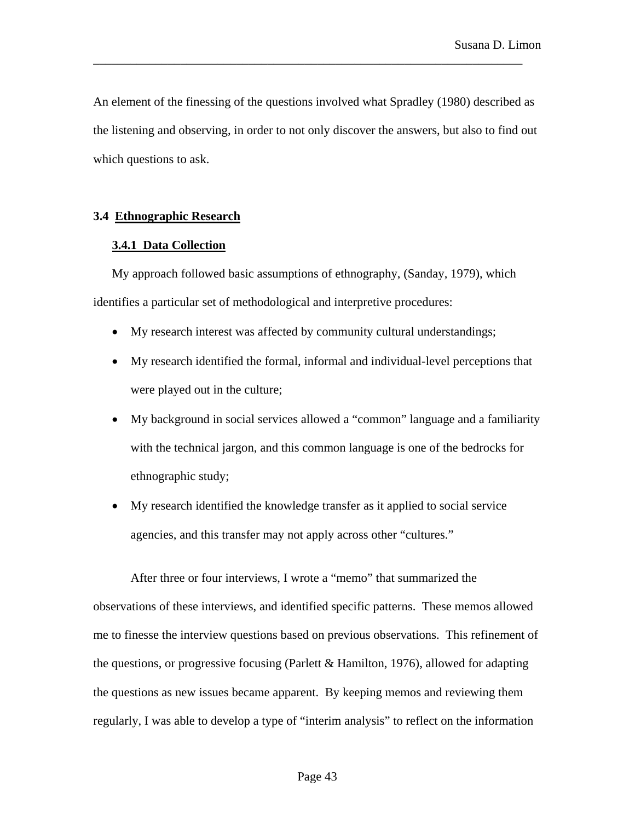An element of the finessing of the questions involved what Spradley (1980) described as the listening and observing, in order to not only discover the answers, but also to find out which questions to ask.

\_\_\_\_\_\_\_\_\_\_\_\_\_\_\_\_\_\_\_\_\_\_\_\_\_\_\_\_\_\_\_\_\_\_\_\_\_\_\_\_\_\_\_\_\_\_\_\_\_\_\_\_\_\_\_\_\_\_\_\_\_\_\_\_\_\_\_\_\_

# **3.4 Ethnographic Research**

# **3.4.1 Data Collection**

My approach followed basic assumptions of ethnography, (Sanday, 1979), which identifies a particular set of methodological and interpretive procedures:

- My research interest was affected by community cultural understandings;
- My research identified the formal, informal and individual-level perceptions that were played out in the culture;
- My background in social services allowed a "common" language and a familiarity with the technical jargon, and this common language is one of the bedrocks for ethnographic study;
- My research identified the knowledge transfer as it applied to social service agencies, and this transfer may not apply across other "cultures."

After three or four interviews, I wrote a "memo" that summarized the observations of these interviews, and identified specific patterns. These memos allowed me to finesse the interview questions based on previous observations. This refinement of the questions, or progressive focusing (Parlett & Hamilton, 1976), allowed for adapting the questions as new issues became apparent. By keeping memos and reviewing them regularly, I was able to develop a type of "interim analysis" to reflect on the information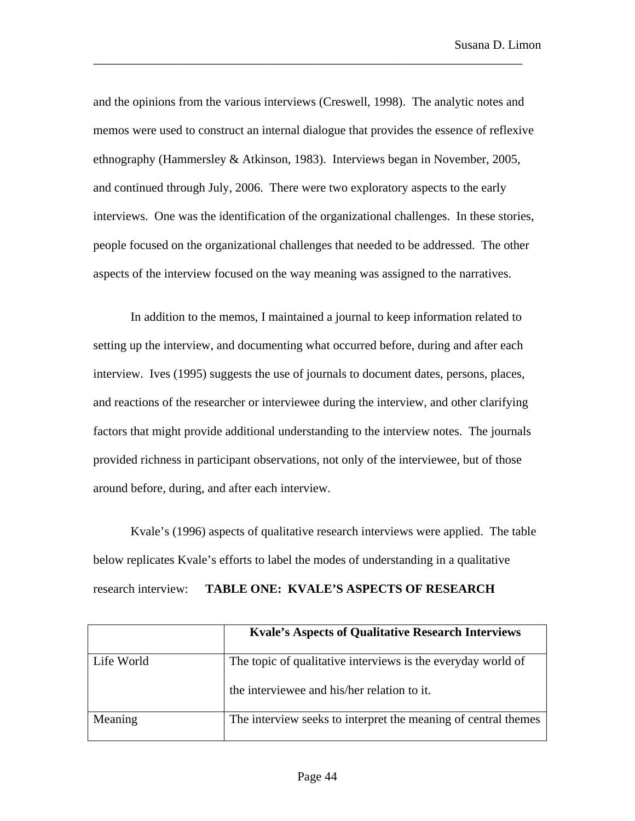Susana D. Limon

and the opinions from the various interviews (Creswell, 1998). The analytic notes and memos were used to construct an internal dialogue that provides the essence of reflexive ethnography (Hammersley & Atkinson, 1983). Interviews began in November, 2005, and continued through July, 2006. There were two exploratory aspects to the early interviews. One was the identification of the organizational challenges. In these stories, people focused on the organizational challenges that needed to be addressed. The other aspects of the interview focused on the way meaning was assigned to the narratives.

\_\_\_\_\_\_\_\_\_\_\_\_\_\_\_\_\_\_\_\_\_\_\_\_\_\_\_\_\_\_\_\_\_\_\_\_\_\_\_\_\_\_\_\_\_\_\_\_\_\_\_\_\_\_\_\_\_\_\_\_\_\_\_\_\_\_\_\_\_

In addition to the memos, I maintained a journal to keep information related to setting up the interview, and documenting what occurred before, during and after each interview. Ives (1995) suggests the use of journals to document dates, persons, places, and reactions of the researcher or interviewee during the interview, and other clarifying factors that might provide additional understanding to the interview notes. The journals provided richness in participant observations, not only of the interviewee, but of those around before, during, and after each interview.

Kvale's (1996) aspects of qualitative research interviews were applied. The table below replicates Kvale's efforts to label the modes of understanding in a qualitative research interview: **TABLE ONE: KVALE'S ASPECTS OF RESEARCH** 

|            | <b>Kyale's Aspects of Qualitative Research Interviews</b>      |
|------------|----------------------------------------------------------------|
| Life World | The topic of qualitative interviews is the everyday world of   |
|            | the interviewee and his/her relation to it.                    |
| Meaning    | The interview seeks to interpret the meaning of central themes |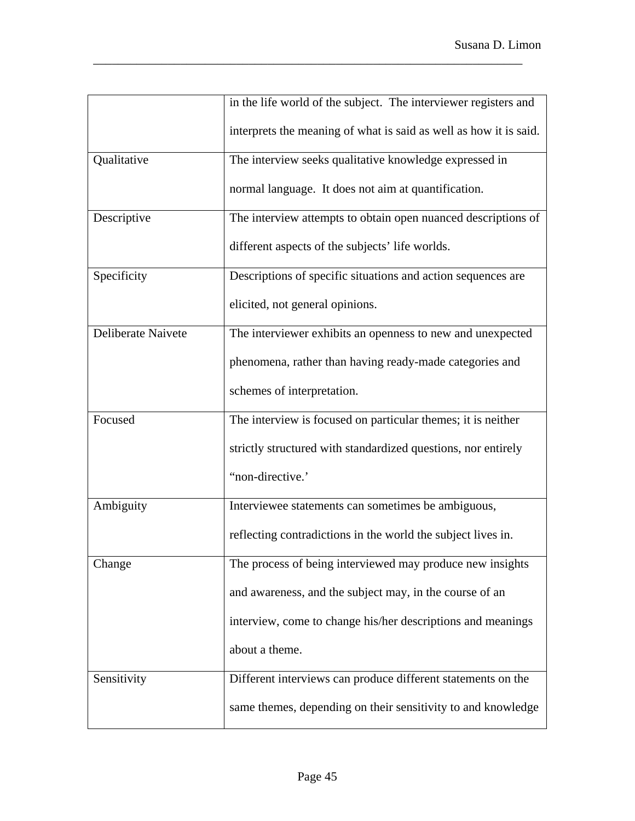|                    | in the life world of the subject. The interviewer registers and   |
|--------------------|-------------------------------------------------------------------|
|                    | interprets the meaning of what is said as well as how it is said. |
| Qualitative        | The interview seeks qualitative knowledge expressed in            |
|                    | normal language. It does not aim at quantification.               |
| Descriptive        | The interview attempts to obtain open nuanced descriptions of     |
|                    | different aspects of the subjects' life worlds.                   |
| Specificity        | Descriptions of specific situations and action sequences are      |
|                    | elicited, not general opinions.                                   |
| Deliberate Naivete | The interviewer exhibits an openness to new and unexpected        |
|                    | phenomena, rather than having ready-made categories and           |
|                    | schemes of interpretation.                                        |
| Focused            | The interview is focused on particular themes; it is neither      |
|                    | strictly structured with standardized questions, nor entirely     |
|                    | "non-directive."                                                  |
| Ambiguity          | Interviewee statements can sometimes be ambiguous,                |
|                    | reflecting contradictions in the world the subject lives in.      |
| Change             | The process of being interviewed may produce new insights         |
|                    | and awareness, and the subject may, in the course of an           |
|                    | interview, come to change his/her descriptions and meanings       |
|                    | about a theme.                                                    |
| Sensitivity        | Different interviews can produce different statements on the      |
|                    | same themes, depending on their sensitivity to and knowledge      |

\_\_\_\_\_\_\_\_\_\_\_\_\_\_\_\_\_\_\_\_\_\_\_\_\_\_\_\_\_\_\_\_\_\_\_\_\_\_\_\_\_\_\_\_\_\_\_\_\_\_\_\_\_\_\_\_\_\_\_\_\_\_\_\_\_\_\_\_\_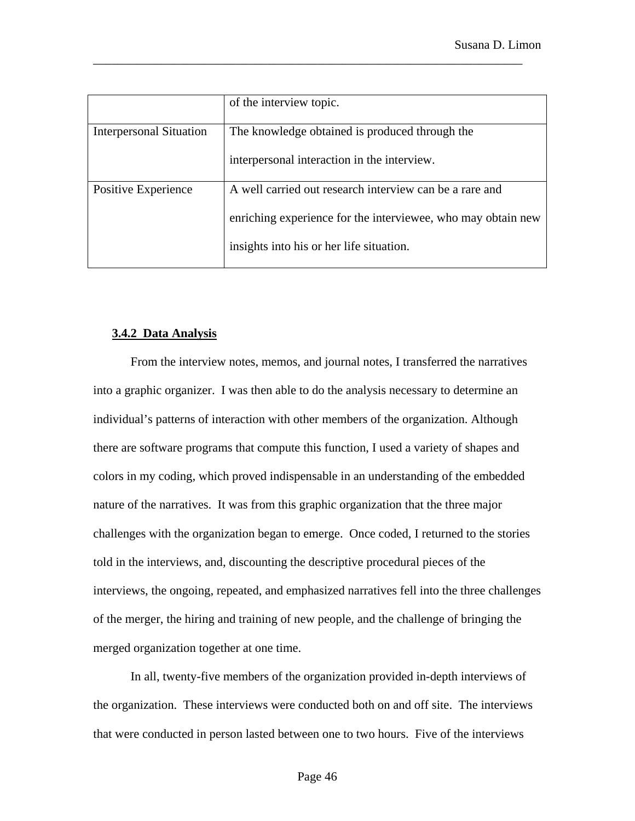|                                | of the interview topic.                                      |
|--------------------------------|--------------------------------------------------------------|
| <b>Interpersonal Situation</b> | The knowledge obtained is produced through the               |
|                                | interpersonal interaction in the interview.                  |
| Positive Experience            | A well carried out research interview can be a rare and      |
|                                | enriching experience for the interviewee, who may obtain new |
|                                | insights into his or her life situation.                     |

\_\_\_\_\_\_\_\_\_\_\_\_\_\_\_\_\_\_\_\_\_\_\_\_\_\_\_\_\_\_\_\_\_\_\_\_\_\_\_\_\_\_\_\_\_\_\_\_\_\_\_\_\_\_\_\_\_\_\_\_\_\_\_\_\_\_\_\_\_

# **3.4.2 Data Analysis**

From the interview notes, memos, and journal notes, I transferred the narratives into a graphic organizer. I was then able to do the analysis necessary to determine an individual's patterns of interaction with other members of the organization. Although there are software programs that compute this function, I used a variety of shapes and colors in my coding, which proved indispensable in an understanding of the embedded nature of the narratives. It was from this graphic organization that the three major challenges with the organization began to emerge. Once coded, I returned to the stories told in the interviews, and, discounting the descriptive procedural pieces of the interviews, the ongoing, repeated, and emphasized narratives fell into the three challenges of the merger, the hiring and training of new people, and the challenge of bringing the merged organization together at one time.

In all, twenty-five members of the organization provided in-depth interviews of the organization. These interviews were conducted both on and off site. The interviews that were conducted in person lasted between one to two hours. Five of the interviews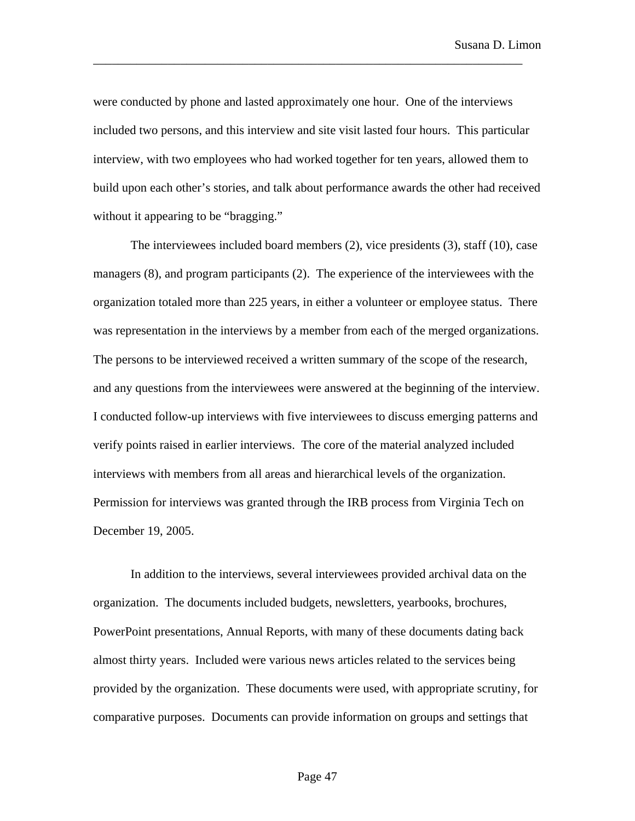were conducted by phone and lasted approximately one hour. One of the interviews included two persons, and this interview and site visit lasted four hours. This particular interview, with two employees who had worked together for ten years, allowed them to build upon each other's stories, and talk about performance awards the other had received without it appearing to be "bragging."

\_\_\_\_\_\_\_\_\_\_\_\_\_\_\_\_\_\_\_\_\_\_\_\_\_\_\_\_\_\_\_\_\_\_\_\_\_\_\_\_\_\_\_\_\_\_\_\_\_\_\_\_\_\_\_\_\_\_\_\_\_\_\_\_\_\_\_\_\_

The interviewees included board members (2), vice presidents (3), staff (10), case managers (8), and program participants (2). The experience of the interviewees with the organization totaled more than 225 years, in either a volunteer or employee status. There was representation in the interviews by a member from each of the merged organizations. The persons to be interviewed received a written summary of the scope of the research, and any questions from the interviewees were answered at the beginning of the interview. I conducted follow-up interviews with five interviewees to discuss emerging patterns and verify points raised in earlier interviews. The core of the material analyzed included interviews with members from all areas and hierarchical levels of the organization. Permission for interviews was granted through the IRB process from Virginia Tech on December 19, 2005.

In addition to the interviews, several interviewees provided archival data on the organization. The documents included budgets, newsletters, yearbooks, brochures, PowerPoint presentations, Annual Reports, with many of these documents dating back almost thirty years. Included were various news articles related to the services being provided by the organization. These documents were used, with appropriate scrutiny, for comparative purposes. Documents can provide information on groups and settings that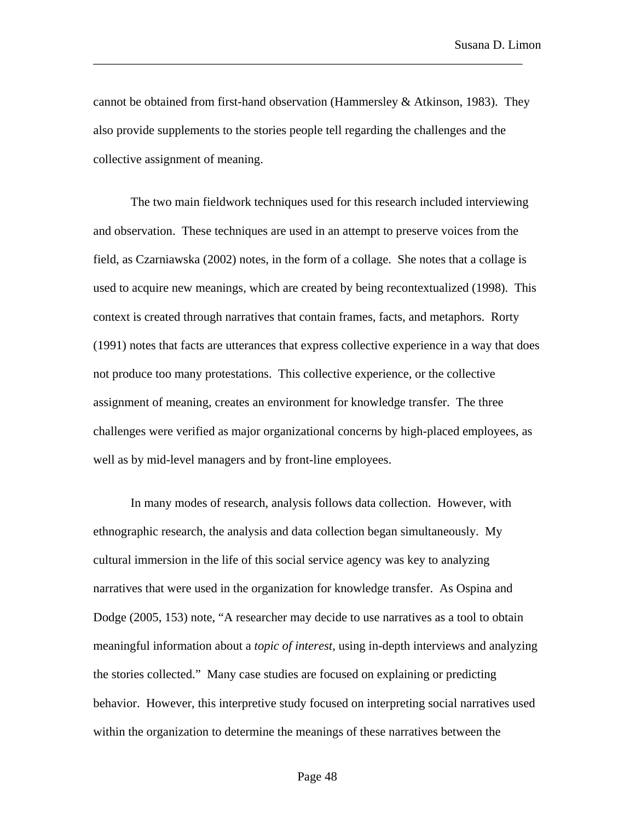cannot be obtained from first-hand observation (Hammersley & Atkinson, 1983). They also provide supplements to the stories people tell regarding the challenges and the collective assignment of meaning.

\_\_\_\_\_\_\_\_\_\_\_\_\_\_\_\_\_\_\_\_\_\_\_\_\_\_\_\_\_\_\_\_\_\_\_\_\_\_\_\_\_\_\_\_\_\_\_\_\_\_\_\_\_\_\_\_\_\_\_\_\_\_\_\_\_\_\_\_\_

The two main fieldwork techniques used for this research included interviewing and observation. These techniques are used in an attempt to preserve voices from the field, as Czarniawska (2002) notes, in the form of a collage. She notes that a collage is used to acquire new meanings, which are created by being recontextualized (1998). This context is created through narratives that contain frames, facts, and metaphors. Rorty (1991) notes that facts are utterances that express collective experience in a way that does not produce too many protestations. This collective experience, or the collective assignment of meaning, creates an environment for knowledge transfer. The three challenges were verified as major organizational concerns by high-placed employees, as well as by mid-level managers and by front-line employees.

In many modes of research, analysis follows data collection. However, with ethnographic research, the analysis and data collection began simultaneously. My cultural immersion in the life of this social service agency was key to analyzing narratives that were used in the organization for knowledge transfer. As Ospina and Dodge (2005, 153) note, "A researcher may decide to use narratives as a tool to obtain meaningful information about a *topic of interest*, using in-depth interviews and analyzing the stories collected." Many case studies are focused on explaining or predicting behavior. However, this interpretive study focused on interpreting social narratives used within the organization to determine the meanings of these narratives between the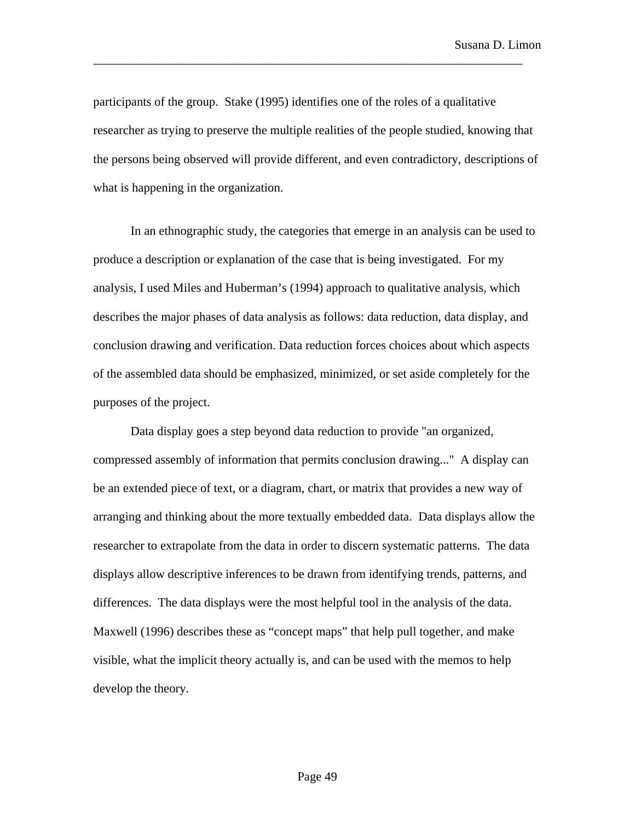participants of the group. Stake (1995) identifies one of the roles of a qualitative researcher as trying to preserve the multiple realities of the people studied, knowing that the persons being observed will provide different, and even contradictory, descriptions of what is happening in the organization.

\_\_\_\_\_\_\_\_\_\_\_\_\_\_\_\_\_\_\_\_\_\_\_\_\_\_\_\_\_\_\_\_\_\_\_\_\_\_\_\_\_\_\_\_\_\_\_\_\_\_\_\_\_\_\_\_\_\_\_\_\_\_\_\_\_\_\_\_\_

In an ethnographic study, the categories that emerge in an analysis can be used to produce a description or explanation of the case that is being investigated. For my analysis, I used Miles and Huberman's (1994) approach to qualitative analysis, which describes the major phases of data analysis as follows: data reduction, data display, and conclusion drawing and verification. Data reduction forces choices about which aspects of the assembled data should be emphasized, minimized, or set aside completely for the purposes of the project.

Data display goes a step beyond data reduction to provide "an organized, compressed assembly of information that permits conclusion drawing..." A display can be an extended piece of text, or a diagram, chart, or matrix that provides a new way of arranging and thinking about the more textually embedded data. Data displays allow the researcher to extrapolate from the data in order to discern systematic patterns. The data displays allow descriptive inferences to be drawn from identifying trends, patterns, and differences. The data displays were the most helpful tool in the analysis of the data. Maxwell (1996) describes these as "concept maps" that help pull together, and make visible, what the implicit theory actually is, and can be used with the memos to help develop the theory.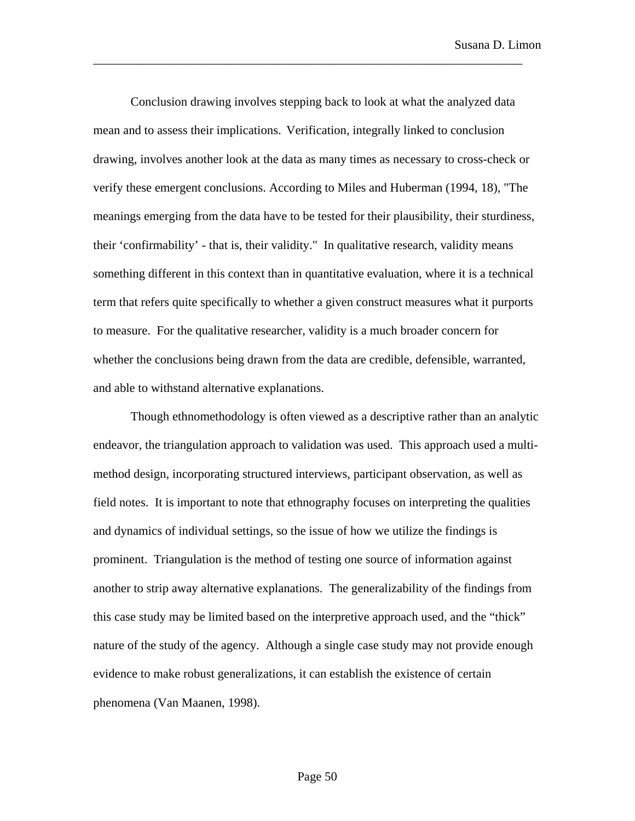Conclusion drawing involves stepping back to look at what the analyzed data mean and to assess their implications. Verification*,* integrally linked to conclusion drawing, involves another look at the data as many times as necessary to cross-check or verify these emergent conclusions. According to Miles and Huberman (1994, 18), "The meanings emerging from the data have to be tested for their plausibility, their sturdiness, their 'confirmability' - that is, their validity." In qualitative research, validity means something different in this context than in quantitative evaluation, where it is a technical term that refers quite specifically to whether a given construct measures what it purports to measure. For the qualitative researcher, validity is a much broader concern for whether the conclusions being drawn from the data are credible, defensible, warranted, and able to withstand alternative explanations.

\_\_\_\_\_\_\_\_\_\_\_\_\_\_\_\_\_\_\_\_\_\_\_\_\_\_\_\_\_\_\_\_\_\_\_\_\_\_\_\_\_\_\_\_\_\_\_\_\_\_\_\_\_\_\_\_\_\_\_\_\_\_\_\_\_\_\_\_\_

Though ethnomethodology is often viewed as a descriptive rather than an analytic endeavor, the triangulation approach to validation was used. This approach used a multimethod design, incorporating structured interviews, participant observation, as well as field notes. It is important to note that ethnography focuses on interpreting the qualities and dynamics of individual settings, so the issue of how we utilize the findings is prominent. Triangulation is the method of testing one source of information against another to strip away alternative explanations. The generalizability of the findings from this case study may be limited based on the interpretive approach used, and the "thick" nature of the study of the agency. Although a single case study may not provide enough evidence to make robust generalizations, it can establish the existence of certain phenomena (Van Maanen, 1998).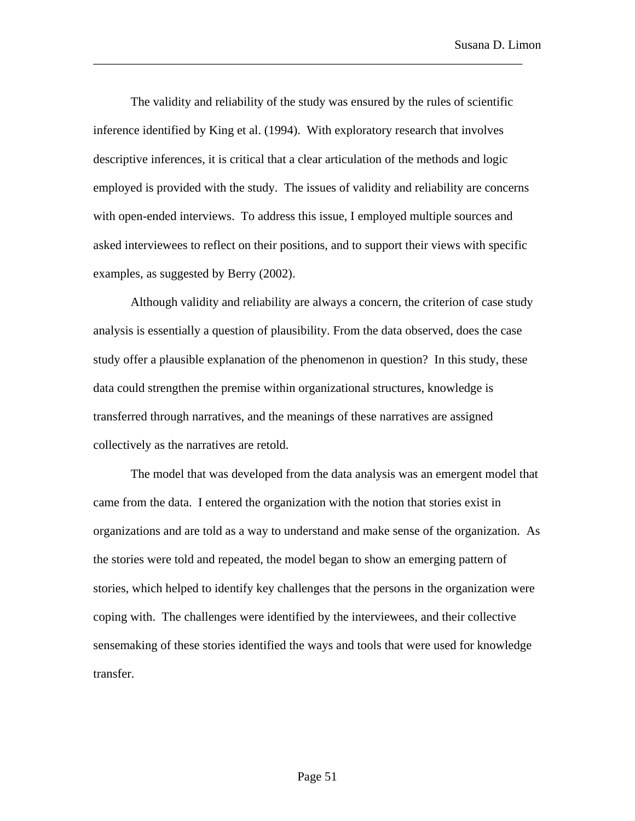The validity and reliability of the study was ensured by the rules of scientific inference identified by King et al. (1994). With exploratory research that involves descriptive inferences, it is critical that a clear articulation of the methods and logic employed is provided with the study. The issues of validity and reliability are concerns with open-ended interviews. To address this issue, I employed multiple sources and asked interviewees to reflect on their positions, and to support their views with specific examples, as suggested by Berry (2002).

\_\_\_\_\_\_\_\_\_\_\_\_\_\_\_\_\_\_\_\_\_\_\_\_\_\_\_\_\_\_\_\_\_\_\_\_\_\_\_\_\_\_\_\_\_\_\_\_\_\_\_\_\_\_\_\_\_\_\_\_\_\_\_\_\_\_\_\_\_

Although validity and reliability are always a concern, the criterion of case study analysis is essentially a question of plausibility. From the data observed, does the case study offer a plausible explanation of the phenomenon in question? In this study, these data could strengthen the premise within organizational structures, knowledge is transferred through narratives, and the meanings of these narratives are assigned collectively as the narratives are retold.

The model that was developed from the data analysis was an emergent model that came from the data. I entered the organization with the notion that stories exist in organizations and are told as a way to understand and make sense of the organization. As the stories were told and repeated, the model began to show an emerging pattern of stories, which helped to identify key challenges that the persons in the organization were coping with. The challenges were identified by the interviewees, and their collective sensemaking of these stories identified the ways and tools that were used for knowledge transfer.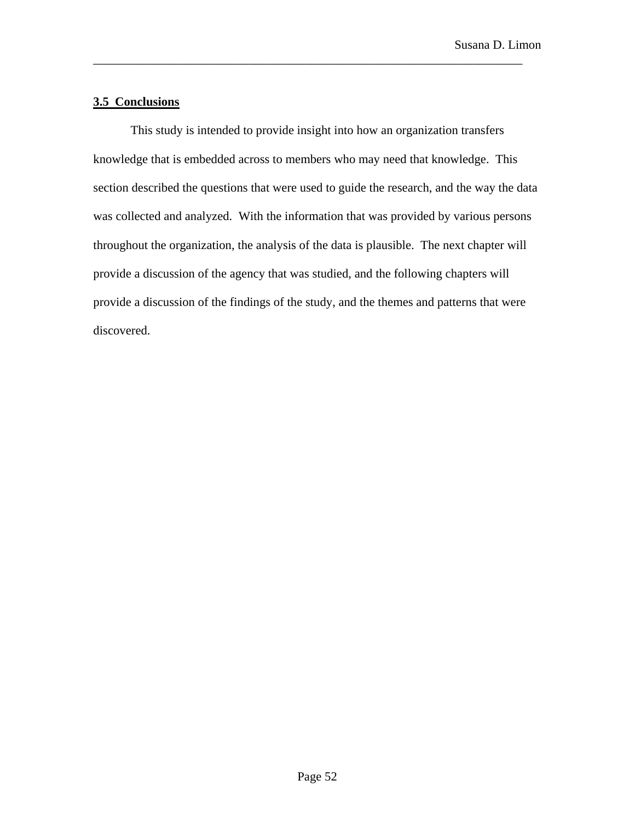# **3.5 Conclusions**

This study is intended to provide insight into how an organization transfers knowledge that is embedded across to members who may need that knowledge. This section described the questions that were used to guide the research, and the way the data was collected and analyzed. With the information that was provided by various persons throughout the organization, the analysis of the data is plausible. The next chapter will provide a discussion of the agency that was studied, and the following chapters will provide a discussion of the findings of the study, and the themes and patterns that were discovered.

\_\_\_\_\_\_\_\_\_\_\_\_\_\_\_\_\_\_\_\_\_\_\_\_\_\_\_\_\_\_\_\_\_\_\_\_\_\_\_\_\_\_\_\_\_\_\_\_\_\_\_\_\_\_\_\_\_\_\_\_\_\_\_\_\_\_\_\_\_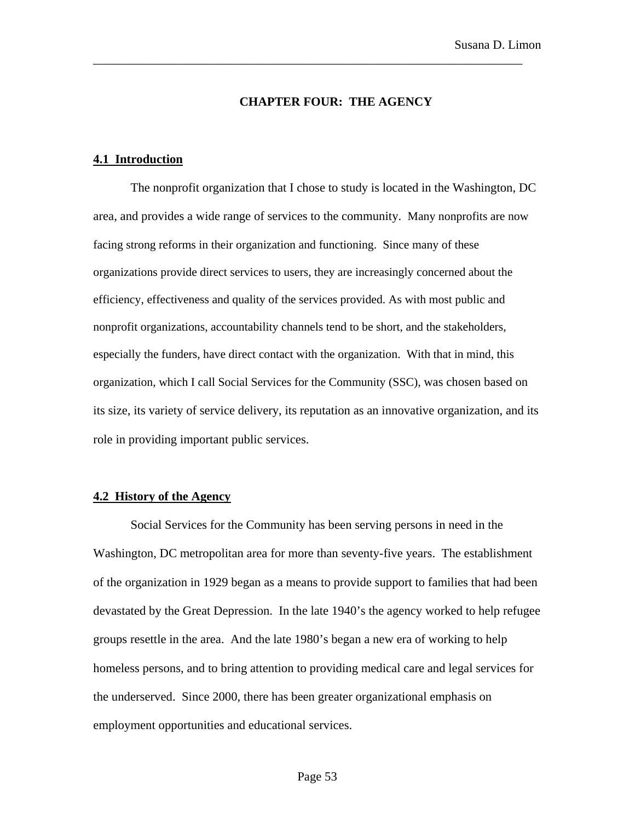#### **CHAPTER FOUR: THE AGENCY**

\_\_\_\_\_\_\_\_\_\_\_\_\_\_\_\_\_\_\_\_\_\_\_\_\_\_\_\_\_\_\_\_\_\_\_\_\_\_\_\_\_\_\_\_\_\_\_\_\_\_\_\_\_\_\_\_\_\_\_\_\_\_\_\_\_\_\_\_\_

#### **4.1 Introduction**

The nonprofit organization that I chose to study is located in the Washington, DC area, and provides a wide range of services to the community. Many nonprofits are now facing strong reforms in their organization and functioning. Since many of these organizations provide direct services to users, they are increasingly concerned about the efficiency, effectiveness and quality of the services provided. As with most public and nonprofit organizations, accountability channels tend to be short, and the stakeholders, especially the funders, have direct contact with the organization. With that in mind, this organization, which I call Social Services for the Community (SSC), was chosen based on its size, its variety of service delivery, its reputation as an innovative organization, and its role in providing important public services.

### **4.2 History of the Agency**

Social Services for the Community has been serving persons in need in the Washington, DC metropolitan area for more than seventy-five years. The establishment of the organization in 1929 began as a means to provide support to families that had been devastated by the Great Depression. In the late 1940's the agency worked to help refugee groups resettle in the area. And the late 1980's began a new era of working to help homeless persons, and to bring attention to providing medical care and legal services for the underserved. Since 2000, there has been greater organizational emphasis on employment opportunities and educational services.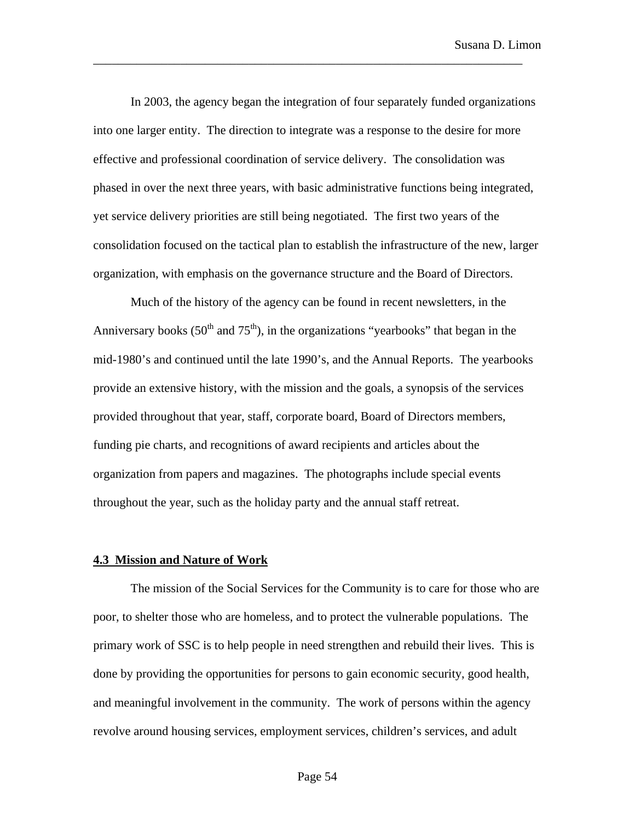In 2003, the agency began the integration of four separately funded organizations into one larger entity. The direction to integrate was a response to the desire for more effective and professional coordination of service delivery. The consolidation was phased in over the next three years, with basic administrative functions being integrated, yet service delivery priorities are still being negotiated. The first two years of the consolidation focused on the tactical plan to establish the infrastructure of the new, larger organization, with emphasis on the governance structure and the Board of Directors.

\_\_\_\_\_\_\_\_\_\_\_\_\_\_\_\_\_\_\_\_\_\_\_\_\_\_\_\_\_\_\_\_\_\_\_\_\_\_\_\_\_\_\_\_\_\_\_\_\_\_\_\_\_\_\_\_\_\_\_\_\_\_\_\_\_\_\_\_\_

Much of the history of the agency can be found in recent newsletters, in the Anniversary books ( $50<sup>th</sup>$  and  $75<sup>th</sup>$ ), in the organizations "yearbooks" that began in the mid-1980's and continued until the late 1990's, and the Annual Reports. The yearbooks provide an extensive history, with the mission and the goals, a synopsis of the services provided throughout that year, staff, corporate board, Board of Directors members, funding pie charts, and recognitions of award recipients and articles about the organization from papers and magazines. The photographs include special events throughout the year, such as the holiday party and the annual staff retreat.

#### **4.3 Mission and Nature of Work**

The mission of the Social Services for the Community is to care for those who are poor, to shelter those who are homeless, and to protect the vulnerable populations. The primary work of SSC is to help people in need strengthen and rebuild their lives. This is done by providing the opportunities for persons to gain economic security, good health, and meaningful involvement in the community. The work of persons within the agency revolve around housing services, employment services, children's services, and adult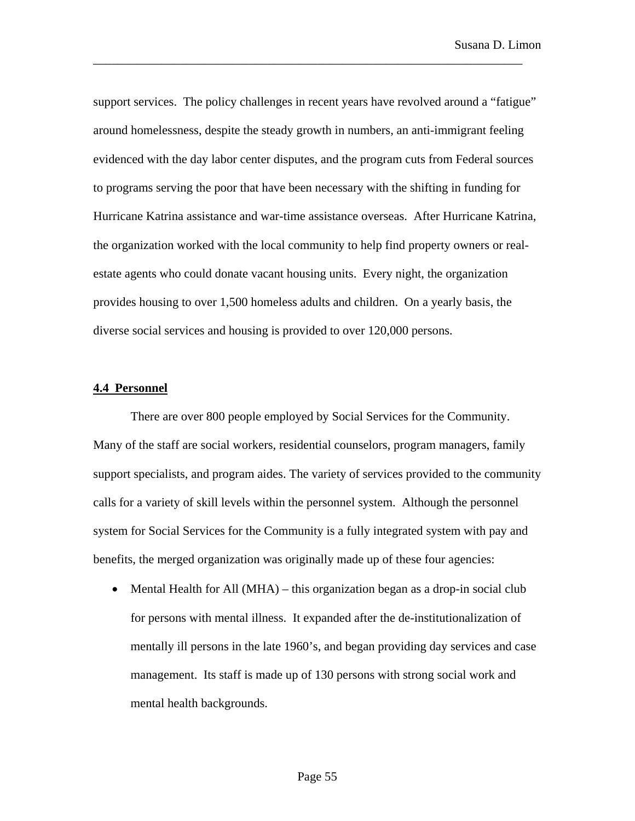support services. The policy challenges in recent years have revolved around a "fatigue" around homelessness, despite the steady growth in numbers, an anti-immigrant feeling evidenced with the day labor center disputes, and the program cuts from Federal sources to programs serving the poor that have been necessary with the shifting in funding for Hurricane Katrina assistance and war-time assistance overseas. After Hurricane Katrina, the organization worked with the local community to help find property owners or realestate agents who could donate vacant housing units. Every night, the organization provides housing to over 1,500 homeless adults and children. On a yearly basis, the diverse social services and housing is provided to over 120,000 persons.

\_\_\_\_\_\_\_\_\_\_\_\_\_\_\_\_\_\_\_\_\_\_\_\_\_\_\_\_\_\_\_\_\_\_\_\_\_\_\_\_\_\_\_\_\_\_\_\_\_\_\_\_\_\_\_\_\_\_\_\_\_\_\_\_\_\_\_\_\_

## **4.4 Personnel**

There are over 800 people employed by Social Services for the Community. Many of the staff are social workers, residential counselors, program managers, family support specialists, and program aides. The variety of services provided to the community calls for a variety of skill levels within the personnel system. Although the personnel system for Social Services for the Community is a fully integrated system with pay and benefits, the merged organization was originally made up of these four agencies:

• Mental Health for All (MHA) – this organization began as a drop-in social club for persons with mental illness. It expanded after the de-institutionalization of mentally ill persons in the late 1960's, and began providing day services and case management. Its staff is made up of 130 persons with strong social work and mental health backgrounds.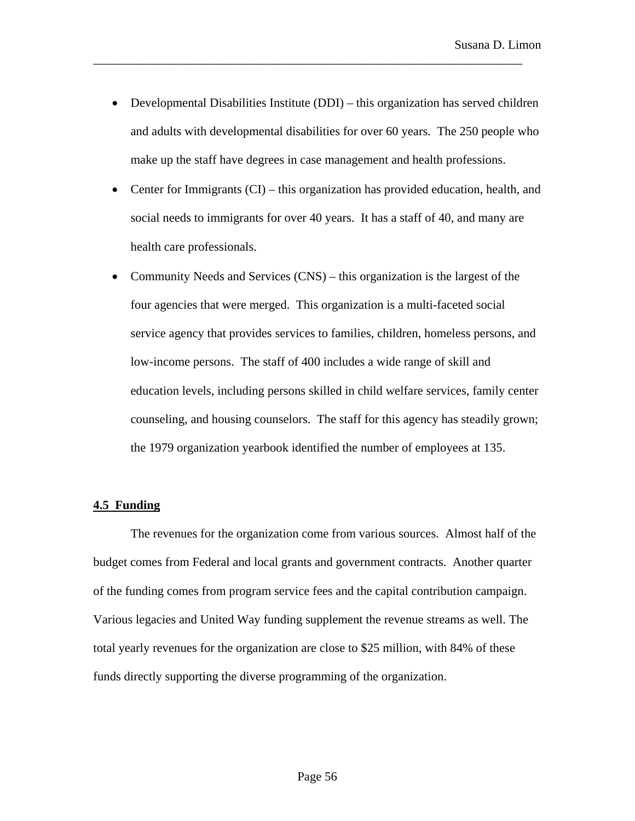• Developmental Disabilities Institute (DDI) – this organization has served children and adults with developmental disabilities for over 60 years. The 250 people who make up the staff have degrees in case management and health professions.

\_\_\_\_\_\_\_\_\_\_\_\_\_\_\_\_\_\_\_\_\_\_\_\_\_\_\_\_\_\_\_\_\_\_\_\_\_\_\_\_\_\_\_\_\_\_\_\_\_\_\_\_\_\_\_\_\_\_\_\_\_\_\_\_\_\_\_\_\_

- Center for Immigrants (CI) this organization has provided education, health, and social needs to immigrants for over 40 years. It has a staff of 40, and many are health care professionals.
- Community Needs and Services (CNS) this organization is the largest of the four agencies that were merged. This organization is a multi-faceted social service agency that provides services to families, children, homeless persons, and low-income persons. The staff of 400 includes a wide range of skill and education levels, including persons skilled in child welfare services, family center counseling, and housing counselors. The staff for this agency has steadily grown; the 1979 organization yearbook identified the number of employees at 135.

## **4.5 Funding**

The revenues for the organization come from various sources. Almost half of the budget comes from Federal and local grants and government contracts. Another quarter of the funding comes from program service fees and the capital contribution campaign. Various legacies and United Way funding supplement the revenue streams as well. The total yearly revenues for the organization are close to \$25 million, with 84% of these funds directly supporting the diverse programming of the organization.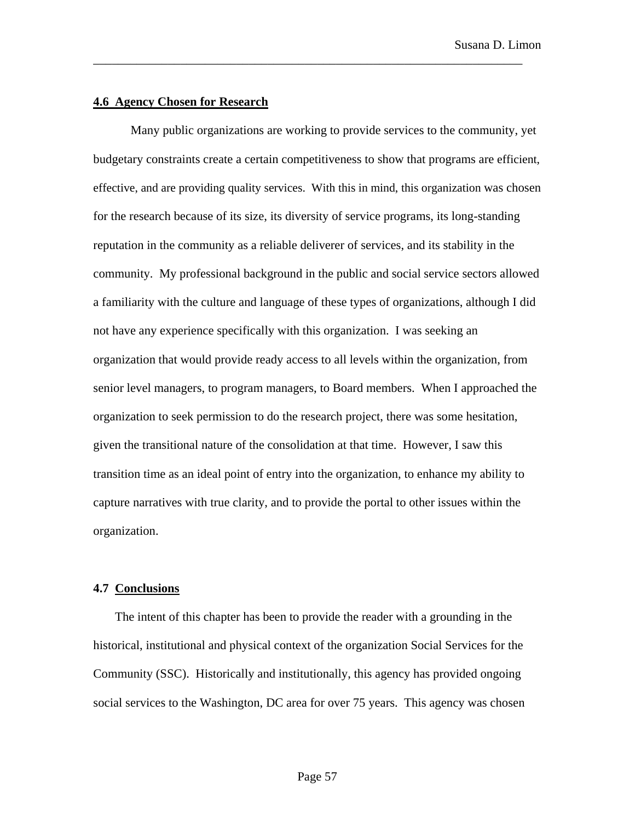## **4.6 Agency Chosen for Research**

Many public organizations are working to provide services to the community, yet budgetary constraints create a certain competitiveness to show that programs are efficient, effective, and are providing quality services. With this in mind, this organization was chosen for the research because of its size, its diversity of service programs, its long-standing reputation in the community as a reliable deliverer of services, and its stability in the community.My professional background in the public and social service sectors allowed a familiarity with the culture and language of these types of organizations, although I did not have any experience specifically with this organization. I was seeking an organization that would provide ready access to all levels within the organization, from senior level managers, to program managers, to Board members. When I approached the organization to seek permission to do the research project, there was some hesitation, given the transitional nature of the consolidation at that time. However, I saw this transition time as an ideal point of entry into the organization, to enhance my ability to capture narratives with true clarity, and to provide the portal to other issues within the organization.

\_\_\_\_\_\_\_\_\_\_\_\_\_\_\_\_\_\_\_\_\_\_\_\_\_\_\_\_\_\_\_\_\_\_\_\_\_\_\_\_\_\_\_\_\_\_\_\_\_\_\_\_\_\_\_\_\_\_\_\_\_\_\_\_\_\_\_\_\_

## **4.7 Conclusions**

The intent of this chapter has been to provide the reader with a grounding in the historical, institutional and physical context of the organization Social Services for the Community (SSC). Historically and institutionally, this agency has provided ongoing social services to the Washington, DC area for over 75 years. This agency was chosen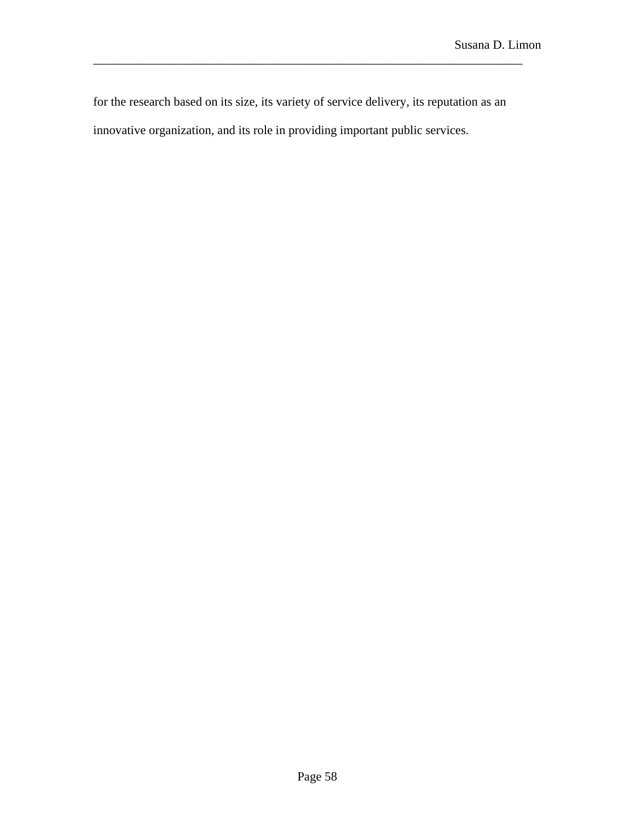for the research based on its size, its variety of service delivery, its reputation as an innovative organization, and its role in providing important public services.

\_\_\_\_\_\_\_\_\_\_\_\_\_\_\_\_\_\_\_\_\_\_\_\_\_\_\_\_\_\_\_\_\_\_\_\_\_\_\_\_\_\_\_\_\_\_\_\_\_\_\_\_\_\_\_\_\_\_\_\_\_\_\_\_\_\_\_\_\_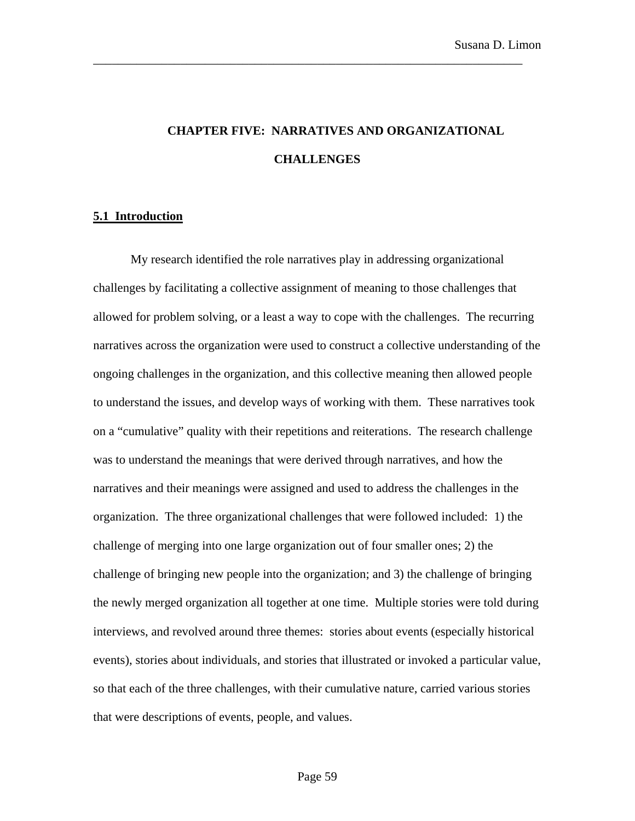# **CHAPTER FIVE: NARRATIVES AND ORGANIZATIONAL CHALLENGES**

\_\_\_\_\_\_\_\_\_\_\_\_\_\_\_\_\_\_\_\_\_\_\_\_\_\_\_\_\_\_\_\_\_\_\_\_\_\_\_\_\_\_\_\_\_\_\_\_\_\_\_\_\_\_\_\_\_\_\_\_\_\_\_\_\_\_\_\_\_

#### **5.1 Introduction**

My research identified the role narratives play in addressing organizational challenges by facilitating a collective assignment of meaning to those challenges that allowed for problem solving, or a least a way to cope with the challenges.The recurring narratives across the organization were used to construct a collective understanding of the ongoing challenges in the organization, and this collective meaning then allowed people to understand the issues, and develop ways of working with them. These narratives took on a "cumulative" quality with their repetitions and reiterations. The research challenge was to understand the meanings that were derived through narratives, and how the narratives and their meanings were assigned and used to address the challenges in the organization. The three organizational challenges that were followed included: 1) the challenge of merging into one large organization out of four smaller ones; 2) the challenge of bringing new people into the organization; and 3) the challenge of bringing the newly merged organization all together at one time. Multiple stories were told during interviews, and revolved around three themes: stories about events (especially historical events), stories about individuals, and stories that illustrated or invoked a particular value, so that each of the three challenges, with their cumulative nature, carried various stories that were descriptions of events, people, and values.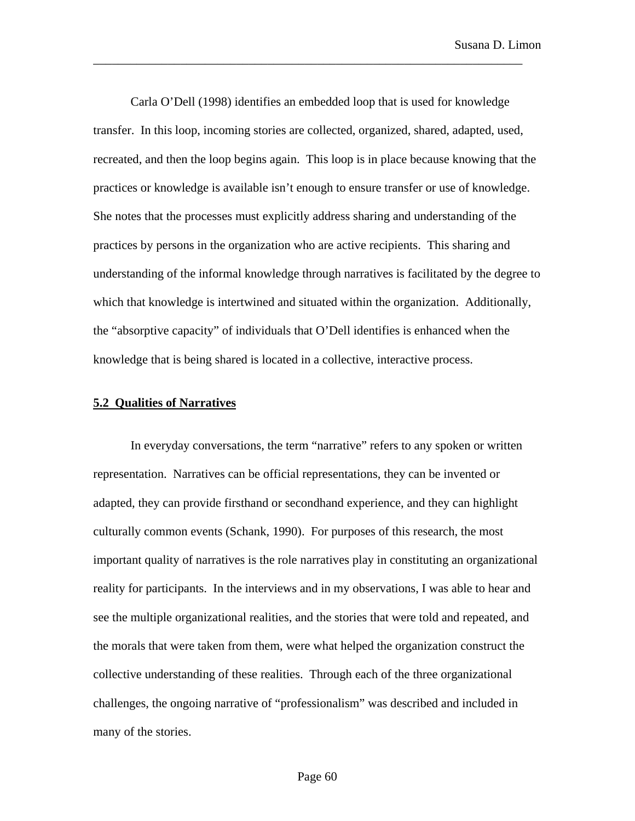Carla O'Dell (1998) identifies an embedded loop that is used for knowledge transfer. In this loop, incoming stories are collected, organized, shared, adapted, used, recreated, and then the loop begins again. This loop is in place because knowing that the practices or knowledge is available isn't enough to ensure transfer or use of knowledge. She notes that the processes must explicitly address sharing and understanding of the practices by persons in the organization who are active recipients. This sharing and understanding of the informal knowledge through narratives is facilitated by the degree to which that knowledge is intertwined and situated within the organization. Additionally, the "absorptive capacity" of individuals that O'Dell identifies is enhanced when the knowledge that is being shared is located in a collective, interactive process.

\_\_\_\_\_\_\_\_\_\_\_\_\_\_\_\_\_\_\_\_\_\_\_\_\_\_\_\_\_\_\_\_\_\_\_\_\_\_\_\_\_\_\_\_\_\_\_\_\_\_\_\_\_\_\_\_\_\_\_\_\_\_\_\_\_\_\_\_\_

#### **5.2 Qualities of Narratives**

In everyday conversations, the term "narrative" refers to any spoken or written representation. Narratives can be official representations, they can be invented or adapted, they can provide firsthand or secondhand experience, and they can highlight culturally common events (Schank, 1990). For purposes of this research, the most important quality of narratives is the role narratives play in constituting an organizational reality for participants. In the interviews and in my observations, I was able to hear and see the multiple organizational realities, and the stories that were told and repeated, and the morals that were taken from them, were what helped the organization construct the collective understanding of these realities. Through each of the three organizational challenges, the ongoing narrative of "professionalism" was described and included in many of the stories.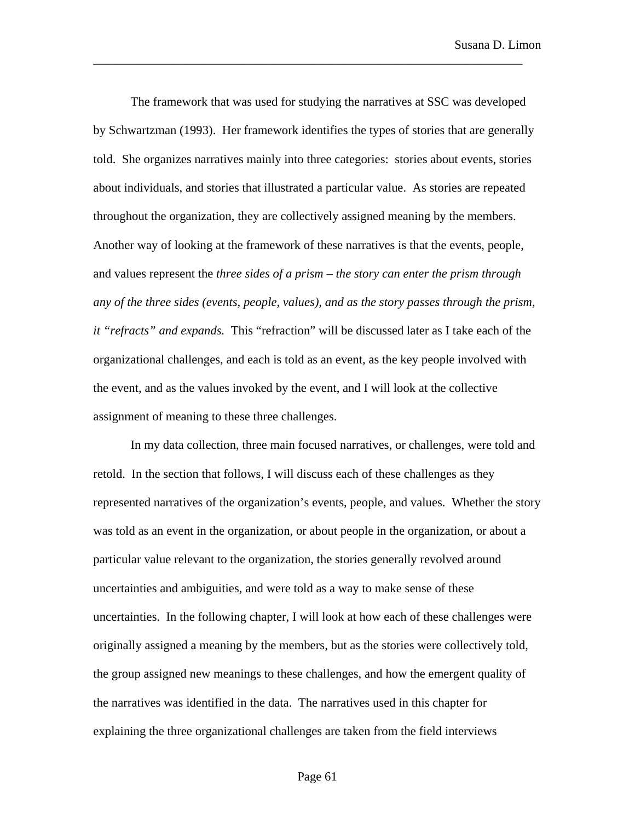The framework that was used for studying the narratives at SSC was developed by Schwartzman (1993). Her framework identifies the types of stories that are generally told. She organizes narratives mainly into three categories: stories about events, stories about individuals, and stories that illustrated a particular value. As stories are repeated throughout the organization, they are collectively assigned meaning by the members. Another way of looking at the framework of these narratives is that the events, people, and values represent the *three sides of a prism – the story can enter the prism through any of the three sides (events, people, values), and as the story passes through the prism, it "refracts" and expands.* This "refraction" will be discussed later as I take each of the organizational challenges, and each is told as an event, as the key people involved with the event, and as the values invoked by the event, and I will look at the collective assignment of meaning to these three challenges.

\_\_\_\_\_\_\_\_\_\_\_\_\_\_\_\_\_\_\_\_\_\_\_\_\_\_\_\_\_\_\_\_\_\_\_\_\_\_\_\_\_\_\_\_\_\_\_\_\_\_\_\_\_\_\_\_\_\_\_\_\_\_\_\_\_\_\_\_\_

In my data collection, three main focused narratives, or challenges, were told and retold. In the section that follows, I will discuss each of these challenges as they represented narratives of the organization's events, people, and values. Whether the story was told as an event in the organization, or about people in the organization, or about a particular value relevant to the organization, the stories generally revolved around uncertainties and ambiguities, and were told as a way to make sense of these uncertainties. In the following chapter, I will look at how each of these challenges were originally assigned a meaning by the members, but as the stories were collectively told, the group assigned new meanings to these challenges, and how the emergent quality of the narratives was identified in the data. The narratives used in this chapter for explaining the three organizational challenges are taken from the field interviews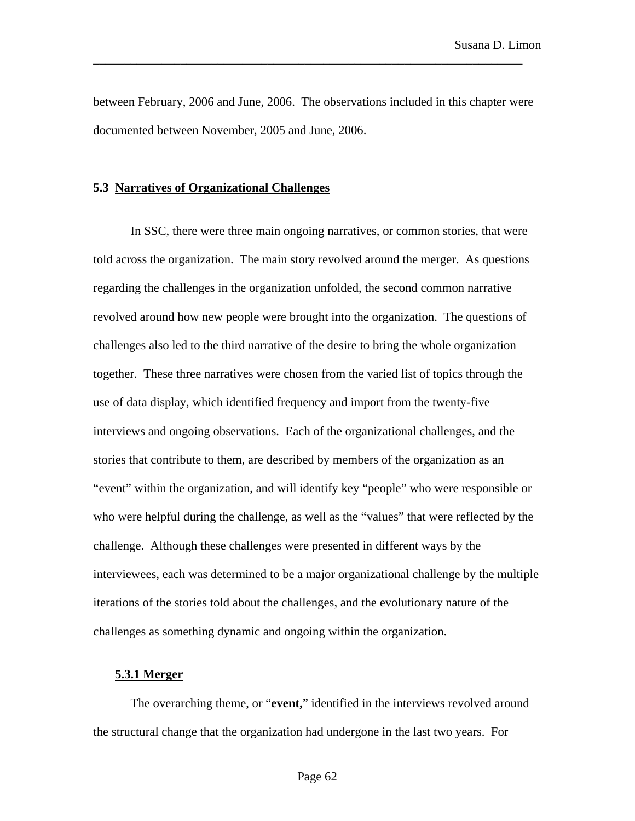between February, 2006 and June, 2006. The observations included in this chapter were documented between November, 2005 and June, 2006.

\_\_\_\_\_\_\_\_\_\_\_\_\_\_\_\_\_\_\_\_\_\_\_\_\_\_\_\_\_\_\_\_\_\_\_\_\_\_\_\_\_\_\_\_\_\_\_\_\_\_\_\_\_\_\_\_\_\_\_\_\_\_\_\_\_\_\_\_\_

# **5.3 Narratives of Organizational Challenges**

In SSC, there were three main ongoing narratives, or common stories, that were told across the organization. The main story revolved around the merger. As questions regarding the challenges in the organization unfolded, the second common narrative revolved around how new people were brought into the organization. The questions of challenges also led to the third narrative of the desire to bring the whole organization together. These three narratives were chosen from the varied list of topics through the use of data display, which identified frequency and import from the twenty-five interviews and ongoing observations. Each of the organizational challenges, and the stories that contribute to them, are described by members of the organization as an "event" within the organization, and will identify key "people" who were responsible or who were helpful during the challenge, as well as the "values" that were reflected by the challenge. Although these challenges were presented in different ways by the interviewees, each was determined to be a major organizational challenge by the multiple iterations of the stories told about the challenges, and the evolutionary nature of the challenges as something dynamic and ongoing within the organization.

## **5.3.1 Merger**

The overarching theme, or "**event,**" identified in the interviews revolved around the structural change that the organization had undergone in the last two years. For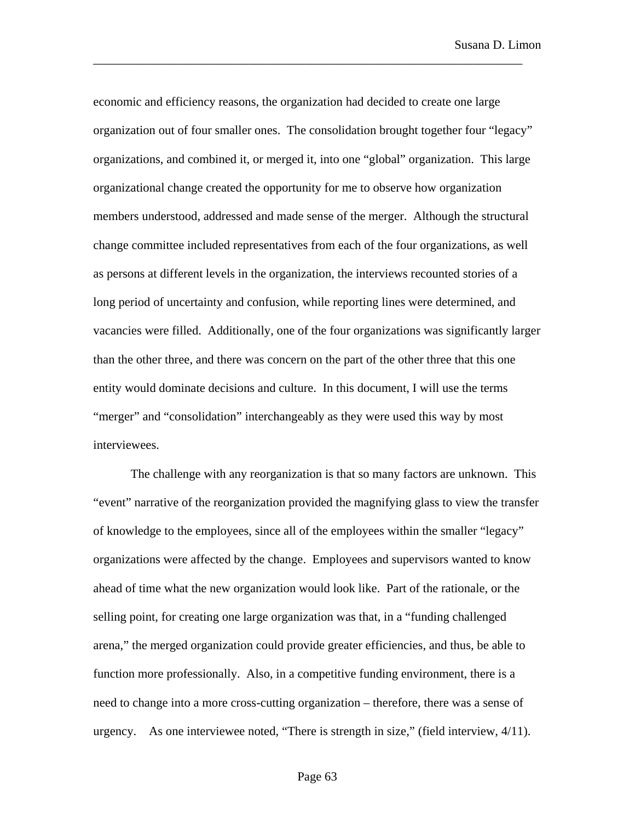economic and efficiency reasons, the organization had decided to create one large organization out of four smaller ones. The consolidation brought together four "legacy" organizations, and combined it, or merged it, into one "global" organization. This large organizational change created the opportunity for me to observe how organization members understood, addressed and made sense of the merger. Although the structural change committee included representatives from each of the four organizations, as well as persons at different levels in the organization, the interviews recounted stories of a long period of uncertainty and confusion, while reporting lines were determined, and vacancies were filled. Additionally, one of the four organizations was significantly larger than the other three, and there was concern on the part of the other three that this one entity would dominate decisions and culture. In this document, I will use the terms "merger" and "consolidation" interchangeably as they were used this way by most interviewees.

\_\_\_\_\_\_\_\_\_\_\_\_\_\_\_\_\_\_\_\_\_\_\_\_\_\_\_\_\_\_\_\_\_\_\_\_\_\_\_\_\_\_\_\_\_\_\_\_\_\_\_\_\_\_\_\_\_\_\_\_\_\_\_\_\_\_\_\_\_

The challenge with any reorganization is that so many factors are unknown. This "event" narrative of the reorganization provided the magnifying glass to view the transfer of knowledge to the employees, since all of the employees within the smaller "legacy" organizations were affected by the change. Employees and supervisors wanted to know ahead of time what the new organization would look like. Part of the rationale, or the selling point, for creating one large organization was that, in a "funding challenged arena," the merged organization could provide greater efficiencies, and thus, be able to function more professionally. Also, in a competitive funding environment, there is a need to change into a more cross-cutting organization – therefore, there was a sense of urgency. As one interviewee noted, "There is strength in size," (field interview, 4/11).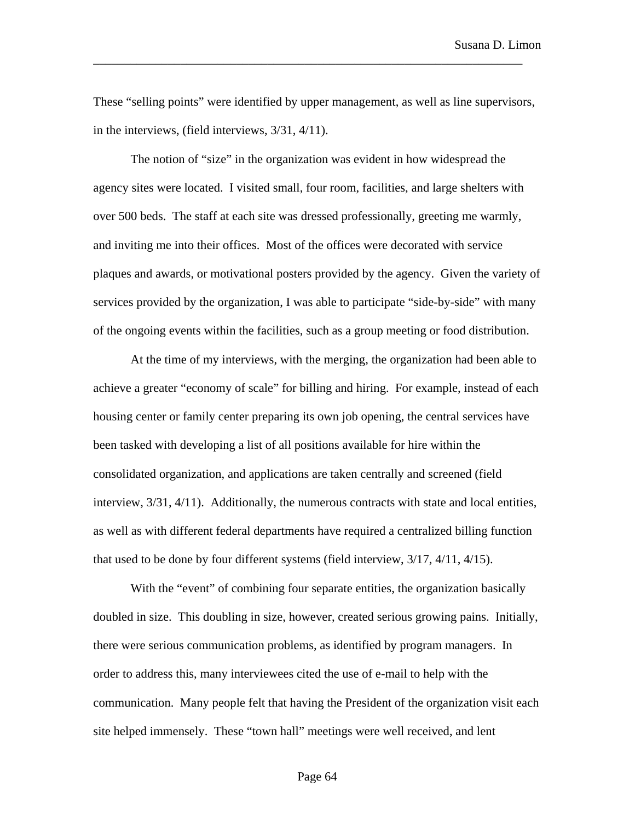These "selling points" were identified by upper management, as well as line supervisors, in the interviews, (field interviews, 3/31, 4/11).

\_\_\_\_\_\_\_\_\_\_\_\_\_\_\_\_\_\_\_\_\_\_\_\_\_\_\_\_\_\_\_\_\_\_\_\_\_\_\_\_\_\_\_\_\_\_\_\_\_\_\_\_\_\_\_\_\_\_\_\_\_\_\_\_\_\_\_\_\_

The notion of "size" in the organization was evident in how widespread the agency sites were located. I visited small, four room, facilities, and large shelters with over 500 beds. The staff at each site was dressed professionally, greeting me warmly, and inviting me into their offices. Most of the offices were decorated with service plaques and awards, or motivational posters provided by the agency. Given the variety of services provided by the organization, I was able to participate "side-by-side" with many of the ongoing events within the facilities, such as a group meeting or food distribution.

At the time of my interviews, with the merging, the organization had been able to achieve a greater "economy of scale" for billing and hiring. For example, instead of each housing center or family center preparing its own job opening, the central services have been tasked with developing a list of all positions available for hire within the consolidated organization, and applications are taken centrally and screened (field interview, 3/31, 4/11). Additionally, the numerous contracts with state and local entities, as well as with different federal departments have required a centralized billing function that used to be done by four different systems (field interview, 3/17, 4/11, 4/15).

With the "event" of combining four separate entities, the organization basically doubled in size. This doubling in size, however, created serious growing pains. Initially, there were serious communication problems, as identified by program managers. In order to address this, many interviewees cited the use of e-mail to help with the communication. Many people felt that having the President of the organization visit each site helped immensely. These "town hall" meetings were well received, and lent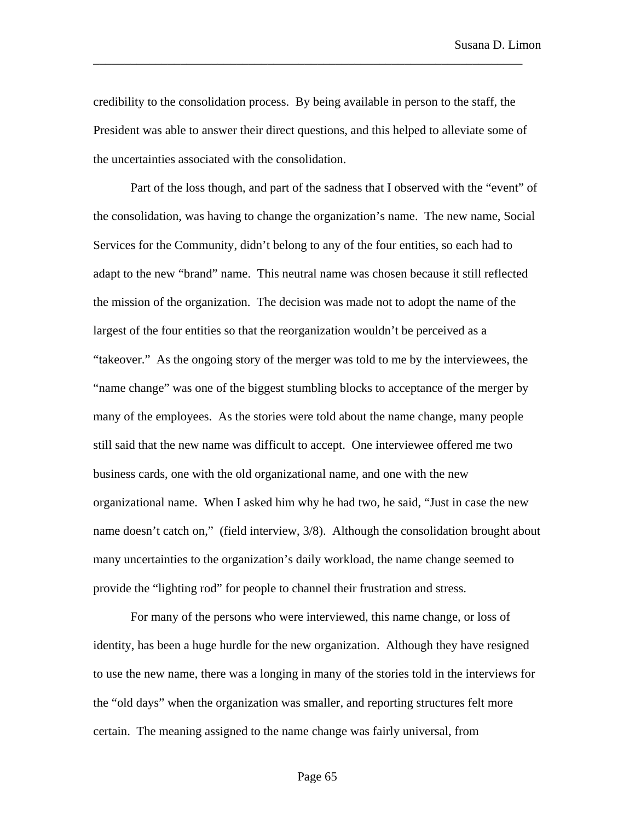credibility to the consolidation process. By being available in person to the staff, the President was able to answer their direct questions, and this helped to alleviate some of the uncertainties associated with the consolidation.

\_\_\_\_\_\_\_\_\_\_\_\_\_\_\_\_\_\_\_\_\_\_\_\_\_\_\_\_\_\_\_\_\_\_\_\_\_\_\_\_\_\_\_\_\_\_\_\_\_\_\_\_\_\_\_\_\_\_\_\_\_\_\_\_\_\_\_\_\_

Part of the loss though, and part of the sadness that I observed with the "event" of the consolidation, was having to change the organization's name. The new name, Social Services for the Community, didn't belong to any of the four entities, so each had to adapt to the new "brand" name. This neutral name was chosen because it still reflected the mission of the organization. The decision was made not to adopt the name of the largest of the four entities so that the reorganization wouldn't be perceived as a "takeover." As the ongoing story of the merger was told to me by the interviewees, the "name change" was one of the biggest stumbling blocks to acceptance of the merger by many of the employees. As the stories were told about the name change, many people still said that the new name was difficult to accept. One interviewee offered me two business cards, one with the old organizational name, and one with the new organizational name. When I asked him why he had two, he said, "Just in case the new name doesn't catch on," (field interview, 3/8). Although the consolidation brought about many uncertainties to the organization's daily workload, the name change seemed to provide the "lighting rod" for people to channel their frustration and stress.

For many of the persons who were interviewed, this name change, or loss of identity, has been a huge hurdle for the new organization. Although they have resigned to use the new name, there was a longing in many of the stories told in the interviews for the "old days" when the organization was smaller, and reporting structures felt more certain. The meaning assigned to the name change was fairly universal, from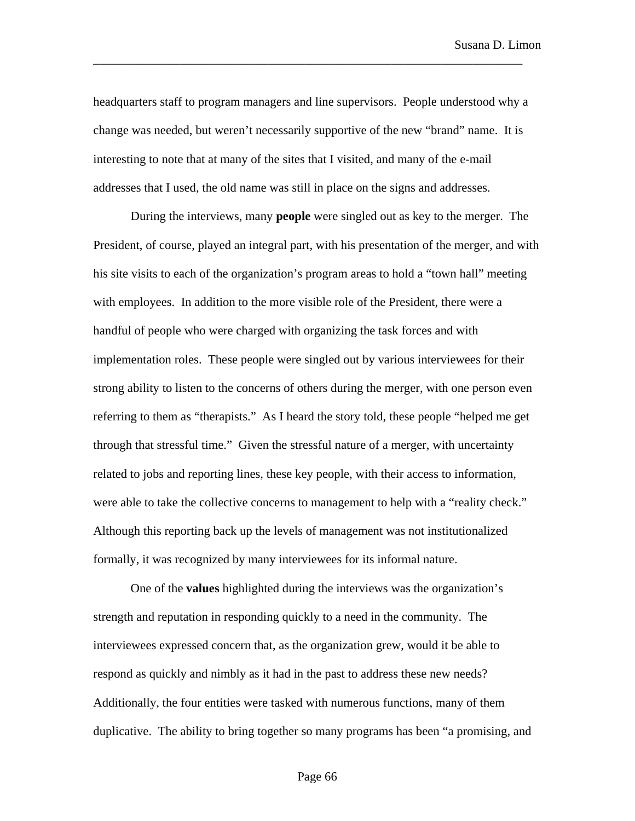headquarters staff to program managers and line supervisors. People understood why a change was needed, but weren't necessarily supportive of the new "brand" name. It is interesting to note that at many of the sites that I visited, and many of the e-mail addresses that I used, the old name was still in place on the signs and addresses.

\_\_\_\_\_\_\_\_\_\_\_\_\_\_\_\_\_\_\_\_\_\_\_\_\_\_\_\_\_\_\_\_\_\_\_\_\_\_\_\_\_\_\_\_\_\_\_\_\_\_\_\_\_\_\_\_\_\_\_\_\_\_\_\_\_\_\_\_\_

During the interviews, many **people** were singled out as key to the merger. The President, of course, played an integral part, with his presentation of the merger, and with his site visits to each of the organization's program areas to hold a "town hall" meeting with employees. In addition to the more visible role of the President, there were a handful of people who were charged with organizing the task forces and with implementation roles. These people were singled out by various interviewees for their strong ability to listen to the concerns of others during the merger, with one person even referring to them as "therapists." As I heard the story told, these people "helped me get through that stressful time." Given the stressful nature of a merger, with uncertainty related to jobs and reporting lines, these key people, with their access to information, were able to take the collective concerns to management to help with a "reality check." Although this reporting back up the levels of management was not institutionalized formally, it was recognized by many interviewees for its informal nature.

One of the **values** highlighted during the interviews was the organization's strength and reputation in responding quickly to a need in the community. The interviewees expressed concern that, as the organization grew, would it be able to respond as quickly and nimbly as it had in the past to address these new needs? Additionally, the four entities were tasked with numerous functions, many of them duplicative. The ability to bring together so many programs has been "a promising, and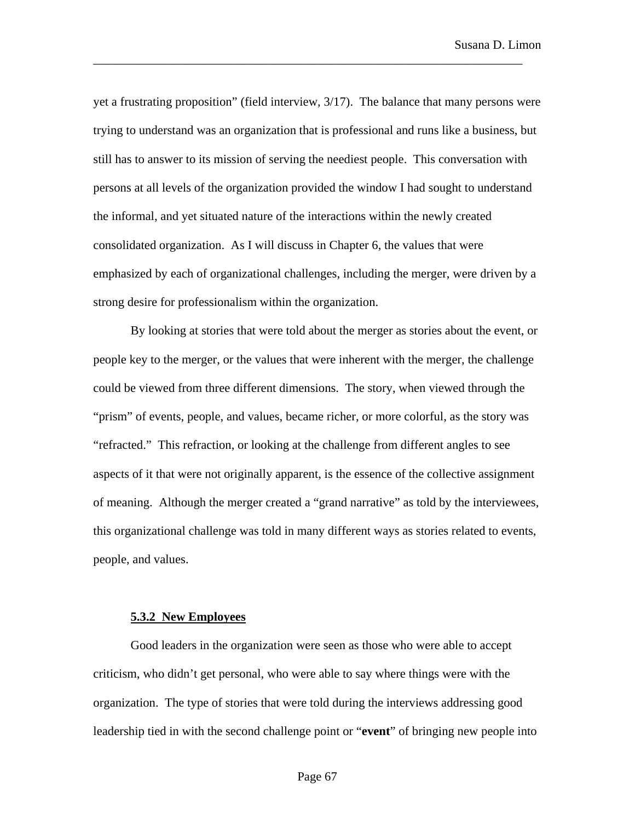yet a frustrating proposition" (field interview, 3/17). The balance that many persons were trying to understand was an organization that is professional and runs like a business, but still has to answer to its mission of serving the neediest people. This conversation with persons at all levels of the organization provided the window I had sought to understand the informal, and yet situated nature of the interactions within the newly created consolidated organization. As I will discuss in Chapter 6, the values that were emphasized by each of organizational challenges, including the merger, were driven by a strong desire for professionalism within the organization.

\_\_\_\_\_\_\_\_\_\_\_\_\_\_\_\_\_\_\_\_\_\_\_\_\_\_\_\_\_\_\_\_\_\_\_\_\_\_\_\_\_\_\_\_\_\_\_\_\_\_\_\_\_\_\_\_\_\_\_\_\_\_\_\_\_\_\_\_\_

By looking at stories that were told about the merger as stories about the event, or people key to the merger, or the values that were inherent with the merger, the challenge could be viewed from three different dimensions. The story, when viewed through the "prism" of events, people, and values, became richer, or more colorful, as the story was "refracted." This refraction, or looking at the challenge from different angles to see aspects of it that were not originally apparent, is the essence of the collective assignment of meaning. Although the merger created a "grand narrative" as told by the interviewees, this organizational challenge was told in many different ways as stories related to events, people, and values.

### **5.3.2 New Employees**

Good leaders in the organization were seen as those who were able to accept criticism, who didn't get personal, who were able to say where things were with the organization. The type of stories that were told during the interviews addressing good leadership tied in with the second challenge point or "**event**" of bringing new people into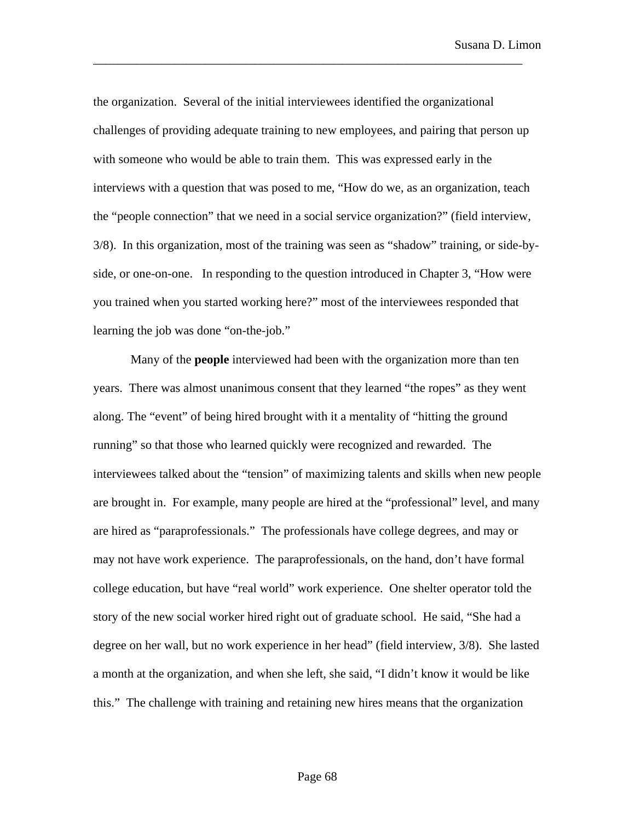the organization. Several of the initial interviewees identified the organizational challenges of providing adequate training to new employees, and pairing that person up with someone who would be able to train them. This was expressed early in the interviews with a question that was posed to me, "How do we, as an organization, teach the "people connection" that we need in a social service organization?" (field interview, 3/8). In this organization, most of the training was seen as "shadow" training, or side-byside, or one-on-one. In responding to the question introduced in Chapter 3, "How were you trained when you started working here?" most of the interviewees responded that learning the job was done "on-the-job."

\_\_\_\_\_\_\_\_\_\_\_\_\_\_\_\_\_\_\_\_\_\_\_\_\_\_\_\_\_\_\_\_\_\_\_\_\_\_\_\_\_\_\_\_\_\_\_\_\_\_\_\_\_\_\_\_\_\_\_\_\_\_\_\_\_\_\_\_\_

Many of the **people** interviewed had been with the organization more than ten years. There was almost unanimous consent that they learned "the ropes" as they went along. The "event" of being hired brought with it a mentality of "hitting the ground running" so that those who learned quickly were recognized and rewarded. The interviewees talked about the "tension" of maximizing talents and skills when new people are brought in. For example, many people are hired at the "professional" level, and many are hired as "paraprofessionals." The professionals have college degrees, and may or may not have work experience. The paraprofessionals, on the hand, don't have formal college education, but have "real world" work experience. One shelter operator told the story of the new social worker hired right out of graduate school. He said, "She had a degree on her wall, but no work experience in her head" (field interview, 3/8). She lasted a month at the organization, and when she left, she said, "I didn't know it would be like this." The challenge with training and retaining new hires means that the organization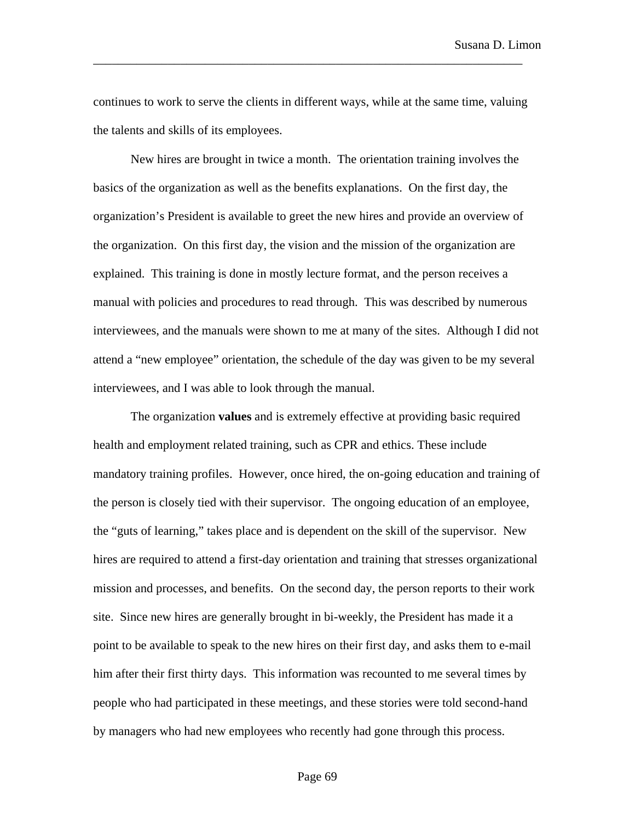continues to work to serve the clients in different ways, while at the same time, valuing the talents and skills of its employees.

\_\_\_\_\_\_\_\_\_\_\_\_\_\_\_\_\_\_\_\_\_\_\_\_\_\_\_\_\_\_\_\_\_\_\_\_\_\_\_\_\_\_\_\_\_\_\_\_\_\_\_\_\_\_\_\_\_\_\_\_\_\_\_\_\_\_\_\_\_

New hires are brought in twice a month. The orientation training involves the basics of the organization as well as the benefits explanations. On the first day, the organization's President is available to greet the new hires and provide an overview of the organization. On this first day, the vision and the mission of the organization are explained. This training is done in mostly lecture format, and the person receives a manual with policies and procedures to read through. This was described by numerous interviewees, and the manuals were shown to me at many of the sites. Although I did not attend a "new employee" orientation, the schedule of the day was given to be my several interviewees, and I was able to look through the manual.

The organization **values** and is extremely effective at providing basic required health and employment related training, such as CPR and ethics. These include mandatory training profiles. However, once hired, the on-going education and training of the person is closely tied with their supervisor. The ongoing education of an employee, the "guts of learning," takes place and is dependent on the skill of the supervisor. New hires are required to attend a first-day orientation and training that stresses organizational mission and processes, and benefits. On the second day, the person reports to their work site. Since new hires are generally brought in bi-weekly, the President has made it a point to be available to speak to the new hires on their first day, and asks them to e-mail him after their first thirty days. This information was recounted to me several times by people who had participated in these meetings, and these stories were told second-hand by managers who had new employees who recently had gone through this process.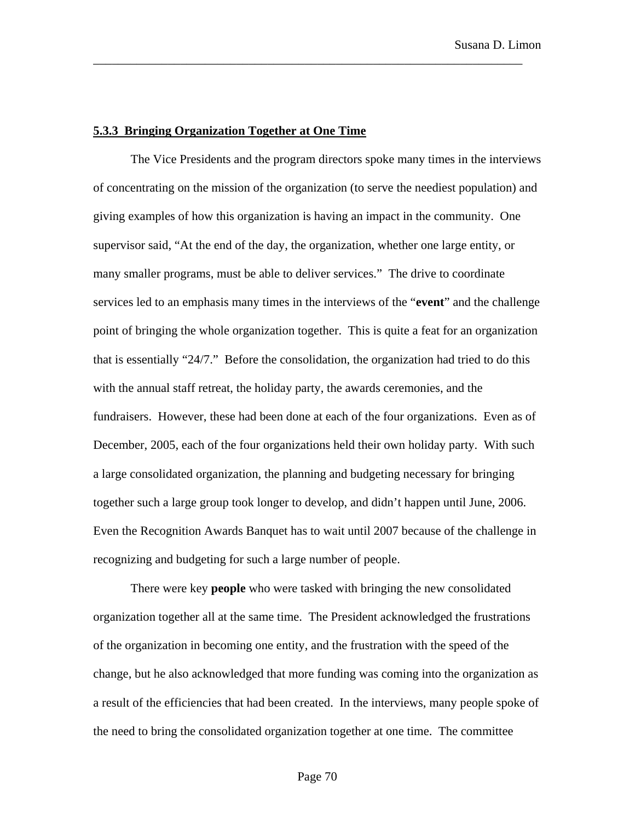### **5.3.3 Bringing Organization Together at One Time**

The Vice Presidents and the program directors spoke many times in the interviews of concentrating on the mission of the organization (to serve the neediest population) and giving examples of how this organization is having an impact in the community. One supervisor said, "At the end of the day, the organization, whether one large entity, or many smaller programs, must be able to deliver services." The drive to coordinate services led to an emphasis many times in the interviews of the "**event**" and the challenge point of bringing the whole organization together. This is quite a feat for an organization that is essentially "24/7." Before the consolidation, the organization had tried to do this with the annual staff retreat, the holiday party, the awards ceremonies, and the fundraisers. However, these had been done at each of the four organizations. Even as of December, 2005, each of the four organizations held their own holiday party. With such a large consolidated organization, the planning and budgeting necessary for bringing together such a large group took longer to develop, and didn't happen until June, 2006. Even the Recognition Awards Banquet has to wait until 2007 because of the challenge in recognizing and budgeting for such a large number of people.

\_\_\_\_\_\_\_\_\_\_\_\_\_\_\_\_\_\_\_\_\_\_\_\_\_\_\_\_\_\_\_\_\_\_\_\_\_\_\_\_\_\_\_\_\_\_\_\_\_\_\_\_\_\_\_\_\_\_\_\_\_\_\_\_\_\_\_\_\_

There were key **people** who were tasked with bringing the new consolidated organization together all at the same time. The President acknowledged the frustrations of the organization in becoming one entity, and the frustration with the speed of the change, but he also acknowledged that more funding was coming into the organization as a result of the efficiencies that had been created. In the interviews, many people spoke of the need to bring the consolidated organization together at one time. The committee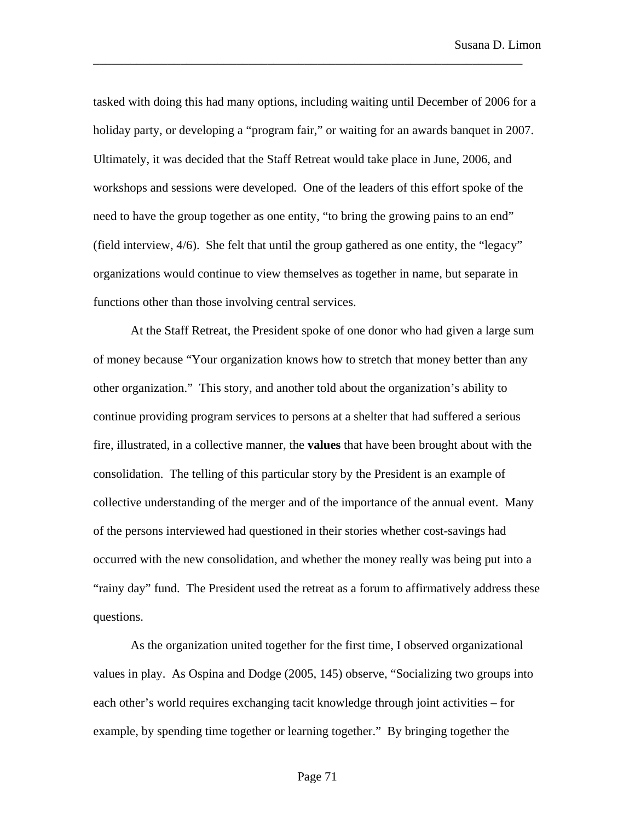tasked with doing this had many options, including waiting until December of 2006 for a holiday party, or developing a "program fair," or waiting for an awards banquet in 2007. Ultimately, it was decided that the Staff Retreat would take place in June, 2006, and workshops and sessions were developed. One of the leaders of this effort spoke of the need to have the group together as one entity, "to bring the growing pains to an end" (field interview, 4/6). She felt that until the group gathered as one entity, the "legacy" organizations would continue to view themselves as together in name, but separate in functions other than those involving central services.

\_\_\_\_\_\_\_\_\_\_\_\_\_\_\_\_\_\_\_\_\_\_\_\_\_\_\_\_\_\_\_\_\_\_\_\_\_\_\_\_\_\_\_\_\_\_\_\_\_\_\_\_\_\_\_\_\_\_\_\_\_\_\_\_\_\_\_\_\_

At the Staff Retreat, the President spoke of one donor who had given a large sum of money because "Your organization knows how to stretch that money better than any other organization." This story, and another told about the organization's ability to continue providing program services to persons at a shelter that had suffered a serious fire, illustrated, in a collective manner, the **values** that have been brought about with the consolidation. The telling of this particular story by the President is an example of collective understanding of the merger and of the importance of the annual event. Many of the persons interviewed had questioned in their stories whether cost-savings had occurred with the new consolidation, and whether the money really was being put into a "rainy day" fund. The President used the retreat as a forum to affirmatively address these questions.

As the organization united together for the first time, I observed organizational values in play. As Ospina and Dodge (2005, 145) observe, "Socializing two groups into each other's world requires exchanging tacit knowledge through joint activities – for example, by spending time together or learning together." By bringing together the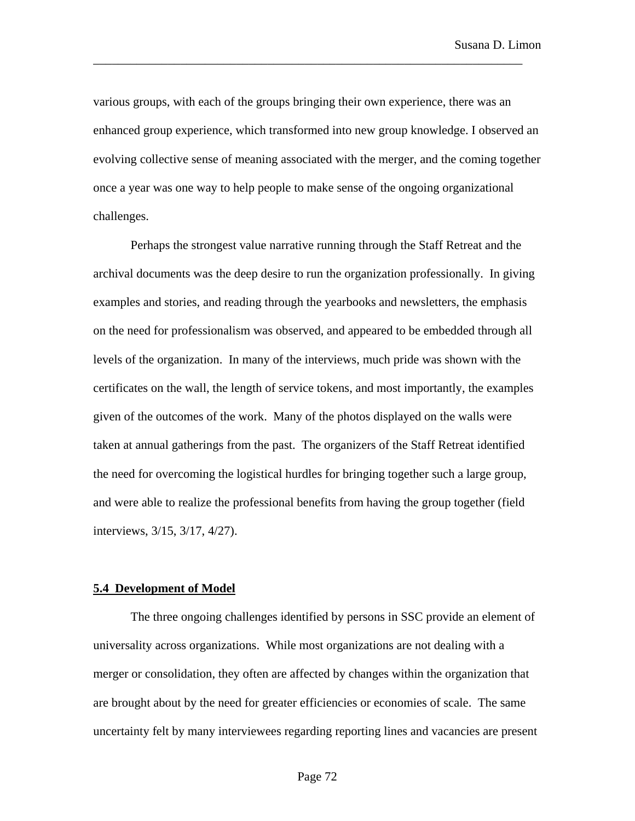various groups, with each of the groups bringing their own experience, there was an enhanced group experience, which transformed into new group knowledge. I observed an evolving collective sense of meaning associated with the merger, and the coming together once a year was one way to help people to make sense of the ongoing organizational challenges.

\_\_\_\_\_\_\_\_\_\_\_\_\_\_\_\_\_\_\_\_\_\_\_\_\_\_\_\_\_\_\_\_\_\_\_\_\_\_\_\_\_\_\_\_\_\_\_\_\_\_\_\_\_\_\_\_\_\_\_\_\_\_\_\_\_\_\_\_\_

Perhaps the strongest value narrative running through the Staff Retreat and the archival documents was the deep desire to run the organization professionally. In giving examples and stories, and reading through the yearbooks and newsletters, the emphasis on the need for professionalism was observed, and appeared to be embedded through all levels of the organization. In many of the interviews, much pride was shown with the certificates on the wall, the length of service tokens, and most importantly, the examples given of the outcomes of the work. Many of the photos displayed on the walls were taken at annual gatherings from the past. The organizers of the Staff Retreat identified the need for overcoming the logistical hurdles for bringing together such a large group, and were able to realize the professional benefits from having the group together (field interviews, 3/15, 3/17, 4/27).

#### **5.4 Development of Model**

The three ongoing challenges identified by persons in SSC provide an element of universality across organizations. While most organizations are not dealing with a merger or consolidation, they often are affected by changes within the organization that are brought about by the need for greater efficiencies or economies of scale. The same uncertainty felt by many interviewees regarding reporting lines and vacancies are present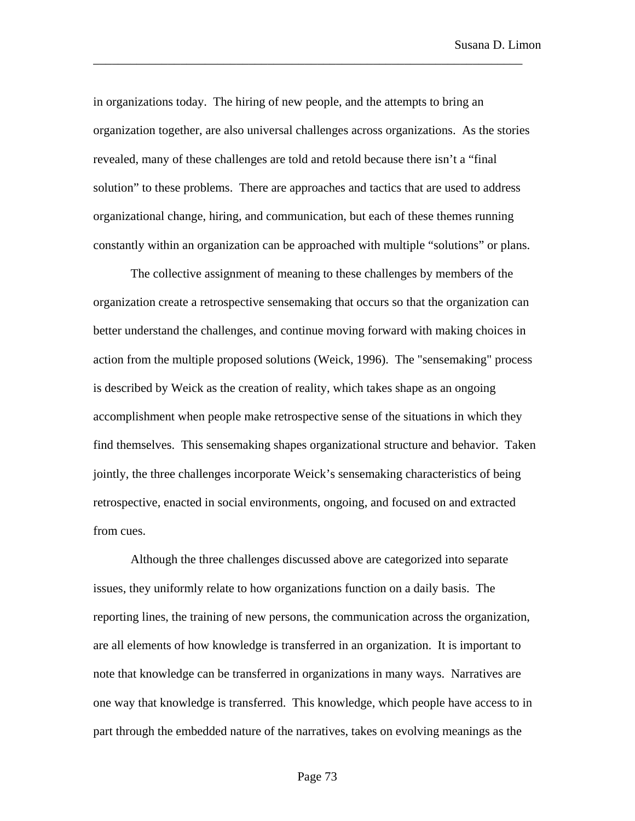in organizations today. The hiring of new people, and the attempts to bring an organization together, are also universal challenges across organizations. As the stories revealed, many of these challenges are told and retold because there isn't a "final solution" to these problems. There are approaches and tactics that are used to address organizational change, hiring, and communication, but each of these themes running constantly within an organization can be approached with multiple "solutions" or plans.

\_\_\_\_\_\_\_\_\_\_\_\_\_\_\_\_\_\_\_\_\_\_\_\_\_\_\_\_\_\_\_\_\_\_\_\_\_\_\_\_\_\_\_\_\_\_\_\_\_\_\_\_\_\_\_\_\_\_\_\_\_\_\_\_\_\_\_\_\_

The collective assignment of meaning to these challenges by members of the organization create a retrospective sensemaking that occurs so that the organization can better understand the challenges, and continue moving forward with making choices in action from the multiple proposed solutions (Weick, 1996). The "sensemaking" process is described by Weick as the creation of reality, which takes shape as an ongoing accomplishment when people make retrospective sense of the situations in which they find themselves. This sensemaking shapes organizational structure and behavior. Taken jointly, the three challenges incorporate Weick's sensemaking characteristics of being retrospective, enacted in social environments, ongoing, and focused on and extracted from cues.

Although the three challenges discussed above are categorized into separate issues, they uniformly relate to how organizations function on a daily basis. The reporting lines, the training of new persons, the communication across the organization, are all elements of how knowledge is transferred in an organization. It is important to note that knowledge can be transferred in organizations in many ways. Narratives are one way that knowledge is transferred. This knowledge, which people have access to in part through the embedded nature of the narratives, takes on evolving meanings as the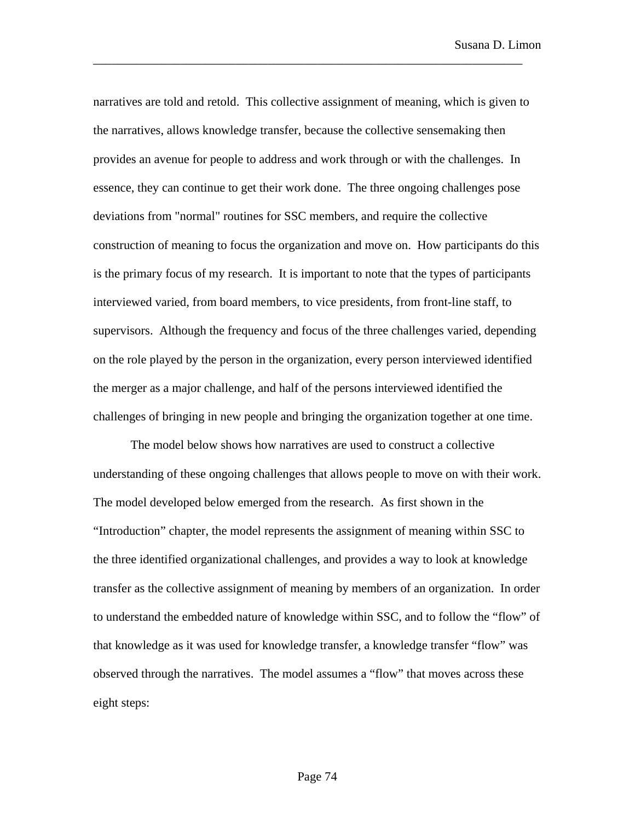narratives are told and retold. This collective assignment of meaning, which is given to the narratives, allows knowledge transfer, because the collective sensemaking then provides an avenue for people to address and work through or with the challenges. In essence, they can continue to get their work done. The three ongoing challenges pose deviations from "normal" routines for SSC members, and require the collective construction of meaning to focus the organization and move on. How participants do this is the primary focus of my research. It is important to note that the types of participants interviewed varied, from board members, to vice presidents, from front-line staff, to supervisors. Although the frequency and focus of the three challenges varied, depending on the role played by the person in the organization, every person interviewed identified the merger as a major challenge, and half of the persons interviewed identified the challenges of bringing in new people and bringing the organization together at one time.

\_\_\_\_\_\_\_\_\_\_\_\_\_\_\_\_\_\_\_\_\_\_\_\_\_\_\_\_\_\_\_\_\_\_\_\_\_\_\_\_\_\_\_\_\_\_\_\_\_\_\_\_\_\_\_\_\_\_\_\_\_\_\_\_\_\_\_\_\_

The model below shows how narratives are used to construct a collective understanding of these ongoing challenges that allows people to move on with their work. The model developed below emerged from the research. As first shown in the "Introduction" chapter, the model represents the assignment of meaning within SSC to the three identified organizational challenges, and provides a way to look at knowledge transfer as the collective assignment of meaning by members of an organization. In order to understand the embedded nature of knowledge within SSC, and to follow the "flow" of that knowledge as it was used for knowledge transfer, a knowledge transfer "flow" was observed through the narratives. The model assumes a "flow" that moves across these eight steps: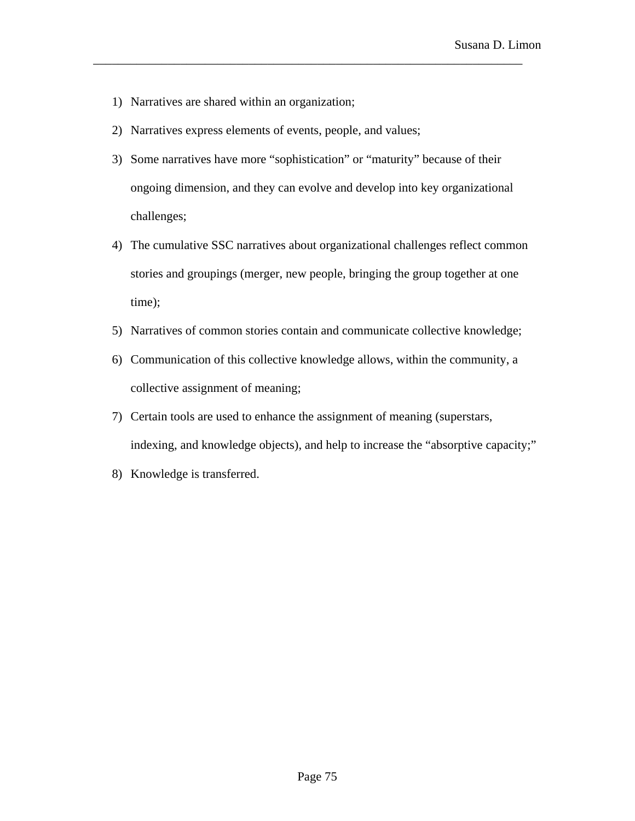- 1) Narratives are shared within an organization;
- 2) Narratives express elements of events, people, and values;
- 3) Some narratives have more "sophistication" or "maturity" because of their ongoing dimension, and they can evolve and develop into key organizational challenges;

\_\_\_\_\_\_\_\_\_\_\_\_\_\_\_\_\_\_\_\_\_\_\_\_\_\_\_\_\_\_\_\_\_\_\_\_\_\_\_\_\_\_\_\_\_\_\_\_\_\_\_\_\_\_\_\_\_\_\_\_\_\_\_\_\_\_\_\_\_

- 4) The cumulative SSC narratives about organizational challenges reflect common stories and groupings (merger, new people, bringing the group together at one time);
- 5) Narratives of common stories contain and communicate collective knowledge;
- 6) Communication of this collective knowledge allows, within the community, a collective assignment of meaning;
- 7) Certain tools are used to enhance the assignment of meaning (superstars, indexing, and knowledge objects), and help to increase the "absorptive capacity;"
- 8) Knowledge is transferred.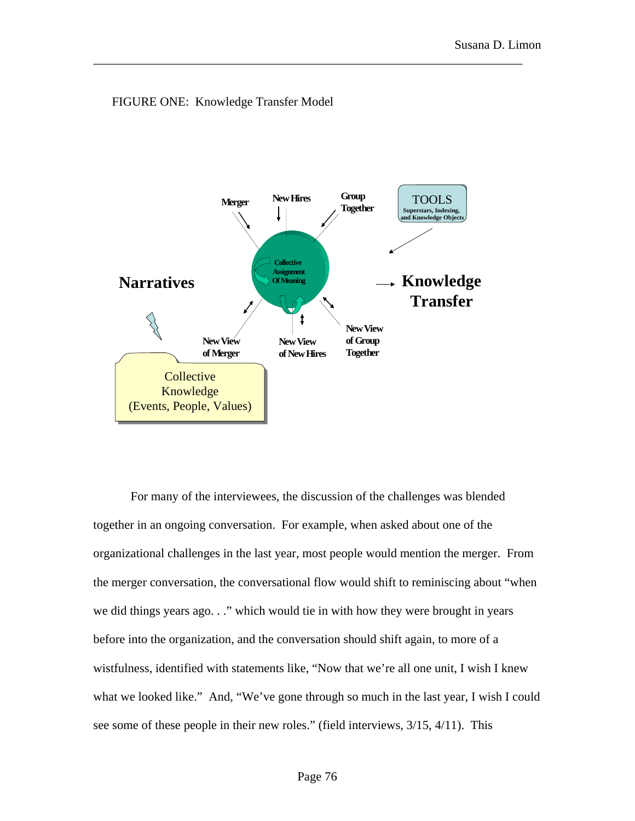

\_\_\_\_\_\_\_\_\_\_\_\_\_\_\_\_\_\_\_\_\_\_\_\_\_\_\_\_\_\_\_\_\_\_\_\_\_\_\_\_\_\_\_\_\_\_\_\_\_\_\_\_\_\_\_\_\_\_\_\_\_\_\_\_\_\_\_\_\_

FIGURE ONE: Knowledge Transfer Model

For many of the interviewees, the discussion of the challenges was blended together in an ongoing conversation. For example, when asked about one of the organizational challenges in the last year, most people would mention the merger. From the merger conversation, the conversational flow would shift to reminiscing about "when we did things years ago. . ." which would tie in with how they were brought in years before into the organization, and the conversation should shift again, to more of a wistfulness, identified with statements like, "Now that we're all one unit, I wish I knew what we looked like." And, "We've gone through so much in the last year, I wish I could see some of these people in their new roles." (field interviews, 3/15, 4/11). This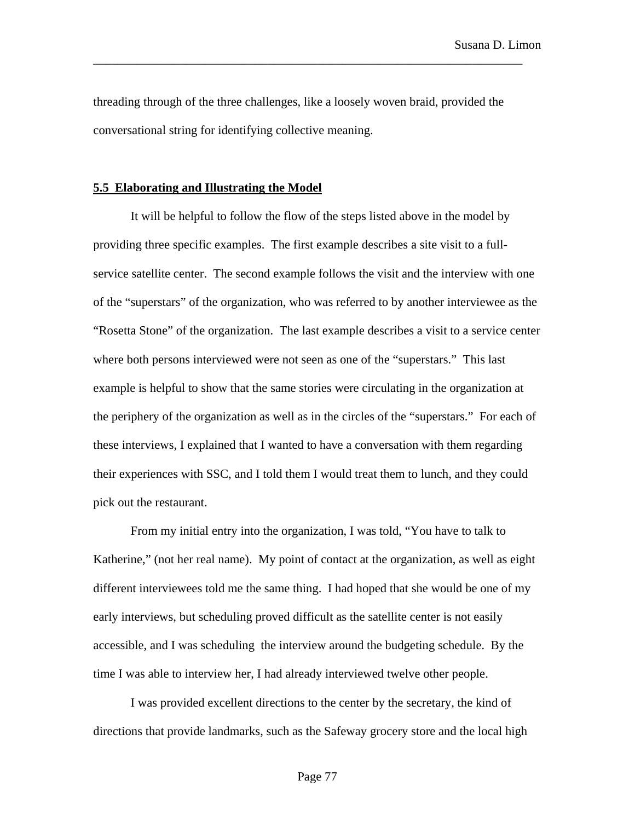threading through of the three challenges, like a loosely woven braid, provided the conversational string for identifying collective meaning.

\_\_\_\_\_\_\_\_\_\_\_\_\_\_\_\_\_\_\_\_\_\_\_\_\_\_\_\_\_\_\_\_\_\_\_\_\_\_\_\_\_\_\_\_\_\_\_\_\_\_\_\_\_\_\_\_\_\_\_\_\_\_\_\_\_\_\_\_\_

### **5.5 Elaborating and Illustrating the Model**

It will be helpful to follow the flow of the steps listed above in the model by providing three specific examples. The first example describes a site visit to a fullservice satellite center. The second example follows the visit and the interview with one of the "superstars" of the organization, who was referred to by another interviewee as the "Rosetta Stone" of the organization. The last example describes a visit to a service center where both persons interviewed were not seen as one of the "superstars." This last example is helpful to show that the same stories were circulating in the organization at the periphery of the organization as well as in the circles of the "superstars." For each of these interviews, I explained that I wanted to have a conversation with them regarding their experiences with SSC, and I told them I would treat them to lunch, and they could pick out the restaurant.

From my initial entry into the organization, I was told, "You have to talk to Katherine," (not her real name). My point of contact at the organization, as well as eight different interviewees told me the same thing. I had hoped that she would be one of my early interviews, but scheduling proved difficult as the satellite center is not easily accessible, and I was scheduling the interview around the budgeting schedule. By the time I was able to interview her, I had already interviewed twelve other people.

I was provided excellent directions to the center by the secretary, the kind of directions that provide landmarks, such as the Safeway grocery store and the local high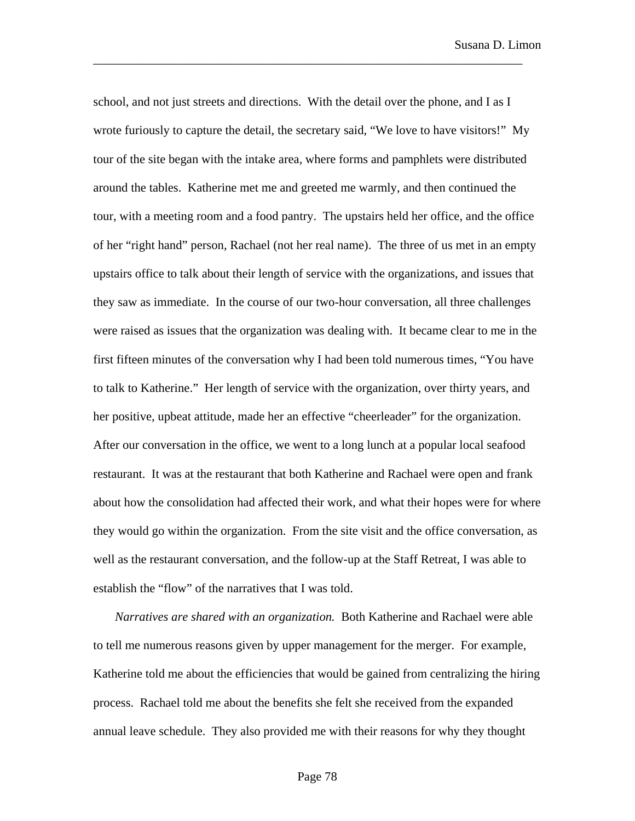school, and not just streets and directions. With the detail over the phone, and I as I wrote furiously to capture the detail, the secretary said, "We love to have visitors!" My tour of the site began with the intake area, where forms and pamphlets were distributed around the tables. Katherine met me and greeted me warmly, and then continued the tour, with a meeting room and a food pantry. The upstairs held her office, and the office of her "right hand" person, Rachael (not her real name). The three of us met in an empty upstairs office to talk about their length of service with the organizations, and issues that they saw as immediate. In the course of our two-hour conversation, all three challenges were raised as issues that the organization was dealing with. It became clear to me in the first fifteen minutes of the conversation why I had been told numerous times, "You have to talk to Katherine." Her length of service with the organization, over thirty years, and her positive, upbeat attitude, made her an effective "cheerleader" for the organization. After our conversation in the office, we went to a long lunch at a popular local seafood restaurant. It was at the restaurant that both Katherine and Rachael were open and frank about how the consolidation had affected their work, and what their hopes were for where they would go within the organization. From the site visit and the office conversation, as well as the restaurant conversation, and the follow-up at the Staff Retreat, I was able to establish the "flow" of the narratives that I was told.

\_\_\_\_\_\_\_\_\_\_\_\_\_\_\_\_\_\_\_\_\_\_\_\_\_\_\_\_\_\_\_\_\_\_\_\_\_\_\_\_\_\_\_\_\_\_\_\_\_\_\_\_\_\_\_\_\_\_\_\_\_\_\_\_\_\_\_\_\_

*Narratives are shared with an organization.* Both Katherine and Rachael were able to tell me numerous reasons given by upper management for the merger. For example, Katherine told me about the efficiencies that would be gained from centralizing the hiring process. Rachael told me about the benefits she felt she received from the expanded annual leave schedule. They also provided me with their reasons for why they thought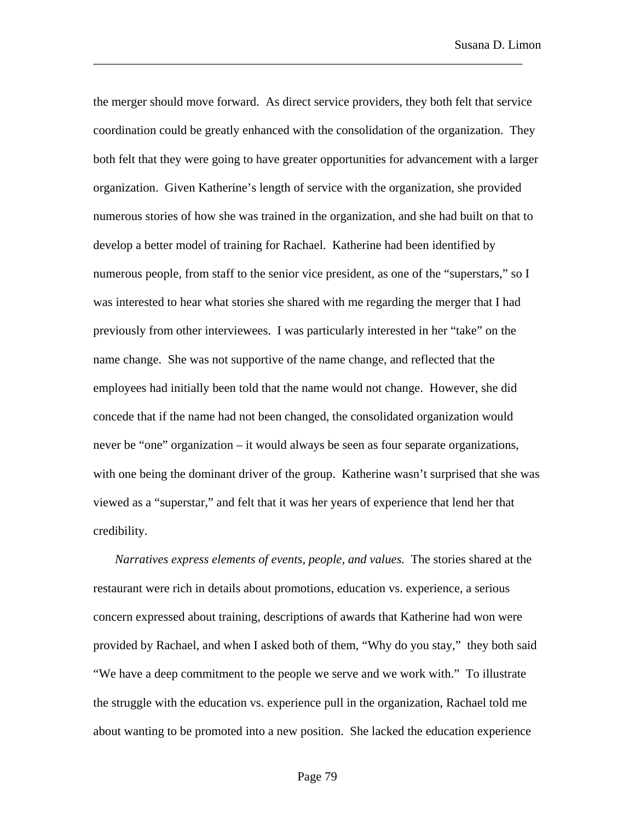the merger should move forward. As direct service providers, they both felt that service coordination could be greatly enhanced with the consolidation of the organization. They both felt that they were going to have greater opportunities for advancement with a larger organization. Given Katherine's length of service with the organization, she provided numerous stories of how she was trained in the organization, and she had built on that to develop a better model of training for Rachael. Katherine had been identified by numerous people, from staff to the senior vice president, as one of the "superstars," so I was interested to hear what stories she shared with me regarding the merger that I had previously from other interviewees. I was particularly interested in her "take" on the name change. She was not supportive of the name change, and reflected that the employees had initially been told that the name would not change. However, she did concede that if the name had not been changed, the consolidated organization would never be "one" organization – it would always be seen as four separate organizations, with one being the dominant driver of the group. Katherine wasn't surprised that she was viewed as a "superstar," and felt that it was her years of experience that lend her that credibility.

\_\_\_\_\_\_\_\_\_\_\_\_\_\_\_\_\_\_\_\_\_\_\_\_\_\_\_\_\_\_\_\_\_\_\_\_\_\_\_\_\_\_\_\_\_\_\_\_\_\_\_\_\_\_\_\_\_\_\_\_\_\_\_\_\_\_\_\_\_

*Narratives express elements of events, people, and values.* The stories shared at the restaurant were rich in details about promotions, education vs. experience, a serious concern expressed about training, descriptions of awards that Katherine had won were provided by Rachael, and when I asked both of them, "Why do you stay," they both said "We have a deep commitment to the people we serve and we work with." To illustrate the struggle with the education vs. experience pull in the organization, Rachael told me about wanting to be promoted into a new position. She lacked the education experience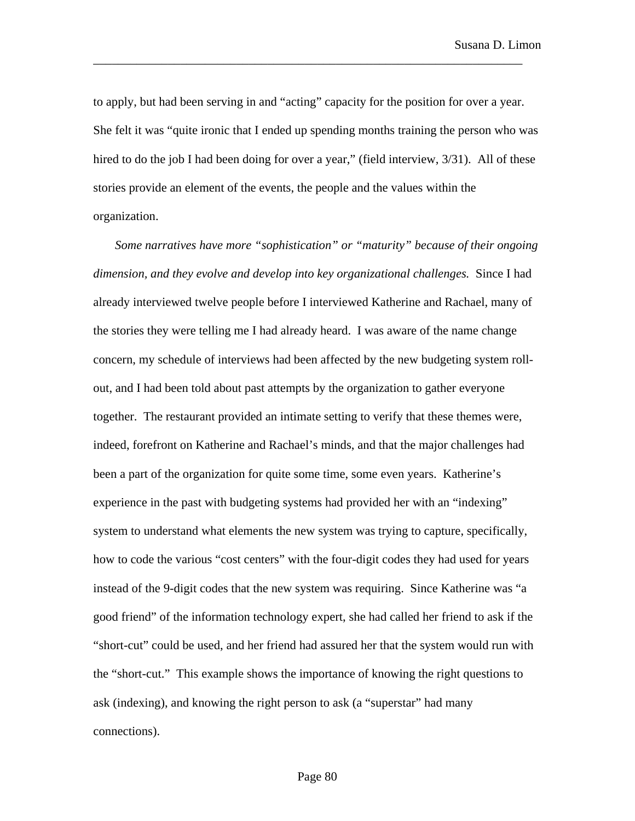to apply, but had been serving in and "acting" capacity for the position for over a year. She felt it was "quite ironic that I ended up spending months training the person who was hired to do the job I had been doing for over a year," (field interview,  $3/31$ ). All of these stories provide an element of the events, the people and the values within the organization.

\_\_\_\_\_\_\_\_\_\_\_\_\_\_\_\_\_\_\_\_\_\_\_\_\_\_\_\_\_\_\_\_\_\_\_\_\_\_\_\_\_\_\_\_\_\_\_\_\_\_\_\_\_\_\_\_\_\_\_\_\_\_\_\_\_\_\_\_\_

*Some narratives have more "sophistication" or "maturity" because of their ongoing dimension, and they evolve and develop into key organizational challenges.* Since I had already interviewed twelve people before I interviewed Katherine and Rachael, many of the stories they were telling me I had already heard. I was aware of the name change concern, my schedule of interviews had been affected by the new budgeting system rollout, and I had been told about past attempts by the organization to gather everyone together. The restaurant provided an intimate setting to verify that these themes were, indeed, forefront on Katherine and Rachael's minds, and that the major challenges had been a part of the organization for quite some time, some even years. Katherine's experience in the past with budgeting systems had provided her with an "indexing" system to understand what elements the new system was trying to capture, specifically, how to code the various "cost centers" with the four-digit codes they had used for years instead of the 9-digit codes that the new system was requiring. Since Katherine was "a good friend" of the information technology expert, she had called her friend to ask if the "short-cut" could be used, and her friend had assured her that the system would run with the "short-cut." This example shows the importance of knowing the right questions to ask (indexing), and knowing the right person to ask (a "superstar" had many connections).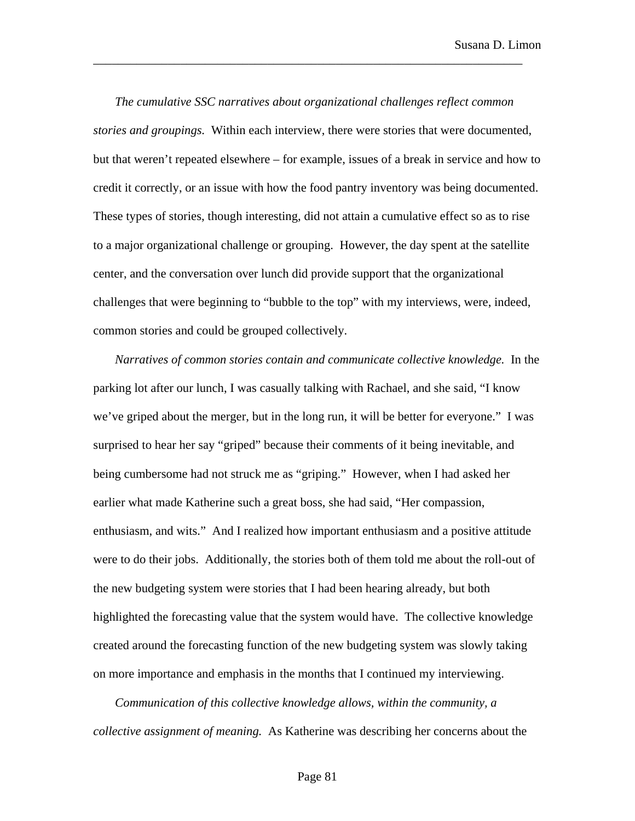*The cumulative SSC narratives about organizational challenges reflect common stories and groupings.* Within each interview, there were stories that were documented, but that weren't repeated elsewhere – for example, issues of a break in service and how to credit it correctly, or an issue with how the food pantry inventory was being documented. These types of stories, though interesting, did not attain a cumulative effect so as to rise to a major organizational challenge or grouping. However, the day spent at the satellite center, and the conversation over lunch did provide support that the organizational challenges that were beginning to "bubble to the top" with my interviews, were, indeed, common stories and could be grouped collectively.

\_\_\_\_\_\_\_\_\_\_\_\_\_\_\_\_\_\_\_\_\_\_\_\_\_\_\_\_\_\_\_\_\_\_\_\_\_\_\_\_\_\_\_\_\_\_\_\_\_\_\_\_\_\_\_\_\_\_\_\_\_\_\_\_\_\_\_\_\_

*Narratives of common stories contain and communicate collective knowledge.* In the parking lot after our lunch, I was casually talking with Rachael, and she said, "I know we've griped about the merger, but in the long run, it will be better for everyone." I was surprised to hear her say "griped" because their comments of it being inevitable, and being cumbersome had not struck me as "griping." However, when I had asked her earlier what made Katherine such a great boss, she had said, "Her compassion, enthusiasm, and wits." And I realized how important enthusiasm and a positive attitude were to do their jobs. Additionally, the stories both of them told me about the roll-out of the new budgeting system were stories that I had been hearing already, but both highlighted the forecasting value that the system would have. The collective knowledge created around the forecasting function of the new budgeting system was slowly taking on more importance and emphasis in the months that I continued my interviewing.

*Communication of this collective knowledge allows, within the community, a collective assignment of meaning.* As Katherine was describing her concerns about the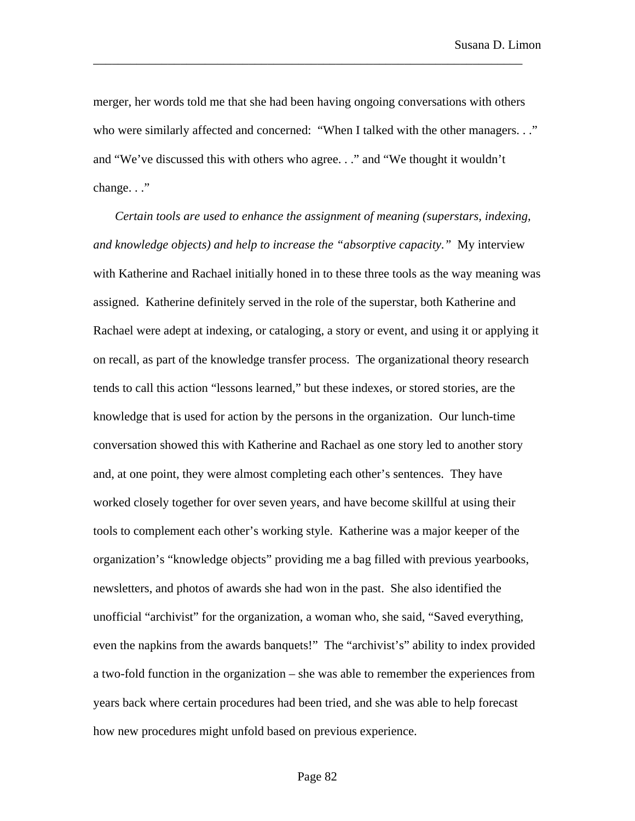merger, her words told me that she had been having ongoing conversations with others who were similarly affected and concerned: "When I talked with the other managers. . ." and "We've discussed this with others who agree. . ." and "We thought it wouldn't change. . ."

\_\_\_\_\_\_\_\_\_\_\_\_\_\_\_\_\_\_\_\_\_\_\_\_\_\_\_\_\_\_\_\_\_\_\_\_\_\_\_\_\_\_\_\_\_\_\_\_\_\_\_\_\_\_\_\_\_\_\_\_\_\_\_\_\_\_\_\_\_

*Certain tools are used to enhance the assignment of meaning (superstars, indexing, and knowledge objects) and help to increase the "absorptive capacity."* My interview with Katherine and Rachael initially honed in to these three tools as the way meaning was assigned. Katherine definitely served in the role of the superstar, both Katherine and Rachael were adept at indexing, or cataloging, a story or event, and using it or applying it on recall, as part of the knowledge transfer process. The organizational theory research tends to call this action "lessons learned," but these indexes, or stored stories, are the knowledge that is used for action by the persons in the organization. Our lunch-time conversation showed this with Katherine and Rachael as one story led to another story and, at one point, they were almost completing each other's sentences. They have worked closely together for over seven years, and have become skillful at using their tools to complement each other's working style. Katherine was a major keeper of the organization's "knowledge objects" providing me a bag filled with previous yearbooks, newsletters, and photos of awards she had won in the past. She also identified the unofficial "archivist" for the organization, a woman who, she said, "Saved everything, even the napkins from the awards banquets!" The "archivist's" ability to index provided a two-fold function in the organization – she was able to remember the experiences from years back where certain procedures had been tried, and she was able to help forecast how new procedures might unfold based on previous experience.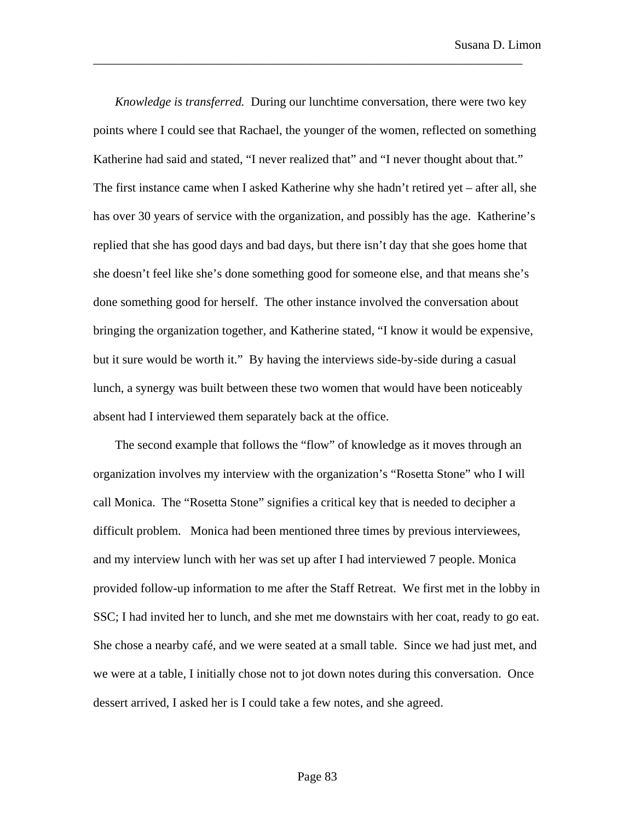*Knowledge is transferred.* During our lunchtime conversation, there were two key points where I could see that Rachael, the younger of the women, reflected on something Katherine had said and stated, "I never realized that" and "I never thought about that." The first instance came when I asked Katherine why she hadn't retired yet – after all, she has over 30 years of service with the organization, and possibly has the age. Katherine's replied that she has good days and bad days, but there isn't day that she goes home that she doesn't feel like she's done something good for someone else, and that means she's done something good for herself. The other instance involved the conversation about bringing the organization together, and Katherine stated, "I know it would be expensive, but it sure would be worth it." By having the interviews side-by-side during a casual lunch, a synergy was built between these two women that would have been noticeably absent had I interviewed them separately back at the office.

\_\_\_\_\_\_\_\_\_\_\_\_\_\_\_\_\_\_\_\_\_\_\_\_\_\_\_\_\_\_\_\_\_\_\_\_\_\_\_\_\_\_\_\_\_\_\_\_\_\_\_\_\_\_\_\_\_\_\_\_\_\_\_\_\_\_\_\_\_

The second example that follows the "flow" of knowledge as it moves through an organization involves my interview with the organization's "Rosetta Stone" who I will call Monica. The "Rosetta Stone" signifies a critical key that is needed to decipher a difficult problem. Monica had been mentioned three times by previous interviewees, and my interview lunch with her was set up after I had interviewed 7 people. Monica provided follow-up information to me after the Staff Retreat. We first met in the lobby in SSC; I had invited her to lunch, and she met me downstairs with her coat, ready to go eat. She chose a nearby café, and we were seated at a small table. Since we had just met, and we were at a table, I initially chose not to jot down notes during this conversation. Once dessert arrived, I asked her is I could take a few notes, and she agreed.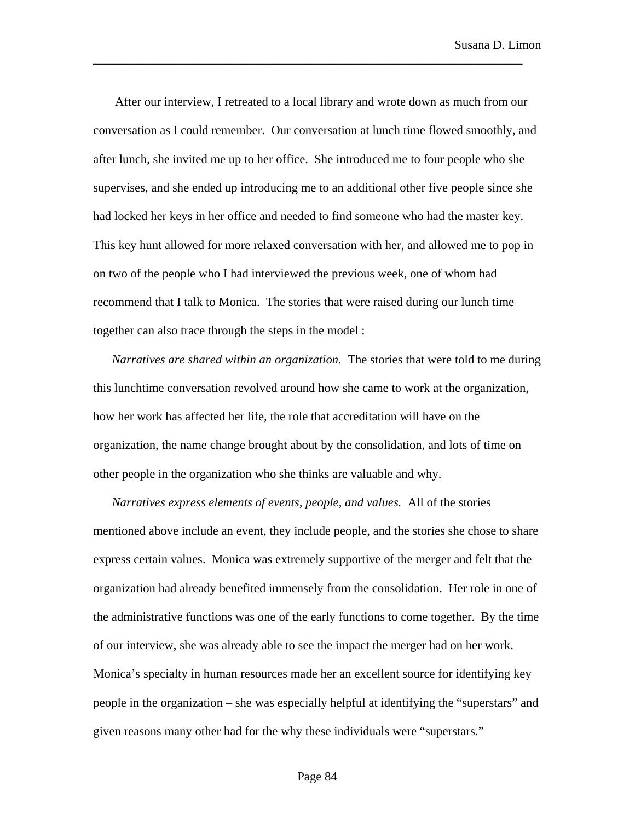After our interview, I retreated to a local library and wrote down as much from our conversation as I could remember. Our conversation at lunch time flowed smoothly, and after lunch, she invited me up to her office. She introduced me to four people who she supervises, and she ended up introducing me to an additional other five people since she had locked her keys in her office and needed to find someone who had the master key. This key hunt allowed for more relaxed conversation with her, and allowed me to pop in on two of the people who I had interviewed the previous week, one of whom had recommend that I talk to Monica. The stories that were raised during our lunch time together can also trace through the steps in the model :

\_\_\_\_\_\_\_\_\_\_\_\_\_\_\_\_\_\_\_\_\_\_\_\_\_\_\_\_\_\_\_\_\_\_\_\_\_\_\_\_\_\_\_\_\_\_\_\_\_\_\_\_\_\_\_\_\_\_\_\_\_\_\_\_\_\_\_\_\_

*Narratives are shared within an organization.* The stories that were told to me during this lunchtime conversation revolved around how she came to work at the organization, how her work has affected her life, the role that accreditation will have on the organization, the name change brought about by the consolidation, and lots of time on other people in the organization who she thinks are valuable and why.

*Narratives express elements of events, people, and values.* All of the stories mentioned above include an event, they include people, and the stories she chose to share express certain values. Monica was extremely supportive of the merger and felt that the organization had already benefited immensely from the consolidation. Her role in one of the administrative functions was one of the early functions to come together. By the time of our interview, she was already able to see the impact the merger had on her work. Monica's specialty in human resources made her an excellent source for identifying key people in the organization – she was especially helpful at identifying the "superstars" and given reasons many other had for the why these individuals were "superstars."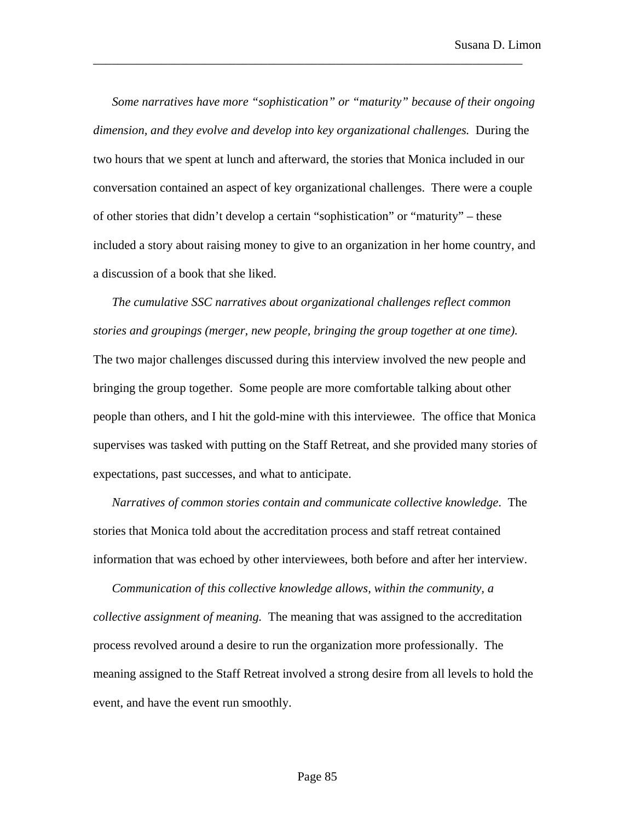*Some narratives have more "sophistication" or "maturity" because of their ongoing dimension, and they evolve and develop into key organizational challenges.* During the two hours that we spent at lunch and afterward, the stories that Monica included in our conversation contained an aspect of key organizational challenges. There were a couple of other stories that didn't develop a certain "sophistication" or "maturity" – these included a story about raising money to give to an organization in her home country, and a discussion of a book that she liked.

\_\_\_\_\_\_\_\_\_\_\_\_\_\_\_\_\_\_\_\_\_\_\_\_\_\_\_\_\_\_\_\_\_\_\_\_\_\_\_\_\_\_\_\_\_\_\_\_\_\_\_\_\_\_\_\_\_\_\_\_\_\_\_\_\_\_\_\_\_

*The cumulative SSC narratives about organizational challenges reflect common stories and groupings (merger, new people, bringing the group together at one time).* The two major challenges discussed during this interview involved the new people and bringing the group together. Some people are more comfortable talking about other people than others, and I hit the gold-mine with this interviewee. The office that Monica supervises was tasked with putting on the Staff Retreat, and she provided many stories of expectations, past successes, and what to anticipate.

*Narratives of common stories contain and communicate collective knowledge*. The stories that Monica told about the accreditation process and staff retreat contained information that was echoed by other interviewees, both before and after her interview.

*Communication of this collective knowledge allows, within the community, a collective assignment of meaning.* The meaning that was assigned to the accreditation process revolved around a desire to run the organization more professionally. The meaning assigned to the Staff Retreat involved a strong desire from all levels to hold the event, and have the event run smoothly.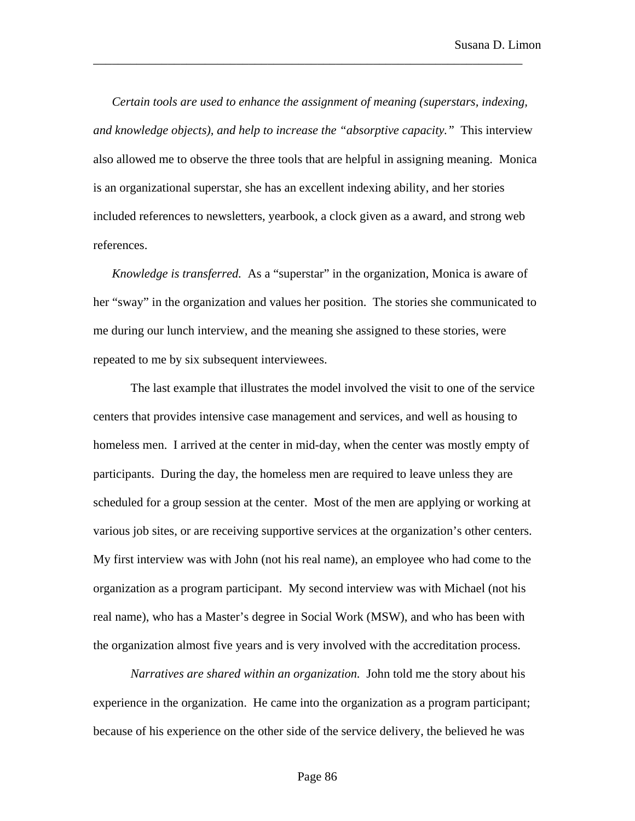*Certain tools are used to enhance the assignment of meaning (superstars, indexing, and knowledge objects), and help to increase the "absorptive capacity."* This interview also allowed me to observe the three tools that are helpful in assigning meaning. Monica is an organizational superstar, she has an excellent indexing ability, and her stories included references to newsletters, yearbook, a clock given as a award, and strong web references.

\_\_\_\_\_\_\_\_\_\_\_\_\_\_\_\_\_\_\_\_\_\_\_\_\_\_\_\_\_\_\_\_\_\_\_\_\_\_\_\_\_\_\_\_\_\_\_\_\_\_\_\_\_\_\_\_\_\_\_\_\_\_\_\_\_\_\_\_\_

*Knowledge is transferred.* As a "superstar" in the organization, Monica is aware of her "sway" in the organization and values her position. The stories she communicated to me during our lunch interview, and the meaning she assigned to these stories, were repeated to me by six subsequent interviewees.

The last example that illustrates the model involved the visit to one of the service centers that provides intensive case management and services, and well as housing to homeless men. I arrived at the center in mid-day, when the center was mostly empty of participants. During the day, the homeless men are required to leave unless they are scheduled for a group session at the center. Most of the men are applying or working at various job sites, or are receiving supportive services at the organization's other centers. My first interview was with John (not his real name), an employee who had come to the organization as a program participant. My second interview was with Michael (not his real name), who has a Master's degree in Social Work (MSW), and who has been with the organization almost five years and is very involved with the accreditation process.

*Narratives are shared within an organization.* John told me the story about his experience in the organization. He came into the organization as a program participant; because of his experience on the other side of the service delivery, the believed he was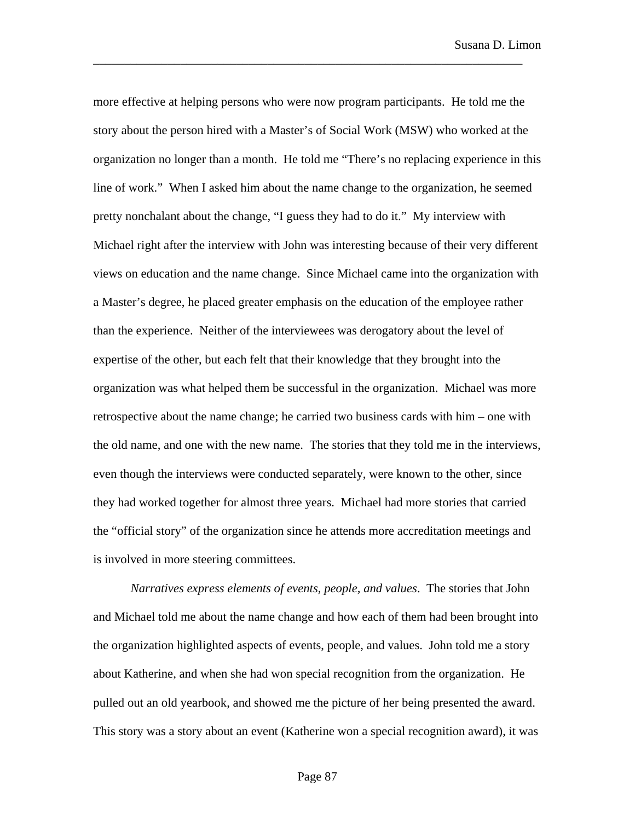more effective at helping persons who were now program participants. He told me the story about the person hired with a Master's of Social Work (MSW) who worked at the organization no longer than a month. He told me "There's no replacing experience in this line of work." When I asked him about the name change to the organization, he seemed pretty nonchalant about the change, "I guess they had to do it." My interview with Michael right after the interview with John was interesting because of their very different views on education and the name change. Since Michael came into the organization with a Master's degree, he placed greater emphasis on the education of the employee rather than the experience. Neither of the interviewees was derogatory about the level of expertise of the other, but each felt that their knowledge that they brought into the organization was what helped them be successful in the organization. Michael was more retrospective about the name change; he carried two business cards with him – one with the old name, and one with the new name. The stories that they told me in the interviews, even though the interviews were conducted separately, were known to the other, since they had worked together for almost three years. Michael had more stories that carried the "official story" of the organization since he attends more accreditation meetings and is involved in more steering committees.

\_\_\_\_\_\_\_\_\_\_\_\_\_\_\_\_\_\_\_\_\_\_\_\_\_\_\_\_\_\_\_\_\_\_\_\_\_\_\_\_\_\_\_\_\_\_\_\_\_\_\_\_\_\_\_\_\_\_\_\_\_\_\_\_\_\_\_\_\_

*Narratives express elements of events, people, and values*. The stories that John and Michael told me about the name change and how each of them had been brought into the organization highlighted aspects of events, people, and values. John told me a story about Katherine, and when she had won special recognition from the organization. He pulled out an old yearbook, and showed me the picture of her being presented the award. This story was a story about an event (Katherine won a special recognition award), it was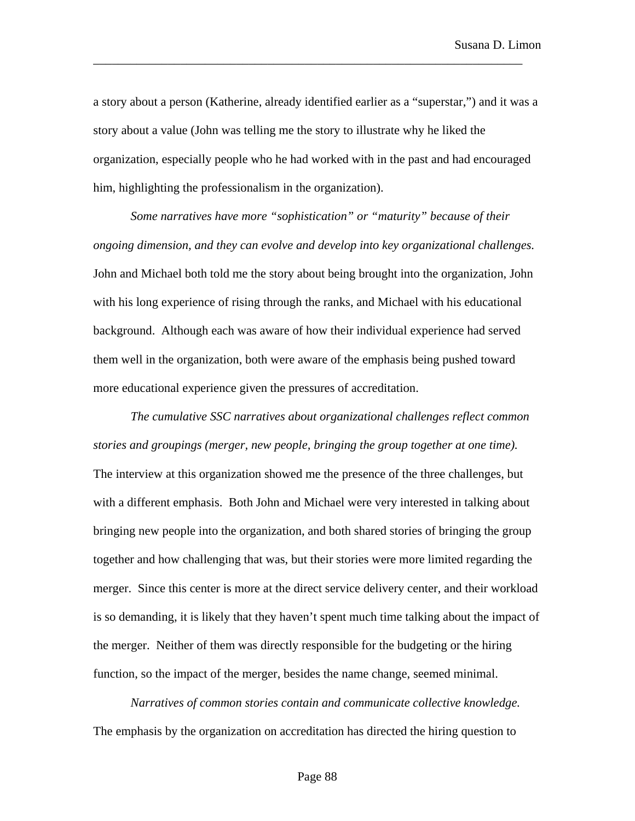a story about a person (Katherine, already identified earlier as a "superstar,") and it was a story about a value (John was telling me the story to illustrate why he liked the organization, especially people who he had worked with in the past and had encouraged him, highlighting the professionalism in the organization).

\_\_\_\_\_\_\_\_\_\_\_\_\_\_\_\_\_\_\_\_\_\_\_\_\_\_\_\_\_\_\_\_\_\_\_\_\_\_\_\_\_\_\_\_\_\_\_\_\_\_\_\_\_\_\_\_\_\_\_\_\_\_\_\_\_\_\_\_\_

*Some narratives have more "sophistication" or "maturity" because of their ongoing dimension, and they can evolve and develop into key organizational challenges.* John and Michael both told me the story about being brought into the organization, John with his long experience of rising through the ranks, and Michael with his educational background. Although each was aware of how their individual experience had served them well in the organization, both were aware of the emphasis being pushed toward more educational experience given the pressures of accreditation.

*The cumulative SSC narratives about organizational challenges reflect common stories and groupings (merger, new people, bringing the group together at one time).* The interview at this organization showed me the presence of the three challenges, but with a different emphasis. Both John and Michael were very interested in talking about bringing new people into the organization, and both shared stories of bringing the group together and how challenging that was, but their stories were more limited regarding the merger. Since this center is more at the direct service delivery center, and their workload is so demanding, it is likely that they haven't spent much time talking about the impact of the merger. Neither of them was directly responsible for the budgeting or the hiring function, so the impact of the merger, besides the name change, seemed minimal.

*Narratives of common stories contain and communicate collective knowledge.* The emphasis by the organization on accreditation has directed the hiring question to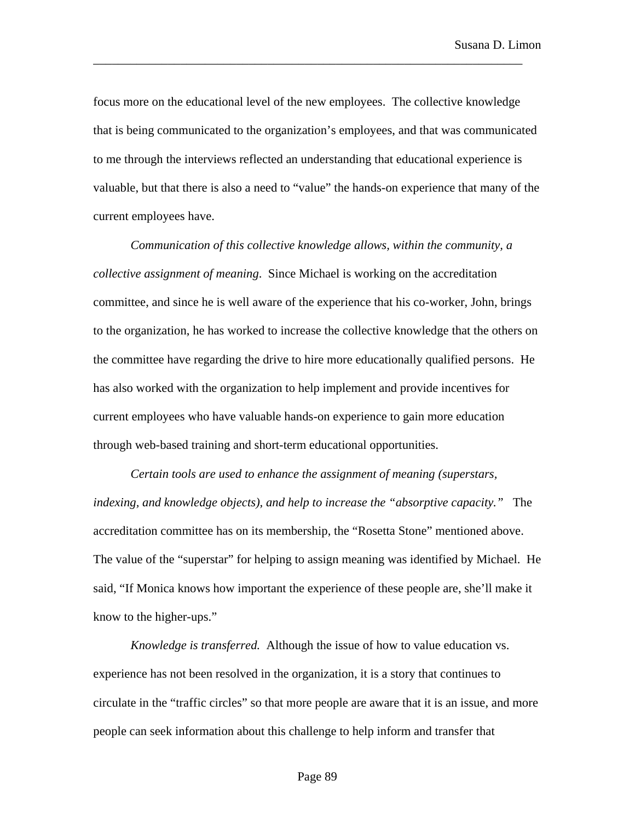focus more on the educational level of the new employees. The collective knowledge that is being communicated to the organization's employees, and that was communicated to me through the interviews reflected an understanding that educational experience is valuable, but that there is also a need to "value" the hands-on experience that many of the current employees have.

\_\_\_\_\_\_\_\_\_\_\_\_\_\_\_\_\_\_\_\_\_\_\_\_\_\_\_\_\_\_\_\_\_\_\_\_\_\_\_\_\_\_\_\_\_\_\_\_\_\_\_\_\_\_\_\_\_\_\_\_\_\_\_\_\_\_\_\_\_

*Communication of this collective knowledge allows, within the community, a collective assignment of meaning*. Since Michael is working on the accreditation committee, and since he is well aware of the experience that his co-worker, John, brings to the organization, he has worked to increase the collective knowledge that the others on the committee have regarding the drive to hire more educationally qualified persons. He has also worked with the organization to help implement and provide incentives for current employees who have valuable hands-on experience to gain more education through web-based training and short-term educational opportunities.

*Certain tools are used to enhance the assignment of meaning (superstars, indexing, and knowledge objects), and help to increase the "absorptive capacity."* The accreditation committee has on its membership, the "Rosetta Stone" mentioned above. The value of the "superstar" for helping to assign meaning was identified by Michael. He said, "If Monica knows how important the experience of these people are, she'll make it know to the higher-ups."

*Knowledge is transferred.* Although the issue of how to value education vs. experience has not been resolved in the organization, it is a story that continues to circulate in the "traffic circles" so that more people are aware that it is an issue, and more people can seek information about this challenge to help inform and transfer that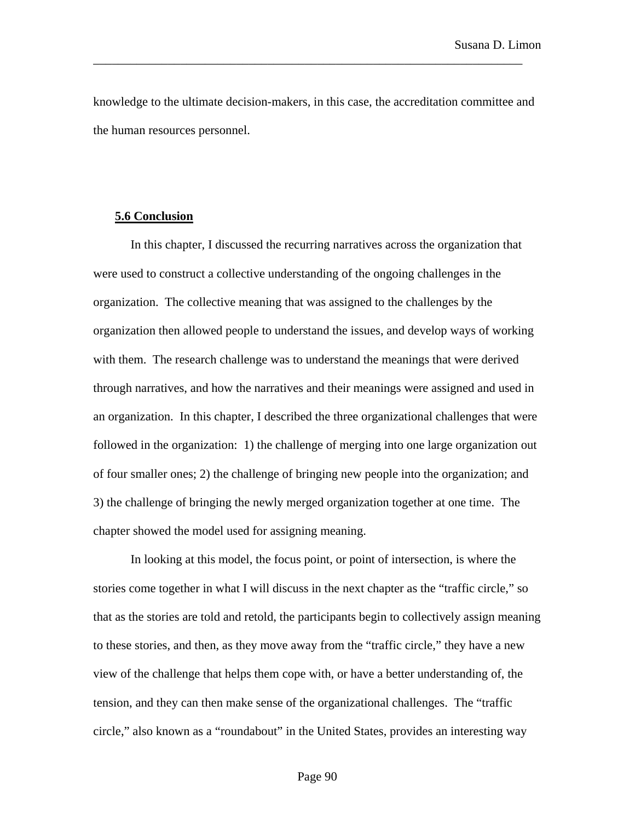knowledge to the ultimate decision-makers, in this case, the accreditation committee and the human resources personnel.

\_\_\_\_\_\_\_\_\_\_\_\_\_\_\_\_\_\_\_\_\_\_\_\_\_\_\_\_\_\_\_\_\_\_\_\_\_\_\_\_\_\_\_\_\_\_\_\_\_\_\_\_\_\_\_\_\_\_\_\_\_\_\_\_\_\_\_\_\_

## **5.6 Conclusion**

In this chapter, I discussed the recurring narratives across the organization that were used to construct a collective understanding of the ongoing challenges in the organization. The collective meaning that was assigned to the challenges by the organization then allowed people to understand the issues, and develop ways of working with them. The research challenge was to understand the meanings that were derived through narratives, and how the narratives and their meanings were assigned and used in an organization. In this chapter, I described the three organizational challenges that were followed in the organization: 1) the challenge of merging into one large organization out of four smaller ones; 2) the challenge of bringing new people into the organization; and 3) the challenge of bringing the newly merged organization together at one time. The chapter showed the model used for assigning meaning.

In looking at this model, the focus point, or point of intersection, is where the stories come together in what I will discuss in the next chapter as the "traffic circle," so that as the stories are told and retold, the participants begin to collectively assign meaning to these stories, and then, as they move away from the "traffic circle," they have a new view of the challenge that helps them cope with, or have a better understanding of, the tension, and they can then make sense of the organizational challenges. The "traffic circle," also known as a "roundabout" in the United States, provides an interesting way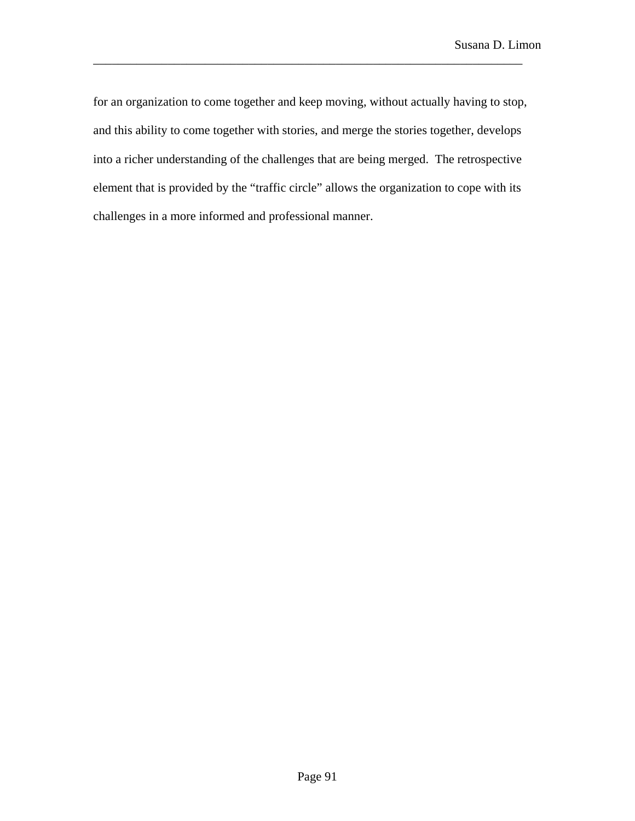for an organization to come together and keep moving, without actually having to stop, and this ability to come together with stories, and merge the stories together, develops into a richer understanding of the challenges that are being merged. The retrospective element that is provided by the "traffic circle" allows the organization to cope with its challenges in a more informed and professional manner.

\_\_\_\_\_\_\_\_\_\_\_\_\_\_\_\_\_\_\_\_\_\_\_\_\_\_\_\_\_\_\_\_\_\_\_\_\_\_\_\_\_\_\_\_\_\_\_\_\_\_\_\_\_\_\_\_\_\_\_\_\_\_\_\_\_\_\_\_\_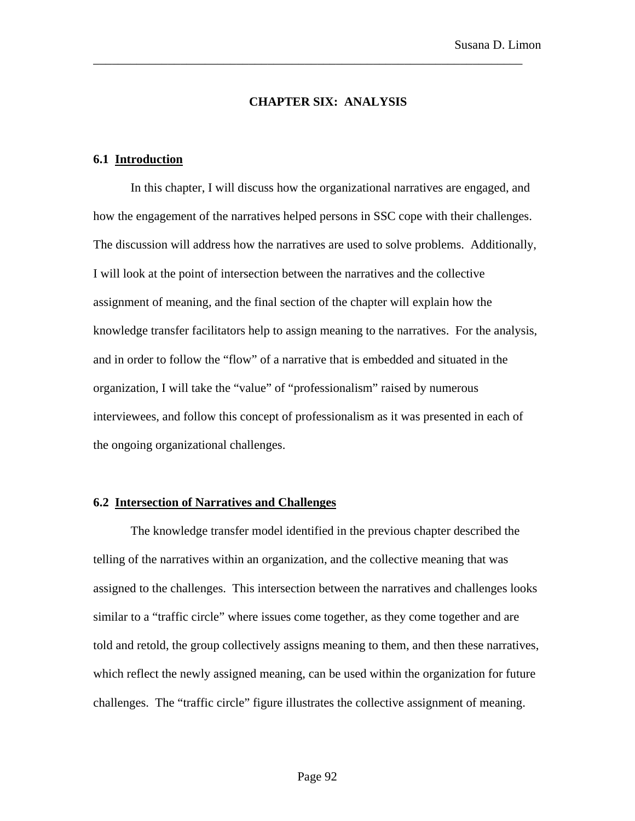### **CHAPTER SIX: ANALYSIS**

\_\_\_\_\_\_\_\_\_\_\_\_\_\_\_\_\_\_\_\_\_\_\_\_\_\_\_\_\_\_\_\_\_\_\_\_\_\_\_\_\_\_\_\_\_\_\_\_\_\_\_\_\_\_\_\_\_\_\_\_\_\_\_\_\_\_\_\_\_

### **6.1 Introduction**

In this chapter, I will discuss how the organizational narratives are engaged, and how the engagement of the narratives helped persons in SSC cope with their challenges. The discussion will address how the narratives are used to solve problems. Additionally, I will look at the point of intersection between the narratives and the collective assignment of meaning, and the final section of the chapter will explain how the knowledge transfer facilitators help to assign meaning to the narratives. For the analysis, and in order to follow the "flow" of a narrative that is embedded and situated in the organization, I will take the "value" of "professionalism" raised by numerous interviewees, and follow this concept of professionalism as it was presented in each of the ongoing organizational challenges.

# **6.2 Intersection of Narratives and Challenges**

The knowledge transfer model identified in the previous chapter described the telling of the narratives within an organization, and the collective meaning that was assigned to the challenges. This intersection between the narratives and challenges looks similar to a "traffic circle" where issues come together, as they come together and are told and retold, the group collectively assigns meaning to them, and then these narratives, which reflect the newly assigned meaning, can be used within the organization for future challenges. The "traffic circle" figure illustrates the collective assignment of meaning.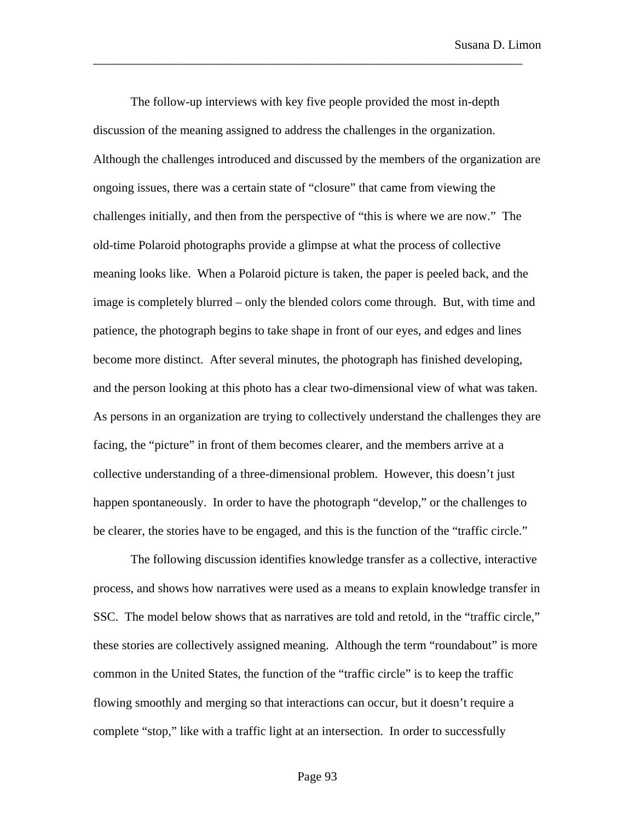The follow-up interviews with key five people provided the most in-depth discussion of the meaning assigned to address the challenges in the organization. Although the challenges introduced and discussed by the members of the organization are ongoing issues, there was a certain state of "closure" that came from viewing the challenges initially, and then from the perspective of "this is where we are now." The old-time Polaroid photographs provide a glimpse at what the process of collective meaning looks like. When a Polaroid picture is taken, the paper is peeled back, and the image is completely blurred – only the blended colors come through. But, with time and patience, the photograph begins to take shape in front of our eyes, and edges and lines become more distinct. After several minutes, the photograph has finished developing, and the person looking at this photo has a clear two-dimensional view of what was taken. As persons in an organization are trying to collectively understand the challenges they are facing, the "picture" in front of them becomes clearer, and the members arrive at a collective understanding of a three-dimensional problem. However, this doesn't just happen spontaneously. In order to have the photograph "develop," or the challenges to be clearer, the stories have to be engaged, and this is the function of the "traffic circle."

\_\_\_\_\_\_\_\_\_\_\_\_\_\_\_\_\_\_\_\_\_\_\_\_\_\_\_\_\_\_\_\_\_\_\_\_\_\_\_\_\_\_\_\_\_\_\_\_\_\_\_\_\_\_\_\_\_\_\_\_\_\_\_\_\_\_\_\_\_

The following discussion identifies knowledge transfer as a collective, interactive process, and shows how narratives were used as a means to explain knowledge transfer in SSC. The model below shows that as narratives are told and retold, in the "traffic circle," these stories are collectively assigned meaning. Although the term "roundabout" is more common in the United States, the function of the "traffic circle" is to keep the traffic flowing smoothly and merging so that interactions can occur, but it doesn't require a complete "stop," like with a traffic light at an intersection. In order to successfully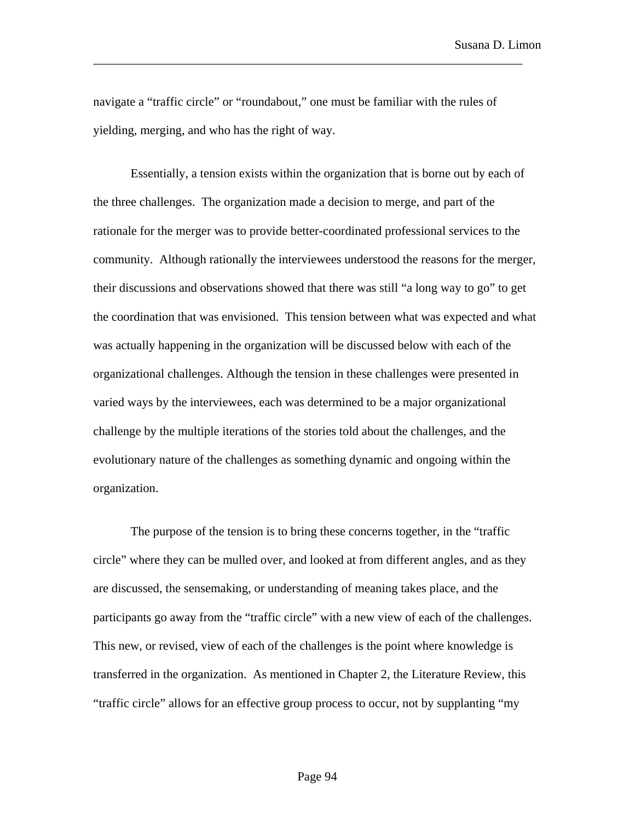Susana D. Limon

navigate a "traffic circle" or "roundabout," one must be familiar with the rules of yielding, merging, and who has the right of way.

\_\_\_\_\_\_\_\_\_\_\_\_\_\_\_\_\_\_\_\_\_\_\_\_\_\_\_\_\_\_\_\_\_\_\_\_\_\_\_\_\_\_\_\_\_\_\_\_\_\_\_\_\_\_\_\_\_\_\_\_\_\_\_\_\_\_\_\_\_

Essentially, a tension exists within the organization that is borne out by each of the three challenges. The organization made a decision to merge, and part of the rationale for the merger was to provide better-coordinated professional services to the community. Although rationally the interviewees understood the reasons for the merger, their discussions and observations showed that there was still "a long way to go" to get the coordination that was envisioned. This tension between what was expected and what was actually happening in the organization will be discussed below with each of the organizational challenges. Although the tension in these challenges were presented in varied ways by the interviewees, each was determined to be a major organizational challenge by the multiple iterations of the stories told about the challenges, and the evolutionary nature of the challenges as something dynamic and ongoing within the organization.

The purpose of the tension is to bring these concerns together, in the "traffic circle" where they can be mulled over, and looked at from different angles, and as they are discussed, the sensemaking, or understanding of meaning takes place, and the participants go away from the "traffic circle" with a new view of each of the challenges. This new, or revised, view of each of the challenges is the point where knowledge is transferred in the organization. As mentioned in Chapter 2, the Literature Review, this "traffic circle" allows for an effective group process to occur, not by supplanting "my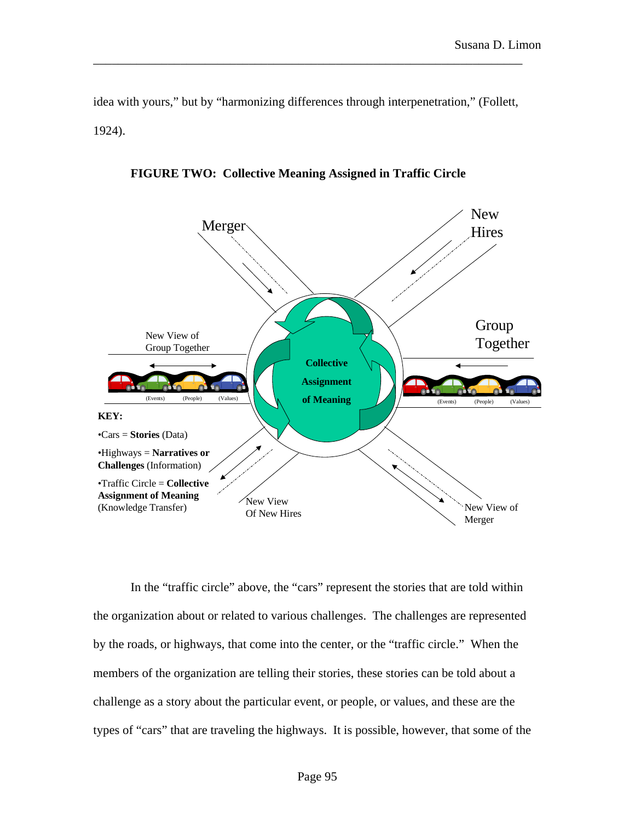idea with yours," but by "harmonizing differences through interpenetration," (Follett, 1924).

\_\_\_\_\_\_\_\_\_\_\_\_\_\_\_\_\_\_\_\_\_\_\_\_\_\_\_\_\_\_\_\_\_\_\_\_\_\_\_\_\_\_\_\_\_\_\_\_\_\_\_\_\_\_\_\_\_\_\_\_\_\_\_\_\_\_\_\_\_



**FIGURE TWO: Collective Meaning Assigned in Traffic Circle** 

In the "traffic circle" above, the "cars" represent the stories that are told within the organization about or related to various challenges. The challenges are represented by the roads, or highways, that come into the center, or the "traffic circle." When the members of the organization are telling their stories, these stories can be told about a challenge as a story about the particular event, or people, or values, and these are the types of "cars" that are traveling the highways. It is possible, however, that some of the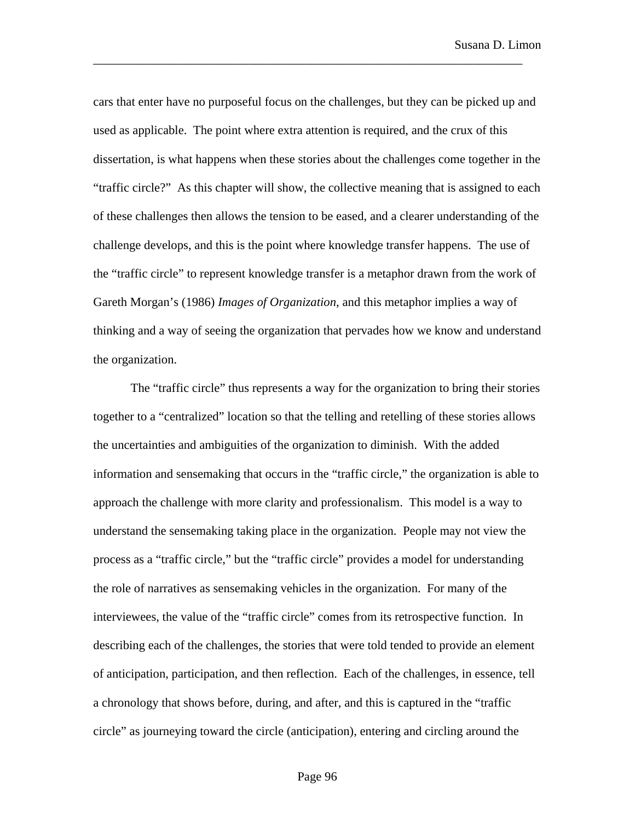cars that enter have no purposeful focus on the challenges, but they can be picked up and used as applicable. The point where extra attention is required, and the crux of this dissertation, is what happens when these stories about the challenges come together in the "traffic circle?" As this chapter will show, the collective meaning that is assigned to each of these challenges then allows the tension to be eased, and a clearer understanding of the challenge develops, and this is the point where knowledge transfer happens. The use of the "traffic circle" to represent knowledge transfer is a metaphor drawn from the work of Gareth Morgan's (1986) *Images of Organization*, and this metaphor implies a way of thinking and a way of seeing the organization that pervades how we know and understand the organization.

\_\_\_\_\_\_\_\_\_\_\_\_\_\_\_\_\_\_\_\_\_\_\_\_\_\_\_\_\_\_\_\_\_\_\_\_\_\_\_\_\_\_\_\_\_\_\_\_\_\_\_\_\_\_\_\_\_\_\_\_\_\_\_\_\_\_\_\_\_

The "traffic circle" thus represents a way for the organization to bring their stories together to a "centralized" location so that the telling and retelling of these stories allows the uncertainties and ambiguities of the organization to diminish. With the added information and sensemaking that occurs in the "traffic circle," the organization is able to approach the challenge with more clarity and professionalism. This model is a way to understand the sensemaking taking place in the organization. People may not view the process as a "traffic circle," but the "traffic circle" provides a model for understanding the role of narratives as sensemaking vehicles in the organization. For many of the interviewees, the value of the "traffic circle" comes from its retrospective function. In describing each of the challenges, the stories that were told tended to provide an element of anticipation, participation, and then reflection. Each of the challenges, in essence, tell a chronology that shows before, during, and after, and this is captured in the "traffic circle" as journeying toward the circle (anticipation), entering and circling around the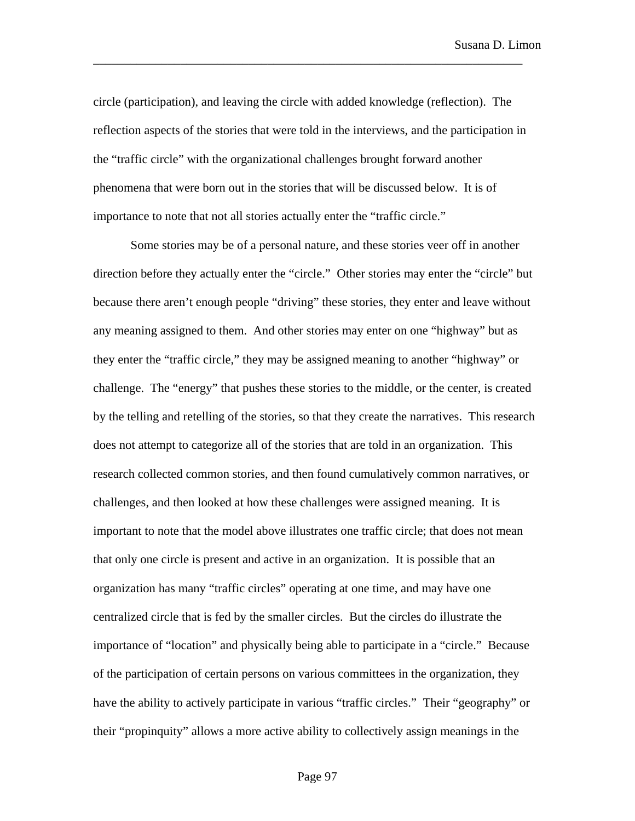circle (participation), and leaving the circle with added knowledge (reflection). The reflection aspects of the stories that were told in the interviews, and the participation in the "traffic circle" with the organizational challenges brought forward another phenomena that were born out in the stories that will be discussed below. It is of importance to note that not all stories actually enter the "traffic circle."

\_\_\_\_\_\_\_\_\_\_\_\_\_\_\_\_\_\_\_\_\_\_\_\_\_\_\_\_\_\_\_\_\_\_\_\_\_\_\_\_\_\_\_\_\_\_\_\_\_\_\_\_\_\_\_\_\_\_\_\_\_\_\_\_\_\_\_\_\_

Some stories may be of a personal nature, and these stories veer off in another direction before they actually enter the "circle." Other stories may enter the "circle" but because there aren't enough people "driving" these stories, they enter and leave without any meaning assigned to them. And other stories may enter on one "highway" but as they enter the "traffic circle," they may be assigned meaning to another "highway" or challenge. The "energy" that pushes these stories to the middle, or the center, is created by the telling and retelling of the stories, so that they create the narratives. This research does not attempt to categorize all of the stories that are told in an organization. This research collected common stories, and then found cumulatively common narratives, or challenges, and then looked at how these challenges were assigned meaning. It is important to note that the model above illustrates one traffic circle; that does not mean that only one circle is present and active in an organization. It is possible that an organization has many "traffic circles" operating at one time, and may have one centralized circle that is fed by the smaller circles. But the circles do illustrate the importance of "location" and physically being able to participate in a "circle." Because of the participation of certain persons on various committees in the organization, they have the ability to actively participate in various "traffic circles." Their "geography" or their "propinquity" allows a more active ability to collectively assign meanings in the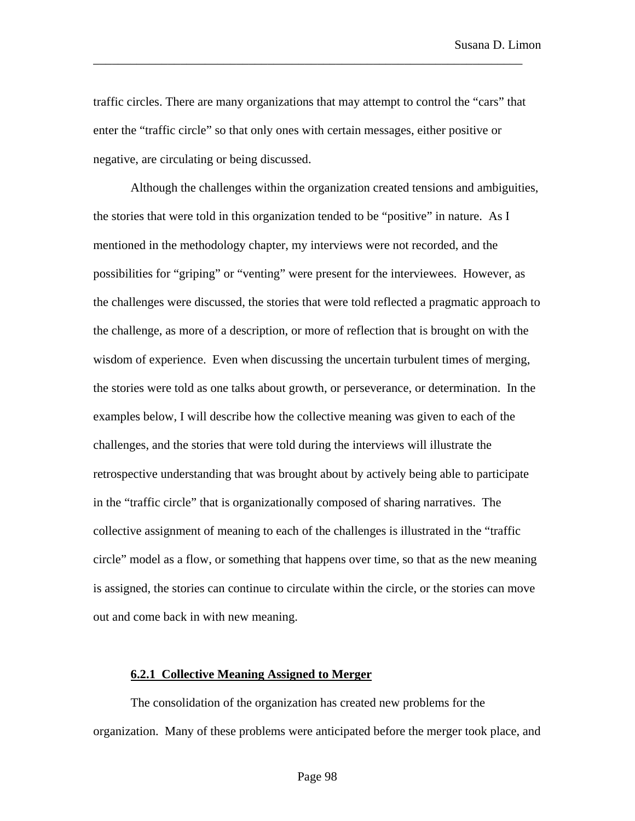traffic circles. There are many organizations that may attempt to control the "cars" that enter the "traffic circle" so that only ones with certain messages, either positive or negative, are circulating or being discussed.

\_\_\_\_\_\_\_\_\_\_\_\_\_\_\_\_\_\_\_\_\_\_\_\_\_\_\_\_\_\_\_\_\_\_\_\_\_\_\_\_\_\_\_\_\_\_\_\_\_\_\_\_\_\_\_\_\_\_\_\_\_\_\_\_\_\_\_\_\_

Although the challenges within the organization created tensions and ambiguities, the stories that were told in this organization tended to be "positive" in nature. As I mentioned in the methodology chapter, my interviews were not recorded, and the possibilities for "griping" or "venting" were present for the interviewees. However, as the challenges were discussed, the stories that were told reflected a pragmatic approach to the challenge, as more of a description, or more of reflection that is brought on with the wisdom of experience. Even when discussing the uncertain turbulent times of merging, the stories were told as one talks about growth, or perseverance, or determination. In the examples below, I will describe how the collective meaning was given to each of the challenges, and the stories that were told during the interviews will illustrate the retrospective understanding that was brought about by actively being able to participate in the "traffic circle" that is organizationally composed of sharing narratives. The collective assignment of meaning to each of the challenges is illustrated in the "traffic circle" model as a flow, or something that happens over time, so that as the new meaning is assigned, the stories can continue to circulate within the circle, or the stories can move out and come back in with new meaning.

### **6.2.1 Collective Meaning Assigned to Merger**

The consolidation of the organization has created new problems for the organization. Many of these problems were anticipated before the merger took place, and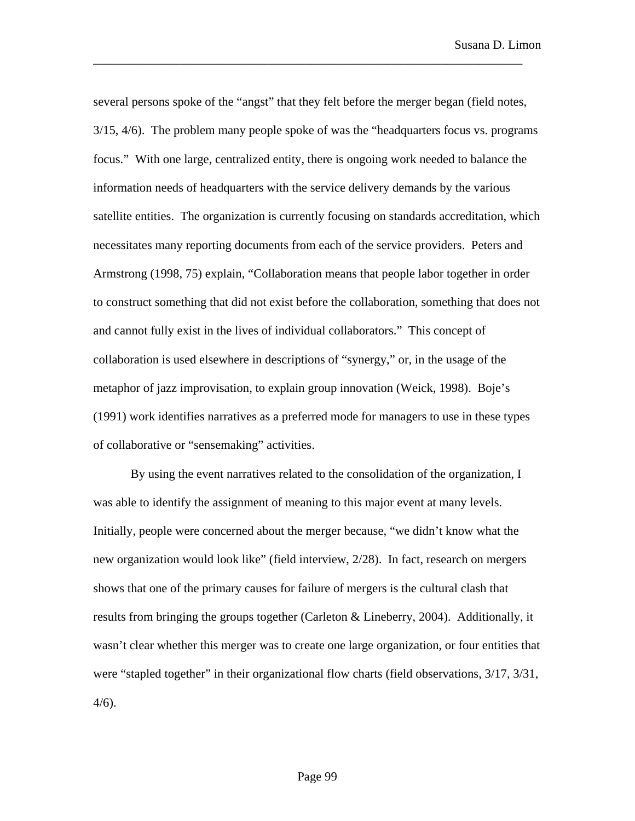several persons spoke of the "angst" that they felt before the merger began (field notes, 3/15, 4/6). The problem many people spoke of was the "headquarters focus vs. programs focus." With one large, centralized entity, there is ongoing work needed to balance the information needs of headquarters with the service delivery demands by the various satellite entities. The organization is currently focusing on standards accreditation, which necessitates many reporting documents from each of the service providers. Peters and Armstrong (1998, 75) explain, "Collaboration means that people labor together in order to construct something that did not exist before the collaboration, something that does not and cannot fully exist in the lives of individual collaborators." This concept of collaboration is used elsewhere in descriptions of "synergy," or, in the usage of the metaphor of jazz improvisation, to explain group innovation (Weick, 1998). Boje's (1991) work identifies narratives as a preferred mode for managers to use in these types of collaborative or "sensemaking" activities.

\_\_\_\_\_\_\_\_\_\_\_\_\_\_\_\_\_\_\_\_\_\_\_\_\_\_\_\_\_\_\_\_\_\_\_\_\_\_\_\_\_\_\_\_\_\_\_\_\_\_\_\_\_\_\_\_\_\_\_\_\_\_\_\_\_\_\_\_\_

By using the event narratives related to the consolidation of the organization, I was able to identify the assignment of meaning to this major event at many levels. Initially, people were concerned about the merger because, "we didn't know what the new organization would look like" (field interview, 2/28). In fact, research on mergers shows that one of the primary causes for failure of mergers is the cultural clash that results from bringing the groups together (Carleton & Lineberry, 2004). Additionally, it wasn't clear whether this merger was to create one large organization, or four entities that were "stapled together" in their organizational flow charts (field observations,  $3/17$ ,  $3/31$ , 4/6).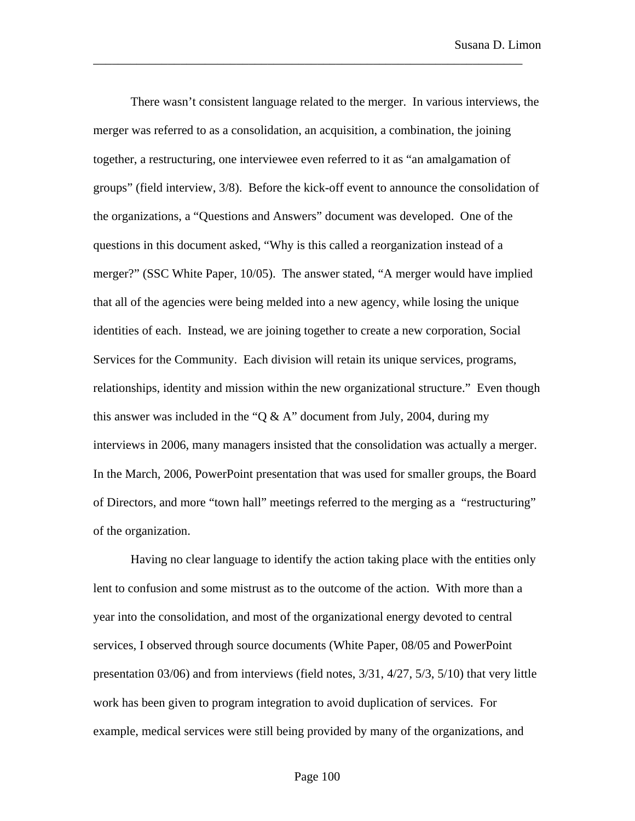There wasn't consistent language related to the merger. In various interviews, the merger was referred to as a consolidation, an acquisition, a combination, the joining together, a restructuring, one interviewee even referred to it as "an amalgamation of groups" (field interview, 3/8). Before the kick-off event to announce the consolidation of the organizations, a "Questions and Answers" document was developed. One of the questions in this document asked, "Why is this called a reorganization instead of a merger?" (SSC White Paper, 10/05). The answer stated, "A merger would have implied that all of the agencies were being melded into a new agency, while losing the unique identities of each. Instead, we are joining together to create a new corporation, Social Services for the Community. Each division will retain its unique services, programs, relationships, identity and mission within the new organizational structure." Even though this answer was included in the "Q & A" document from July, 2004, during my interviews in 2006, many managers insisted that the consolidation was actually a merger. In the March, 2006, PowerPoint presentation that was used for smaller groups, the Board of Directors, and more "town hall" meetings referred to the merging as a "restructuring" of the organization.

\_\_\_\_\_\_\_\_\_\_\_\_\_\_\_\_\_\_\_\_\_\_\_\_\_\_\_\_\_\_\_\_\_\_\_\_\_\_\_\_\_\_\_\_\_\_\_\_\_\_\_\_\_\_\_\_\_\_\_\_\_\_\_\_\_\_\_\_\_

Having no clear language to identify the action taking place with the entities only lent to confusion and some mistrust as to the outcome of the action. With more than a year into the consolidation, and most of the organizational energy devoted to central services, I observed through source documents (White Paper, 08/05 and PowerPoint presentation 03/06) and from interviews (field notes, 3/31, 4/27, 5/3, 5/10) that very little work has been given to program integration to avoid duplication of services. For example, medical services were still being provided by many of the organizations, and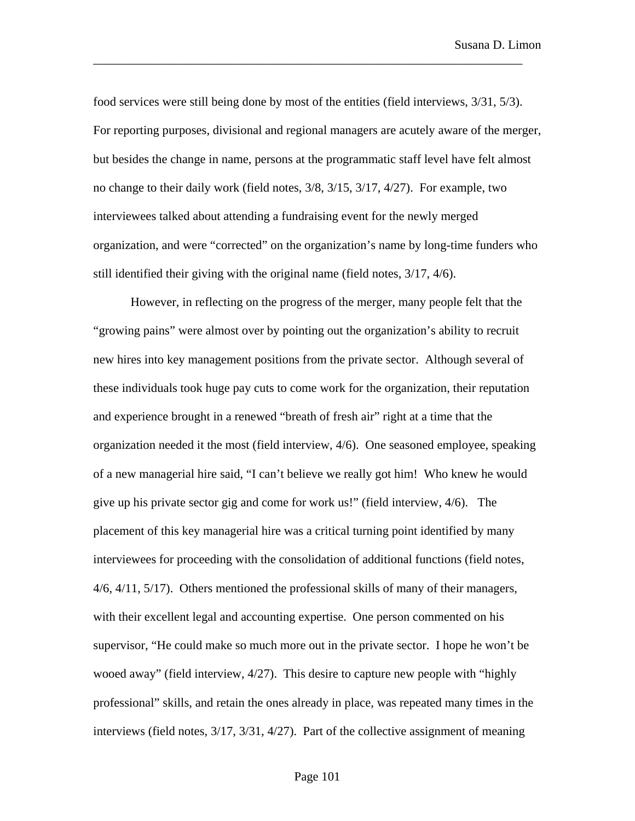food services were still being done by most of the entities (field interviews, 3/31, 5/3). For reporting purposes, divisional and regional managers are acutely aware of the merger, but besides the change in name, persons at the programmatic staff level have felt almost no change to their daily work (field notes, 3/8, 3/15, 3/17, 4/27). For example, two interviewees talked about attending a fundraising event for the newly merged organization, and were "corrected" on the organization's name by long-time funders who still identified their giving with the original name (field notes, 3/17, 4/6).

\_\_\_\_\_\_\_\_\_\_\_\_\_\_\_\_\_\_\_\_\_\_\_\_\_\_\_\_\_\_\_\_\_\_\_\_\_\_\_\_\_\_\_\_\_\_\_\_\_\_\_\_\_\_\_\_\_\_\_\_\_\_\_\_\_\_\_\_\_

However, in reflecting on the progress of the merger, many people felt that the "growing pains" were almost over by pointing out the organization's ability to recruit new hires into key management positions from the private sector. Although several of these individuals took huge pay cuts to come work for the organization, their reputation and experience brought in a renewed "breath of fresh air" right at a time that the organization needed it the most (field interview, 4/6). One seasoned employee, speaking of a new managerial hire said, "I can't believe we really got him! Who knew he would give up his private sector gig and come for work us!" (field interview, 4/6). The placement of this key managerial hire was a critical turning point identified by many interviewees for proceeding with the consolidation of additional functions (field notes, 4/6, 4/11, 5/17). Others mentioned the professional skills of many of their managers, with their excellent legal and accounting expertise. One person commented on his supervisor, "He could make so much more out in the private sector. I hope he won't be wooed away" (field interview, 4/27). This desire to capture new people with "highly professional" skills, and retain the ones already in place, was repeated many times in the interviews (field notes, 3/17, 3/31, 4/27). Part of the collective assignment of meaning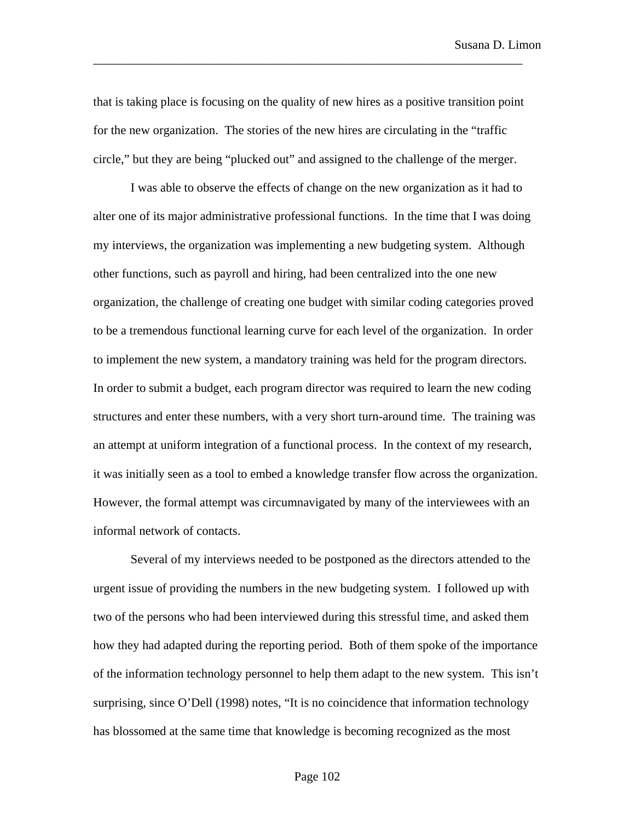that is taking place is focusing on the quality of new hires as a positive transition point for the new organization. The stories of the new hires are circulating in the "traffic circle," but they are being "plucked out" and assigned to the challenge of the merger.

\_\_\_\_\_\_\_\_\_\_\_\_\_\_\_\_\_\_\_\_\_\_\_\_\_\_\_\_\_\_\_\_\_\_\_\_\_\_\_\_\_\_\_\_\_\_\_\_\_\_\_\_\_\_\_\_\_\_\_\_\_\_\_\_\_\_\_\_\_

I was able to observe the effects of change on the new organization as it had to alter one of its major administrative professional functions. In the time that I was doing my interviews, the organization was implementing a new budgeting system. Although other functions, such as payroll and hiring, had been centralized into the one new organization, the challenge of creating one budget with similar coding categories proved to be a tremendous functional learning curve for each level of the organization. In order to implement the new system, a mandatory training was held for the program directors. In order to submit a budget, each program director was required to learn the new coding structures and enter these numbers, with a very short turn-around time. The training was an attempt at uniform integration of a functional process. In the context of my research, it was initially seen as a tool to embed a knowledge transfer flow across the organization. However, the formal attempt was circumnavigated by many of the interviewees with an informal network of contacts.

Several of my interviews needed to be postponed as the directors attended to the urgent issue of providing the numbers in the new budgeting system. I followed up with two of the persons who had been interviewed during this stressful time, and asked them how they had adapted during the reporting period. Both of them spoke of the importance of the information technology personnel to help them adapt to the new system. This isn't surprising, since O'Dell (1998) notes, "It is no coincidence that information technology has blossomed at the same time that knowledge is becoming recognized as the most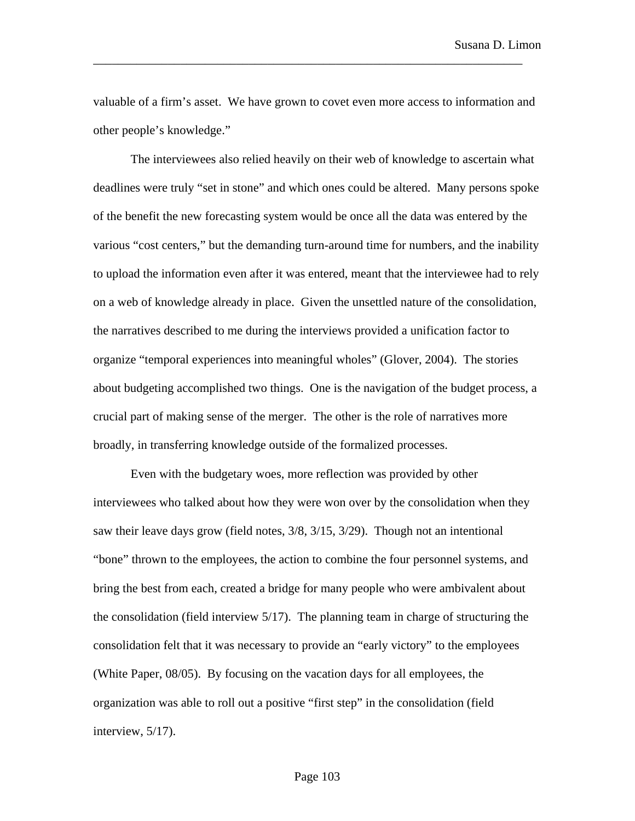valuable of a firm's asset. We have grown to covet even more access to information and other people's knowledge."

\_\_\_\_\_\_\_\_\_\_\_\_\_\_\_\_\_\_\_\_\_\_\_\_\_\_\_\_\_\_\_\_\_\_\_\_\_\_\_\_\_\_\_\_\_\_\_\_\_\_\_\_\_\_\_\_\_\_\_\_\_\_\_\_\_\_\_\_\_

The interviewees also relied heavily on their web of knowledge to ascertain what deadlines were truly "set in stone" and which ones could be altered. Many persons spoke of the benefit the new forecasting system would be once all the data was entered by the various "cost centers," but the demanding turn-around time for numbers, and the inability to upload the information even after it was entered, meant that the interviewee had to rely on a web of knowledge already in place. Given the unsettled nature of the consolidation, the narratives described to me during the interviews provided a unification factor to organize "temporal experiences into meaningful wholes" (Glover, 2004). The stories about budgeting accomplished two things. One is the navigation of the budget process, a crucial part of making sense of the merger. The other is the role of narratives more broadly, in transferring knowledge outside of the formalized processes.

Even with the budgetary woes, more reflection was provided by other interviewees who talked about how they were won over by the consolidation when they saw their leave days grow (field notes, 3/8, 3/15, 3/29). Though not an intentional "bone" thrown to the employees, the action to combine the four personnel systems, and bring the best from each, created a bridge for many people who were ambivalent about the consolidation (field interview 5/17). The planning team in charge of structuring the consolidation felt that it was necessary to provide an "early victory" to the employees (White Paper, 08/05). By focusing on the vacation days for all employees, the organization was able to roll out a positive "first step" in the consolidation (field interview, 5/17).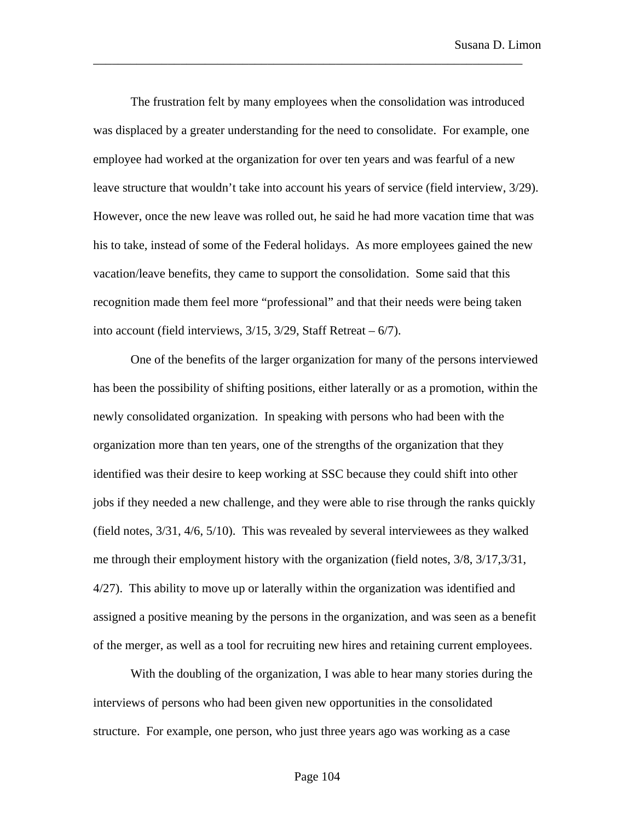The frustration felt by many employees when the consolidation was introduced was displaced by a greater understanding for the need to consolidate. For example, one employee had worked at the organization for over ten years and was fearful of a new leave structure that wouldn't take into account his years of service (field interview, 3/29). However, once the new leave was rolled out, he said he had more vacation time that was his to take, instead of some of the Federal holidays. As more employees gained the new vacation/leave benefits, they came to support the consolidation. Some said that this recognition made them feel more "professional" and that their needs were being taken into account (field interviews,  $3/15$ ,  $3/29$ , Staff Retreat –  $6/7$ ).

\_\_\_\_\_\_\_\_\_\_\_\_\_\_\_\_\_\_\_\_\_\_\_\_\_\_\_\_\_\_\_\_\_\_\_\_\_\_\_\_\_\_\_\_\_\_\_\_\_\_\_\_\_\_\_\_\_\_\_\_\_\_\_\_\_\_\_\_\_

One of the benefits of the larger organization for many of the persons interviewed has been the possibility of shifting positions, either laterally or as a promotion, within the newly consolidated organization. In speaking with persons who had been with the organization more than ten years, one of the strengths of the organization that they identified was their desire to keep working at SSC because they could shift into other jobs if they needed a new challenge, and they were able to rise through the ranks quickly (field notes, 3/31, 4/6, 5/10). This was revealed by several interviewees as they walked me through their employment history with the organization (field notes, 3/8, 3/17,3/31, 4/27). This ability to move up or laterally within the organization was identified and assigned a positive meaning by the persons in the organization, and was seen as a benefit of the merger, as well as a tool for recruiting new hires and retaining current employees.

With the doubling of the organization, I was able to hear many stories during the interviews of persons who had been given new opportunities in the consolidated structure. For example, one person, who just three years ago was working as a case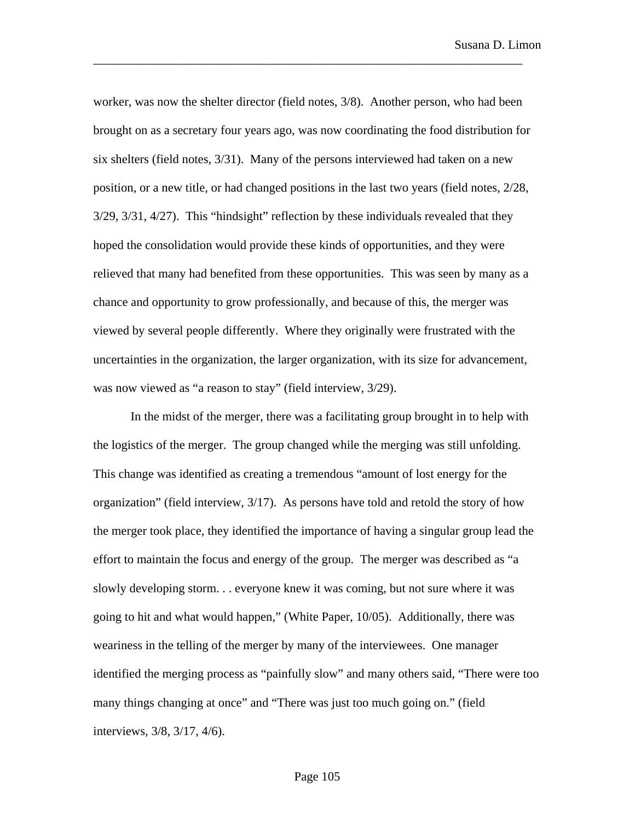worker, was now the shelter director (field notes, 3/8). Another person, who had been brought on as a secretary four years ago, was now coordinating the food distribution for six shelters (field notes, 3/31). Many of the persons interviewed had taken on a new position, or a new title, or had changed positions in the last two years (field notes, 2/28, 3/29, 3/31, 4/27). This "hindsight" reflection by these individuals revealed that they hoped the consolidation would provide these kinds of opportunities, and they were relieved that many had benefited from these opportunities. This was seen by many as a chance and opportunity to grow professionally, and because of this, the merger was viewed by several people differently. Where they originally were frustrated with the uncertainties in the organization, the larger organization, with its size for advancement, was now viewed as "a reason to stay" (field interview, 3/29).

\_\_\_\_\_\_\_\_\_\_\_\_\_\_\_\_\_\_\_\_\_\_\_\_\_\_\_\_\_\_\_\_\_\_\_\_\_\_\_\_\_\_\_\_\_\_\_\_\_\_\_\_\_\_\_\_\_\_\_\_\_\_\_\_\_\_\_\_\_

In the midst of the merger, there was a facilitating group brought in to help with the logistics of the merger. The group changed while the merging was still unfolding. This change was identified as creating a tremendous "amount of lost energy for the organization" (field interview, 3/17). As persons have told and retold the story of how the merger took place, they identified the importance of having a singular group lead the effort to maintain the focus and energy of the group. The merger was described as "a slowly developing storm. . . everyone knew it was coming, but not sure where it was going to hit and what would happen," (White Paper, 10/05). Additionally, there was weariness in the telling of the merger by many of the interviewees. One manager identified the merging process as "painfully slow" and many others said, "There were too many things changing at once" and "There was just too much going on." (field interviews, 3/8, 3/17, 4/6).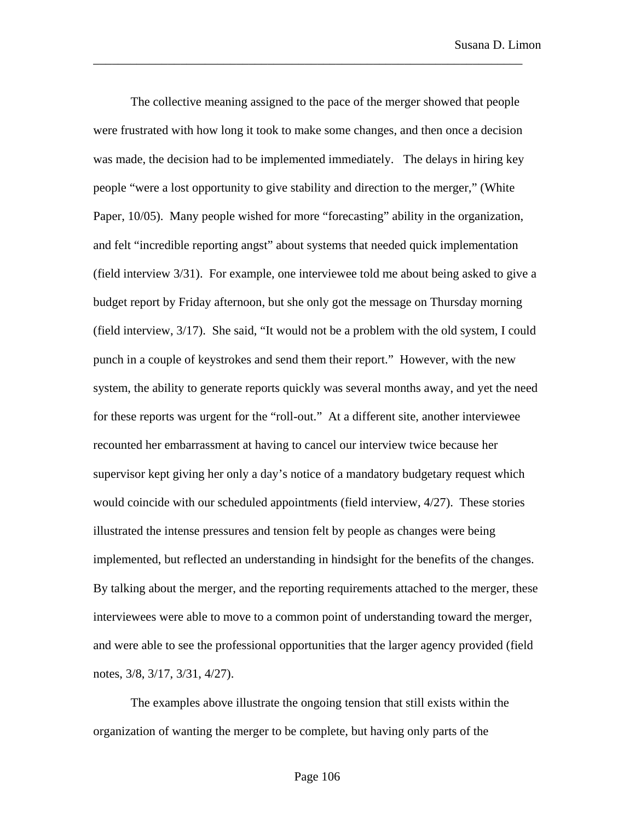The collective meaning assigned to the pace of the merger showed that people were frustrated with how long it took to make some changes, and then once a decision was made, the decision had to be implemented immediately. The delays in hiring key people "were a lost opportunity to give stability and direction to the merger," (White Paper, 10/05). Many people wished for more "forecasting" ability in the organization, and felt "incredible reporting angst" about systems that needed quick implementation (field interview 3/31). For example, one interviewee told me about being asked to give a budget report by Friday afternoon, but she only got the message on Thursday morning (field interview, 3/17). She said, "It would not be a problem with the old system, I could punch in a couple of keystrokes and send them their report." However, with the new system, the ability to generate reports quickly was several months away, and yet the need for these reports was urgent for the "roll-out." At a different site, another interviewee recounted her embarrassment at having to cancel our interview twice because her supervisor kept giving her only a day's notice of a mandatory budgetary request which would coincide with our scheduled appointments (field interview, 4/27). These stories illustrated the intense pressures and tension felt by people as changes were being implemented, but reflected an understanding in hindsight for the benefits of the changes. By talking about the merger, and the reporting requirements attached to the merger, these interviewees were able to move to a common point of understanding toward the merger, and were able to see the professional opportunities that the larger agency provided (field notes, 3/8, 3/17, 3/31, 4/27).

\_\_\_\_\_\_\_\_\_\_\_\_\_\_\_\_\_\_\_\_\_\_\_\_\_\_\_\_\_\_\_\_\_\_\_\_\_\_\_\_\_\_\_\_\_\_\_\_\_\_\_\_\_\_\_\_\_\_\_\_\_\_\_\_\_\_\_\_\_

The examples above illustrate the ongoing tension that still exists within the organization of wanting the merger to be complete, but having only parts of the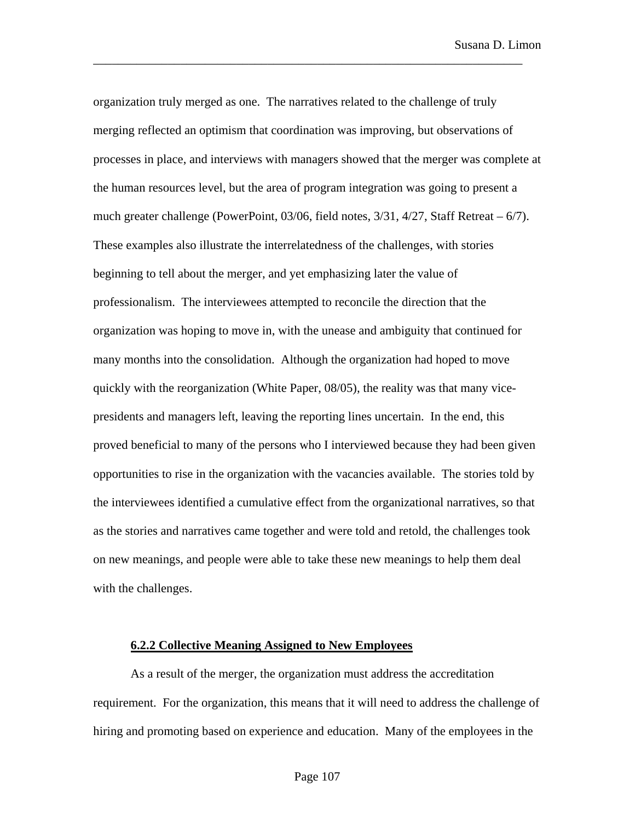organization truly merged as one. The narratives related to the challenge of truly merging reflected an optimism that coordination was improving, but observations of processes in place, and interviews with managers showed that the merger was complete at the human resources level, but the area of program integration was going to present a much greater challenge (PowerPoint, 03/06, field notes, 3/31, 4/27, Staff Retreat – 6/7). These examples also illustrate the interrelatedness of the challenges, with stories beginning to tell about the merger, and yet emphasizing later the value of professionalism. The interviewees attempted to reconcile the direction that the organization was hoping to move in, with the unease and ambiguity that continued for many months into the consolidation. Although the organization had hoped to move quickly with the reorganization (White Paper, 08/05), the reality was that many vicepresidents and managers left, leaving the reporting lines uncertain. In the end, this proved beneficial to many of the persons who I interviewed because they had been given opportunities to rise in the organization with the vacancies available. The stories told by the interviewees identified a cumulative effect from the organizational narratives, so that as the stories and narratives came together and were told and retold, the challenges took on new meanings, and people were able to take these new meanings to help them deal with the challenges.

\_\_\_\_\_\_\_\_\_\_\_\_\_\_\_\_\_\_\_\_\_\_\_\_\_\_\_\_\_\_\_\_\_\_\_\_\_\_\_\_\_\_\_\_\_\_\_\_\_\_\_\_\_\_\_\_\_\_\_\_\_\_\_\_\_\_\_\_\_

### **6.2.2 Collective Meaning Assigned to New Employees**

As a result of the merger, the organization must address the accreditation requirement. For the organization, this means that it will need to address the challenge of hiring and promoting based on experience and education. Many of the employees in the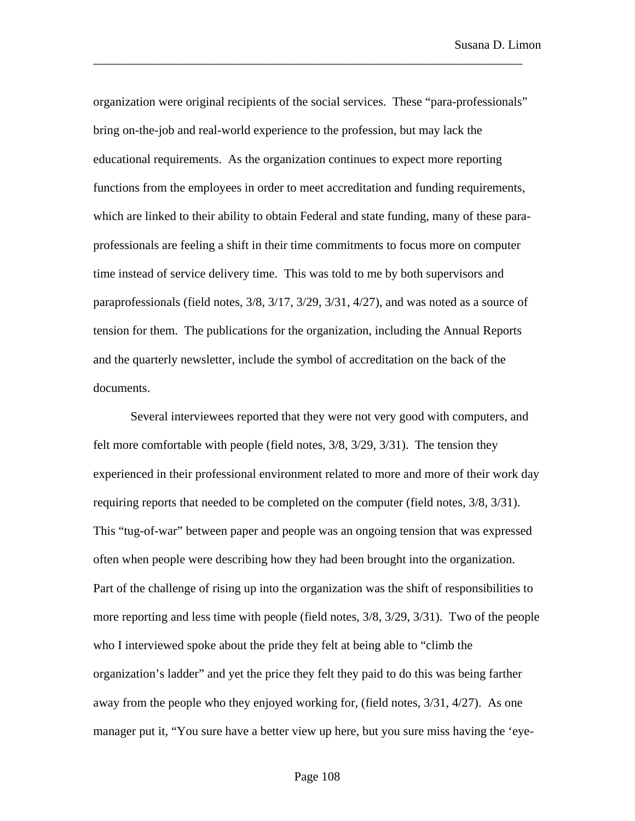organization were original recipients of the social services. These "para-professionals" bring on-the-job and real-world experience to the profession, but may lack the educational requirements. As the organization continues to expect more reporting functions from the employees in order to meet accreditation and funding requirements, which are linked to their ability to obtain Federal and state funding, many of these paraprofessionals are feeling a shift in their time commitments to focus more on computer time instead of service delivery time. This was told to me by both supervisors and paraprofessionals (field notes, 3/8, 3/17, 3/29, 3/31, 4/27), and was noted as a source of tension for them. The publications for the organization, including the Annual Reports and the quarterly newsletter, include the symbol of accreditation on the back of the documents.

\_\_\_\_\_\_\_\_\_\_\_\_\_\_\_\_\_\_\_\_\_\_\_\_\_\_\_\_\_\_\_\_\_\_\_\_\_\_\_\_\_\_\_\_\_\_\_\_\_\_\_\_\_\_\_\_\_\_\_\_\_\_\_\_\_\_\_\_\_

Several interviewees reported that they were not very good with computers, and felt more comfortable with people (field notes, 3/8, 3/29, 3/31). The tension they experienced in their professional environment related to more and more of their work day requiring reports that needed to be completed on the computer (field notes, 3/8, 3/31). This "tug-of-war" between paper and people was an ongoing tension that was expressed often when people were describing how they had been brought into the organization. Part of the challenge of rising up into the organization was the shift of responsibilities to more reporting and less time with people (field notes, 3/8, 3/29, 3/31). Two of the people who I interviewed spoke about the pride they felt at being able to "climb the organization's ladder" and yet the price they felt they paid to do this was being farther away from the people who they enjoyed working for, (field notes, 3/31, 4/27). As one manager put it, "You sure have a better view up here, but you sure miss having the 'eye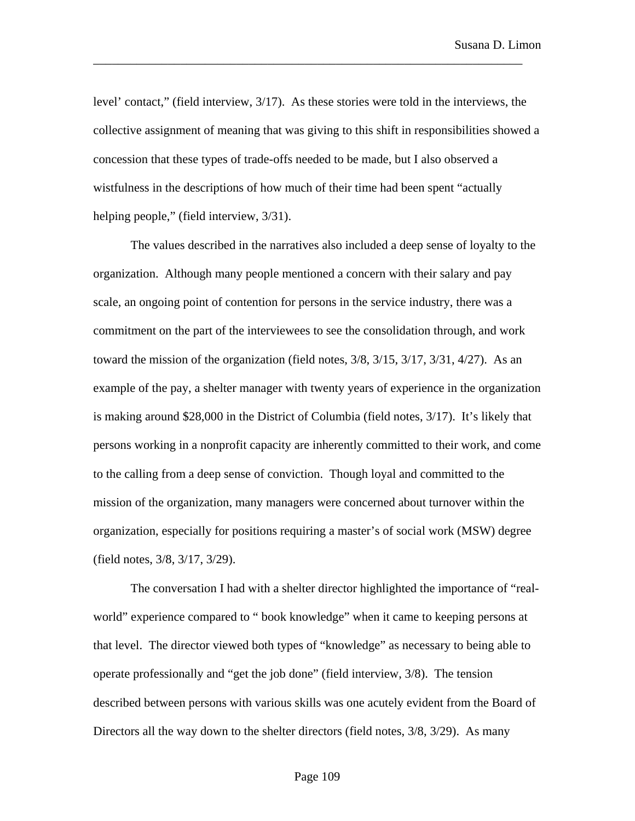level' contact," (field interview, 3/17). As these stories were told in the interviews, the collective assignment of meaning that was giving to this shift in responsibilities showed a concession that these types of trade-offs needed to be made, but I also observed a wistfulness in the descriptions of how much of their time had been spent "actually helping people," (field interview,  $3/31$ ).

\_\_\_\_\_\_\_\_\_\_\_\_\_\_\_\_\_\_\_\_\_\_\_\_\_\_\_\_\_\_\_\_\_\_\_\_\_\_\_\_\_\_\_\_\_\_\_\_\_\_\_\_\_\_\_\_\_\_\_\_\_\_\_\_\_\_\_\_\_

The values described in the narratives also included a deep sense of loyalty to the organization. Although many people mentioned a concern with their salary and pay scale, an ongoing point of contention for persons in the service industry, there was a commitment on the part of the interviewees to see the consolidation through, and work toward the mission of the organization (field notes, 3/8, 3/15, 3/17, 3/31, 4/27). As an example of the pay, a shelter manager with twenty years of experience in the organization is making around \$28,000 in the District of Columbia (field notes, 3/17). It's likely that persons working in a nonprofit capacity are inherently committed to their work, and come to the calling from a deep sense of conviction. Though loyal and committed to the mission of the organization, many managers were concerned about turnover within the organization, especially for positions requiring a master's of social work (MSW) degree (field notes, 3/8, 3/17, 3/29).

The conversation I had with a shelter director highlighted the importance of "realworld" experience compared to " book knowledge" when it came to keeping persons at that level. The director viewed both types of "knowledge" as necessary to being able to operate professionally and "get the job done" (field interview, 3/8). The tension described between persons with various skills was one acutely evident from the Board of Directors all the way down to the shelter directors (field notes, 3/8, 3/29). As many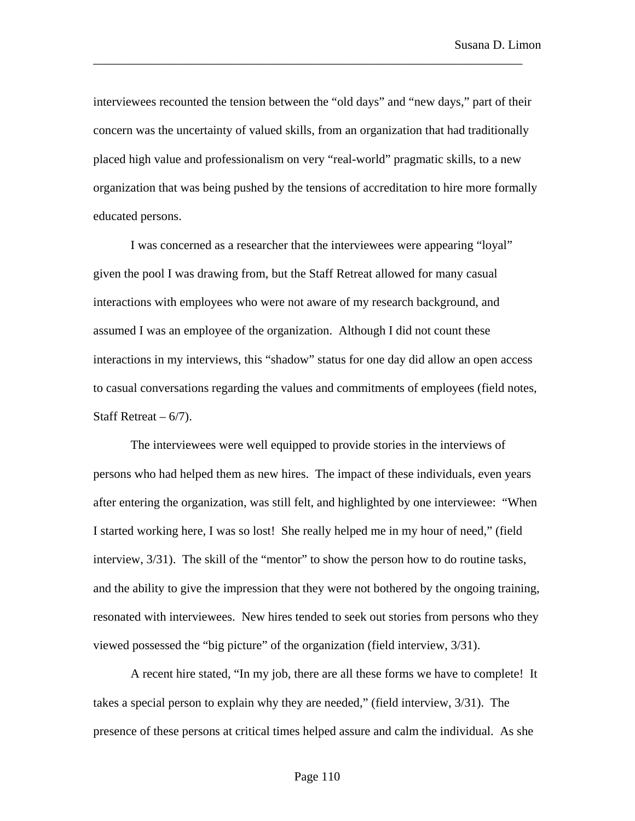interviewees recounted the tension between the "old days" and "new days," part of their concern was the uncertainty of valued skills, from an organization that had traditionally placed high value and professionalism on very "real-world" pragmatic skills, to a new organization that was being pushed by the tensions of accreditation to hire more formally educated persons.

\_\_\_\_\_\_\_\_\_\_\_\_\_\_\_\_\_\_\_\_\_\_\_\_\_\_\_\_\_\_\_\_\_\_\_\_\_\_\_\_\_\_\_\_\_\_\_\_\_\_\_\_\_\_\_\_\_\_\_\_\_\_\_\_\_\_\_\_\_

I was concerned as a researcher that the interviewees were appearing "loyal" given the pool I was drawing from, but the Staff Retreat allowed for many casual interactions with employees who were not aware of my research background, and assumed I was an employee of the organization. Although I did not count these interactions in my interviews, this "shadow" status for one day did allow an open access to casual conversations regarding the values and commitments of employees (field notes, Staff Retreat  $-6/7$ ).

The interviewees were well equipped to provide stories in the interviews of persons who had helped them as new hires. The impact of these individuals, even years after entering the organization, was still felt, and highlighted by one interviewee: "When I started working here, I was so lost! She really helped me in my hour of need," (field interview, 3/31). The skill of the "mentor" to show the person how to do routine tasks, and the ability to give the impression that they were not bothered by the ongoing training, resonated with interviewees. New hires tended to seek out stories from persons who they viewed possessed the "big picture" of the organization (field interview, 3/31).

A recent hire stated, "In my job, there are all these forms we have to complete! It takes a special person to explain why they are needed," (field interview, 3/31). The presence of these persons at critical times helped assure and calm the individual. As she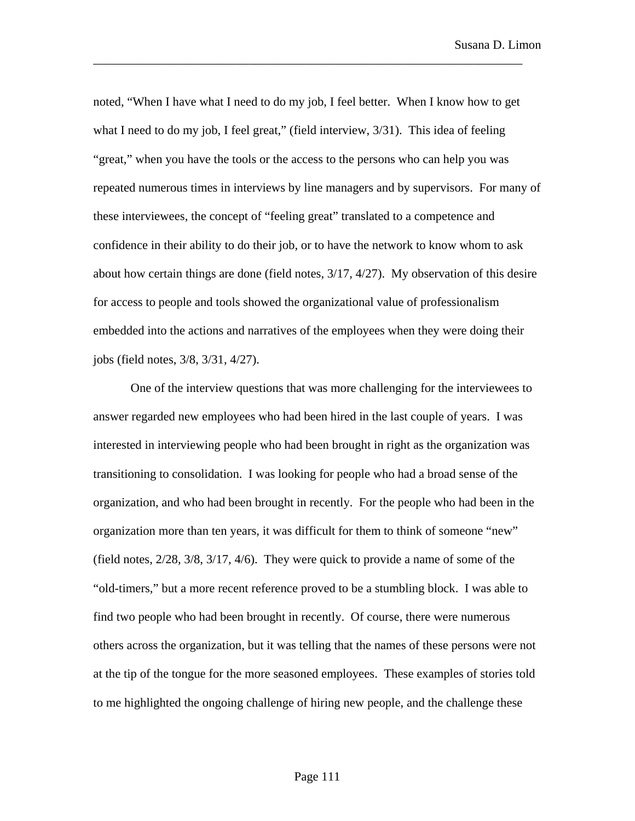noted, "When I have what I need to do my job, I feel better. When I know how to get what I need to do my job, I feel great," (field interview,  $3/31$ ). This idea of feeling "great," when you have the tools or the access to the persons who can help you was repeated numerous times in interviews by line managers and by supervisors. For many of these interviewees, the concept of "feeling great" translated to a competence and confidence in their ability to do their job, or to have the network to know whom to ask about how certain things are done (field notes, 3/17, 4/27). My observation of this desire for access to people and tools showed the organizational value of professionalism embedded into the actions and narratives of the employees when they were doing their jobs (field notes, 3/8, 3/31, 4/27).

\_\_\_\_\_\_\_\_\_\_\_\_\_\_\_\_\_\_\_\_\_\_\_\_\_\_\_\_\_\_\_\_\_\_\_\_\_\_\_\_\_\_\_\_\_\_\_\_\_\_\_\_\_\_\_\_\_\_\_\_\_\_\_\_\_\_\_\_\_

One of the interview questions that was more challenging for the interviewees to answer regarded new employees who had been hired in the last couple of years. I was interested in interviewing people who had been brought in right as the organization was transitioning to consolidation. I was looking for people who had a broad sense of the organization, and who had been brought in recently. For the people who had been in the organization more than ten years, it was difficult for them to think of someone "new" (field notes, 2/28, 3/8, 3/17, 4/6). They were quick to provide a name of some of the "old-timers," but a more recent reference proved to be a stumbling block. I was able to find two people who had been brought in recently. Of course, there were numerous others across the organization, but it was telling that the names of these persons were not at the tip of the tongue for the more seasoned employees. These examples of stories told to me highlighted the ongoing challenge of hiring new people, and the challenge these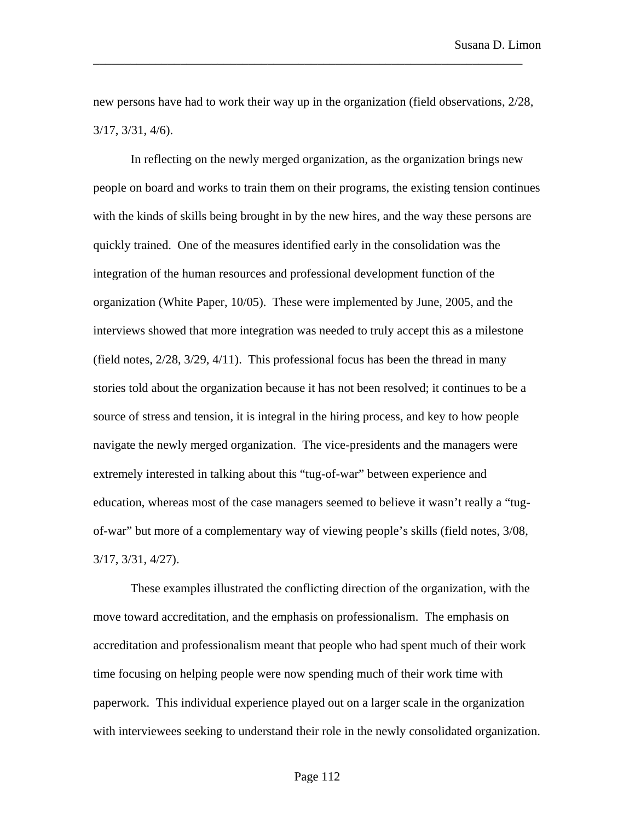new persons have had to work their way up in the organization (field observations, 2/28, 3/17, 3/31, 4/6).

\_\_\_\_\_\_\_\_\_\_\_\_\_\_\_\_\_\_\_\_\_\_\_\_\_\_\_\_\_\_\_\_\_\_\_\_\_\_\_\_\_\_\_\_\_\_\_\_\_\_\_\_\_\_\_\_\_\_\_\_\_\_\_\_\_\_\_\_\_

In reflecting on the newly merged organization, as the organization brings new people on board and works to train them on their programs, the existing tension continues with the kinds of skills being brought in by the new hires, and the way these persons are quickly trained. One of the measures identified early in the consolidation was the integration of the human resources and professional development function of the organization (White Paper, 10/05). These were implemented by June, 2005, and the interviews showed that more integration was needed to truly accept this as a milestone (field notes, 2/28, 3/29, 4/11). This professional focus has been the thread in many stories told about the organization because it has not been resolved; it continues to be a source of stress and tension, it is integral in the hiring process, and key to how people navigate the newly merged organization. The vice-presidents and the managers were extremely interested in talking about this "tug-of-war" between experience and education, whereas most of the case managers seemed to believe it wasn't really a "tugof-war" but more of a complementary way of viewing people's skills (field notes, 3/08, 3/17, 3/31, 4/27).

These examples illustrated the conflicting direction of the organization, with the move toward accreditation, and the emphasis on professionalism. The emphasis on accreditation and professionalism meant that people who had spent much of their work time focusing on helping people were now spending much of their work time with paperwork. This individual experience played out on a larger scale in the organization with interviewees seeking to understand their role in the newly consolidated organization.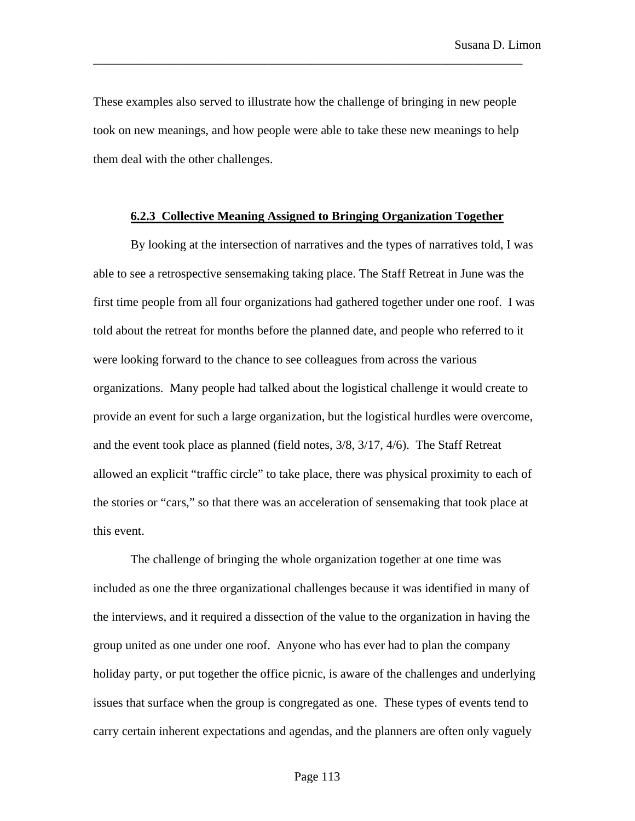These examples also served to illustrate how the challenge of bringing in new people took on new meanings, and how people were able to take these new meanings to help them deal with the other challenges.

\_\_\_\_\_\_\_\_\_\_\_\_\_\_\_\_\_\_\_\_\_\_\_\_\_\_\_\_\_\_\_\_\_\_\_\_\_\_\_\_\_\_\_\_\_\_\_\_\_\_\_\_\_\_\_\_\_\_\_\_\_\_\_\_\_\_\_\_\_

## **6.2.3 Collective Meaning Assigned to Bringing Organization Together**

By looking at the intersection of narratives and the types of narratives told, I was able to see a retrospective sensemaking taking place. The Staff Retreat in June was the first time people from all four organizations had gathered together under one roof. I was told about the retreat for months before the planned date, and people who referred to it were looking forward to the chance to see colleagues from across the various organizations. Many people had talked about the logistical challenge it would create to provide an event for such a large organization, but the logistical hurdles were overcome, and the event took place as planned (field notes, 3/8, 3/17, 4/6). The Staff Retreat allowed an explicit "traffic circle" to take place, there was physical proximity to each of the stories or "cars," so that there was an acceleration of sensemaking that took place at this event.

The challenge of bringing the whole organization together at one time was included as one the three organizational challenges because it was identified in many of the interviews, and it required a dissection of the value to the organization in having the group united as one under one roof. Anyone who has ever had to plan the company holiday party, or put together the office picnic, is aware of the challenges and underlying issues that surface when the group is congregated as one. These types of events tend to carry certain inherent expectations and agendas, and the planners are often only vaguely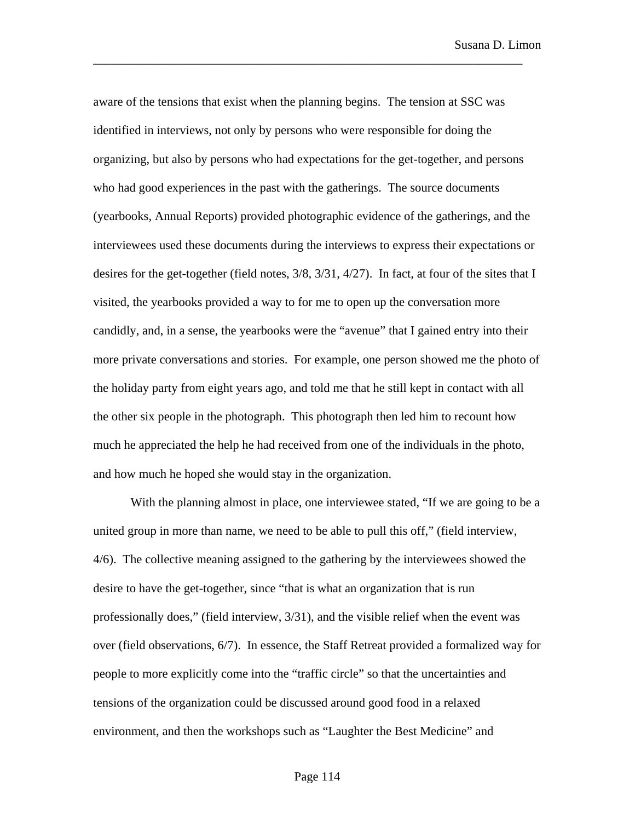aware of the tensions that exist when the planning begins. The tension at SSC was identified in interviews, not only by persons who were responsible for doing the organizing, but also by persons who had expectations for the get-together, and persons who had good experiences in the past with the gatherings. The source documents (yearbooks, Annual Reports) provided photographic evidence of the gatherings, and the interviewees used these documents during the interviews to express their expectations or desires for the get-together (field notes, 3/8, 3/31, 4/27). In fact, at four of the sites that I visited, the yearbooks provided a way to for me to open up the conversation more candidly, and, in a sense, the yearbooks were the "avenue" that I gained entry into their more private conversations and stories. For example, one person showed me the photo of the holiday party from eight years ago, and told me that he still kept in contact with all the other six people in the photograph. This photograph then led him to recount how much he appreciated the help he had received from one of the individuals in the photo, and how much he hoped she would stay in the organization.

\_\_\_\_\_\_\_\_\_\_\_\_\_\_\_\_\_\_\_\_\_\_\_\_\_\_\_\_\_\_\_\_\_\_\_\_\_\_\_\_\_\_\_\_\_\_\_\_\_\_\_\_\_\_\_\_\_\_\_\_\_\_\_\_\_\_\_\_\_

With the planning almost in place, one interviewee stated, "If we are going to be a united group in more than name, we need to be able to pull this off," (field interview, 4/6). The collective meaning assigned to the gathering by the interviewees showed the desire to have the get-together, since "that is what an organization that is run professionally does," (field interview, 3/31), and the visible relief when the event was over (field observations, 6/7). In essence, the Staff Retreat provided a formalized way for people to more explicitly come into the "traffic circle" so that the uncertainties and tensions of the organization could be discussed around good food in a relaxed environment, and then the workshops such as "Laughter the Best Medicine" and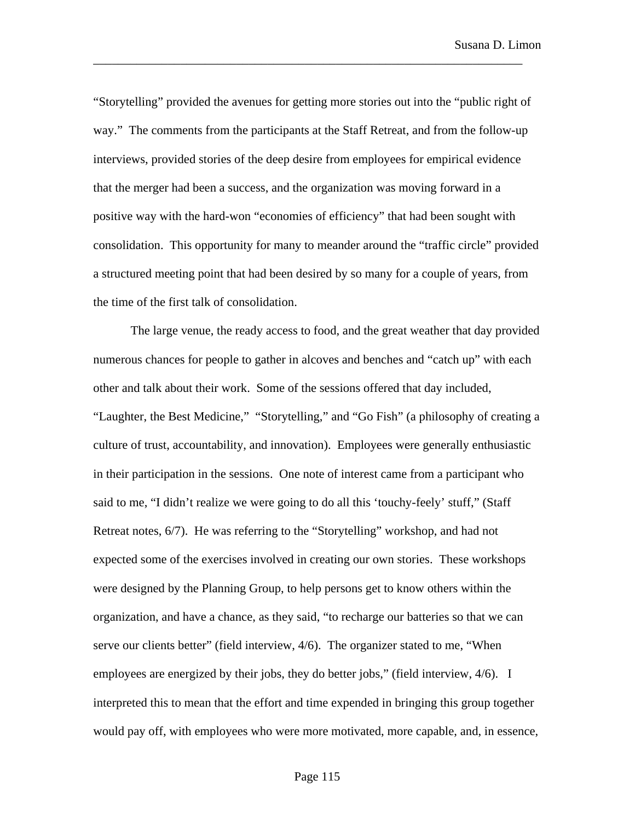"Storytelling" provided the avenues for getting more stories out into the "public right of way." The comments from the participants at the Staff Retreat, and from the follow-up interviews, provided stories of the deep desire from employees for empirical evidence that the merger had been a success, and the organization was moving forward in a positive way with the hard-won "economies of efficiency" that had been sought with consolidation. This opportunity for many to meander around the "traffic circle" provided a structured meeting point that had been desired by so many for a couple of years, from the time of the first talk of consolidation.

\_\_\_\_\_\_\_\_\_\_\_\_\_\_\_\_\_\_\_\_\_\_\_\_\_\_\_\_\_\_\_\_\_\_\_\_\_\_\_\_\_\_\_\_\_\_\_\_\_\_\_\_\_\_\_\_\_\_\_\_\_\_\_\_\_\_\_\_\_

The large venue, the ready access to food, and the great weather that day provided numerous chances for people to gather in alcoves and benches and "catch up" with each other and talk about their work. Some of the sessions offered that day included, "Laughter, the Best Medicine," "Storytelling," and "Go Fish" (a philosophy of creating a culture of trust, accountability, and innovation). Employees were generally enthusiastic in their participation in the sessions. One note of interest came from a participant who said to me, "I didn't realize we were going to do all this 'touchy-feely' stuff," (Staff Retreat notes, 6/7). He was referring to the "Storytelling" workshop, and had not expected some of the exercises involved in creating our own stories. These workshops were designed by the Planning Group, to help persons get to know others within the organization, and have a chance, as they said, "to recharge our batteries so that we can serve our clients better" (field interview, 4/6). The organizer stated to me, "When employees are energized by their jobs, they do better jobs," (field interview,  $4/6$ ). I interpreted this to mean that the effort and time expended in bringing this group together would pay off, with employees who were more motivated, more capable, and, in essence,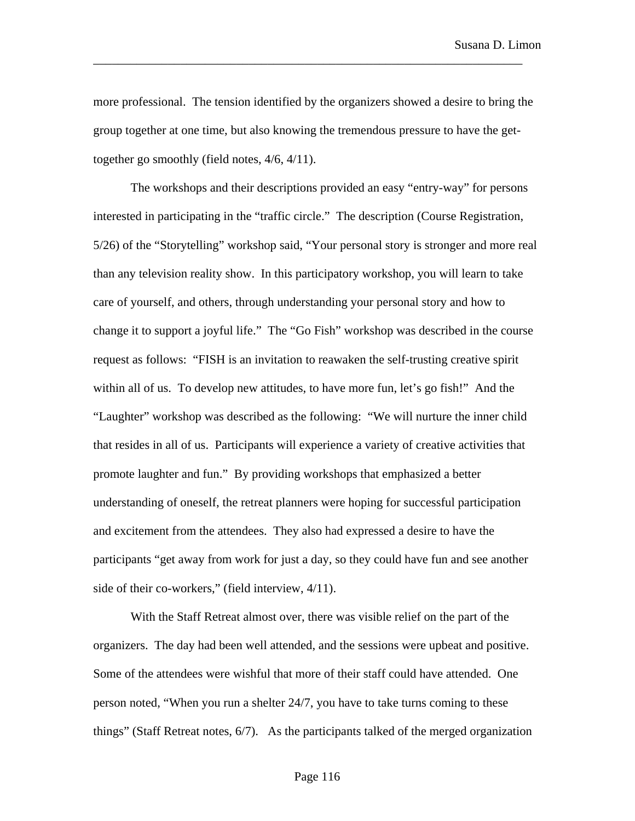more professional. The tension identified by the organizers showed a desire to bring the group together at one time, but also knowing the tremendous pressure to have the gettogether go smoothly (field notes, 4/6, 4/11).

\_\_\_\_\_\_\_\_\_\_\_\_\_\_\_\_\_\_\_\_\_\_\_\_\_\_\_\_\_\_\_\_\_\_\_\_\_\_\_\_\_\_\_\_\_\_\_\_\_\_\_\_\_\_\_\_\_\_\_\_\_\_\_\_\_\_\_\_\_

The workshops and their descriptions provided an easy "entry-way" for persons interested in participating in the "traffic circle." The description (Course Registration, 5/26) of the "Storytelling" workshop said, "Your personal story is stronger and more real than any television reality show. In this participatory workshop, you will learn to take care of yourself, and others, through understanding your personal story and how to change it to support a joyful life." The "Go Fish" workshop was described in the course request as follows: "FISH is an invitation to reawaken the self-trusting creative spirit within all of us. To develop new attitudes, to have more fun, let's go fish!" And the "Laughter" workshop was described as the following: "We will nurture the inner child that resides in all of us. Participants will experience a variety of creative activities that promote laughter and fun." By providing workshops that emphasized a better understanding of oneself, the retreat planners were hoping for successful participation and excitement from the attendees. They also had expressed a desire to have the participants "get away from work for just a day, so they could have fun and see another side of their co-workers," (field interview, 4/11).

With the Staff Retreat almost over, there was visible relief on the part of the organizers. The day had been well attended, and the sessions were upbeat and positive. Some of the attendees were wishful that more of their staff could have attended. One person noted, "When you run a shelter 24/7, you have to take turns coming to these things" (Staff Retreat notes, 6/7). As the participants talked of the merged organization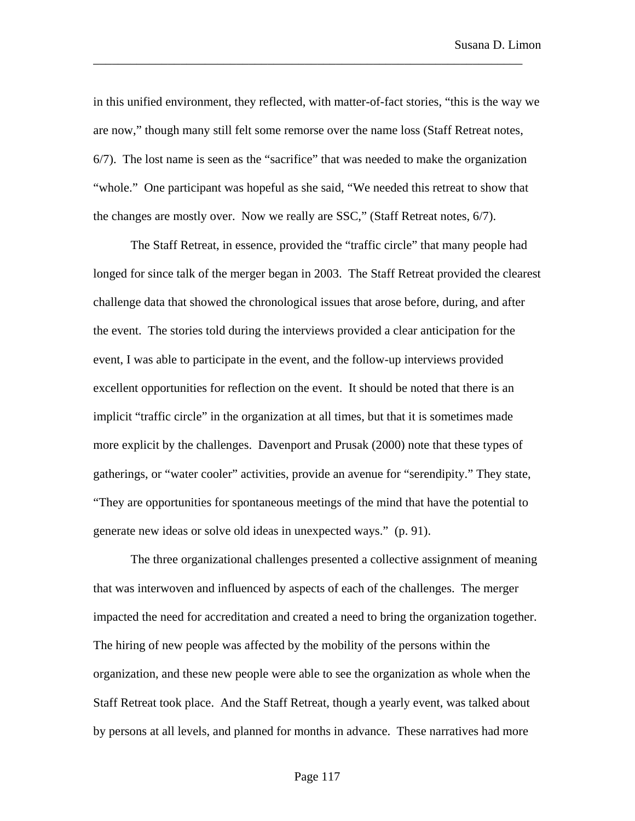in this unified environment, they reflected, with matter-of-fact stories, "this is the way we are now," though many still felt some remorse over the name loss (Staff Retreat notes, 6/7). The lost name is seen as the "sacrifice" that was needed to make the organization "whole." One participant was hopeful as she said, "We needed this retreat to show that the changes are mostly over. Now we really are SSC," (Staff Retreat notes, 6/7).

\_\_\_\_\_\_\_\_\_\_\_\_\_\_\_\_\_\_\_\_\_\_\_\_\_\_\_\_\_\_\_\_\_\_\_\_\_\_\_\_\_\_\_\_\_\_\_\_\_\_\_\_\_\_\_\_\_\_\_\_\_\_\_\_\_\_\_\_\_

The Staff Retreat, in essence, provided the "traffic circle" that many people had longed for since talk of the merger began in 2003. The Staff Retreat provided the clearest challenge data that showed the chronological issues that arose before, during, and after the event. The stories told during the interviews provided a clear anticipation for the event, I was able to participate in the event, and the follow-up interviews provided excellent opportunities for reflection on the event. It should be noted that there is an implicit "traffic circle" in the organization at all times, but that it is sometimes made more explicit by the challenges. Davenport and Prusak (2000) note that these types of gatherings, or "water cooler" activities, provide an avenue for "serendipity." They state, "They are opportunities for spontaneous meetings of the mind that have the potential to generate new ideas or solve old ideas in unexpected ways." (p. 91).

The three organizational challenges presented a collective assignment of meaning that was interwoven and influenced by aspects of each of the challenges. The merger impacted the need for accreditation and created a need to bring the organization together. The hiring of new people was affected by the mobility of the persons within the organization, and these new people were able to see the organization as whole when the Staff Retreat took place. And the Staff Retreat, though a yearly event, was talked about by persons at all levels, and planned for months in advance. These narratives had more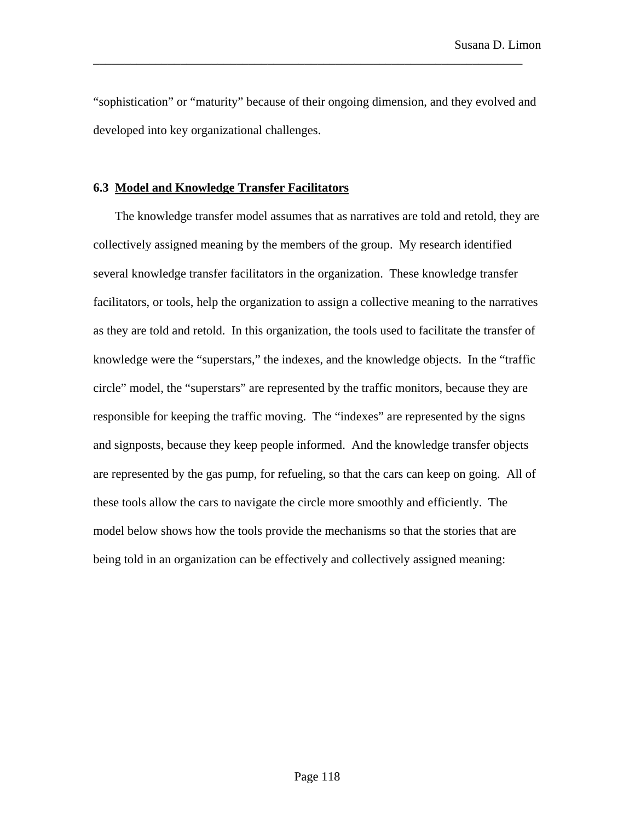"sophistication" or "maturity" because of their ongoing dimension, and they evolved and developed into key organizational challenges.

\_\_\_\_\_\_\_\_\_\_\_\_\_\_\_\_\_\_\_\_\_\_\_\_\_\_\_\_\_\_\_\_\_\_\_\_\_\_\_\_\_\_\_\_\_\_\_\_\_\_\_\_\_\_\_\_\_\_\_\_\_\_\_\_\_\_\_\_\_

# **6.3 Model and Knowledge Transfer Facilitators**

The knowledge transfer model assumes that as narratives are told and retold, they are collectively assigned meaning by the members of the group. My research identified several knowledge transfer facilitators in the organization. These knowledge transfer facilitators, or tools, help the organization to assign a collective meaning to the narratives as they are told and retold. In this organization, the tools used to facilitate the transfer of knowledge were the "superstars," the indexes, and the knowledge objects. In the "traffic circle" model, the "superstars" are represented by the traffic monitors, because they are responsible for keeping the traffic moving. The "indexes" are represented by the signs and signposts, because they keep people informed. And the knowledge transfer objects are represented by the gas pump, for refueling, so that the cars can keep on going. All of these tools allow the cars to navigate the circle more smoothly and efficiently. The model below shows how the tools provide the mechanisms so that the stories that are being told in an organization can be effectively and collectively assigned meaning: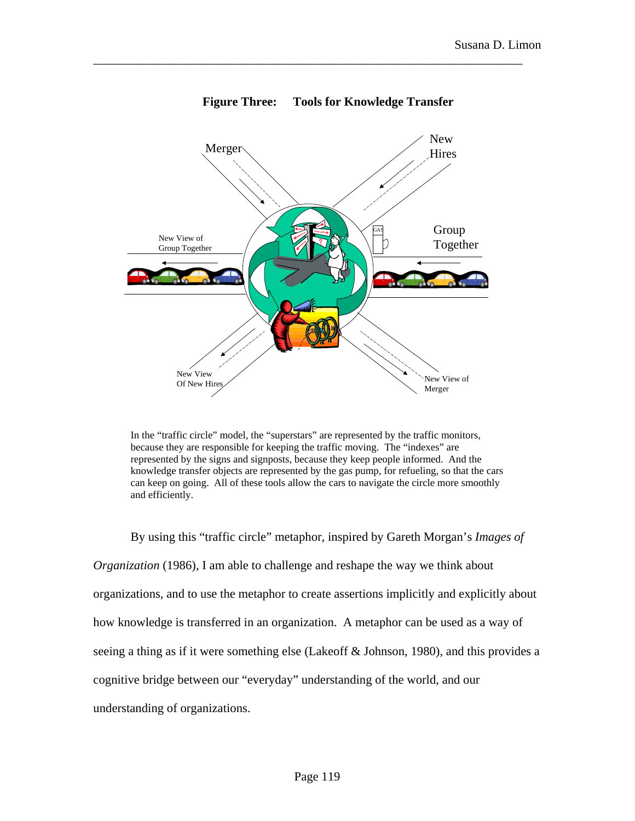

**Figure Three: Tools for Knowledge Transfer**

\_\_\_\_\_\_\_\_\_\_\_\_\_\_\_\_\_\_\_\_\_\_\_\_\_\_\_\_\_\_\_\_\_\_\_\_\_\_\_\_\_\_\_\_\_\_\_\_\_\_\_\_\_\_\_\_\_\_\_\_\_\_\_\_\_\_\_\_\_

In the "traffic circle" model, the "superstars" are represented by the traffic monitors, because they are responsible for keeping the traffic moving. The "indexes" are represented by the signs and signposts, because they keep people informed. And the knowledge transfer objects are represented by the gas pump, for refueling, so that the cars can keep on going. All of these tools allow the cars to navigate the circle more smoothly and efficiently.

By using this "traffic circle" metaphor, inspired by Gareth Morgan's *Images of Organization* (1986), I am able to challenge and reshape the way we think about organizations, and to use the metaphor to create assertions implicitly and explicitly about how knowledge is transferred in an organization. A metaphor can be used as a way of seeing a thing as if it were something else (Lakeoff & Johnson, 1980), and this provides a cognitive bridge between our "everyday" understanding of the world, and our understanding of organizations.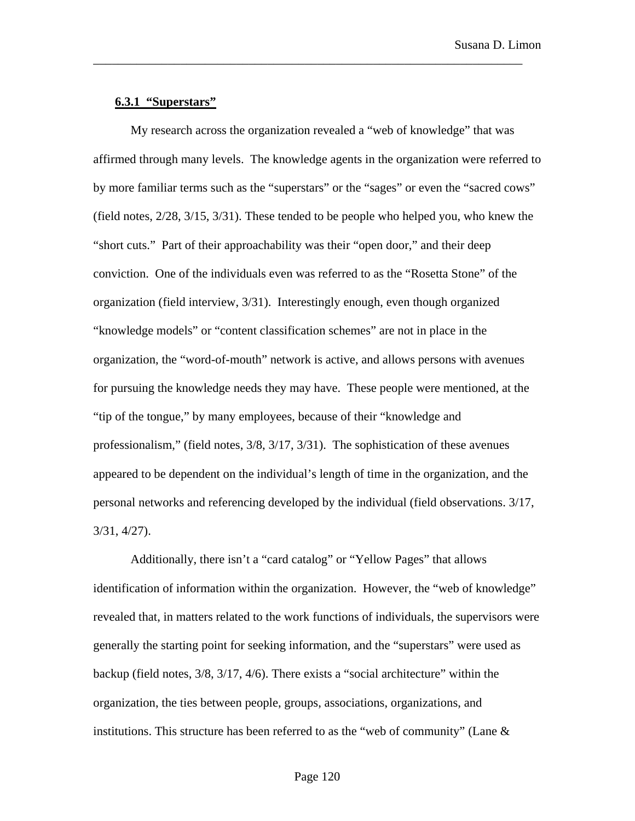## **6.3.1 "Superstars"**

My research across the organization revealed a "web of knowledge" that was affirmed through many levels. The knowledge agents in the organization were referred to by more familiar terms such as the "superstars" or the "sages" or even the "sacred cows" (field notes, 2/28, 3/15, 3/31). These tended to be people who helped you, who knew the "short cuts." Part of their approachability was their "open door," and their deep conviction. One of the individuals even was referred to as the "Rosetta Stone" of the organization (field interview, 3/31). Interestingly enough, even though organized "knowledge models" or "content classification schemes" are not in place in the organization, the "word-of-mouth" network is active, and allows persons with avenues for pursuing the knowledge needs they may have. These people were mentioned, at the "tip of the tongue," by many employees, because of their "knowledge and professionalism," (field notes, 3/8, 3/17, 3/31). The sophistication of these avenues appeared to be dependent on the individual's length of time in the organization, and the personal networks and referencing developed by the individual (field observations. 3/17, 3/31, 4/27).

\_\_\_\_\_\_\_\_\_\_\_\_\_\_\_\_\_\_\_\_\_\_\_\_\_\_\_\_\_\_\_\_\_\_\_\_\_\_\_\_\_\_\_\_\_\_\_\_\_\_\_\_\_\_\_\_\_\_\_\_\_\_\_\_\_\_\_\_\_

Additionally, there isn't a "card catalog" or "Yellow Pages" that allows identification of information within the organization. However, the "web of knowledge" revealed that, in matters related to the work functions of individuals, the supervisors were generally the starting point for seeking information, and the "superstars" were used as backup (field notes, 3/8, 3/17, 4/6). There exists a "social architecture" within the organization, the ties between people, groups, associations, organizations, and institutions. This structure has been referred to as the "web of community" (Lane  $\&$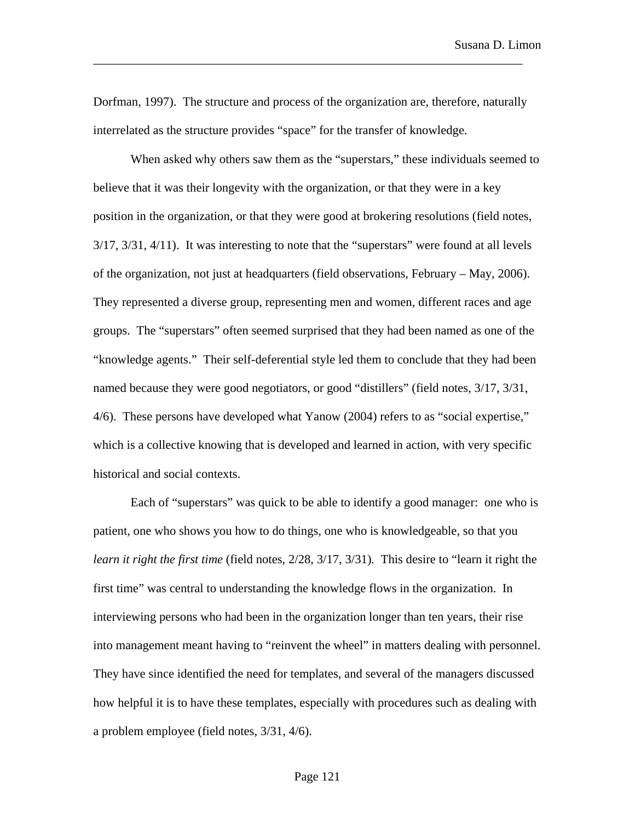Dorfman, 1997). The structure and process of the organization are, therefore, naturally interrelated as the structure provides "space" for the transfer of knowledge.

\_\_\_\_\_\_\_\_\_\_\_\_\_\_\_\_\_\_\_\_\_\_\_\_\_\_\_\_\_\_\_\_\_\_\_\_\_\_\_\_\_\_\_\_\_\_\_\_\_\_\_\_\_\_\_\_\_\_\_\_\_\_\_\_\_\_\_\_\_

When asked why others saw them as the "superstars," these individuals seemed to believe that it was their longevity with the organization, or that they were in a key position in the organization, or that they were good at brokering resolutions (field notes, 3/17, 3/31, 4/11). It was interesting to note that the "superstars" were found at all levels of the organization, not just at headquarters (field observations, February – May, 2006). They represented a diverse group, representing men and women, different races and age groups. The "superstars" often seemed surprised that they had been named as one of the "knowledge agents." Their self-deferential style led them to conclude that they had been named because they were good negotiators, or good "distillers" (field notes, 3/17, 3/31, 4/6). These persons have developed what Yanow (2004) refers to as "social expertise," which is a collective knowing that is developed and learned in action, with very specific historical and social contexts.

Each of "superstars" was quick to be able to identify a good manager: one who is patient, one who shows you how to do things, one who is knowledgeable, so that you *learn it right the first time* (field notes, 2/28, 3/17, 3/31)*.* This desire to "learn it right the first time" was central to understanding the knowledge flows in the organization. In interviewing persons who had been in the organization longer than ten years, their rise into management meant having to "reinvent the wheel" in matters dealing with personnel. They have since identified the need for templates, and several of the managers discussed how helpful it is to have these templates, especially with procedures such as dealing with a problem employee (field notes, 3/31, 4/6).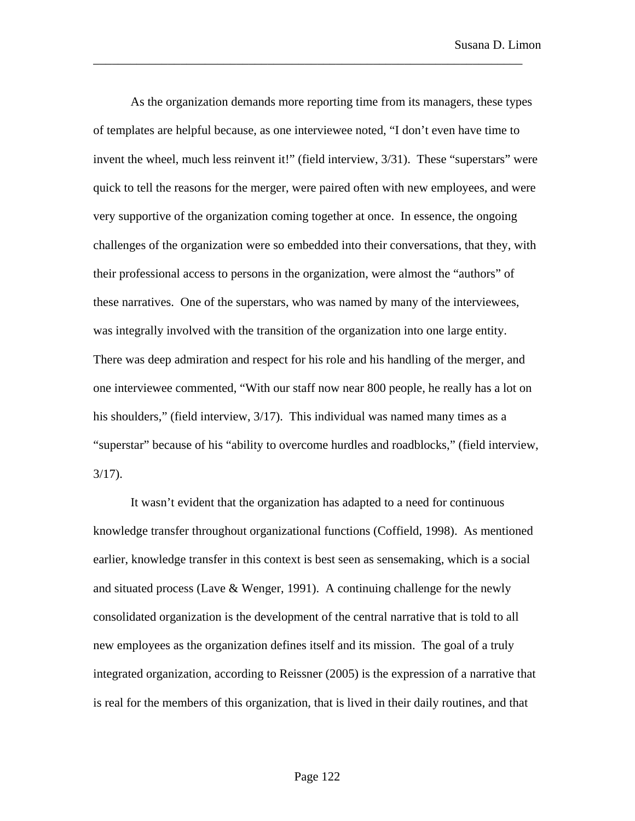As the organization demands more reporting time from its managers, these types of templates are helpful because, as one interviewee noted, "I don't even have time to invent the wheel, much less reinvent it!" (field interview,  $3/31$ ). These "superstars" were quick to tell the reasons for the merger, were paired often with new employees, and were very supportive of the organization coming together at once. In essence, the ongoing challenges of the organization were so embedded into their conversations, that they, with their professional access to persons in the organization, were almost the "authors" of these narratives. One of the superstars, who was named by many of the interviewees, was integrally involved with the transition of the organization into one large entity. There was deep admiration and respect for his role and his handling of the merger, and one interviewee commented, "With our staff now near 800 people, he really has a lot on his shoulders," (field interview,  $3/17$ ). This individual was named many times as a "superstar" because of his "ability to overcome hurdles and roadblocks," (field interview, 3/17).

\_\_\_\_\_\_\_\_\_\_\_\_\_\_\_\_\_\_\_\_\_\_\_\_\_\_\_\_\_\_\_\_\_\_\_\_\_\_\_\_\_\_\_\_\_\_\_\_\_\_\_\_\_\_\_\_\_\_\_\_\_\_\_\_\_\_\_\_\_

It wasn't evident that the organization has adapted to a need for continuous knowledge transfer throughout organizational functions (Coffield, 1998). As mentioned earlier, knowledge transfer in this context is best seen as sensemaking, which is a social and situated process (Lave  $\&$  Wenger, 1991). A continuing challenge for the newly consolidated organization is the development of the central narrative that is told to all new employees as the organization defines itself and its mission. The goal of a truly integrated organization, according to Reissner (2005) is the expression of a narrative that is real for the members of this organization, that is lived in their daily routines, and that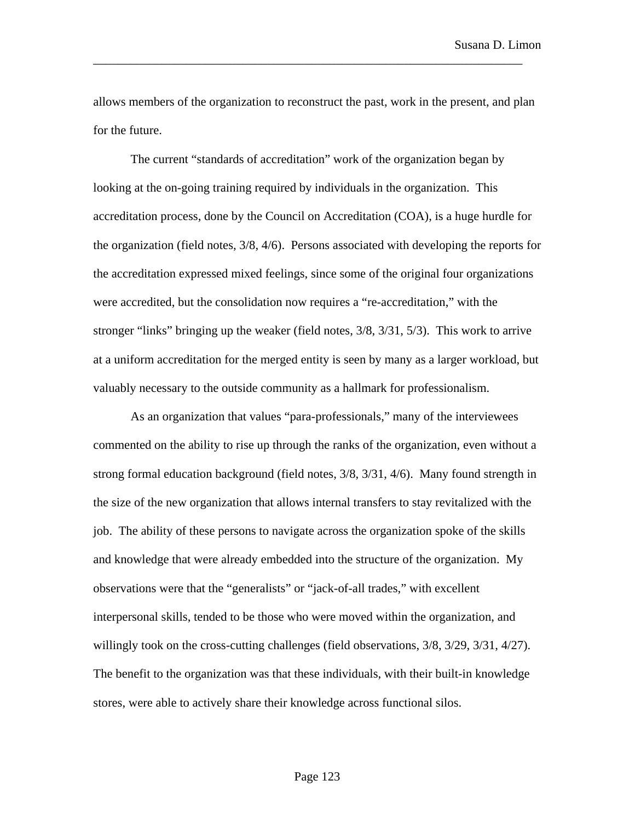allows members of the organization to reconstruct the past, work in the present, and plan for the future.

\_\_\_\_\_\_\_\_\_\_\_\_\_\_\_\_\_\_\_\_\_\_\_\_\_\_\_\_\_\_\_\_\_\_\_\_\_\_\_\_\_\_\_\_\_\_\_\_\_\_\_\_\_\_\_\_\_\_\_\_\_\_\_\_\_\_\_\_\_

The current "standards of accreditation" work of the organization began by looking at the on-going training required by individuals in the organization. This accreditation process, done by the Council on Accreditation (COA), is a huge hurdle for the organization (field notes, 3/8, 4/6). Persons associated with developing the reports for the accreditation expressed mixed feelings, since some of the original four organizations were accredited, but the consolidation now requires a "re-accreditation," with the stronger "links" bringing up the weaker (field notes, 3/8, 3/31, 5/3). This work to arrive at a uniform accreditation for the merged entity is seen by many as a larger workload, but valuably necessary to the outside community as a hallmark for professionalism.

As an organization that values "para-professionals," many of the interviewees commented on the ability to rise up through the ranks of the organization, even without a strong formal education background (field notes, 3/8, 3/31, 4/6). Many found strength in the size of the new organization that allows internal transfers to stay revitalized with the job. The ability of these persons to navigate across the organization spoke of the skills and knowledge that were already embedded into the structure of the organization. My observations were that the "generalists" or "jack-of-all trades," with excellent interpersonal skills, tended to be those who were moved within the organization, and willingly took on the cross-cutting challenges (field observations,  $3/8$ ,  $3/29$ ,  $3/31$ ,  $4/27$ ). The benefit to the organization was that these individuals, with their built-in knowledge stores, were able to actively share their knowledge across functional silos.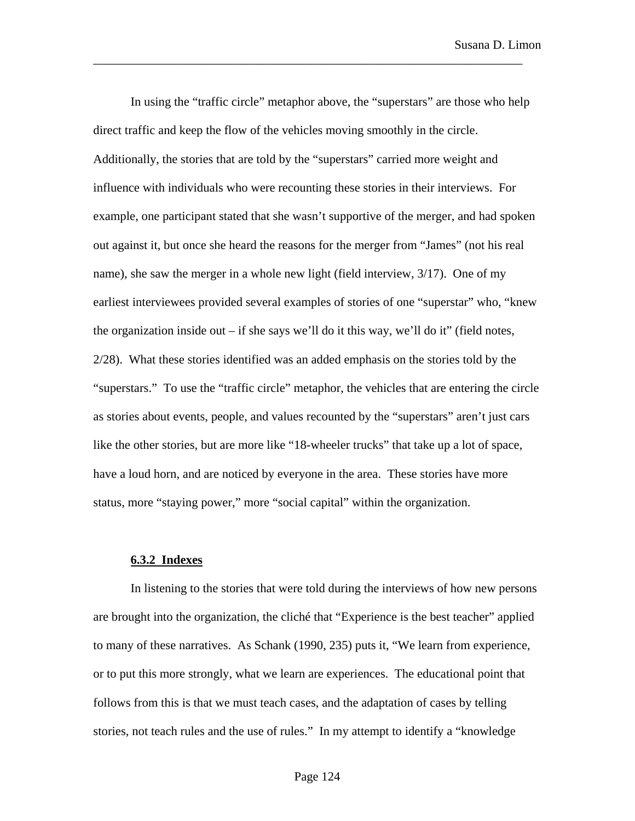In using the "traffic circle" metaphor above, the "superstars" are those who help direct traffic and keep the flow of the vehicles moving smoothly in the circle. Additionally, the stories that are told by the "superstars" carried more weight and influence with individuals who were recounting these stories in their interviews. For example, one participant stated that she wasn't supportive of the merger, and had spoken out against it, but once she heard the reasons for the merger from "James" (not his real name), she saw the merger in a whole new light (field interview, 3/17). One of my earliest interviewees provided several examples of stories of one "superstar" who, "knew the organization inside out – if she says we'll do it this way, we'll do it" (field notes, 2/28). What these stories identified was an added emphasis on the stories told by the "superstars." To use the "traffic circle" metaphor, the vehicles that are entering the circle as stories about events, people, and values recounted by the "superstars" aren't just cars like the other stories, but are more like "18-wheeler trucks" that take up a lot of space, have a loud horn, and are noticed by everyone in the area. These stories have more status, more "staying power," more "social capital" within the organization.

\_\_\_\_\_\_\_\_\_\_\_\_\_\_\_\_\_\_\_\_\_\_\_\_\_\_\_\_\_\_\_\_\_\_\_\_\_\_\_\_\_\_\_\_\_\_\_\_\_\_\_\_\_\_\_\_\_\_\_\_\_\_\_\_\_\_\_\_\_

### **6.3.2 Indexes**

In listening to the stories that were told during the interviews of how new persons are brought into the organization, the cliché that "Experience is the best teacher" applied to many of these narratives. As Schank (1990, 235) puts it, "We learn from experience, or to put this more strongly, what we learn are experiences. The educational point that follows from this is that we must teach cases, and the adaptation of cases by telling stories, not teach rules and the use of rules." In my attempt to identify a "knowledge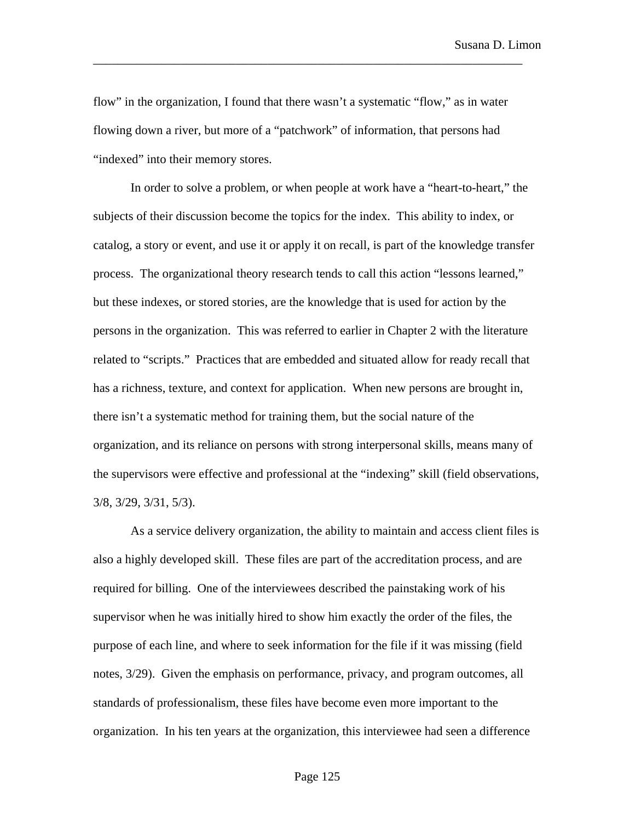flow" in the organization, I found that there wasn't a systematic "flow," as in water flowing down a river, but more of a "patchwork" of information, that persons had "indexed" into their memory stores.

\_\_\_\_\_\_\_\_\_\_\_\_\_\_\_\_\_\_\_\_\_\_\_\_\_\_\_\_\_\_\_\_\_\_\_\_\_\_\_\_\_\_\_\_\_\_\_\_\_\_\_\_\_\_\_\_\_\_\_\_\_\_\_\_\_\_\_\_\_

In order to solve a problem, or when people at work have a "heart-to-heart," the subjects of their discussion become the topics for the index. This ability to index, or catalog, a story or event, and use it or apply it on recall, is part of the knowledge transfer process. The organizational theory research tends to call this action "lessons learned," but these indexes, or stored stories, are the knowledge that is used for action by the persons in the organization. This was referred to earlier in Chapter 2 with the literature related to "scripts." Practices that are embedded and situated allow for ready recall that has a richness, texture, and context for application. When new persons are brought in, there isn't a systematic method for training them, but the social nature of the organization, and its reliance on persons with strong interpersonal skills, means many of the supervisors were effective and professional at the "indexing" skill (field observations, 3/8, 3/29, 3/31, 5/3).

As a service delivery organization, the ability to maintain and access client files is also a highly developed skill. These files are part of the accreditation process, and are required for billing. One of the interviewees described the painstaking work of his supervisor when he was initially hired to show him exactly the order of the files, the purpose of each line, and where to seek information for the file if it was missing (field notes, 3/29). Given the emphasis on performance, privacy, and program outcomes, all standards of professionalism, these files have become even more important to the organization. In his ten years at the organization, this interviewee had seen a difference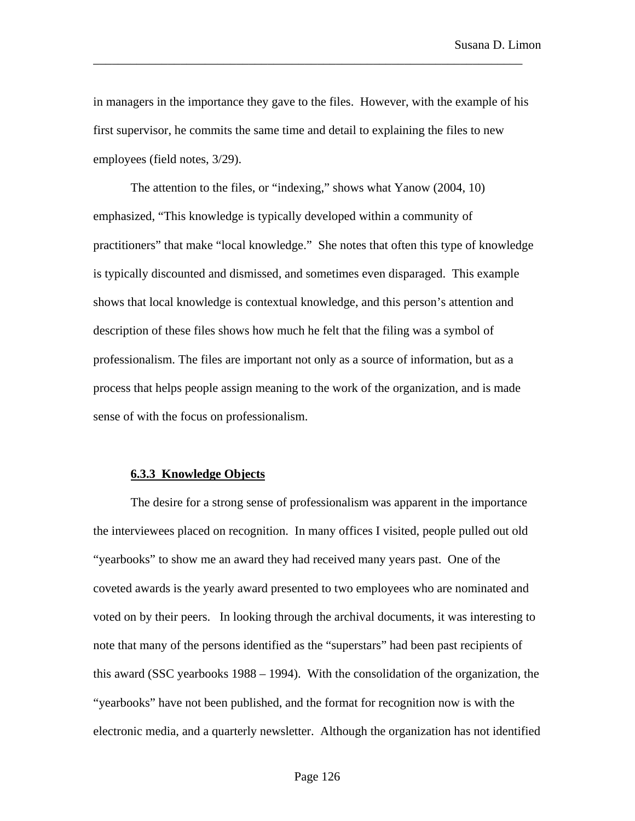in managers in the importance they gave to the files. However, with the example of his first supervisor, he commits the same time and detail to explaining the files to new employees (field notes, 3/29).

\_\_\_\_\_\_\_\_\_\_\_\_\_\_\_\_\_\_\_\_\_\_\_\_\_\_\_\_\_\_\_\_\_\_\_\_\_\_\_\_\_\_\_\_\_\_\_\_\_\_\_\_\_\_\_\_\_\_\_\_\_\_\_\_\_\_\_\_\_

The attention to the files, or "indexing," shows what Yanow (2004, 10) emphasized, "This knowledge is typically developed within a community of practitioners" that make "local knowledge." She notes that often this type of knowledge is typically discounted and dismissed, and sometimes even disparaged. This example shows that local knowledge is contextual knowledge, and this person's attention and description of these files shows how much he felt that the filing was a symbol of professionalism. The files are important not only as a source of information, but as a process that helps people assign meaning to the work of the organization, and is made sense of with the focus on professionalism.

### **6.3.3 Knowledge Objects**

The desire for a strong sense of professionalism was apparent in the importance the interviewees placed on recognition. In many offices I visited, people pulled out old "yearbooks" to show me an award they had received many years past. One of the coveted awards is the yearly award presented to two employees who are nominated and voted on by their peers. In looking through the archival documents, it was interesting to note that many of the persons identified as the "superstars" had been past recipients of this award (SSC yearbooks 1988 – 1994). With the consolidation of the organization, the "yearbooks" have not been published, and the format for recognition now is with the electronic media, and a quarterly newsletter. Although the organization has not identified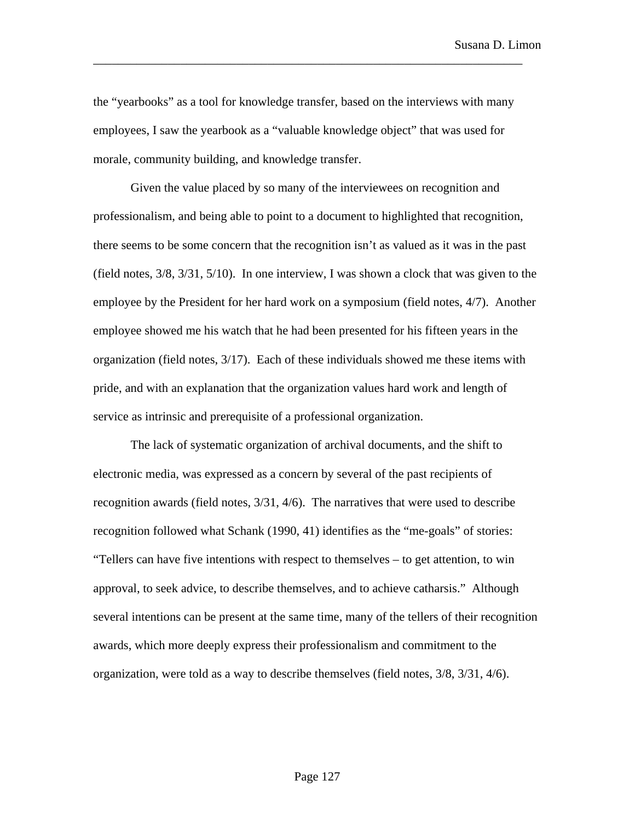the "yearbooks" as a tool for knowledge transfer, based on the interviews with many employees, I saw the yearbook as a "valuable knowledge object" that was used for morale, community building, and knowledge transfer.

\_\_\_\_\_\_\_\_\_\_\_\_\_\_\_\_\_\_\_\_\_\_\_\_\_\_\_\_\_\_\_\_\_\_\_\_\_\_\_\_\_\_\_\_\_\_\_\_\_\_\_\_\_\_\_\_\_\_\_\_\_\_\_\_\_\_\_\_\_

Given the value placed by so many of the interviewees on recognition and professionalism, and being able to point to a document to highlighted that recognition, there seems to be some concern that the recognition isn't as valued as it was in the past (field notes, 3/8, 3/31, 5/10). In one interview, I was shown a clock that was given to the employee by the President for her hard work on a symposium (field notes, 4/7). Another employee showed me his watch that he had been presented for his fifteen years in the organization (field notes, 3/17). Each of these individuals showed me these items with pride, and with an explanation that the organization values hard work and length of service as intrinsic and prerequisite of a professional organization.

The lack of systematic organization of archival documents, and the shift to electronic media, was expressed as a concern by several of the past recipients of recognition awards (field notes, 3/31, 4/6). The narratives that were used to describe recognition followed what Schank (1990, 41) identifies as the "me-goals" of stories: "Tellers can have five intentions with respect to themselves – to get attention, to win approval, to seek advice, to describe themselves, and to achieve catharsis." Although several intentions can be present at the same time, many of the tellers of their recognition awards, which more deeply express their professionalism and commitment to the organization, were told as a way to describe themselves (field notes, 3/8, 3/31, 4/6).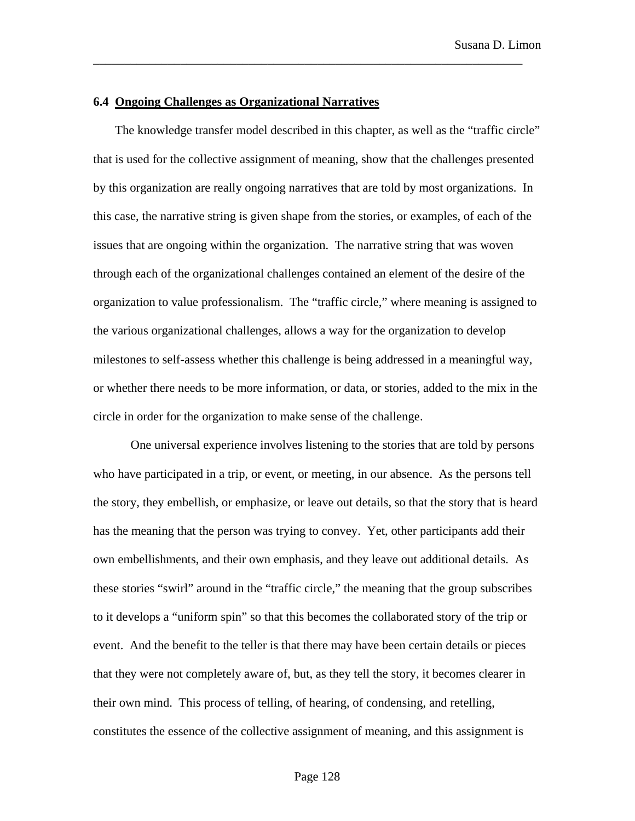## **6.4 Ongoing Challenges as Organizational Narratives**

The knowledge transfer model described in this chapter, as well as the "traffic circle" that is used for the collective assignment of meaning, show that the challenges presented by this organization are really ongoing narratives that are told by most organizations. In this case, the narrative string is given shape from the stories, or examples, of each of the issues that are ongoing within the organization. The narrative string that was woven through each of the organizational challenges contained an element of the desire of the organization to value professionalism. The "traffic circle," where meaning is assigned to the various organizational challenges, allows a way for the organization to develop milestones to self-assess whether this challenge is being addressed in a meaningful way, or whether there needs to be more information, or data, or stories, added to the mix in the circle in order for the organization to make sense of the challenge.

\_\_\_\_\_\_\_\_\_\_\_\_\_\_\_\_\_\_\_\_\_\_\_\_\_\_\_\_\_\_\_\_\_\_\_\_\_\_\_\_\_\_\_\_\_\_\_\_\_\_\_\_\_\_\_\_\_\_\_\_\_\_\_\_\_\_\_\_\_

One universal experience involves listening to the stories that are told by persons who have participated in a trip, or event, or meeting, in our absence. As the persons tell the story, they embellish, or emphasize, or leave out details, so that the story that is heard has the meaning that the person was trying to convey. Yet, other participants add their own embellishments, and their own emphasis, and they leave out additional details. As these stories "swirl" around in the "traffic circle," the meaning that the group subscribes to it develops a "uniform spin" so that this becomes the collaborated story of the trip or event. And the benefit to the teller is that there may have been certain details or pieces that they were not completely aware of, but, as they tell the story, it becomes clearer in their own mind. This process of telling, of hearing, of condensing, and retelling, constitutes the essence of the collective assignment of meaning, and this assignment is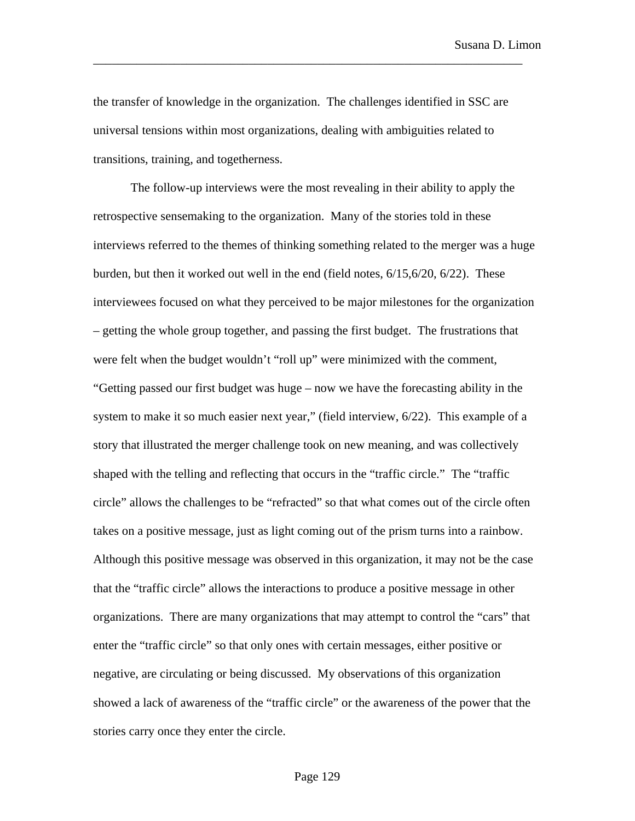the transfer of knowledge in the organization. The challenges identified in SSC are universal tensions within most organizations, dealing with ambiguities related to transitions, training, and togetherness.

\_\_\_\_\_\_\_\_\_\_\_\_\_\_\_\_\_\_\_\_\_\_\_\_\_\_\_\_\_\_\_\_\_\_\_\_\_\_\_\_\_\_\_\_\_\_\_\_\_\_\_\_\_\_\_\_\_\_\_\_\_\_\_\_\_\_\_\_\_

The follow-up interviews were the most revealing in their ability to apply the retrospective sensemaking to the organization. Many of the stories told in these interviews referred to the themes of thinking something related to the merger was a huge burden, but then it worked out well in the end (field notes, 6/15,6/20, 6/22). These interviewees focused on what they perceived to be major milestones for the organization – getting the whole group together, and passing the first budget. The frustrations that were felt when the budget wouldn't "roll up" were minimized with the comment, "Getting passed our first budget was huge – now we have the forecasting ability in the system to make it so much easier next year," (field interview,  $6/22$ ). This example of a story that illustrated the merger challenge took on new meaning, and was collectively shaped with the telling and reflecting that occurs in the "traffic circle." The "traffic circle" allows the challenges to be "refracted" so that what comes out of the circle often takes on a positive message, just as light coming out of the prism turns into a rainbow. Although this positive message was observed in this organization, it may not be the case that the "traffic circle" allows the interactions to produce a positive message in other organizations. There are many organizations that may attempt to control the "cars" that enter the "traffic circle" so that only ones with certain messages, either positive or negative, are circulating or being discussed. My observations of this organization showed a lack of awareness of the "traffic circle" or the awareness of the power that the stories carry once they enter the circle.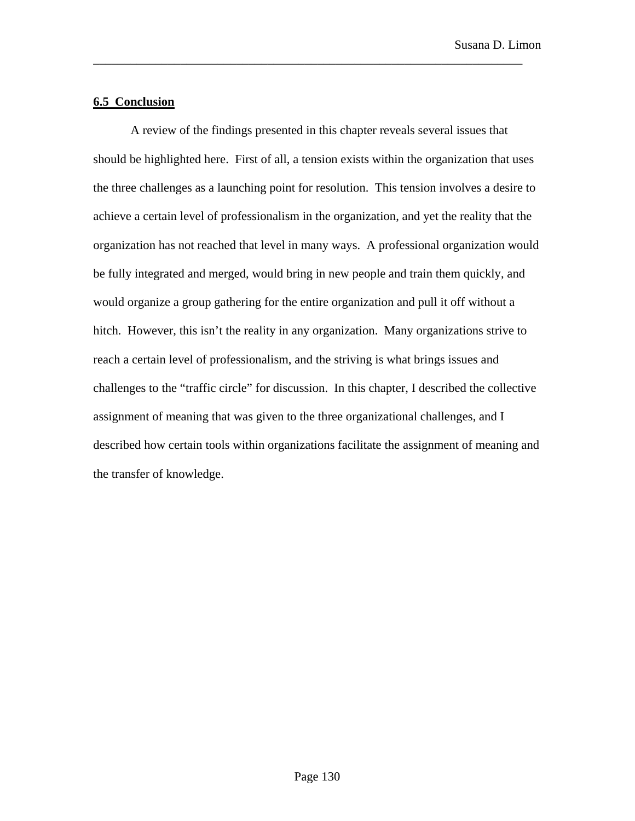# **6.5 Conclusion**

A review of the findings presented in this chapter reveals several issues that should be highlighted here. First of all, a tension exists within the organization that uses the three challenges as a launching point for resolution. This tension involves a desire to achieve a certain level of professionalism in the organization, and yet the reality that the organization has not reached that level in many ways. A professional organization would be fully integrated and merged, would bring in new people and train them quickly, and would organize a group gathering for the entire organization and pull it off without a hitch. However, this isn't the reality in any organization. Many organizations strive to reach a certain level of professionalism, and the striving is what brings issues and challenges to the "traffic circle" for discussion. In this chapter, I described the collective assignment of meaning that was given to the three organizational challenges, and I described how certain tools within organizations facilitate the assignment of meaning and the transfer of knowledge.

\_\_\_\_\_\_\_\_\_\_\_\_\_\_\_\_\_\_\_\_\_\_\_\_\_\_\_\_\_\_\_\_\_\_\_\_\_\_\_\_\_\_\_\_\_\_\_\_\_\_\_\_\_\_\_\_\_\_\_\_\_\_\_\_\_\_\_\_\_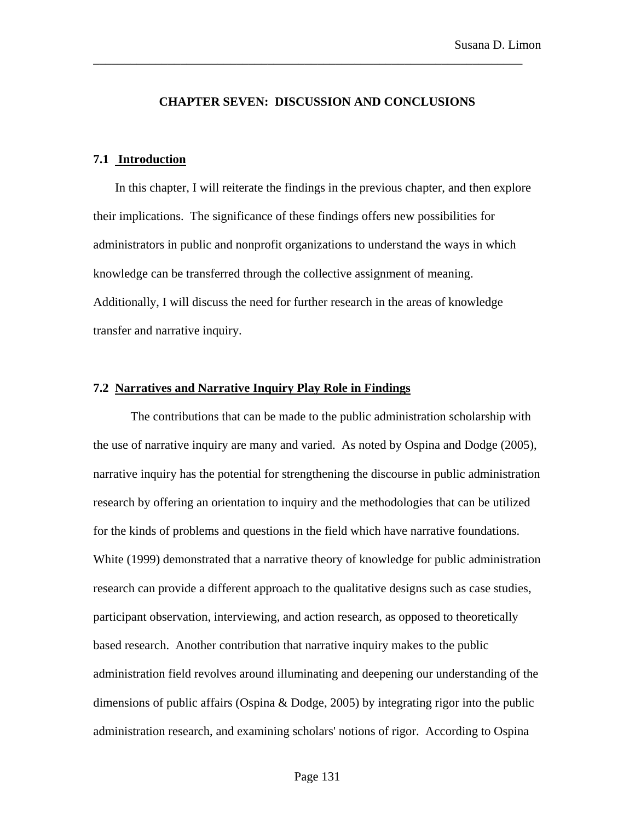## **CHAPTER SEVEN: DISCUSSION AND CONCLUSIONS**

\_\_\_\_\_\_\_\_\_\_\_\_\_\_\_\_\_\_\_\_\_\_\_\_\_\_\_\_\_\_\_\_\_\_\_\_\_\_\_\_\_\_\_\_\_\_\_\_\_\_\_\_\_\_\_\_\_\_\_\_\_\_\_\_\_\_\_\_\_

## **7.1 Introduction**

In this chapter, I will reiterate the findings in the previous chapter, and then explore their implications. The significance of these findings offers new possibilities for administrators in public and nonprofit organizations to understand the ways in which knowledge can be transferred through the collective assignment of meaning. Additionally, I will discuss the need for further research in the areas of knowledge transfer and narrative inquiry.

# **7.2 Narratives and Narrative Inquiry Play Role in Findings**

The contributions that can be made to the public administration scholarship with the use of narrative inquiry are many and varied. As noted by Ospina and Dodge (2005), narrative inquiry has the potential for strengthening the discourse in public administration research by offering an orientation to inquiry and the methodologies that can be utilized for the kinds of problems and questions in the field which have narrative foundations. White (1999) demonstrated that a narrative theory of knowledge for public administration research can provide a different approach to the qualitative designs such as case studies, participant observation, interviewing, and action research, as opposed to theoretically based research. Another contribution that narrative inquiry makes to the public administration field revolves around illuminating and deepening our understanding of the dimensions of public affairs (Ospina & Dodge, 2005) by integrating rigor into the public administration research, and examining scholars' notions of rigor. According to Ospina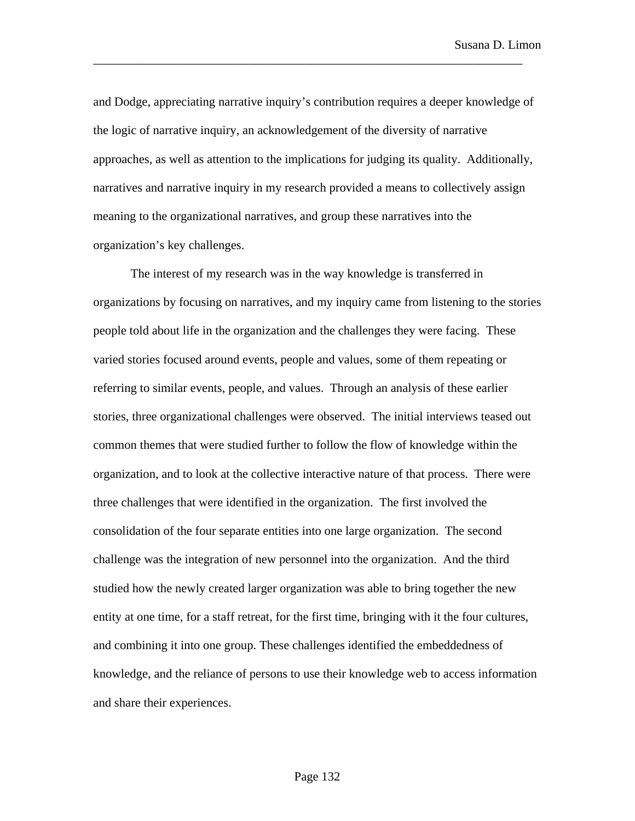and Dodge, appreciating narrative inquiry's contribution requires a deeper knowledge of the logic of narrative inquiry, an acknowledgement of the diversity of narrative approaches, as well as attention to the implications for judging its quality. Additionally, narratives and narrative inquiry in my research provided a means to collectively assign meaning to the organizational narratives, and group these narratives into the organization's key challenges.

\_\_\_\_\_\_\_\_\_\_\_\_\_\_\_\_\_\_\_\_\_\_\_\_\_\_\_\_\_\_\_\_\_\_\_\_\_\_\_\_\_\_\_\_\_\_\_\_\_\_\_\_\_\_\_\_\_\_\_\_\_\_\_\_\_\_\_\_\_

The interest of my research was in the way knowledge is transferred in organizations by focusing on narratives, and my inquiry came from listening to the stories people told about life in the organization and the challenges they were facing. These varied stories focused around events, people and values, some of them repeating or referring to similar events, people, and values. Through an analysis of these earlier stories, three organizational challenges were observed. The initial interviews teased out common themes that were studied further to follow the flow of knowledge within the organization, and to look at the collective interactive nature of that process. There were three challenges that were identified in the organization. The first involved the consolidation of the four separate entities into one large organization. The second challenge was the integration of new personnel into the organization. And the third studied how the newly created larger organization was able to bring together the new entity at one time, for a staff retreat, for the first time, bringing with it the four cultures, and combining it into one group. These challenges identified the embeddedness of knowledge, and the reliance of persons to use their knowledge web to access information and share their experiences.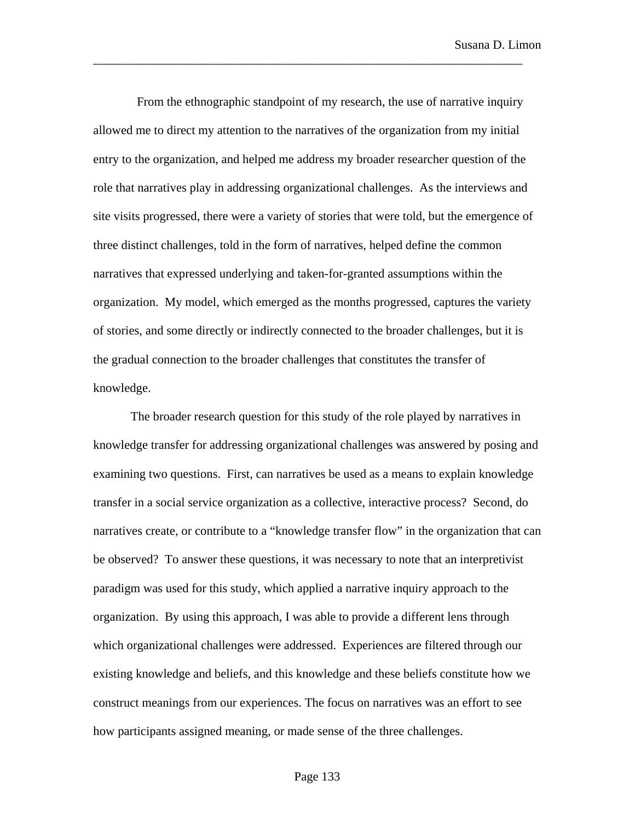From the ethnographic standpoint of my research, the use of narrative inquiry allowed me to direct my attention to the narratives of the organization from my initial entry to the organization, and helped me address my broader researcher question of the role that narratives play in addressing organizational challenges. As the interviews and site visits progressed, there were a variety of stories that were told, but the emergence of three distinct challenges, told in the form of narratives, helped define the common narratives that expressed underlying and taken-for-granted assumptions within the organization. My model, which emerged as the months progressed, captures the variety of stories, and some directly or indirectly connected to the broader challenges, but it is the gradual connection to the broader challenges that constitutes the transfer of knowledge.

\_\_\_\_\_\_\_\_\_\_\_\_\_\_\_\_\_\_\_\_\_\_\_\_\_\_\_\_\_\_\_\_\_\_\_\_\_\_\_\_\_\_\_\_\_\_\_\_\_\_\_\_\_\_\_\_\_\_\_\_\_\_\_\_\_\_\_\_\_

The broader research question for this study of the role played by narratives in knowledge transfer for addressing organizational challenges was answered by posing and examining two questions. First, can narratives be used as a means to explain knowledge transfer in a social service organization as a collective, interactive process? Second, do narratives create, or contribute to a "knowledge transfer flow" in the organization that can be observed? To answer these questions, it was necessary to note that an interpretivist paradigm was used for this study, which applied a narrative inquiry approach to the organization. By using this approach, I was able to provide a different lens through which organizational challenges were addressed. Experiences are filtered through our existing knowledge and beliefs, and this knowledge and these beliefs constitute how we construct meanings from our experiences. The focus on narratives was an effort to see how participants assigned meaning, or made sense of the three challenges.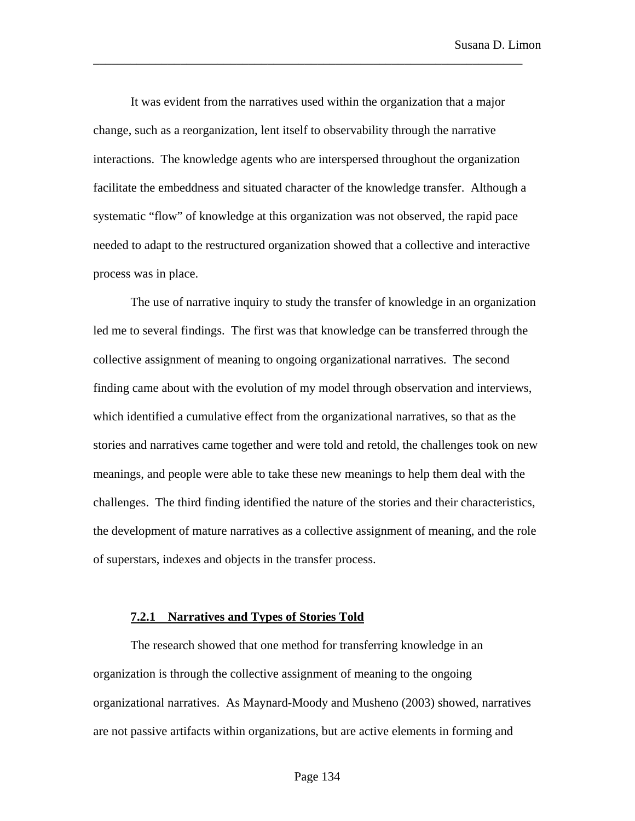It was evident from the narratives used within the organization that a major change, such as a reorganization, lent itself to observability through the narrative interactions. The knowledge agents who are interspersed throughout the organization facilitate the embeddness and situated character of the knowledge transfer. Although a systematic "flow" of knowledge at this organization was not observed, the rapid pace needed to adapt to the restructured organization showed that a collective and interactive process was in place.

\_\_\_\_\_\_\_\_\_\_\_\_\_\_\_\_\_\_\_\_\_\_\_\_\_\_\_\_\_\_\_\_\_\_\_\_\_\_\_\_\_\_\_\_\_\_\_\_\_\_\_\_\_\_\_\_\_\_\_\_\_\_\_\_\_\_\_\_\_

The use of narrative inquiry to study the transfer of knowledge in an organization led me to several findings. The first was that knowledge can be transferred through the collective assignment of meaning to ongoing organizational narratives. The second finding came about with the evolution of my model through observation and interviews, which identified a cumulative effect from the organizational narratives, so that as the stories and narratives came together and were told and retold, the challenges took on new meanings, and people were able to take these new meanings to help them deal with the challenges. The third finding identified the nature of the stories and their characteristics, the development of mature narratives as a collective assignment of meaning, and the role of superstars, indexes and objects in the transfer process.

#### **7.2.1 Narratives and Types of Stories Told**

The research showed that one method for transferring knowledge in an organization is through the collective assignment of meaning to the ongoing organizational narratives. As Maynard-Moody and Musheno (2003) showed, narratives are not passive artifacts within organizations, but are active elements in forming and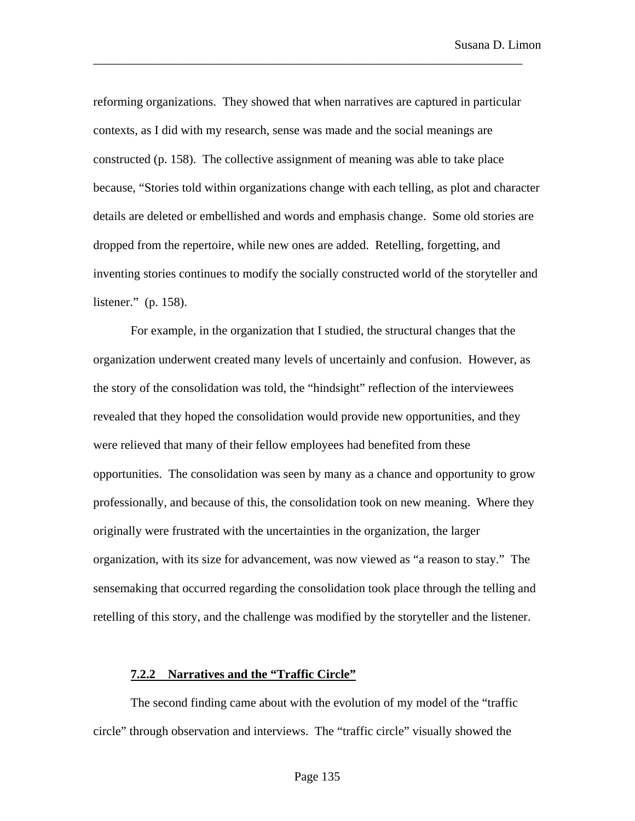reforming organizations. They showed that when narratives are captured in particular contexts, as I did with my research, sense was made and the social meanings are constructed (p. 158). The collective assignment of meaning was able to take place because, "Stories told within organizations change with each telling, as plot and character details are deleted or embellished and words and emphasis change. Some old stories are dropped from the repertoire, while new ones are added. Retelling, forgetting, and inventing stories continues to modify the socially constructed world of the storyteller and listener." (p. 158).

\_\_\_\_\_\_\_\_\_\_\_\_\_\_\_\_\_\_\_\_\_\_\_\_\_\_\_\_\_\_\_\_\_\_\_\_\_\_\_\_\_\_\_\_\_\_\_\_\_\_\_\_\_\_\_\_\_\_\_\_\_\_\_\_\_\_\_\_\_

For example, in the organization that I studied, the structural changes that the organization underwent created many levels of uncertainly and confusion. However, as the story of the consolidation was told, the "hindsight" reflection of the interviewees revealed that they hoped the consolidation would provide new opportunities, and they were relieved that many of their fellow employees had benefited from these opportunities. The consolidation was seen by many as a chance and opportunity to grow professionally, and because of this, the consolidation took on new meaning. Where they originally were frustrated with the uncertainties in the organization, the larger organization, with its size for advancement, was now viewed as "a reason to stay." The sensemaking that occurred regarding the consolidation took place through the telling and retelling of this story, and the challenge was modified by the storyteller and the listener.

### **7.2.2 Narratives and the "Traffic Circle"**

The second finding came about with the evolution of my model of the "traffic circle" through observation and interviews. The "traffic circle" visually showed the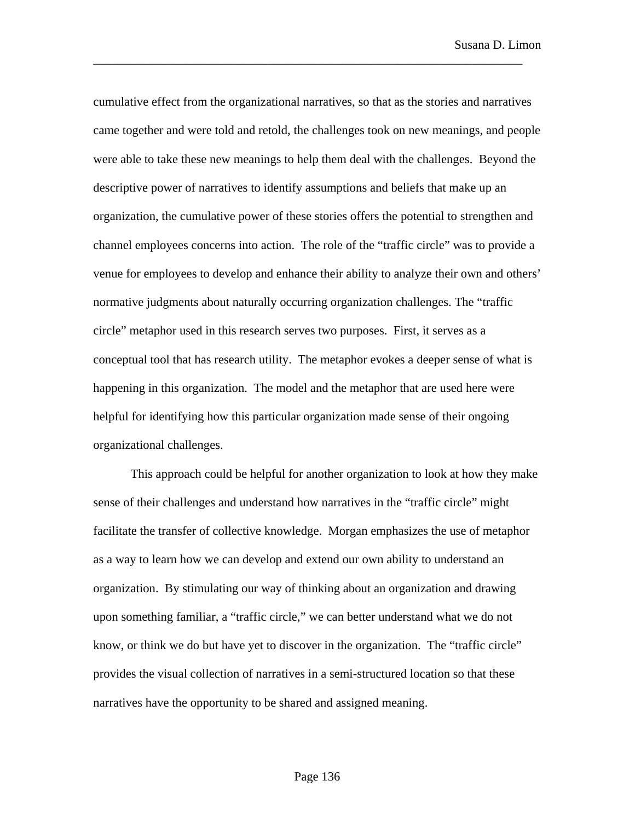cumulative effect from the organizational narratives, so that as the stories and narratives came together and were told and retold, the challenges took on new meanings, and people were able to take these new meanings to help them deal with the challenges. Beyond the descriptive power of narratives to identify assumptions and beliefs that make up an organization, the cumulative power of these stories offers the potential to strengthen and channel employees concerns into action. The role of the "traffic circle" was to provide a venue for employees to develop and enhance their ability to analyze their own and others' normative judgments about naturally occurring organization challenges. The "traffic circle" metaphor used in this research serves two purposes. First, it serves as a conceptual tool that has research utility. The metaphor evokes a deeper sense of what is happening in this organization. The model and the metaphor that are used here were helpful for identifying how this particular organization made sense of their ongoing organizational challenges.

\_\_\_\_\_\_\_\_\_\_\_\_\_\_\_\_\_\_\_\_\_\_\_\_\_\_\_\_\_\_\_\_\_\_\_\_\_\_\_\_\_\_\_\_\_\_\_\_\_\_\_\_\_\_\_\_\_\_\_\_\_\_\_\_\_\_\_\_\_

This approach could be helpful for another organization to look at how they make sense of their challenges and understand how narratives in the "traffic circle" might facilitate the transfer of collective knowledge. Morgan emphasizes the use of metaphor as a way to learn how we can develop and extend our own ability to understand an organization. By stimulating our way of thinking about an organization and drawing upon something familiar, a "traffic circle," we can better understand what we do not know, or think we do but have yet to discover in the organization. The "traffic circle" provides the visual collection of narratives in a semi-structured location so that these narratives have the opportunity to be shared and assigned meaning.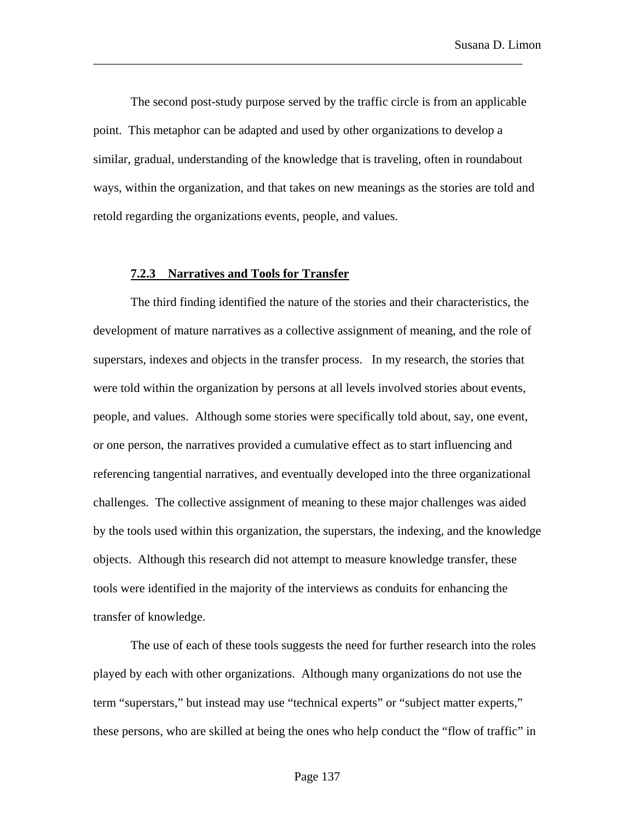The second post-study purpose served by the traffic circle is from an applicable point. This metaphor can be adapted and used by other organizations to develop a similar, gradual, understanding of the knowledge that is traveling, often in roundabout ways, within the organization, and that takes on new meanings as the stories are told and retold regarding the organizations events, people, and values.

\_\_\_\_\_\_\_\_\_\_\_\_\_\_\_\_\_\_\_\_\_\_\_\_\_\_\_\_\_\_\_\_\_\_\_\_\_\_\_\_\_\_\_\_\_\_\_\_\_\_\_\_\_\_\_\_\_\_\_\_\_\_\_\_\_\_\_\_\_

#### **7.2.3 Narratives and Tools for Transfer**

The third finding identified the nature of the stories and their characteristics, the development of mature narratives as a collective assignment of meaning, and the role of superstars, indexes and objects in the transfer process. In my research, the stories that were told within the organization by persons at all levels involved stories about events, people, and values. Although some stories were specifically told about, say, one event, or one person, the narratives provided a cumulative effect as to start influencing and referencing tangential narratives, and eventually developed into the three organizational challenges. The collective assignment of meaning to these major challenges was aided by the tools used within this organization, the superstars, the indexing, and the knowledge objects. Although this research did not attempt to measure knowledge transfer, these tools were identified in the majority of the interviews as conduits for enhancing the transfer of knowledge.

The use of each of these tools suggests the need for further research into the roles played by each with other organizations. Although many organizations do not use the term "superstars," but instead may use "technical experts" or "subject matter experts," these persons, who are skilled at being the ones who help conduct the "flow of traffic" in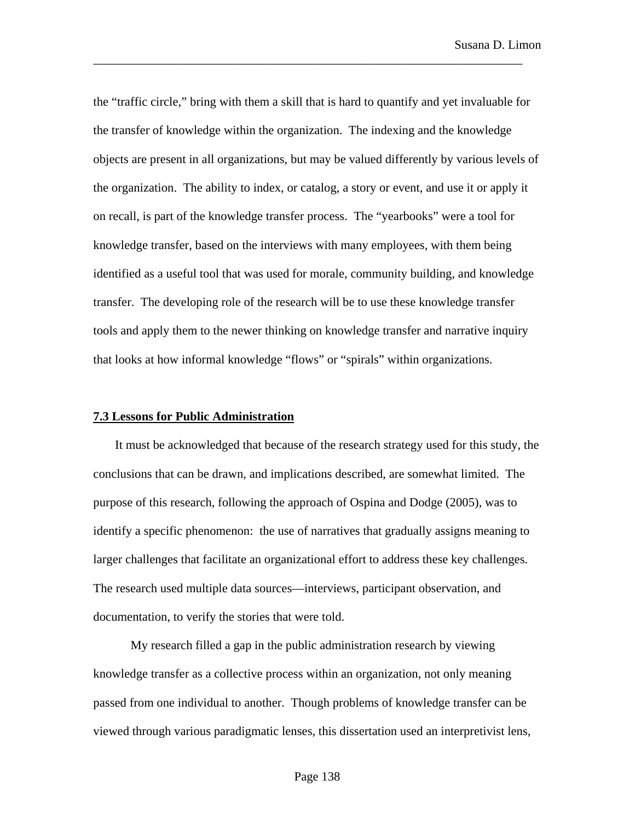the "traffic circle," bring with them a skill that is hard to quantify and yet invaluable for the transfer of knowledge within the organization. The indexing and the knowledge objects are present in all organizations, but may be valued differently by various levels of the organization. The ability to index, or catalog, a story or event, and use it or apply it on recall, is part of the knowledge transfer process. The "yearbooks" were a tool for knowledge transfer, based on the interviews with many employees, with them being identified as a useful tool that was used for morale, community building, and knowledge transfer. The developing role of the research will be to use these knowledge transfer tools and apply them to the newer thinking on knowledge transfer and narrative inquiry that looks at how informal knowledge "flows" or "spirals" within organizations.

\_\_\_\_\_\_\_\_\_\_\_\_\_\_\_\_\_\_\_\_\_\_\_\_\_\_\_\_\_\_\_\_\_\_\_\_\_\_\_\_\_\_\_\_\_\_\_\_\_\_\_\_\_\_\_\_\_\_\_\_\_\_\_\_\_\_\_\_\_

### **7.3 Lessons for Public Administration**

It must be acknowledged that because of the research strategy used for this study, the conclusions that can be drawn, and implications described, are somewhat limited. The purpose of this research, following the approach of Ospina and Dodge (2005), was to identify a specific phenomenon: the use of narratives that gradually assigns meaning to larger challenges that facilitate an organizational effort to address these key challenges. The research used multiple data sources—interviews, participant observation, and documentation, to verify the stories that were told.

My research filled a gap in the public administration research by viewing knowledge transfer as a collective process within an organization, not only meaning passed from one individual to another. Though problems of knowledge transfer can be viewed through various paradigmatic lenses, this dissertation used an interpretivist lens,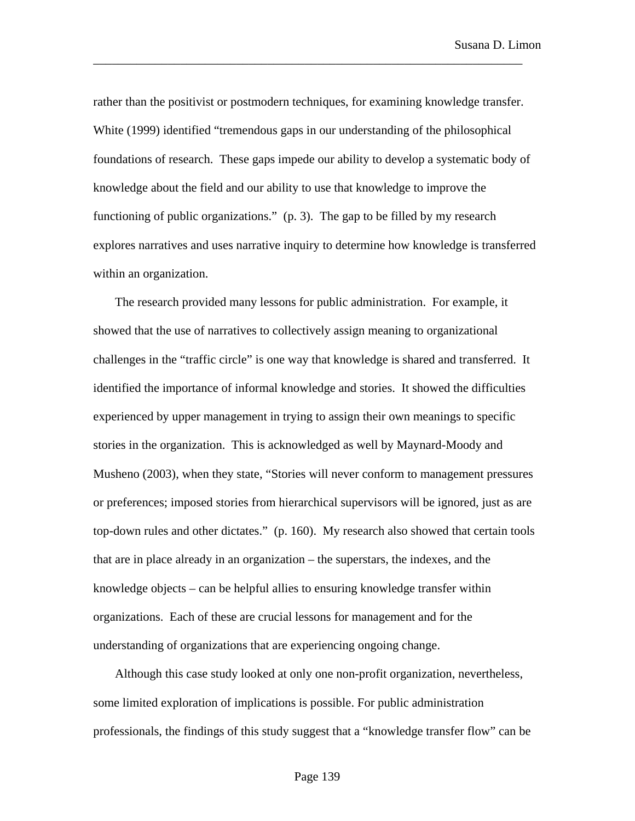rather than the positivist or postmodern techniques, for examining knowledge transfer. White (1999) identified "tremendous gaps in our understanding of the philosophical foundations of research. These gaps impede our ability to develop a systematic body of knowledge about the field and our ability to use that knowledge to improve the functioning of public organizations." (p. 3). The gap to be filled by my research explores narratives and uses narrative inquiry to determine how knowledge is transferred within an organization.

\_\_\_\_\_\_\_\_\_\_\_\_\_\_\_\_\_\_\_\_\_\_\_\_\_\_\_\_\_\_\_\_\_\_\_\_\_\_\_\_\_\_\_\_\_\_\_\_\_\_\_\_\_\_\_\_\_\_\_\_\_\_\_\_\_\_\_\_\_

The research provided many lessons for public administration. For example, it showed that the use of narratives to collectively assign meaning to organizational challenges in the "traffic circle" is one way that knowledge is shared and transferred. It identified the importance of informal knowledge and stories. It showed the difficulties experienced by upper management in trying to assign their own meanings to specific stories in the organization. This is acknowledged as well by Maynard-Moody and Musheno (2003), when they state, "Stories will never conform to management pressures or preferences; imposed stories from hierarchical supervisors will be ignored, just as are top-down rules and other dictates." (p. 160). My research also showed that certain tools that are in place already in an organization – the superstars, the indexes, and the knowledge objects – can be helpful allies to ensuring knowledge transfer within organizations. Each of these are crucial lessons for management and for the understanding of organizations that are experiencing ongoing change.

Although this case study looked at only one non-profit organization, nevertheless, some limited exploration of implications is possible. For public administration professionals, the findings of this study suggest that a "knowledge transfer flow" can be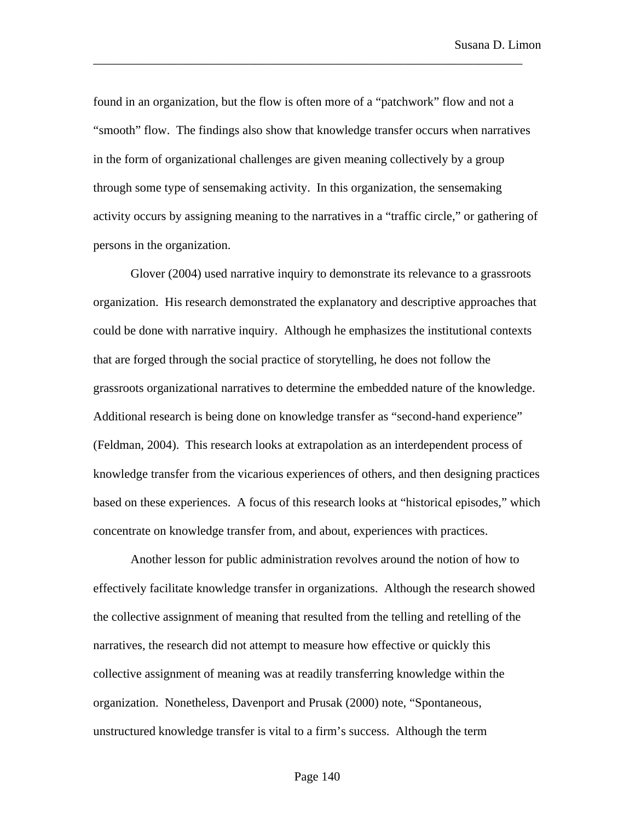found in an organization, but the flow is often more of a "patchwork" flow and not a "smooth" flow. The findings also show that knowledge transfer occurs when narratives in the form of organizational challenges are given meaning collectively by a group through some type of sensemaking activity. In this organization, the sensemaking activity occurs by assigning meaning to the narratives in a "traffic circle," or gathering of persons in the organization.

\_\_\_\_\_\_\_\_\_\_\_\_\_\_\_\_\_\_\_\_\_\_\_\_\_\_\_\_\_\_\_\_\_\_\_\_\_\_\_\_\_\_\_\_\_\_\_\_\_\_\_\_\_\_\_\_\_\_\_\_\_\_\_\_\_\_\_\_\_

Glover (2004) used narrative inquiry to demonstrate its relevance to a grassroots organization. His research demonstrated the explanatory and descriptive approaches that could be done with narrative inquiry. Although he emphasizes the institutional contexts that are forged through the social practice of storytelling, he does not follow the grassroots organizational narratives to determine the embedded nature of the knowledge. Additional research is being done on knowledge transfer as "second-hand experience" (Feldman, 2004). This research looks at extrapolation as an interdependent process of knowledge transfer from the vicarious experiences of others, and then designing practices based on these experiences. A focus of this research looks at "historical episodes," which concentrate on knowledge transfer from, and about, experiences with practices.

Another lesson for public administration revolves around the notion of how to effectively facilitate knowledge transfer in organizations. Although the research showed the collective assignment of meaning that resulted from the telling and retelling of the narratives, the research did not attempt to measure how effective or quickly this collective assignment of meaning was at readily transferring knowledge within the organization. Nonetheless, Davenport and Prusak (2000) note, "Spontaneous, unstructured knowledge transfer is vital to a firm's success. Although the term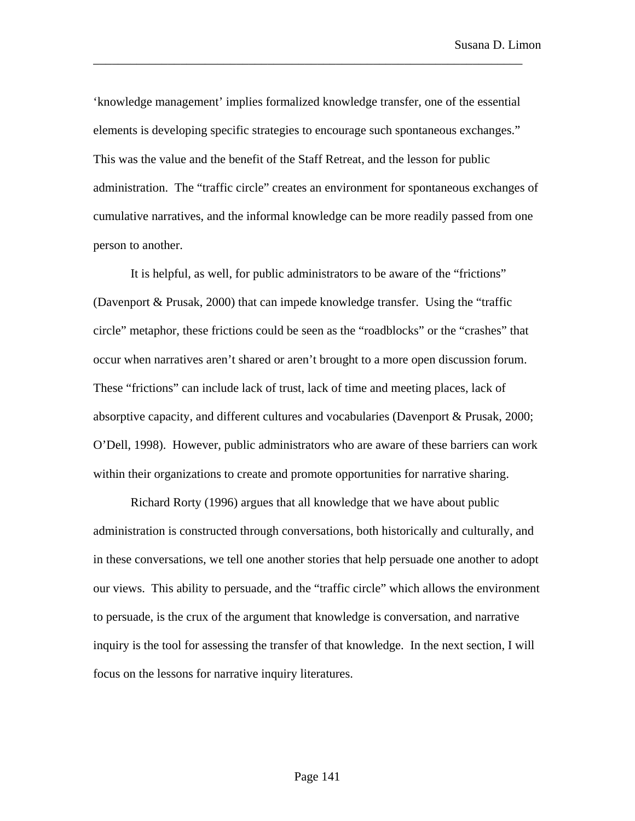'knowledge management' implies formalized knowledge transfer, one of the essential elements is developing specific strategies to encourage such spontaneous exchanges." This was the value and the benefit of the Staff Retreat, and the lesson for public administration. The "traffic circle" creates an environment for spontaneous exchanges of cumulative narratives, and the informal knowledge can be more readily passed from one person to another.

\_\_\_\_\_\_\_\_\_\_\_\_\_\_\_\_\_\_\_\_\_\_\_\_\_\_\_\_\_\_\_\_\_\_\_\_\_\_\_\_\_\_\_\_\_\_\_\_\_\_\_\_\_\_\_\_\_\_\_\_\_\_\_\_\_\_\_\_\_

It is helpful, as well, for public administrators to be aware of the "frictions" (Davenport & Prusak, 2000) that can impede knowledge transfer. Using the "traffic circle" metaphor, these frictions could be seen as the "roadblocks" or the "crashes" that occur when narratives aren't shared or aren't brought to a more open discussion forum. These "frictions" can include lack of trust, lack of time and meeting places, lack of absorptive capacity, and different cultures and vocabularies (Davenport & Prusak, 2000; O'Dell, 1998). However, public administrators who are aware of these barriers can work within their organizations to create and promote opportunities for narrative sharing.

Richard Rorty (1996) argues that all knowledge that we have about public administration is constructed through conversations, both historically and culturally, and in these conversations, we tell one another stories that help persuade one another to adopt our views. This ability to persuade, and the "traffic circle" which allows the environment to persuade, is the crux of the argument that knowledge is conversation, and narrative inquiry is the tool for assessing the transfer of that knowledge. In the next section, I will focus on the lessons for narrative inquiry literatures.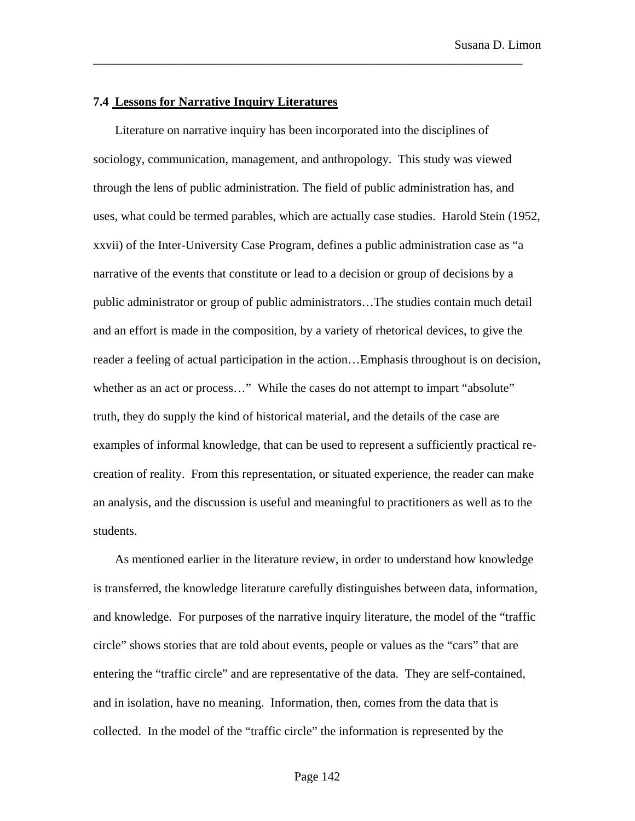## **7.4 Lessons for Narrative Inquiry Literatures**

Literature on narrative inquiry has been incorporated into the disciplines of sociology, communication, management, and anthropology. This study was viewed through the lens of public administration. The field of public administration has, and uses, what could be termed parables, which are actually case studies. Harold Stein (1952, xxvii) of the Inter-University Case Program, defines a public administration case as "a narrative of the events that constitute or lead to a decision or group of decisions by a public administrator or group of public administrators…The studies contain much detail and an effort is made in the composition, by a variety of rhetorical devices, to give the reader a feeling of actual participation in the action…Emphasis throughout is on decision, whether as an act or process..." While the cases do not attempt to impart "absolute" truth, they do supply the kind of historical material, and the details of the case are examples of informal knowledge, that can be used to represent a sufficiently practical recreation of reality. From this representation, or situated experience, the reader can make an analysis, and the discussion is useful and meaningful to practitioners as well as to the students.

\_\_\_\_\_\_\_\_\_\_\_\_\_\_\_\_\_\_\_\_\_\_\_\_\_\_\_\_\_\_\_\_\_\_\_\_\_\_\_\_\_\_\_\_\_\_\_\_\_\_\_\_\_\_\_\_\_\_\_\_\_\_\_\_\_\_\_\_\_

As mentioned earlier in the literature review, in order to understand how knowledge is transferred, the knowledge literature carefully distinguishes between data, information, and knowledge. For purposes of the narrative inquiry literature, the model of the "traffic circle" shows stories that are told about events, people or values as the "cars" that are entering the "traffic circle" and are representative of the data. They are self-contained, and in isolation, have no meaning. Information, then, comes from the data that is collected. In the model of the "traffic circle" the information is represented by the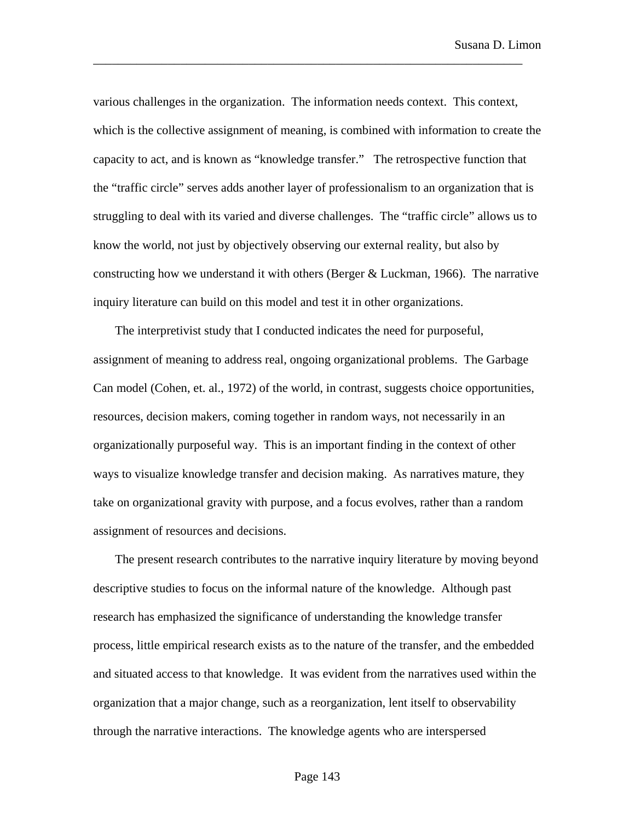various challenges in the organization. The information needs context. This context, which is the collective assignment of meaning, is combined with information to create the capacity to act, and is known as "knowledge transfer." The retrospective function that the "traffic circle" serves adds another layer of professionalism to an organization that is struggling to deal with its varied and diverse challenges. The "traffic circle" allows us to know the world, not just by objectively observing our external reality, but also by constructing how we understand it with others (Berger & Luckman, 1966). The narrative inquiry literature can build on this model and test it in other organizations.

\_\_\_\_\_\_\_\_\_\_\_\_\_\_\_\_\_\_\_\_\_\_\_\_\_\_\_\_\_\_\_\_\_\_\_\_\_\_\_\_\_\_\_\_\_\_\_\_\_\_\_\_\_\_\_\_\_\_\_\_\_\_\_\_\_\_\_\_\_

The interpretivist study that I conducted indicates the need for purposeful, assignment of meaning to address real, ongoing organizational problems. The Garbage Can model (Cohen, et. al., 1972) of the world, in contrast, suggests choice opportunities, resources, decision makers, coming together in random ways, not necessarily in an organizationally purposeful way. This is an important finding in the context of other ways to visualize knowledge transfer and decision making. As narratives mature, they take on organizational gravity with purpose, and a focus evolves, rather than a random assignment of resources and decisions.

The present research contributes to the narrative inquiry literature by moving beyond descriptive studies to focus on the informal nature of the knowledge. Although past research has emphasized the significance of understanding the knowledge transfer process, little empirical research exists as to the nature of the transfer, and the embedded and situated access to that knowledge. It was evident from the narratives used within the organization that a major change, such as a reorganization, lent itself to observability through the narrative interactions. The knowledge agents who are interspersed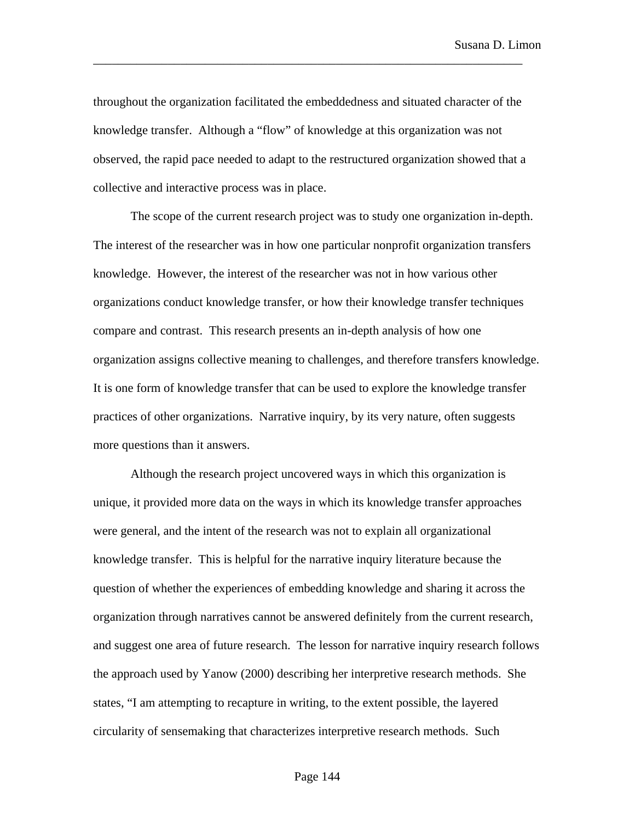throughout the organization facilitated the embeddedness and situated character of the knowledge transfer. Although a "flow" of knowledge at this organization was not observed, the rapid pace needed to adapt to the restructured organization showed that a collective and interactive process was in place.

\_\_\_\_\_\_\_\_\_\_\_\_\_\_\_\_\_\_\_\_\_\_\_\_\_\_\_\_\_\_\_\_\_\_\_\_\_\_\_\_\_\_\_\_\_\_\_\_\_\_\_\_\_\_\_\_\_\_\_\_\_\_\_\_\_\_\_\_\_

The scope of the current research project was to study one organization in-depth. The interest of the researcher was in how one particular nonprofit organization transfers knowledge. However, the interest of the researcher was not in how various other organizations conduct knowledge transfer, or how their knowledge transfer techniques compare and contrast. This research presents an in-depth analysis of how one organization assigns collective meaning to challenges, and therefore transfers knowledge. It is one form of knowledge transfer that can be used to explore the knowledge transfer practices of other organizations. Narrative inquiry, by its very nature, often suggests more questions than it answers.

Although the research project uncovered ways in which this organization is unique, it provided more data on the ways in which its knowledge transfer approaches were general, and the intent of the research was not to explain all organizational knowledge transfer. This is helpful for the narrative inquiry literature because the question of whether the experiences of embedding knowledge and sharing it across the organization through narratives cannot be answered definitely from the current research, and suggest one area of future research. The lesson for narrative inquiry research follows the approach used by Yanow (2000) describing her interpretive research methods. She states, "I am attempting to recapture in writing, to the extent possible, the layered circularity of sensemaking that characterizes interpretive research methods. Such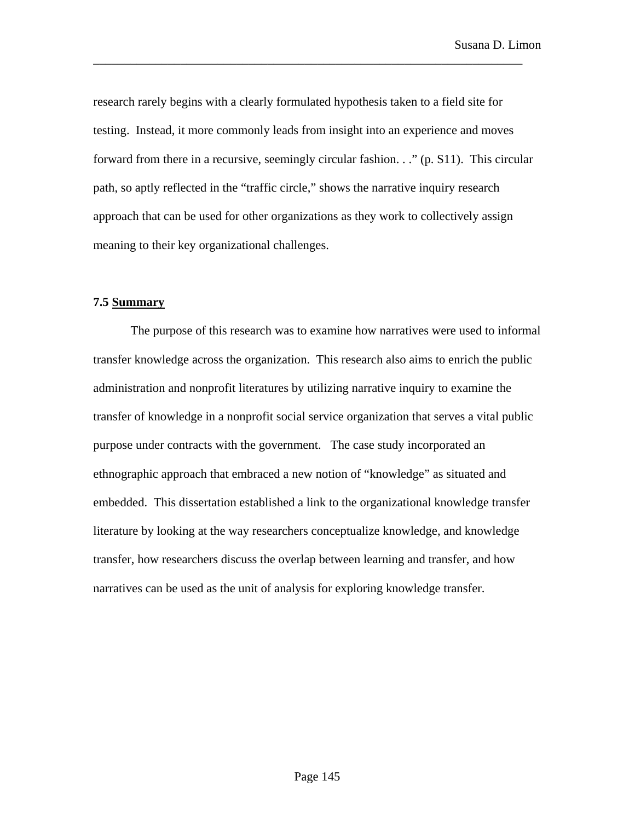research rarely begins with a clearly formulated hypothesis taken to a field site for testing. Instead, it more commonly leads from insight into an experience and moves forward from there in a recursive, seemingly circular fashion. . ." (p. S11). This circular path, so aptly reflected in the "traffic circle," shows the narrative inquiry research approach that can be used for other organizations as they work to collectively assign meaning to their key organizational challenges.

\_\_\_\_\_\_\_\_\_\_\_\_\_\_\_\_\_\_\_\_\_\_\_\_\_\_\_\_\_\_\_\_\_\_\_\_\_\_\_\_\_\_\_\_\_\_\_\_\_\_\_\_\_\_\_\_\_\_\_\_\_\_\_\_\_\_\_\_\_

# **7.5 Summary**

The purpose of this research was to examine how narratives were used to informal transfer knowledge across the organization. This research also aims to enrich the public administration and nonprofit literatures by utilizing narrative inquiry to examine the transfer of knowledge in a nonprofit social service organization that serves a vital public purpose under contracts with the government. The case study incorporated an ethnographic approach that embraced a new notion of "knowledge" as situated and embedded. This dissertation established a link to the organizational knowledge transfer literature by looking at the way researchers conceptualize knowledge, and knowledge transfer, how researchers discuss the overlap between learning and transfer, and how narratives can be used as the unit of analysis for exploring knowledge transfer.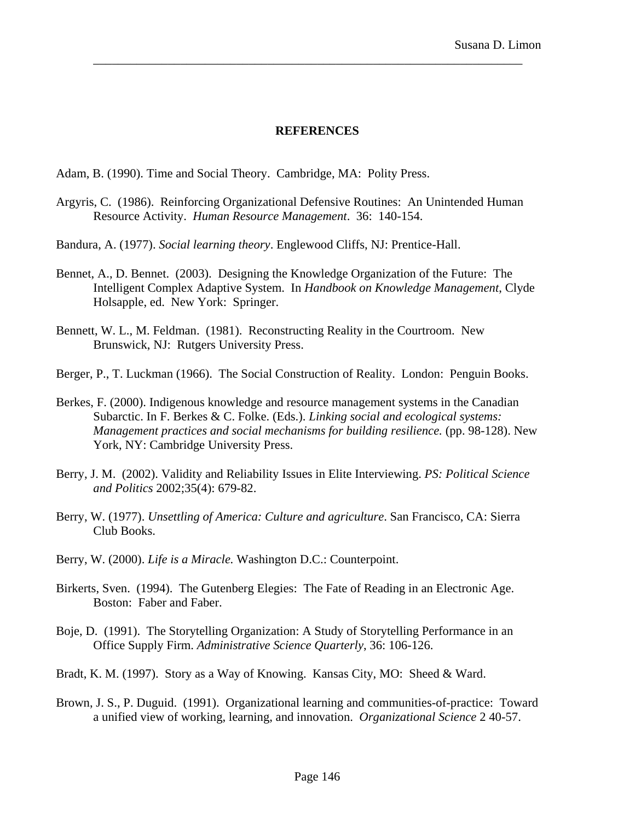## **REFERENCES**

\_\_\_\_\_\_\_\_\_\_\_\_\_\_\_\_\_\_\_\_\_\_\_\_\_\_\_\_\_\_\_\_\_\_\_\_\_\_\_\_\_\_\_\_\_\_\_\_\_\_\_\_\_\_\_\_\_\_\_\_\_\_\_\_\_\_\_\_\_

Adam, B. (1990). Time and Social Theory. Cambridge, MA: Polity Press.

- Argyris, C. (1986). Reinforcing Organizational Defensive Routines: An Unintended Human Resource Activity. *Human Resource Management*. 36: 140-154.
- Bandura, A. (1977). *Social learning theory*. Englewood Cliffs, NJ: Prentice-Hall.
- Bennet, A., D. Bennet. (2003). Designing the Knowledge Organization of the Future: The Intelligent Complex Adaptive System. In *Handbook on Knowledge Management*, Clyde Holsapple, ed. New York: Springer.
- Bennett, W. L., M. Feldman. (1981). Reconstructing Reality in the Courtroom. New Brunswick, NJ: Rutgers University Press.
- Berger, P., T. Luckman (1966). The Social Construction of Reality. London: Penguin Books.
- Berkes, F. (2000). Indigenous knowledge and resource management systems in the Canadian Subarctic. In F. Berkes & C. Folke. (Eds.). *Linking social and ecological systems: Management practices and social mechanisms for building resilience.* (pp. 98-128). New York, NY: Cambridge University Press.
- Berry, J. M. (2002). Validity and Reliability Issues in Elite Interviewing. *PS: Political Science and Politics* 2002;35(4): 679-82.
- Berry, W. (1977). *Unsettling of America: Culture and agriculture*. San Francisco, CA: Sierra Club Books.
- Berry, W. (2000). *Life is a Miracle.* Washington D.C.: Counterpoint.
- Birkerts, Sven. (1994). The Gutenberg Elegies: The Fate of Reading in an Electronic Age. Boston: Faber and Faber.
- Boje, D. (1991). The Storytelling Organization: A Study of Storytelling Performance in an Office Supply Firm. *Administrative Science Quarterly*, 36: 106-126.
- Bradt, K. M. (1997). Story as a Way of Knowing. Kansas City, MO: Sheed & Ward.
- Brown, J. S., P. Duguid. (1991). Organizational learning and communities-of-practice: Toward a unified view of working, learning, and innovation. *Organizational Science* 2 40-57.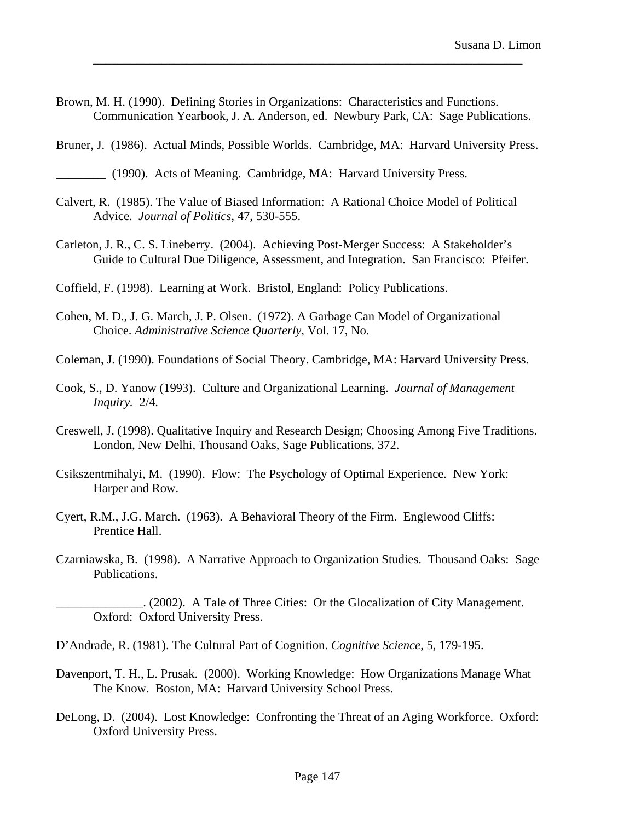Brown, M. H. (1990). Defining Stories in Organizations: Characteristics and Functions. Communication Yearbook, J. A. Anderson, ed. Newbury Park, CA: Sage Publications.

\_\_\_\_\_\_\_\_\_\_\_\_\_\_\_\_\_\_\_\_\_\_\_\_\_\_\_\_\_\_\_\_\_\_\_\_\_\_\_\_\_\_\_\_\_\_\_\_\_\_\_\_\_\_\_\_\_\_\_\_\_\_\_\_\_\_\_\_\_

Bruner, J. (1986). Actual Minds, Possible Worlds. Cambridge, MA: Harvard University Press.

- Calvert, R. (1985). The Value of Biased Information: A Rational Choice Model of Political Advice. *Journal of Politics*, 47, 530-555.
- Carleton, J. R., C. S. Lineberry. (2004). Achieving Post-Merger Success: A Stakeholder's Guide to Cultural Due Diligence, Assessment, and Integration. San Francisco: Pfeifer.
- Coffield, F. (1998). Learning at Work. Bristol, England: Policy Publications.
- Cohen, M. D., J. G. March, J. P. Olsen. (1972). A Garbage Can Model of Organizational Choice. *Administrative Science Quarterly*, Vol. 17, No.
- Coleman, J. (1990). Foundations of Social Theory. Cambridge, MA: Harvard University Press.
- Cook, S., D. Yanow (1993). Culture and Organizational Learning. *Journal of Management Inquiry.* 2/4.
- Creswell, J. (1998). Qualitative Inquiry and Research Design; Choosing Among Five Traditions. London, New Delhi, Thousand Oaks, Sage Publications, 372.
- Csikszentmihalyi, M. (1990). Flow: The Psychology of Optimal Experience*.* New York: Harper and Row.
- Cyert, R.M., J.G. March. (1963). A Behavioral Theory of the Firm. Englewood Cliffs: Prentice Hall.
- Czarniawska, B. (1998). A Narrative Approach to Organization Studies. Thousand Oaks: Sage Publications.

\_\_\_\_\_\_\_\_\_\_\_\_\_\_. (2002). A Tale of Three Cities: Or the Glocalization of City Management. Oxford: Oxford University Press.

- D'Andrade, R. (1981). The Cultural Part of Cognition. *Cognitive Science*, 5, 179-195.
- Davenport, T. H., L. Prusak. (2000). Working Knowledge: How Organizations Manage What The Know. Boston, MA: Harvard University School Press.
- DeLong, D. (2004). Lost Knowledge: Confronting the Threat of an Aging Workforce. Oxford: Oxford University Press.

\_\_\_\_\_\_\_\_ (1990). Acts of Meaning. Cambridge, MA: Harvard University Press.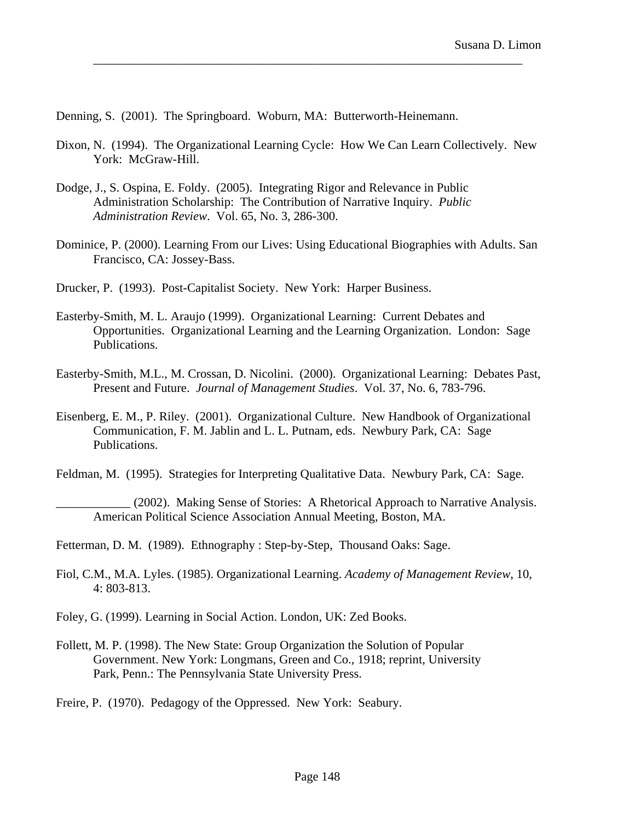Denning, S. (2001). The Springboard. Woburn, MA: Butterworth-Heinemann.

Dixon, N. (1994). The Organizational Learning Cycle: How We Can Learn Collectively. New York: McGraw-Hill.

\_\_\_\_\_\_\_\_\_\_\_\_\_\_\_\_\_\_\_\_\_\_\_\_\_\_\_\_\_\_\_\_\_\_\_\_\_\_\_\_\_\_\_\_\_\_\_\_\_\_\_\_\_\_\_\_\_\_\_\_\_\_\_\_\_\_\_\_\_

- Dodge, J., S. Ospina, E. Foldy. (2005). Integrating Rigor and Relevance in Public Administration Scholarship: The Contribution of Narrative Inquiry. *Public Administration Review*. Vol. 65, No. 3, 286-300.
- Dominice, P. (2000). Learning From our Lives: Using Educational Biographies with Adults. San Francisco, CA: Jossey-Bass.
- Drucker, P. (1993). Post-Capitalist Society. New York: Harper Business.
- Easterby-Smith, M. L. Araujo (1999). Organizational Learning: Current Debates and Opportunities. Organizational Learning and the Learning Organization. London: Sage Publications.
- Easterby-Smith, M.L., M. Crossan, D. Nicolini. (2000). Organizational Learning: Debates Past, Present and Future. *Journal of Management Studies*. Vol. 37, No. 6, 783-796.
- Eisenberg, E. M., P. Riley. (2001). Organizational Culture. New Handbook of Organizational Communication, F. M. Jablin and L. L. Putnam, eds. Newbury Park, CA: Sage Publications.

Feldman, M. (1995). Strategies for Interpreting Qualitative Data. Newbury Park, CA: Sage.

\_\_\_\_\_\_\_\_\_\_\_\_ (2002). Making Sense of Stories: A Rhetorical Approach to Narrative Analysis. American Political Science Association Annual Meeting, Boston, MA.

Fetterman, D. M. (1989). Ethnography : Step-by-Step, Thousand Oaks: Sage.

Fiol, C.M., M.A. Lyles. (1985). Organizational Learning. *Academy of Management Review*, 10, 4: 803-813.

- Foley, G. (1999). Learning in Social Action. London, UK: Zed Books.
- Follett, M. P. (1998). The New State: Group Organization the Solution of Popular Government. New York: Longmans, Green and Co., 1918; reprint, University Park, Penn.: The Pennsylvania State University Press.

Freire, P. (1970). Pedagogy of the Oppressed. New York: Seabury.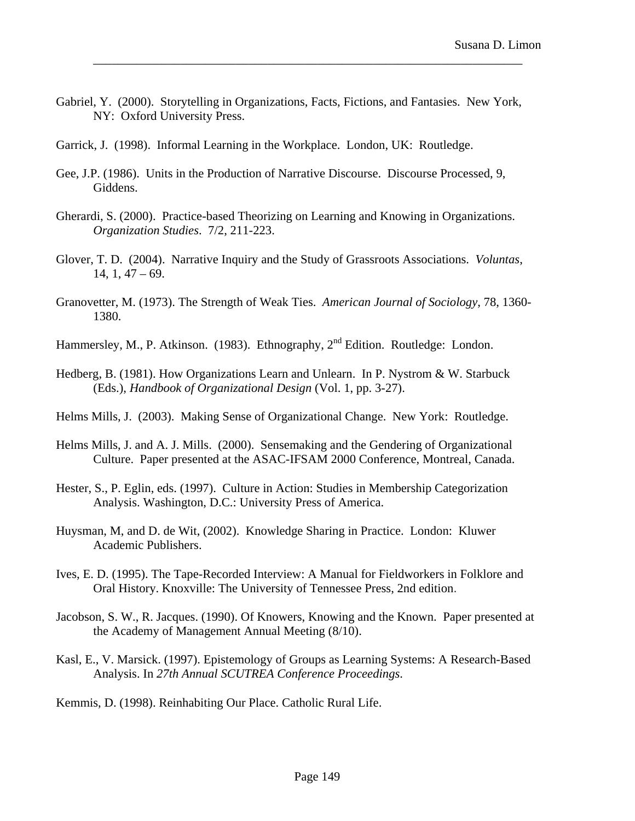Gabriel, Y. (2000). Storytelling in Organizations, Facts, Fictions, and Fantasies. New York, NY: Oxford University Press.

- Garrick, J. (1998). Informal Learning in the Workplace. London, UK: Routledge.
- Gee, J.P. (1986). Units in the Production of Narrative Discourse. Discourse Processed, 9, Giddens.
- Gherardi, S. (2000). Practice-based Theorizing on Learning and Knowing in Organizations. *Organization Studies*. 7/2, 211-223.
- Glover, T. D. (2004). Narrative Inquiry and the Study of Grassroots Associations. *Voluntas*,  $14, 1, 47 - 69.$
- Granovetter, M. (1973). The Strength of Weak Ties. *American Journal of Sociology*, 78, 1360- 1380.
- Hammersley, M., P. Atkinson. (1983). Ethnography, 2<sup>nd</sup> Edition. Routledge: London.
- Hedberg, B. (1981). How Organizations Learn and Unlearn. In P. Nystrom & W. Starbuck (Eds.), *Handbook of Organizational Design* (Vol. 1, pp. 3-27).
- Helms Mills, J. (2003). Making Sense of Organizational Change. New York: Routledge.
- Helms Mills, J. and A. J. Mills. (2000). Sensemaking and the Gendering of Organizational Culture. Paper presented at the ASAC-IFSAM 2000 Conference, Montreal, Canada.
- Hester, S., P. Eglin, eds. (1997). Culture in Action: Studies in Membership Categorization Analysis. Washington, D.C.: University Press of America.
- Huysman, M, and D. de Wit, (2002). Knowledge Sharing in Practice. London: Kluwer Academic Publishers.
- Ives, E. D. (1995). The Tape-Recorded Interview: A Manual for Fieldworkers in Folklore and Oral History. Knoxville: The University of Tennessee Press, 2nd edition.
- Jacobson, S. W., R. Jacques. (1990). Of Knowers, Knowing and the Known. Paper presented at the Academy of Management Annual Meeting (8/10).
- Kasl, E., V. Marsick. (1997). Epistemology of Groups as Learning Systems: A Research-Based Analysis. In *27th Annual SCUTREA Conference Proceedings*.
- Kemmis, D. (1998). Reinhabiting Our Place. Catholic Rural Life.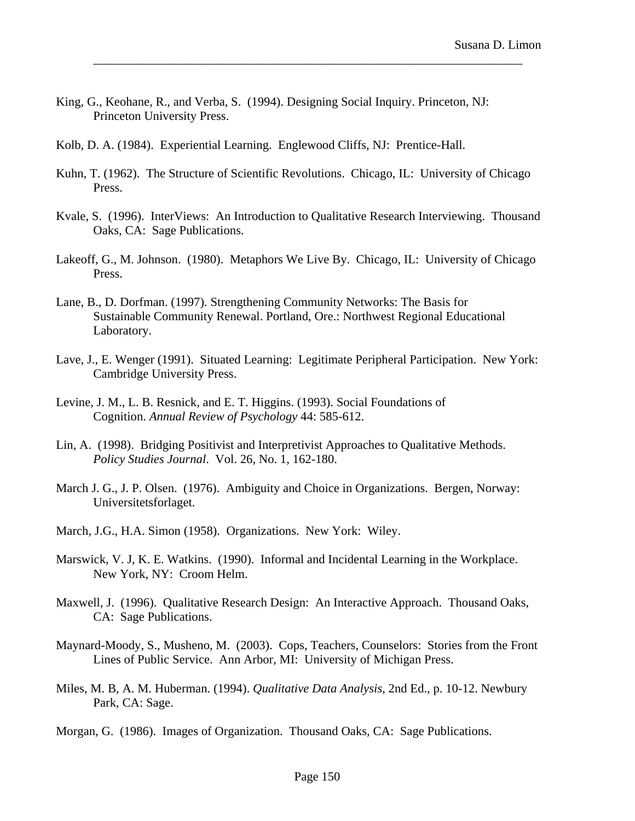- King, G., Keohane, R., and Verba, S. (1994). Designing Social Inquiry. Princeton, NJ: Princeton University Press.
- Kolb, D. A. (1984). Experiential Learning. Englewood Cliffs, NJ: Prentice-Hall.
- Kuhn, T. (1962). The Structure of Scientific Revolutions. Chicago, IL: University of Chicago Press.

\_\_\_\_\_\_\_\_\_\_\_\_\_\_\_\_\_\_\_\_\_\_\_\_\_\_\_\_\_\_\_\_\_\_\_\_\_\_\_\_\_\_\_\_\_\_\_\_\_\_\_\_\_\_\_\_\_\_\_\_\_\_\_\_\_\_\_\_\_

- Kvale, S. (1996). InterViews: An Introduction to Qualitative Research Interviewing. Thousand Oaks, CA: Sage Publications.
- Lakeoff, G., M. Johnson. (1980). Metaphors We Live By. Chicago, IL: University of Chicago Press.
- Lane, B., D. Dorfman. (1997). Strengthening Community Networks: The Basis for Sustainable Community Renewal. Portland, Ore.: Northwest Regional Educational Laboratory.
- Lave, J., E. Wenger (1991). Situated Learning: Legitimate Peripheral Participation. New York: Cambridge University Press.
- Levine, J. M., L. B. Resnick, and E. T. Higgins. (1993). Social Foundations of Cognition. *Annual Review of Psychology* 44: 585-612.
- Lin, A. (1998). Bridging Positivist and Interpretivist Approaches to Qualitative Methods. *Policy Studies Journal*. Vol. 26, No. 1, 162-180.
- March J. G., J. P. Olsen. (1976). Ambiguity and Choice in Organizations. Bergen, Norway: Universitetsforlaget.
- March, J.G., H.A. Simon (1958). Organizations. New York: Wiley.
- Marswick, V. J, K. E. Watkins. (1990). Informal and Incidental Learning in the Workplace. New York, NY: Croom Helm.
- Maxwell, J. (1996). Qualitative Research Design: An Interactive Approach. Thousand Oaks, CA: Sage Publications.
- Maynard-Moody, S., Musheno, M. (2003). Cops, Teachers, Counselors: Stories from the Front Lines of Public Service. Ann Arbor, MI: University of Michigan Press.
- Miles, M. B, A. M. Huberman. (1994). *Qualitative Data Analysis,* 2nd Ed., p. 10-12. Newbury Park, CA: Sage.

Morgan, G. (1986). Images of Organization. Thousand Oaks, CA: Sage Publications.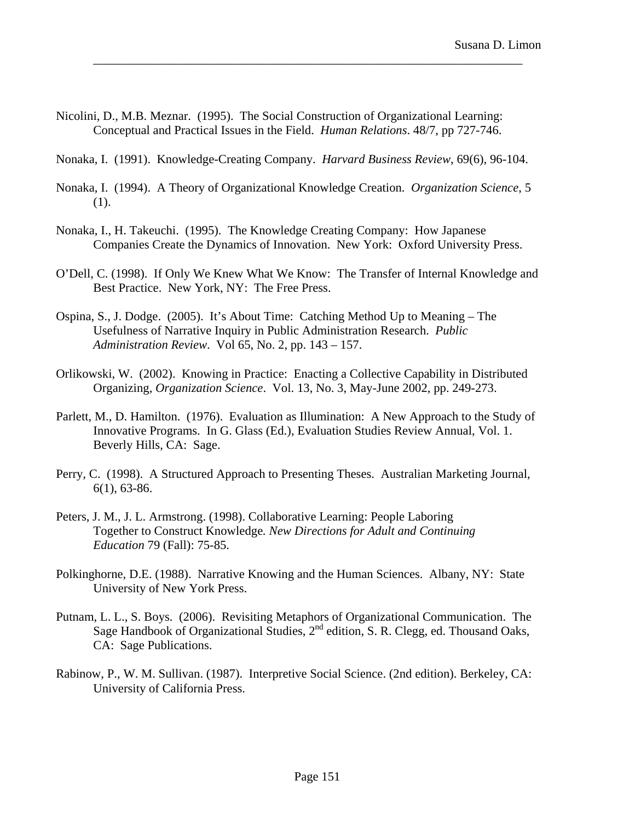- Nicolini, D., M.B. Meznar. (1995). The Social Construction of Organizational Learning: Conceptual and Practical Issues in the Field. *Human Relations*. 48/7, pp 727-746.
- Nonaka, I. (1991). Knowledge-Creating Company. *Harvard Business Review*, 69(6), 96-104.

- Nonaka, I. (1994). A Theory of Organizational Knowledge Creation. *Organization Science*, 5 (1).
- Nonaka, I., H. Takeuchi. (1995). The Knowledge Creating Company: How Japanese Companies Create the Dynamics of Innovation. New York: Oxford University Press.
- O'Dell, C. (1998). If Only We Knew What We Know: The Transfer of Internal Knowledge and Best Practice. New York, NY: The Free Press.
- Ospina, S., J. Dodge. (2005). It's About Time: Catching Method Up to Meaning The Usefulness of Narrative Inquiry in Public Administration Research. *Public Administration Review*. Vol 65, No. 2, pp. 143 – 157.
- Orlikowski, W. (2002). Knowing in Practice: Enacting a Collective Capability in Distributed Organizing, *Organization Science*. Vol. 13, No. 3, May-June 2002, pp. 249-273.
- Parlett, M., D. Hamilton. (1976). Evaluation as Illumination: A New Approach to the Study of Innovative Programs. In G. Glass (Ed.), Evaluation Studies Review Annual, Vol. 1. Beverly Hills, CA: Sage.
- Perry, C. (1998). A Structured Approach to Presenting Theses. Australian Marketing Journal, 6(1), 63-86.
- Peters, J. M., J. L. Armstrong. (1998). Collaborative Learning: People Laboring Together to Construct Knowledge*. New Directions for Adult and Continuing Education* 79 (Fall): 75-85.
- Polkinghorne, D.E. (1988). Narrative Knowing and the Human Sciences. Albany, NY: State University of New York Press.
- Putnam, L. L., S. Boys. (2006). Revisiting Metaphors of Organizational Communication. The Sage Handbook of Organizational Studies,  $2^{nd}$  edition, S. R. Clegg, ed. Thousand Oaks, CA: Sage Publications.
- Rabinow, P., W. M. Sullivan. (1987). Interpretive Social Science. (2nd edition). Berkeley, CA: University of California Press.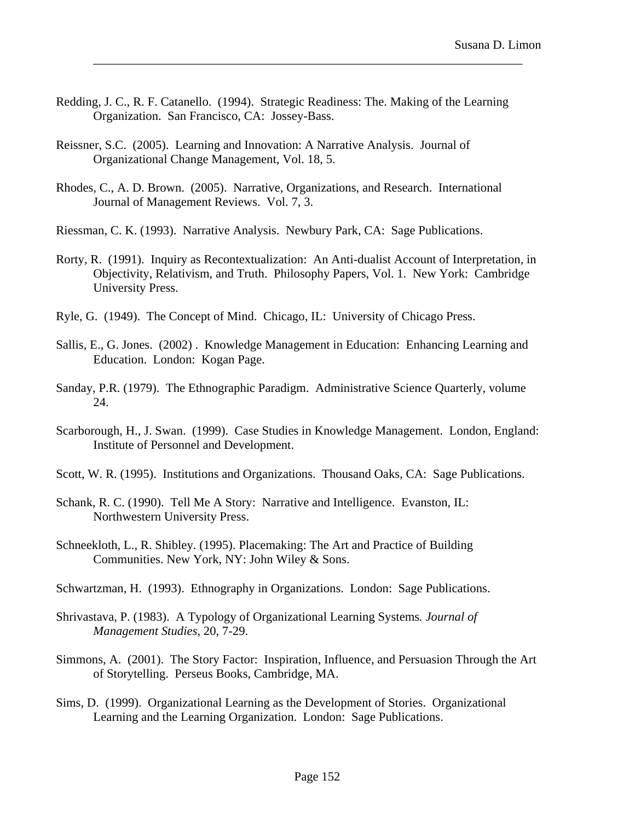Redding, J. C., R. F. Catanello. (1994). Strategic Readiness: The. Making of the Learning Organization. San Francisco, CA: Jossey-Bass.

- Reissner, S.C. (2005). Learning and Innovation: A Narrative Analysis. Journal of Organizational Change Management, Vol. 18, 5.
- Rhodes, C., A. D. Brown. (2005). Narrative, Organizations, and Research. International Journal of Management Reviews. Vol. 7, 3.
- Riessman, C. K. (1993). Narrative Analysis. Newbury Park, CA: Sage Publications.
- Rorty, R. (1991). Inquiry as Recontextualization: An Anti-dualist Account of Interpretation, in Objectivity, Relativism, and Truth. Philosophy Papers, Vol. 1. New York: Cambridge University Press.
- Ryle, G. (1949). The Concept of Mind. Chicago, IL: University of Chicago Press.
- Sallis, E., G. Jones. (2002) . Knowledge Management in Education: Enhancing Learning and Education. London: Kogan Page.
- Sanday, P.R. (1979). The Ethnographic Paradigm. Administrative Science Quarterly, volume 24.
- Scarborough, H., J. Swan. (1999). Case Studies in Knowledge Management. London, England: Institute of Personnel and Development.
- Scott, W. R. (1995). Institutions and Organizations. Thousand Oaks, CA: Sage Publications.
- Schank, R. C. (1990). Tell Me A Story: Narrative and Intelligence. Evanston, IL: Northwestern University Press.
- Schneekloth, L., R. Shibley. (1995). Placemaking: The Art and Practice of Building Communities. New York, NY: John Wiley & Sons.
- Schwartzman, H. (1993). Ethnography in Organizations. London: Sage Publications.
- Shrivastava, P. (1983). A Typology of Organizational Learning Systems*. Journal of Management Studies,* 20, 7-29.
- Simmons, A. (2001). The Story Factor: Inspiration, Influence, and Persuasion Through the Art of Storytelling. Perseus Books, Cambridge, MA.
- Sims, D. (1999). Organizational Learning as the Development of Stories. Organizational Learning and the Learning Organization. London: Sage Publications.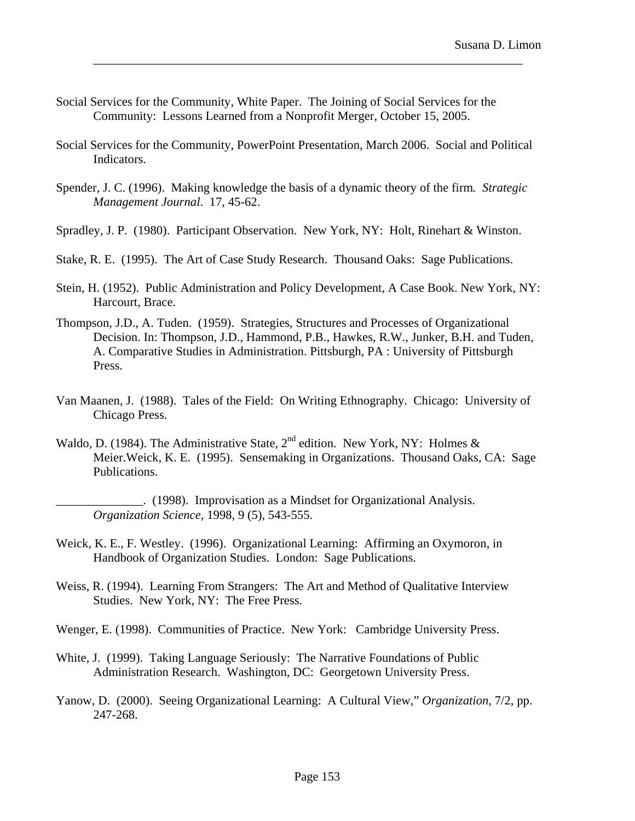- Social Services for the Community, White Paper. The Joining of Social Services for the Community: Lessons Learned from a Nonprofit Merger, October 15, 2005.
- Social Services for the Community, PowerPoint Presentation, March 2006. Social and Political Indicators.

- Spender, J. C. (1996). Making knowledge the basis of a dynamic theory of the firm*. Strategic Management Journal*. 17, 45-62.
- Spradley, J. P. (1980). Participant Observation. New York, NY: Holt, Rinehart & Winston.
- Stake, R. E. (1995). The Art of Case Study Research. Thousand Oaks: Sage Publications.
- Stein, H. (1952). Public Administration and Policy Development, A Case Book. New York, NY: Harcourt, Brace.
- Thompson, J.D., A. Tuden. (1959). Strategies, Structures and Processes of Organizational Decision. In: Thompson, J.D., Hammond, P.B., Hawkes, R.W., Junker, B.H. and Tuden, A. Comparative Studies in Administration. Pittsburgh, PA : University of Pittsburgh Press.
- Van Maanen, J. (1988). Tales of the Field: On Writing Ethnography. Chicago: University of Chicago Press.
- Waldo, D. (1984). The Administrative State,  $2^{nd}$  edition. New York, NY: Holmes & Meier.Weick, K. E. (1995). Sensemaking in Organizations. Thousand Oaks, CA: Sage Publications.
	- \_\_\_\_\_\_\_\_\_\_\_\_\_\_. (1998). Improvisation as a Mindset for Organizational Analysis. *Organization Science*, 1998, 9 (5), 543-555.
- Weick, K. E., F. Westley. (1996). Organizational Learning: Affirming an Oxymoron, in Handbook of Organization Studies. London: Sage Publications.
- Weiss, R. (1994). Learning From Strangers: The Art and Method of Qualitative Interview Studies. New York, NY: The Free Press.
- Wenger, E. (1998). Communities of Practice. New York: Cambridge University Press.
- White, J. (1999). Taking Language Seriously: The Narrative Foundations of Public Administration Research. Washington, DC: Georgetown University Press.
- Yanow, D. (2000). Seeing Organizational Learning: A Cultural View," *Organization,* 7/2, pp. 247-268.